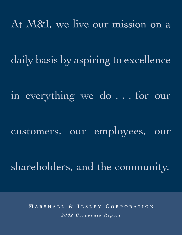# At M&I, we live our mission on a

daily basis by aspiring to excellence

in everything we do . . . for our

customers, our employees, our

shareholders, and the community.

**M ARSHALL & I LSLEY C ORPORATION** *2002 Corporate Report*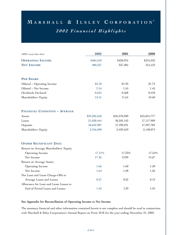# **M ARSHALL & I LSLEY C ORPORATION** ® *2002 Financial Highlights*

| (\$000's except share data)            | 2002         | 2001         | 2000                 |  |
|----------------------------------------|--------------|--------------|----------------------|--|
| <b>OPERATING INCOME</b>                | \$484,549    | \$420,976    | \$376,332<br>315,123 |  |
| <b>NET INCOME</b>                      | 480,327      | 337,485      |                      |  |
| <b>PER SHARE</b>                       |              |              |                      |  |
| Diluted - Operating Income             | \$2.18       | \$1.93       | \$1.73               |  |
| Diluted - Net Income                   | 2.16         | 1.55         | 1.45                 |  |
| Dividends Declared                     | 0.625        | 0.568        | 0.518                |  |
| Shareholders' Equity                   | 13.51        | 11.65        | 10.60                |  |
| <b>FINANCIAL CONDITION - AVERAGE</b>   |              |              |                      |  |
| Assets                                 | \$29,202,650 | \$26,370,309 | \$25,041,777         |  |
| Loans                                  | 21,028,444   | 18,201,142   | 17,117,909           |  |
| Deposits                               | 18,642,987   | 17,190,591   | 17,497,783           |  |
| Shareholders' Equity                   | 2,766,690    | 2,429,559    | 2,148,074            |  |
| <b>OTHER SIGNIFICANT DATA</b>          |              |              |                      |  |
| Return on Average Shareholders' Equity |              |              |                      |  |
| Operating Income                       | 17.51%       | 17.33%       | 17.52%               |  |
| Net Income                             | 17.36        | 13.89        | 14.67                |  |
| Return on Average Assets               |              |              |                      |  |
| Operating Income                       | 1.66         | 1.60         | 1.50                 |  |
| Net Income                             | 1.64         | 1.28         | 1.26                 |  |
| Net Loan and Lease Charge-Offs to      |              |              |                      |  |
| Average Loans and Leases               | 0.21         | 0.22         | 0.12                 |  |
| Allowance for Loan and Lease Losses to |              |              |                      |  |
| End of Period Loans and Leases         | 1.42         | 1.39         | 1.34                 |  |

#### **See Appendix for Reconciliation of Operating Income to Net Income**

The summary financial and other information contained herein is not complete and should be read in conjunction with Marshall & Ilsley Corporation's Annual Report on Form 10-K for the year ending December 31, 2002.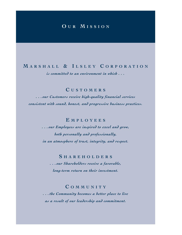# **O U R M ISSION**

# **M ARSHALL & I LSLEY C ORPORATION** *is committed to an environment in which . . .*

## **C USTOMERS**

*. . . our Customers receive high-quality financial services consistent with sound, honest, and progressive business practices.*

## **E MPLOYEES**

*. . . our Employees are inspired to excel and grow, both personally and professionally, in an atmosphere of trust, integrity, and respect.*

## **S HAREHOLDERS**

*. . . our Shareholders receive a favorable, long-term return on their investment.*

## **C OMMUNITY**

*. . . the Community becomes a better place to live as a result of our leadership and commitment.*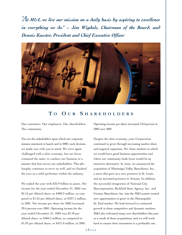*" At M&I, we live our mission on a daily basis by aspiring to excellence in everything we do." – Jim Wigdale, Chairman of the Board, and Dennis Kuester, President and Chief Executive Officer*



# **T O O U R S HAREHOLDERS**

Our customers. Our employees. Our shareholders. The community.

You are the stakeholders upon which our corporate mission statement is based, and in 2002, each decision we made was with you in mind. We were again challenged with a slow economy, but our focus remained the same: to conduct our business in a manner that best serves our stakeholders. This philosophy continues to serve us well, and we finished the year as a solid performer within the industry.

We ended the year with \$32.9 billion in assets. Net income for the year ended December 31, 2002 was \$2.16 per diluted share, or \$480.3 million, as compared to \$1.55 per diluted share, or \$337.5 million, in 2001. Net income per share for 2002 increased 39.4 percent over 2001. Operating income for the year ended December 31, 2002 was \$2.18 per diluted share, or \$484.5 million, as compared to \$1.93 per diluted share, or \$421.0 million, in 2001.

Operating income per share increased 13.0 percent in 2002 over 2001.

Despite the slow economy, your Corporation continued to grow through increasing market share and targeted expansion. We chose markets in which we would have good business opportunities and where our community bank focus would be an attractive alternative. In June, we announced the acquisition of Mississippi Valley Bancshares, Inc., a move that gave us a new presence in St. Louis, and an increased presence in Arizona. In addition, the successful integration of National City Bancorporation, Richfield State Agency, Inc., and Century Bancshares, Inc. into the M&I system created new opportunities to grow in the Minneapolis/ St. Paul market. We look forward to continued growth in these competitive and dynamic markets. M&I also welcomed many new shareholders this year as a result of these acquisitions, and we will work hard to ensure their investment is a profitable one.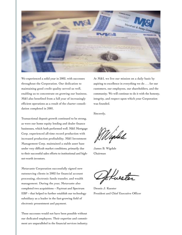

We experienced a solid year in 2002, with successes throughout the Corporation. Our dedication to maintaining good credit quality served us well, enabling us to concentrate on growing our business. M&I also benefited from a full year of increasingly efficient operations as a result of the charter consolidation completed in 2001.

Transactional deposit growth continued to be strong, as were our home equity lending and dealer finance businesses, which both performed well. M&I Mortgage Corp. experienced all-time record production with increased production profitability. M&I Investment Management Corp. maintained a stable asset base under very difficult market conditions, primarily due to their successful sales efforts to institutional and highnet-worth investors.

Metavante Corporation successfully signed new outsourcing clients in 2002 for financial account processing, electronic funds transfer, and wealth management. During the year, Metavante also completed two acquisitions – Paytrust and Spectrum EBP – that helped to further establish our technology subsidiary as a leader in the fast-growing field of electronic presentment and payment.

These successes would not have been possible without our dedicated employees. Their expertise and commitment are unparalleled in the financial services industry. At M&I, we live our mission on a daily basis by aspiring to excellence in everything we do . . . for our customers, our employees, our shareholders, and the community. We will continue to do it with the honesty, integrity, and respect upon which your Corporation was founded.

Sincerely,

Ígdel

James B. Wigdale Chairman

Luester

Dennis J. Kuester President and Chief Executive Officer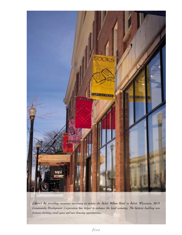

*(Above) By providing resources necessary to restore the Beloit Hilton Hotel in Beloit, Wisconsin, M&I Community Development Corporation has helped to enhance the local economy. The historic building now features inviting retail space and new housing opportunities.*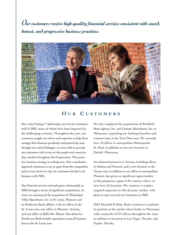*Our customers receive high-quality financial services consistent with sound, honest, and progressive business practices.* 



# **O U R C USTOMERS**

Our *critical linkages*<sup>TM</sup> philosophy served our customers well in 2002, many of whom have been impacted by the challenging economy. Throughout the year, our customers sought our advice and expertise to help them manage their finances prudently and proactively and, through our critical linkages, we were able to provide our customers with access to the people and resources they needed throughout the Corporation. This proactive business strategy is nothing new. Our consultative approach continues to set us apart from the competition and is a key factor in why our customers decide to do business with M&I.

Our financial services network grew substantially in 2002 through a series of significant acquisitions. In June we announced the acquisition of Mississippi Valley Bancshares, Inc. in St. Louis, Missouri, and its Southwest Bank affiliate, with six offices in the St. Louis area, one office in Phoenix, Arizona, and one office in Belleville, Illinois. Our plans for Southwest Bank include expansion across all business lines in the St. Louis area.

We also completed the acquisitions of Richfield State Agency, Inc. and Century Bancshares, Inc. in Minnesota, expanding our banking franchise and customer base in the Twin Cities area. We currently have 10 offices in metropolitan Minneapolis/ St. Paul, in addition to our new location in Duluth, Minnesota.

An enhanced presence in Arizona, including offices in Sedona and Prescott, and a new location in the Tucson area, in addition to our offices in metropolitan Phoenix, has given us significant opportunities in this prosperous region of the country, where we now have 25 locations. We continue to explore targeted expansion in this dynamic market, with plans to open several new locations in 2003.

M&I Marshall & Ilsley Bank continues to maintain its position as the market share leader in Wisconsin, with a network of 214 offices throughout the state, in addition to locations in Las Vegas, Nevada, and Naples, Florida.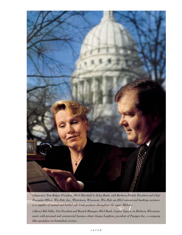

*(Opposite) Tom Bolger, President, M&I Marshall & Ilsley Bank, with Barbara Parish, President and Chief Executive Officer, Wis-Pak, Inc., Watertown, Wisconsin. Wis-Pak, an M&I commercial banking customer, is a supplier of canned and bottled soft drink products throughout the upper Midwest.*

*(Above) Bob Nilles, Vice President and Branch Manager, M&I Bank, Capitol Square, in Madison, Wisconsin, meets with personal and commercial business client Jacqui Leighton, president of Panigen Inc., a company that specializes in biomedical services.*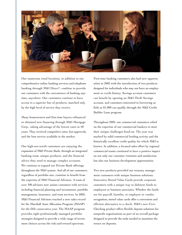

Our numerous retail locations, in addition to our comprehensive online banking services and telephone banking through M&I Direct®, combine to provide our customers with the convenience of banking anytime, anywhere. Our customers continue to have access to a superior line of products, matched only by the high level of service they receive.

Many homeowners and first-time buyers refinanced or obtained new financing through M&I Mortgage Corp., taking advantage of the lowest rates in 40 years. They received competitive rates, fast approvals, and the best service available in the market.

Our high-net-worth customers are enjoying the expansion of M&I Private Bank, through an integrated banking team, unique products, and the financial advice they need to manage complex accounts. We continue to expand our Private Bank offerings throughout the M&I system. And all of our customers, regardless of portfolio size, continue to benefit from the expertise of M&I Financial Advisors. A team of over 100 advisors now assists customers with services including financial planning and investments, portfolio management, insurance, and trust services. In 2002, M&I Financial Advisors reached a new sales record for the Marshall Asset Allocation Program (MAAP) for the fifth consecutive year. The MAAP program provides eight professionally managed portfolio strategies designed to provide a wide range of investment choices across the risk-and-reward spectrum.

First-time banking customers also had new opportunities in 2002 with the introduction of two products designed for individuals who may not have an employment or credit history. Savings account customers can benefit by opening an M&I Thrift Savings account, and customers interested in borrowing as little as \$1,000 can qualify through the M&I Credit Builder Loan program.

Throughout 2002, our commercial customers relied on the expertise of our commercial bankers to meet their unique challenges head-on. The year was marked by solid commercial lending activity and the historically excellent credit quality for which M&I is known. In addition, a focused sales effort by regional commercial teams continued to have a positive impact on not only our customer retention and satisfaction but also our business development opportunities.

Two new products provided our treasury management customers with unique business solutions. Innovative Stored Value Cards provide corporate customers with a unique way to disburse funds to employees or business associates. Whether the funds are for payroll, benefits, or employee or vendor recognition, stored value cards offer a convenient and efficient alternative to a check. M&I's new Civic Checking product offers flexible deposit solutions for nonprofit organizations as part of an overall package designed to provide the tools needed to maximize the return on deposits.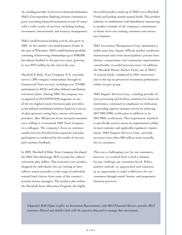As a leading provider of services to financial institutions, M&I's Correspondent Banking division continued to grow, providing financial institutions across 24 states with a wide variety of services, including lending, investment, international, and treasury management.

M&I's small-business lending activity also grew in 2002. As the number one small-business lender in the state of Wisconsin, M&I's small-business portfolio, consisting of borrowing relationships up to \$500,000, has almost doubled in the past two years, growing to over \$975 million by the end of the year.

Marshall & Ilsley Trust Company N.A. currently serves 1,200 company relationships through its Commercial Trust services, including over 270,000 participants in 401(k) and other defined contribution retirement plans. During 2002, the company was recognized in *PLANSPONSOR* magazine as one of the two highest-rated retirement plan providers in the defined contribution industry based on a survey of plan sponsors rating their current retirement providers. Also, 100 percent of our surveyed customers were willing to recommend M&I Trust Company to a colleague. The company's focus on customer satisfaction has benefited plan sponsors and plan participants as evidenced by the results of surveys and customer feedback.

In 2002, Marshall & Ilsley Trust Company developed the M&I MaxAdvantage IRA® account for rollover retirement plan dollars. This innovative new product, designed for individuals who are retiring or have rollover assets, provides a wide range of individual mutual fund choices from some of the country's premier money managers. The product also utilizes the Marshall Asset Allocation Program, the highly

successful product made up of M&I's own Marshall Funds and leading outside mutual funds. This product solution, in combination with distribution outsourcing, is another example of the company's commitment to better serve our existing customers and attract new business.

M&I Investment Management Corp. maintained a stable asset base despite difficult market conditions. Institutional sales from municipalities, private foundations, corporations, and community organizations considerably exceeded previous years. In addition, the Marshall Money Market Fund, one of M&I's 11 mutual funds, completed its fifth consecutive year in the top six percent for investment performance within its peer group.

M&I Support Services Corp., a leading provider of item processing and lockbox solutions for financial institutions, continued to emphasize its dedication to providing superior customer service by achieving ISO 9001:2000 certification in addition to its ISO 9002 certification. This requirement standard is specifically used to assess an organization's ability to meet customer and applicable regulatory requirements. M&I Support Services Corp. currently processes more than 800 million items annually for its customers.

This was a challenging year for our customers; however, we worked hard to find a solution for any challenge our customers faced. With a positive outlook, we approached each situation as an opportunity to make a difference for our customers through sound, honest, and progressive business practices.

*(Opposite) Kelli Glynn (right), an Investment Representative with M&I Financial Advisors, provides M&I customers Edward and Judith Clark with the expertise they need to manage their investments.*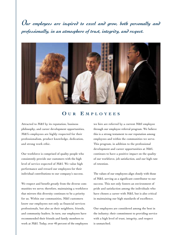*Our employees are inspired to excel and grow, both personally and professionally, in an atmosphere of trust, integrity, and respect.*



## **O U R E MPLOYEES**

Attracted to M&I by its reputation, business philosophy, and career development opportunities, M&I's employees are highly respected for their professionalism, product knowledge, dedication, and strong work ethic.

Our workforce is comprised of quality people who consistently provide our customers with the high level of service expected of M&I. We value high performance and reward our employees for their individual contributions to our company's success.

We respect and benefit greatly from the diverse communities we serve; therefore, maintaining a workforce that mirrors this diversity continues to be a priority for us. Within our communities, M&I customers know our employees not only as financial services professionals, but also as their neighbors, friends, and community leaders. In turn, our employees have recommended their friends and family members to work at M&I. Today, over 40 percent of the employees we hire are referred by a current M&I employee through our employee referral program. We believe this is a strong testament to our reputation among employees and within the communities we serve. This program, in addition to the professional development and career opportunities at M&I, continues to have a positive impact on the quality of our workforce, job satisfaction, and our high rate of retention.

The values of our employees align closely with those of M&I, serving as a significant contributor to our success. This not only fosters an environment of pride and satisfaction among the individuals who have chosen a career with M&I, but is also critical in maintaining our high standards of excellence.

Our employees are considered among the best in the industry; their commitment to providing service with a high level of trust, integrity, and respect is unmatched.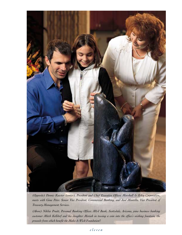

*(Opposite) Dennis Kuester (center), President and Chief Executive Officer, Marshall & Ilsley Corporation, meets with Gina Peter, Senior Vice President, Commercial Banking, and José Mantilla, Vice President of Treasury Management Services.*

*(Above) Nikkie Pruitt, Personal Banking Officer, M&I Bank, Scottsdale, Arizona, joins business banking customer Mitch Kelldorf and his daughter Moriah in tossing a coin into the office's wishing fountain, the proceeds from which benefit the Make-A-Wish Foundation® .*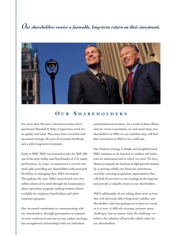# *Our shareholders receive a favorable, long-term return on their investment.*



# **O U R S HAREHOLDERS**

For more than 40 years, educated investors have purchased Marshall & Ilsley Corporation stock for its quality and value. They have been rewarded with increased earnings, 30 years of increased dividends, and a solid, long-term investment.

Early in 2002, M&I was honored to join the S&P 500, one of the most widely used benchmarks of U.S. equity performance. In June, we announced a two-for-one stock split, providing our shareholders with increased flexibility in managing their M&I investment. Throughout the year, M&I repurchased over five million shares of its stock through the Corporation's share repurchase program, making treasury shares available for employee benefit plans and other corporate purposes.

Our increased commitment to communicating with our shareholders, through participation in national investor conferences and one-on-one analyst meetings, has strengthened relationships with our individual

and institutional investors. As a result of these efforts, and our recent acquisitions, we welcomed many new shareholders in 2002; we are confident they will find their investment in M&I to be a solid one.

Our business strategy is simple and straightforward. M&I continues to do business in markets and industries we understand and in which we excel. We have chosen to expand our business in high-growth markets by acquiring solidly run financial institutions, carefully selecting acquisition opportunities that will both be accretive to our earnings in the long run and provide a valuable return to our shareholders.

M&I's philosophy of not taking short-term actions that will adversely affect long-term viability and shareholder value has perhaps never been as crucial as it is now. A difficult economy presents many challenges, but no matter what the challenge, we believe the solution will provide added value for our shareholders.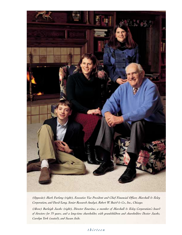

*(Opposite) Mark Furlong (right), Executive Vice President and Chief Financial Officer, Marshall & Ilsley Corporation, and David Long, Senior Research Analyst, Robert W. Baird & Co., Inc., Chicago.*

*(Above) Burleigh Jacobs (right), Director Emeritus, a member of Marshall & Ilsley Corporation's board of directors for 35 years, and a long-time shareholder, with grandchildren and shareholders Dexter Jacobs, Carolyn York (seated), and Susan Jeide.* 

# *thirteen*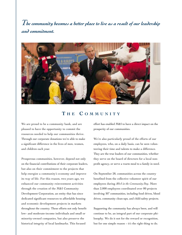*The community becomes a better place to live as a result of our leadership and commitment.* 



# **T H E C OMMUNITY**

We are proud to be a community bank, and are pleased to have the opportunity to commit the resources needed to help our communities thrive. Through our corporate donations we're able to make a significant difference in the lives of men, women, and children each year.

Prosperous communities, however, depend not only on the financial contributions of their corporate leaders, but also on their commitment to the projects that help energize a community's economy and improve its way of life. For this reason, two years ago, we enhanced our community reinvestment activities through the creation of the M&I Community Development Corporation, an entity that has since dedicated significant resources to affordable housing and economic development projects in markets throughout the country. These efforts not only benefit low- and moderate-income individuals and small or minority-owned companies, but also preserve the historical integrity of local landmarks. This focused

effort has enabled M&I to have a direct impact on the prosperity of our communities.

We're also particularly proud of the efforts of our employees, who, on a daily basis, can be seen volunteering their time and talents to make a difference. They are the true leaders of our communities, whether they serve on the board of directors for a local nonprofit agency, or serve a warm meal to a family in need.

On September 28, communities across the country benefited from the collective volunteer spirit of our employees during *M&I in the Community Day*. More than 2,000 employees coordinated over 80 projects involving 107 communities, including food drives, blood drives, community clean-ups, and child-safety projects.

Supporting the community has always been, and will continue to be, an integral part of our corporate philosophy. We do it not for the reward or recognition, but for one simple reason – it's the right thing to do.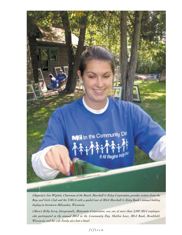

*(Opposite) Jim Wigdale, Chairman of the Board, Marshall & Ilsley Corporation, provides visitors from the Boys and Girls Club and the YMCA with a guided tour of M&I Marshall & Ilsley Bank's annual holiday display in downtown Milwaukee, Wisconsin.*

*(Above) Kelly Leroy (foreground), Metavante Corporation, was one of more than 2,000 M&I employees who participated in the annual M&I in the Community Day. Sheldon Lenz, M&I Bank, Brookfield, Wisconsin, and his wife Emily also lent a hand.*

# *fifteen*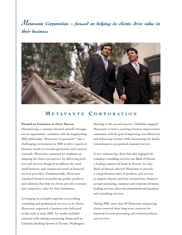*Metavante Corporation – focused on helping its clients drive value in their business.*



# **M ETAVANTE C ORPORATION**

#### **Focused on Customers to Drive Success**

Championing a customer-focused attitude throughout its organization, consistent with the longstanding M&I philosophy, Metavante Corporation<sup>™</sup> met a challenging environment in 2002 to drive improved business results in revenue generation and contract renewals. Metavante continued its emphasis on adopting the client's perspective by delivering products and services designed to address the retail, small business, and commercial needs of financial services providers. Fundamentally, Metavante remained focused on producing quality products and solutions that help its clients provide economic and competitive value for their businesses.

Leveraging its in-depth expertise in providing consulting and professional services to its clients, Metavante organized a business unit dedicated to that task in early 2002. Its results included contracts with existing outsourcing clients such as Columbia Banking System of Tacoma, Washington. Starting in the second quarter, Columbia engaged Metavante to lead a yearlong business improvement assessment with the goal of improving cost efficiencies and enhancing revenue while maintaining the bank's commitment to exceptional customer service.

A new outsourcing client that also engaged the company's consulting services was Bank of Hawaii, a leading commercial bank in Hawaii. In July, Bank of Hawaii selected Metavante to provide a comprehensive suite of products and services to support deposit and loan transactions, financial account processing, consumer and corporate electronic banking services, electronic presentment and payment, and consulting services.

During 2002, more than 30 Metavante outsourcing clients renewed their long-term contracts for financial account processing and related products and services.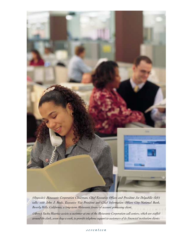

*(Opposite) Metavante Corporation Chairman, Chief Executive Officer, and President Joe Delgadillo (left) talks with John J. Beale, Executive Vice President and Chief Information Officer, City National Bank, Beverly Hills, California, a long-term Metavante financial account processing client.* 

*(Above) Sasha Huertas assists a customer at one of the Metavante Corporation call centers, which are staffed around the clock, seven days a week, to provide telephone support to customers of its financial institution clients.*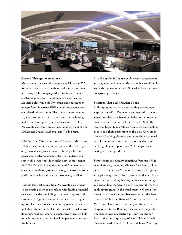

#### **Growth Through Acquisitions**

Metavante made several strategic acquisitions in 2002 to fuel market share growth and add important new technology. The company added to its end-to-end electronic presentment and payment platform by acquiring electronic bill switching and routing technology from Spectrum EBP, one of two acquisitions completed midyear in its Electronic Presentment and Payment solution group. The Spectrum technology had been developed by subsidiaries of three key Metavante electronic presentment and payment clients: JPMorgan Chase, Wachovia, and Wells Fargo.

With its July 2002 acquisition of Paytrust, Metavante solidified its unique market position as the industry's only provider of presentment technology for both paper and electronic documents. The Paytrust consumer bill service provider technology complements the 2001 CyberBills acquisition, and Metavante is consolidating these systems to a single next-generation platform, which it anticipates introducing in 2003.

With its Paytrust acquisition, Metavante also expanded its existing client relationships with leading financial services providers including American Express and Citibank. A significant number of new clients signed up for electronic presentment and payment services, including Union Bank of California, which will allow its commercial customers to electronically present bills to their customer base and facilitate payments through the Internet.

By offering the full range of electronic presentment and payment technology, Metavante has solidified its leadership position in the U.S. marketplace for these fast-growing services.

#### **Solutions That Meet Market Needs**

Building upon the Internet banking technology acquired in 2001, Metavante engineered its nextgeneration electronic banking platforms for consumer, business, and commercial markets. In 2002, the company began to migrate its retail electronic banking clients and their customers to the new Consumer Internet Banking platform and it continued to work with its small business and corporate electronic banking clients to plan their 2003 migrations to next-generation products.

Some clients are already benefiting from use of the new platforms, including Charter One Bank, which in April extended its Metavante contract by signing a long-term agreement for consumer and small business Internet banking hosting services, continuing and expanding the bank's highly successful Internet banking program. In the third quarter, Gomez, Inc. ranked Charter One number two among the best Internet Web sites. Bank of Montreal licensed the Metavante Corporate eBanking solution for its Corporate Internet Banking business and the product was placed into production in early December. Also in the fourth quarter, Winston-Salem, North Carolina-based Branch Banking and Trust Company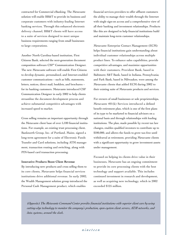contracted for Commercial eBanking. The Metavante solution will enable BB&T to provide its business and corporate customers with industry-leading Internet banking services. Through this enhanced electronic delivery channel, BB&T clients will have access to a suite of services designed to meet unique business requirements ranging from small businesses to large corporations.

Another North Carolina-based institution, First Citizens Bank, selected the next-generation document composition software CSF® Communication Designer. The new Metavante software will enable First Citizens to develop dynamic, personalized, and Internet-enabled customer communications – such as bills, statements, letters, notices, direct mail, booklets, and brochures – for its banking customers. Metavante introduced CSF Communication Designer in early 2002 to help clients streamline the document development process and achieve substantial competitive advantages with increased speed to market.

Cross selling remains an important opportunity through the Metavante client base of over 5,100 financial institutions. For example, an existing trust processing client, Banknorth Group, Inc. of Portland, Maine, signed a long-term agreement for a suite of Electronic Funds Transfer and Card solutions, including ATM management, transaction routing and switching, along with PIN-based card transaction processing.

#### **Innovative Products Boost Client Revenue**

By introducing new products and cross selling them to its core clients, Metavante helps financial services institutions drive additional revenue. In early 2002, the Wealth Management solution group introduced the Personal Cash Management product, which enables

financial services providers to offer affluent customers the ability to manage their wealth through the Internet with single sign-on access and a comprehensive view of all their banking and investment relationships. Products like this are designed to help financial institutions build and maintain long-term customer relationships.

Metavante Enterprise Contact Management (ECM) helps financial institutions gain understanding about individual customer relationships across multiple product lines. To enhance sales capabilities, provide competitive advantages, and maximize opportunities with their customers, Provident Bank, based in Baltimore; S&T Bank, based in Indiana, Pennsylvania; and Park Bank, based in Milwaukee, were among the Metavante clients that added ECM during 2002 to their existing suite of Metavante products and services.

For owners of small businesses or sole proprietorships, Metavante 401(k) Services introduced a defined benefit retirement plan, which is one of the first plans of its type to be marketed to financial advisors on a national basis and through relationships with leading institutions. The plan, made possible by recent tax law changes, enables qualified investors to contribute up to \$100,000, and allows the funds to grow tax-free until withdrawal at retirement, providing Metavante clients with a significant opportunity to grow investment assets under management.

Focused on helping its clients drive value in their businesses, Metavante has an ongoing commitment to provide its core processing clients with the best technology and support available. This includes continued investment in research and development, as well as acquiring new technology, which in 2002 exceeded \$125 million.

*(Opposite) The Metavante Command Center provides financial institutions with superior client care by using cutting-edge technology to monitor the company's production, open-system client servers, ATM networks, and data systems, around the clock.*

### *nineteen*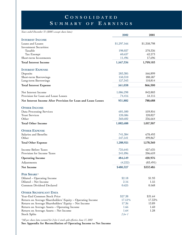# **C ONSOLIDATED S UMMARY OF E ARNINGS**

*Years ended December 31 (\$000's except share data)*

|                                                               | 2002        | 2001        |  |
|---------------------------------------------------------------|-------------|-------------|--|
| <b>INTEREST INCOME</b>                                        |             |             |  |
| Loans and Leases                                              | \$1,297,166 | \$1,358,798 |  |
| <b>Investment Securities:</b>                                 |             |             |  |
| Taxable                                                       | 198,037     | 270,336     |  |
| Tax Exempt                                                    | 60,637      | 62,273      |  |
| Short-term Investments                                        | 11,496      | 17,696      |  |
| <b>Total Interest Income</b>                                  | 1,567,336   | 1,709,103   |  |
| <b>INTEREST EXPENSE</b>                                       |             |             |  |
| Deposits                                                      | 283,385     | 566,899     |  |
| Short-term Borrowings                                         | 150,310     | 188,587     |  |
| Long-term Borrowings                                          | 127,343     | 110,814     |  |
| <b>Total Interest Expense</b>                                 | 561,038     | 866,300     |  |
| Net Interest Income                                           | 1,006,298   | 842,803     |  |
| Provision for Loan and Lease Losses                           | 74,416      | 54,115      |  |
| Net Interest Income After Provision for Loan and Lease Losses | 931,882     | 788,688     |  |
| <b>OTHER INCOME</b>                                           |             |             |  |
| Data Processing Services                                      | 601,500     | 559,816     |  |
| <b>Trust Services</b>                                         | 120,586     | 120,827     |  |
| Other                                                         | 360,602     | 336,664     |  |
| <b>Total Other Income</b>                                     | 1,082,688   | 1,017,307   |  |
| <b>OTHER EXPENSE</b>                                          |             |             |  |
| Salaries and Benefits                                         | 741,384     | 678,493     |  |
| Other                                                         | 547,541     | 499,867     |  |
| <b>Total Other Expense</b>                                    | 1,288,925   | 1,178,360   |  |
| <b>Income Before Taxes</b>                                    | 725,645     | 627,635     |  |
| Provision for Income Taxes                                    | 241,096     | 206,659     |  |
| <b>Operating Income</b>                                       | 484,549     | 420,976     |  |
| Adjustments                                                   | (4,222)     | (83, 491)   |  |
| Net Income                                                    | \$480,327   | \$337,485   |  |
| PER SHARE*                                                    |             |             |  |
| Diluted - Operating Income                                    | \$2.18      | \$1.93      |  |
| Diluted - Net Income                                          | 2.16        | 1.55        |  |
| Common Dividend Declared                                      | 0.625       | 0.568       |  |
| <b>OTHER SIGNIFICANT DATA</b>                                 |             |             |  |
| Year-End Common Stock Price                                   | \$27.38     | \$31.64     |  |
| Return on Average Shareholders' Equity - Operating Income     | 17.51%      | 17.33%      |  |
| Return on Average Shareholders' Equity - Net Income           | 17.36       | 13.89       |  |
| Return on Average Assets - Operating Income                   | 1.66        | 1.60        |  |
| Return on Average Assets - Net Income                         | 1.64        | 1.28        |  |
| <b>Stock Splits</b>                                           | 2 for 1     |             |  |

*\*All per share data restated for 2-for-1 stock split effective June 17, 2002* **See Appendix for Reconciliation of Operating Income to Net Income**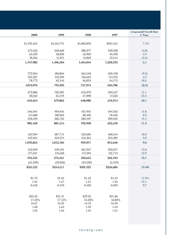|                    |                    |                    |                    | Compounded Growth Rate |
|--------------------|--------------------|--------------------|--------------------|------------------------|
| 2000               | 1999               | 1998               | 1997               | 5 Year                 |
|                    |                    |                    |                    |                        |
| \$1,391,651        | \$1,156,775        | \$1,085,829        | \$921,161          | 7.1%                   |
|                    |                    |                    |                    |                        |
| 272,536<br>65,429  | 269,668<br>58,820  | 280,377<br>52,969  | 240,238<br>45,420  | (3.8)<br>5.9           |
| 18,366             | 11,321             | 14,869             | 13,514             | (3.2)                  |
| 1,747,982          | 1,496,584          | 1,434,044          | 1,220,333          | 5.1                    |
|                    |                    |                    |                    |                        |
|                    |                    |                    |                    |                        |
| 772,016            | 585,864            | 564,540            | 460,418            | (9.3)                  |
| 224,187            | 142,294            | 126,624            | 111,193            | 6.2                    |
| 78,773             | 63,145             | 66,810             | 54,175             | 18.6                   |
| 1,074,976          | 791,303            | 757,974            | 625,786            | (2.2)                  |
| 673,006            | 705,281            | 676,070            | 594,547            | 11.1                   |
| 30,352             | 25,419             | 27,090             | 17,633             | 33.4                   |
| 642,654            | 679,862            | 648,980            | 576,914            | 10.1                   |
|                    |                    |                    |                    |                        |
|                    |                    |                    |                    |                        |
| 546,041            | 494,816            | 421,945            | 344,362            | 11.8                   |
| 117,680            | 100,963            | 88,496             | 78,595             | 8.9                    |
| 318,439            | 285,735            | 282,497            | 209,592            | 11.5                   |
| 982,160            | 881,514            | 792,938            | 632,549            | 11.3                   |
|                    |                    |                    |                    |                        |
|                    |                    |                    |                    |                        |
| 627,394<br>443,461 | 587,711<br>424,474 | 523,606<br>416,365 | 460,164<br>355,482 | 10.0<br>9.0            |
|                    |                    |                    |                    |                        |
| 1,070,855          | 1,012,185          | 939,971            | 815,646            | 9.6                    |
| 553,959            | 549,191            | 501,947            | 393,817            | 13.0                   |
| 177,627            | 176,630            | 171,294            | 131,713            | 12.9                   |
| 376,332            | 372,561            | 330,653            | 262,104            | 13.1                   |
| (61,209)           | (18,050)           | (29, 330)          | (5, 419)           |                        |
| \$315,123          | \$354,511          | \$301,323          | \$256,685          | 13.4%                  |
|                    |                    |                    |                    |                        |
|                    |                    |                    |                    |                        |
| \$1.73             | \$1.65             | \$1.43             | \$1.24             | 11.9%                  |
| 1.45               | 1.57               | 1.31               | 1.22               | 12.1                   |
| 0.518              | 0.470              | 0.430              | 0.393              | 9.7                    |
|                    |                    |                    |                    |                        |
| \$25.42            | \$31.41            | \$29.22            | \$31.06            |                        |
| 17.52%             | 17.15%             | 15.50%             | 16.84%             |                        |
| 14.67              | 16.32              | 14.13              | 16.49              |                        |
| 1.50               | 1.64               | 1.59               | 1.54               |                        |
| 1.26               | 1.56               | 1.45               | 1.51               |                        |
|                    |                    |                    |                    |                        |

### *twenty-one*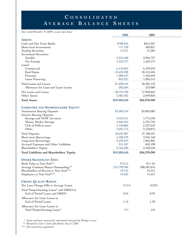# **C ONSOLIDATED A VERAGE B ALANCE S HEETS**

*Years ended December 31 (\$000's except share data)*

|                                                                        | 2002         | 2001         |  |
|------------------------------------------------------------------------|--------------|--------------|--|
| <b>ASSETS</b>                                                          |              |              |  |
| Cash and Due From Banks                                                | \$708,256    | \$651,367    |  |
| Short-term Investments                                                 | 717,130      | 503,857      |  |
| <b>Trading Securities</b>                                              | 15,247       | 21,284       |  |
| <b>Investment Securities:</b>                                          |              |              |  |
| Taxable                                                                | 3,325,568    | 3,926,737    |  |
| Tax Exempt                                                             | 1,224,737    | 1,269,175    |  |
| Loans:                                                                 |              |              |  |
| Commercial                                                             | 6,143,862    | 5,478,342    |  |
| Real Estate                                                            | 12,633,208   | 10,514,536   |  |
| Personal                                                               | 1,388,447    | 1,182,049    |  |
| Lease Financing                                                        | 862,927      | 1,026,215    |  |
| Total Loans and Leases                                                 | 21,028,444   | 18,201,142   |  |
| Allowance for Loan and Lease Losses                                    | 302,664      | 253,089      |  |
| Net Loans and Leases                                                   | 20,725,780   | 17,948,053   |  |
| Other Assets                                                           | 2,485,932    | 2,049,836    |  |
| <b>Total Assets</b>                                                    | \$29,202,650 | \$26,370,309 |  |
| <b>LIABILITIES AND SHAREHOLDERS' EQUITY</b>                            |              |              |  |
| Noninterest Bearing Deposits                                           | \$3,509,134  | \$2,895,083  |  |
| <b>Interest Bearing Deposits:</b>                                      |              |              |  |
| Savings and NOW Accounts                                               | 2,352,311    | 1,775,596    |  |
| Money Market Savings                                                   | 5,969,544    | 5,731,794    |  |
| CDs of \$100 or more                                                   | 2,120,885    | 2,237,243    |  |
| Other                                                                  | 4,691,113    | 4,550,875    |  |
| <b>Total Deposits</b>                                                  | 18,642,987   | 17,190,591   |  |
| Short-term Borrowings                                                  | 4,188,339    | 3,944,160    |  |
| Long-term Borrowings                                                   | 2,693,447    | 1,962,801    |  |
| Accrued Expenses and Other Liabilities                                 | 911,187      | 843,198      |  |
| Shareholders' Equity                                                   | 2,766,690    | 2,429,559    |  |
| Total Liabilities and Shareholders' Equity                             | \$29,202,650 | \$26,370,309 |  |
| <b>OTHER SIGNIFICANT DATA</b>                                          |              |              |  |
| Book Value at Year-End**                                               | \$13.51      | \$11.65      |  |
| Average Common Shares Outstanding**                                    | 212,799,996  | 208,587,816  |  |
| Shareholders of Record at Year End***                                  | 19,141       | 19,311       |  |
| Employees at Year End***                                               | 12,625       | 11,657       |  |
| <b>CREDIT QUALITY RATIOS</b>                                           |              |              |  |
| Net Loan Charge-Offs to Average Loans                                  | 0.21%        | 0.22%        |  |
|                                                                        |              |              |  |
| Total Nonperforming Loans* and OREO to<br>End of Period Loans and OREO | 0.85         | 0.94         |  |
| Allowance for Loan Losses to                                           |              |              |  |
| End of Period Loans                                                    | 1.42         | 1.39         |  |
| Allowance for Loan Losses to                                           |              |              |  |
| Total Nonperforming Loans*                                             | 174          | 154          |  |
|                                                                        |              |              |  |

*\* Loans and leases nonaccrual, restructured, and past due 90 days or more*

*\*\* Restated for 2-for-1 stock split effective June 17, 2002*

*\*\*\* Not restated for acquisitions*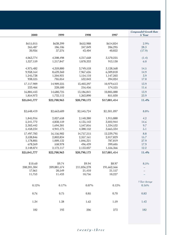|              |              |              |              | Compounded Growth Rate |
|--------------|--------------|--------------|--------------|------------------------|
| 2000         | 1999         | 1998         | 1997         | 5 Year                 |
|              |              |              |              |                        |
| \$615,015    | \$638,399    | \$652,988    | \$614,824    | 2.9%                   |
| 265,487      | 186,106      | 247,049      | 206,295      | 28.3                   |
| 30,926       | 37,276       | 43,404       | 40,822       | (17.9)                 |
|              |              |              |              |                        |
| 4,063,774    | 4,208,498    | 4,317,668    | 3,570,225    | (1.4)                  |
| 1,327,159    | 1,217,847    | 1,078,333    | 913,130      | 6.0                    |
|              |              |              |              |                        |
| 4,975,482    | 4,359,880    | 3,749,518    | 3,128,568    | 14.5                   |
| 9,958,164    | 8,639,360    | 7,967,626    | 6,309,818    | 14.9                   |
| 1,245,738    | 1,204,931    | 1,154,110    | 1,147,203    | 3.9                    |
| 938,525      | 705,054      | 532,043      | 394,024      | 17.0                   |
| 17,117,909   | 14,909,225   | 13,403,297   | 10,979,613   | 13.9                   |
| 233,466      | 228,500      | 216,456      | 174,525      | 11.6                   |
| 16,884,443   | 14,680,725   | 13,186,841   | 10,805,088   | 13.9                   |
| 1,854,973    | 1,732,112    | 1,263,890    | 851,030      | 23.9                   |
| \$25,041,777 | \$22,700,963 | \$20,790,173 | \$17,001,414 | 11.4%                  |
|              |              |              |              |                        |
|              |              |              |              |                        |
| \$2,648,419  | \$2,663,609  |              | \$2,301,097  | 8.8%                   |
|              |              | \$2,545,724  |              |                        |
| 1,845,916    | 2,027,658    | 2,140,380    | 1,915,888    | 4.2                    |
| 5,241,772    | 4,830,159    | 4,135,143    | 3,022,944    | 14.6                   |
| 2,303,442    | 1,694,301    | 1,547,816    | 1,334,532    | 9.7                    |
| 5,458,234    | 4,941,175    | 4,388,152    | 3,665,334    | 5.1                    |
|              |              |              |              |                        |
| 17,497,783   | 16,156,902   | 14,757,215   | 12,239,795   | 8.8                    |
| 3,538,846    | 2,803,834    | 2,357,161    | 2,017,829    | 15.7                   |
| 1,178,805    | 1,009,132    | 1,046,321    | 787,819      | 27.9                   |
| 678,269      | 558,978      | 496,439      | 399,605      | 17.9                   |
| 2,148,074    | 2,172,117    | 2,133,037    | 1,556,366    | 12.2                   |
| \$25,041,777 | \$22,700,963 | \$20,790,173 | \$17,001,414 | 11.4%                  |
|              |              |              |              |                        |
|              |              |              |              |                        |
| \$10.60      | \$9.74       | \$9.94       | \$8.97       | 8.5%                   |
| 208,201,304  | 209,881,574  | 211,836,278  | 191,662,566  |                        |
| 17,061       | 20,549       | 21,410       | 21,157       |                        |
| 11,753       | 11,433       | 10,756       | 10,227       |                        |
|              |              |              |              |                        |
|              |              |              |              | 5 Year Average         |
| 0.12%        | 0.17%        | 0.07%        | 0.12%        | 0.16%                  |
|              |              |              |              |                        |
| 0.76         | 0.75         | $0.85\,$     | 0.70         | 0.83                   |
|              |              |              |              |                        |
| 1.34         | 1.38         | 1.62         | 1.59         | 1.43                   |
|              |              |              |              |                        |
| 182          | 193          | 206          |              | 182                    |
|              |              |              | 273          |                        |
|              |              |              |              |                        |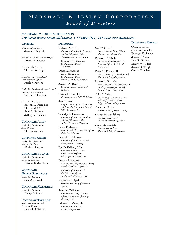## **MARSHALL & ILSLEY CORPORATION**

*770 North Water Street, Milwaukee, WI 53202 (414) 765-7700 www.micorp.com*

*Chairman of the Board*  James B. Wigdale

*President and Chief Executive Officer* Dennis J. Kuester

*Executive Vice President* Thomas M. Bolger

*Executive Vice President and Chief Financial Officer* Mark F. Furlong

*Senior Vice President, General Counsel, and Corporate Secretary* Randall J. Erickson

*Senior Vice Presidents* Joseph L. Delgadillo Thomas J. O'Neill John L. Roberts Jeffrey V. Williams

#### **CORPORATE AUDIT**

*Senior Vice President and Audit Director* Thomas A. Root

**CORPORATE CREDIT** *Senior Vice President and Chief Credit Officer* Mark R. Hogan

### **CORPORATE FINANCE**

*Senior Vice President and Corporate Controller* Patricia R. Justiliano

**CORPORATE HUMAN RESOURCES** *Senior Vice President* Paul J. Renard

**CORPORATE MARKETING** *Senior Vice President* Nancy A. Maas

#### **CORPORATE TREASURY**

*Senior Vice President and Corporate Treasurer* Donald H. Wilson

### **OFFICERS DIRECTORS**

Richard A. Abdoo *Chairman of the Board, President, and Chief Executive Officer, Wisconsin Energy Corporation Chairman of the Board and* 

*Chief Executive Officer, We Energies*

David L. Andreas *Former President and Chief Executive Officer, National City Bancorporation*

Andrew N. Baur *Chairman, Southwest Bank of St. Louis*

Wendell F. Bueche *Chairman, retired, IMC Global Inc.*

Jon F. Chait *Chief Executive Officer, eResourcing and Executive Search, a division of TMP Worldwide, Inc.*

Timothy E. Hoeksema *Chairman of the Board, President, and Chief Executive Officer, Midwest Express Holdings, Inc.*

Bruce E. Jacobs *President and Chief Executive Officer, Grede Foundries, Inc.*

Donald R. Johnson *Chairman of the Board, Modine Manufacturing Company*

Ted D. Kellner, CFA *Chairman of the Board and Chief Executive Officer, Fiduciary Management, Inc.*

Dennis J. Kuester *President and Chief Executive Officer, Marshall & Ilsley Corporation*

*Chairman of the Board and Chief Executive Officer, M&I Marshall & Ilsley Bank*

Katharine C. Lyall *President, University of Wisconsin System*

John A. Mellowes *Chairman and Chief Executive Officer, Charter Manufacturing Company, Inc.*

Edward L. Meyer, Jr. *Chairman of the Board, Anamax Corporation*

San W. Orr, Jr. *Chairman of the Board, Wausau-Mosinee Paper Corporation*

Robert J. O'Toole *Chairman, President, and Chief Executive Officer, A. O. Smith Corporation*

Peter M. Platten III *Vice Chairman of the Board, retired, Marshall & Ilsley Corporation*

Robert A. Schaefer *Former Executive Vice President and Chief Operating Officer, retired, Security Capital Corporation*

John S. Shiely *Chairman of the Board, President, and Chief Executive Officer, Briggs & Stratton Corporation*

James A. Urdan *Partner, retired, Quarles & Brady*

George E. Wardeberg *Vice Chairman, retired, Wisconsin Energy Corporation*

James B. Wigdale *Chairman of the Board, Marshall & Ilsley Corporation*

#### **DIRECTORS EMERITI**

Oscar C. Boldt Glenn A. Francke Burleigh E. Jacobs James F. Kress Don R. O'Hare Stuart W. Tisdale James O. Wright Gus A. Zuehlke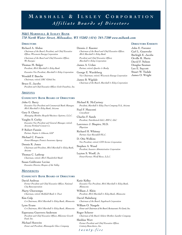### **M&I MARSHALL & ILSLEY BANK**

*770 North Water Street, Milwaukee, WI 53202 (414) 765-7700 www.mibank.com*

Richard A. Abdoo

*Chairman of the Board, President, and Chief Executive Officer, Wisconsin Energy Corporation Chairman of the Board and Chief Executive Officer,* 

*We Energies* Thomas M. Bolger *President, M&I Marshall & Ilsley Bank*

*Executive Vice President, Marshall & Ilsley Corporation*

Wendell F. Bueche *Chairman, retired, IMC Global Inc.*

Bruce E. Jacobs *President and Chief Executive Officer, Grede Foundries, Inc.*

#### **ARIZONA**

**COMMUNITY BANK BOARD OF DIRECTORS** John G. Barry

*Executive Vice President and Commercial Bank Manager, M&I Marshall & Ilsley Bank, Arizona*

Gary S. Clancy *Managing Member, Recycled Business Systems, L.L.C.*

Vaughn S. Corley *Executive Vice President and General Manager, retired, Arizona Portland Cement Co.*

P. Robert Fannin *Partner, Steptoe & Johnson, LLP*

Michael C. Francis *Owner/Manager, Francis Insurance Agency*

Dennis R. Jones *Chairman and President, M&I Marshall & Ilsley Bank, Arizona*

Thomas C. Lathrop *Chairman, retired, M&I Thunderbird Bank*

Susan Goldwater Levine *Executive Director, Hospice of the Valley*

#### **MINNESOTA**

**COMMUNITY BANK BOARD OF DIRECTORS** David Andreas *Former President and Chief Executive Officer, National City Bancorporation*

Marty Chorzempa *Chairman, retired, Richfield Bank & Trust*

Kim Culp *Co-Chairman, M&I Marshall & Ilsley Bank, Minnesota*

Lynn Evans *Co-Chairman, M&I Marshall & Ilsley Bank, Minnesota*

Esperanza Guerrero-Anderson *President and Chief Executive Officer, Milestone Growth Fund, Inc.*

Michael Horovitz *Owner and President, Minneapolis Glass Company* Dennis J. Kuester *Chairman of the Board and Chief Executive Officer, M&I Marshall & Ilsley Bank*

*President and Chief Executive Officer, Marshall & Ilsley Corporation*

James A. Urdan *Partner, retired, Quarles & Brady*

George E. Wardeberg *Vice Chairman, retired, Wisconsin Energy Corporation*

James B. Wigdale *Chairman of the Board, Marshall & Ilsley Corporation*

#### **DIRECTORS DIRECTORS EMERITI**

John E. Forester Carl L. Gosewehr Burleigh E. Jacobs Orville R. Mertz David F. Nelson Douglas Seaman Leo E. Suycott Stuart W. Tisdale James O. Wright

Michael K. McCartney *President, Marshall & Ilsley Trust Company N.A., Arizona*

Paul F. Muscenti *Consultant*

Charles F. Sands *President, Nutribiotech LLC; JED C, LLC*

Lawrence J. Shapiro, M.D. *Physician*

Richard H. Whitney *Partner, Gust Rosenfeld P.L.C.*

D. Otis Wolkins *Vice President, retired, GTE Service Corporation*

Stephen A. Wood *President, Insurers Administrative Corporation*

Leyton S. Woolf, Jr. *Owner/Farmer, Woolf Roses, L.L.C.*

#### Katie Kelley

*Executive Vice President, M&I Marshall & Ilsley Bank, Minnesota*

William J. Klein *President, M&I Marshall & Ilsley Bank, Minnesota*

David Malmberg *Chairman of the Board, Sagebrush Corporation*

William O. Naegele *Owner and Chairman of the Board, Restaurants No Limit, Inc.*

Roger Scherer *Chairman of the Board, Scherer Brothers Lumber Company*

Sheldon Wert *Former President and Chief Executive Officer, Century Bancshares, Inc.*

*twenty-five*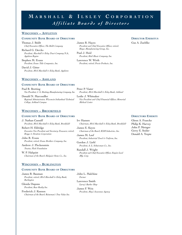#### **WISCONSIN – APPLETON**

#### **COMMUNITY BANK BOARD OF DIRECTORS**

Thomas J. Boldt *Chief Executive Officer, The Boldt Company*

Richard G. Dercks *President, Marshall & Ilsley Trust Company N.A., Appleton Region*

Stephen M. Evans *President, Evans Title Companies, Inc.*

David J. Gitter *President, M&I Marshall & Ilsley Bank, Appleton*

#### **WISCONSIN – ASHLAND**

#### **COMMUNITY BANK BOARD OF DIRECTORS**

Paul R. Bretting *Vice President, C. G. Bretting Manufacturing Company, Inc.*

Donald N. Marcouiller *Regional Administrator, Wisconsin Indianhead Technical College, Ashland Campus*

### **WISCONSIN – BROOKFIELD**

#### **COMMUNITY BANK BOARD OF DIRECTORS**

J. Nathan Cunniff *President, M&I Marshall & Ilsley Bank, Brookfield*

Robert H. Eldridge *Executive Vice President and Secretary-Treasurer, retired, Briggs & Stratton Corporation*

John R. Evans *President, retired, Evans Brothers Company, Inc.*

Andrew J. Fleckenstein *Trustee, Fleck Foundation*

W. P. Halquist *Chairman of the Board, Halquist Stone Co., Inc.*

#### **WISCONSIN – BURLINGTON**

#### **COMMUNITY BANK BOARD OF DIRECTORS**

James R. Bauman *President, retired, M&I Marshall & Ilsley Bank, Burlington*

Glenda Dupons *President, Bear Realty Inc.*

Frederick J. Koenen *Chairman of the Board, Reineman's True Value Inc.* James R. Hayes *President and Chief Executive Officer, retired, Hayes Manufacturing Group, Inc.* Paul J. Heid

*President, Heid Music Company, Inc.*

Lawrence W. Wirth *President, retired, Presto Products, Inc.*

#### **DIRECTOR EMERITUS**

Gus A. Zuehlke

Peter P. Viater *President, M&I Marshall & Ilsley Bank, Ashland*

Leslie J. Whiteaker *Vice President and Chief Financial Officer, Memorial Medical Center*

### **DIRECTORS EMERITI**

Irv Hansen *Chairman, M&I Marshall & Ilsley Bank, Brookfield*

James E. Keyes *Chairman of the Board, KSM Industries, Inc.*

James M. Leef *President, Industrial Towel & Uniform, Inc.*

Gordon J. Liebl *President, A. L. Schutzman Co., Inc.*

Randall J. Wright *President and Chief Executive Officer, Empire Level Mfg. Corp.*

Glenn A. Francke Philip K. Harvey John P. Metzger Gerry E. Seider Donald A. Trepte

John L. Malchine *Farmer*

Lawrence Smith *Larry's Barber Shop*

James F. Weis *President, May's Insurance Agency*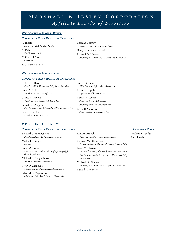### **WISCONSIN – EAGLE RIVER**

### **COMMUNITY BANK BOARD OF DIRECTORS**

Al Block *Owner, retired, A. L. Block Realty* Al Bybee

- *Food Broker, retired*
- C. Randall Cox *Consultant*

T. J. Doyle, D.D.S.

### **WISCONSIN – EAU CLAIRE**

**COMMUNITY BANK BOARD OF DIRECTORS**

Robert R. Hood *President, M&I Marshall & Ilsley Bank, Eau Claire*

John A. Lubs *President, Mason Shoe Mfg. Co.*

James D. Myers *Vice President, Pleasant Hill Farm, Inc.*

Donald J. Piepgras *President, St. Croix Valley Natural Gas Company, Inc.*

Peter B. Scobie *President, R. W. Scobie, Inc.*

### **WISCONSIN – GREEN BAY**

#### **COMMUNITY BANK BOARD OF DIRECTORS**

Richard G. Baumgarten *President, retired, M&I Fox Heights Bank*

Michael B. Gage *Investor*

John M. Jones *Executive Vice President and Chief Operating Officer, Green Bay Packers*

Michael J. Langenhorst *President, Anamax Corporation*

Peter D. Mancuso *Chief Executive Officer, Lindquist Machine Co.*

Edward L. Meyer, Jr. *Chairman of the Board, Anamax Corporation* Thomas Gaffney *Owner, retired, Gaffney Funeral Home* Darryl Gremban, D.D.S.

Richard D. Hansen *President, M&I Marshall & Ilsley Bank, Eagle River*

Steven R. Senn *Chief Executive Officer, Senn Blacktop, Inc.* Roger R. Sipple

*Roger & Donald Sipple Farm*

Daniel J. Toycen *President, Toycen Motors, Inc. President, Toycen of Ladysmith, Inc.*

Kenneth C. Vance *President, Ken Vance Motors, Inc.*

Ann M. Murphy *Vice President, Murphy Development, Inc.*

Thomas M. Olejniczak *Partner, Liebmann, Conway, Olejniczak & Jerry, S.C.*

Peter M. Platten III *Former Chairman of the Board, M&I Bank Northeast Vice Chairman of the Board, retired, Marshall & Ilsley Corporation*

Michael D. Simmer *President, M&I Marshall & Ilsley Bank, Green Bay*

Ronald A. Weyers

#### **DIRECTORS EMERITI**

William R. Bodart Carl Farah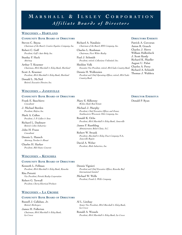#### **WISCONSIN – HARTLAND**

#### **COMMUNITY BANK BOARD OF DIRECTORS**

Steven C. Boysa *Chairman of the Board, Creative Equities Company, Inc.*

Robert C. Goff *President, Goff's Auto Body, Inc.*

Stanley F. Hack *Attorney*

Arthur T. Kraemer *Chairman, M&I Marshall & Ilsley Bank, Hartland*

Scott A. Kraemer *President, M&I Marshall & Ilsley Bank, Hartland*

Donald L. McNeil *Retired, Executive Director, Inc.*

### **WISCONSIN – JANESVILLE**

#### **COMMUNITY BANK BOARD OF DIRECTORS**

Frank E. Bauchiero *Consultant*

J. Michael Borden *President, Hufcor, Inc.*

Mark A. Cullen *President, J. P. Cullen & Sons*

Richard L. Dashnaw *Retired, Coltec Industries*

John H. Franz *Consultant*

Dennis L. Hansch *Attorney, Nowlan & Mouat*

Charles H. Harker *President, Mid-States Concrete*

### **WISCONSIN – KENOSHA**

#### **COMMUNITY BANK BOARD OF DIRECTORS**

Kenneth L. Fellman *President, M&I Marshall & Ilsley Bank, Kenosha*

Rita Petretti *Vice President, Petretti Realty Corporation*

Robert G. Terwall *President, Cherry Electrical Products*

### **WISCONSIN – LA CROSSE**

#### **COMMUNITY BANK BOARD OF DIRECTORS**

Russell J. Callahan, Jr. *Retired, Herbergers*

James H. Fullerton *Chairman, M&I Marshall & Ilsley Bank, La Crosse*

Richard A. Natalizio *Chairman of the Board, HNI Company, Inc.*

Charles L. Rushman *Chairman, First Weber Realty*

Paul J. Schmidt *President, retired, Collections Unlimited, Inc.*

Sheldon Volk *Executive Vice President, retired, M&I Lake Country Bank* Dennis H. Wollenzien

*President and Chief Operating Officer, retired, M&I Lake Country Bank*

#### **DIRECTORS EMERITI**

Patrick A. Corcoran Anton R. Grasch Charles J. Herro William Hollenbeck J. Scott Kestly Richard K. Mueller August U. Pabst Charles A. Perry Richard A. Schmidt Thomas J. Waldera

#### **DIRECTOR EMERITUS**

Donald P. Ryan

Mary E. Kilkenny *Broker, Keefe Real Estate*

Michael J. Murphy *President, Chief Executive Officer, and Owner, Southeastern Wisconsin Title Company, Inc.*

Ronald K. Ochs *President, M&I Marshall & Ilsley Bank, Janesville*

James F. Ruethling *Administrator, Beloit Clinic, S.C.*

Robert W. Swank *President, Marshall & Ilsley Trust Company N.A., Janesville Region*

David A. Weber *President, Mode Industries, Inc.*

Dennis Vignieri *President and Chief Executive Officer, Kenosha Beef International Limited*

Michael W. Wells *President, Frank L. Wells Company*

Al L. Lindsay *Senior Vice President, M&I Marshall & Ilsley Bank, La Crosse*

Ronald A. Wessels *President, M&I Marshall & Ilsley Bank, La Crosse*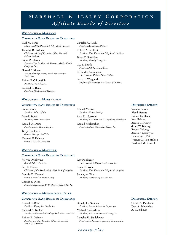#### **WISCONSIN – MADISON**

#### **COMMUNITY BANK BOARD OF DIRECTORS**

Paul M. Berge *Chairman, M&I Marshall & Ilsley Bank, Madison*

Timothy B. Erdman *Chairman and Chief Executive Officer, Marshall Erdman & Assoc.*

John M. Flesch *Executive Vice President and Treasurer, Gordon Flesch Company, Inc.*

Harold F. Mayer *Vice President Operations, retired, Oscar Mayer Foods Corp.*

Robert F. O'Loughlin *President, Softspikes, Inc.*

Richard R. Renk *President, The Renk Seed Company*

### **WISCONSIN – MARSHFIELD**

#### **COMMUNITY BANK BOARD OF DIRECTORS**

John Baltus *President, Baltus Oil Co.*

Donald Boon *President, Boon Construction*

Ronald D. Doine *President, Doine Excavating, Inc.*

Terry Frankland *General Manager, V&H, Inc.*

Kenneth F. Heiman *Owner, Nasonville Dairy, Inc.*

### **WISCONSIN – MAYVILLE**

#### **COMMUNITY BANK BOARD OF DIRECTORS**

Melvin Drinkwine *Retired, Tab Products Co.*

Leo R. Fisher *Chairman of the Board, retired, M&I Bank of Mayville*

Dennis M. Kemmel *Owner, Kemmel Insurance Agency*

George F. Olson *Sales and Engineering, W. G. Strohwig Tool & Die, Inc.*

#### **WISCONSIN – MENOMONEE FALLS**

#### **COMMUNITY BANK BOARD OF DIRECTORS**

Ronald R. Bast *President, Riteway Bus Service, Inc.*

Richard C. Becker *President, M&I Marshall & Ilsley Bank, Menomonee Falls*

Robert E. Drisner *President and Chief Executive Officer, Community Health Care Services*

Douglas G. Reuhl *President, American of Madison*

Robert A. Schlicht *President, M&I Marshall & Ilsley Bank, Madison*

Terry K. Shockley *President, Shockley Group, Inc.*

Jay L. Smith *President, JLS Investment Group*

F. Charles Steinhauer *Vice President, Madison Dairy Produce*

Jerry J. Weygandt *Professor of Accounting, UW School of Business*

Ronald Maurer *President, Maurer Roofing*

Alan D. Nystrom *President, M&I Marshall & Ilsley Bank, Marshfield*

Ronald Wiskerchen *President, retired, Wiskerchen Cheese, Inc.*

#### **DIRECTORS EMERITI**

Vernon Baltus Floyd Hamus Robert O. Heck Ken Heiting James W. Hewitt John W. Koenig Robert Solberg James F. Sternweis Lawrence I. Thill Warner G. Von Holzen Frederick J. Wenzel

Roy Rohlinger *Vice President, Rohlinger Construction, Inc.*

Kevin E. Volm *President, M&I Marshall & Ilsley Bank, Mayville*

Stanley A. Waas *President, Waas Boring & Cable, Inc.*

*President, Enercon Industries Corporation*

*President, Richardson Financial Group, Inc.*

*President, Stadelmann Engineering Company, Inc.*

#### **DIRECTORS EMERITI**

Gerald S. Parshalle Don A. Schneiders A. W. Zillmer

### *twenty-nine*

Douglas H. Stadelmann

Donald H. Nimmer

Michael Richardson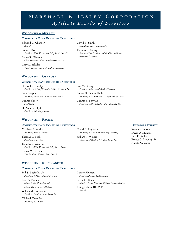#### **WISCONSIN – MERRILL**

#### **COMMUNITY BANK BOARD OF DIRECTORS**

Edward G. Chartier *Retired*

John F. Koch *President, M&I Marshall & Ilsley Bank, Merrill*

Lance R. Nienow *Chief Executive Officer, Weinbrenner Shoe Co.*

Gary L. Schulze *Vice President, Victory Clinic Pharmacy, Inc.*

**WISCONSIN – OSHKOSH**

#### **COMMUNITY BANK BOARD OF DIRECTORS**

Cristopher Bumby *President and Chief Executive Officer, Admanco, Inc.*

Jere Chapin *President, retired, M&I Central State Bank*

Dennis Elmer *Food Broker*

H. Andersen Lyke *President, Lyke Corporation*

#### **WISCONSIN – RACINE**

#### **COMMUNITY BANK BOARD OF DIRECTORS**

Matthew L. Andis *President, Andis Company*

Thomas L. Beck *President, Unico, Inc.*

Timothy J. Majcen *President, M&I Marshall & Ilsley Bank, Racine*

James O. Parrish *Vice President, Finance, Twin Disc, Inc.*

### **WISCONSIN – RHINELANDER**

#### **COMMUNITY BANK BOARD OF DIRECTORS**

Ted S. Baginski, Jr. *President, Ted Baginski and Sons Inc.*

Fred A. Berner *Editor, Antigo Daily Journal Officer, Berner Bros. Publishing*

William J. Cousineau *President, Cousineau Auto Parts, Inc.*

Michael Moioffer *President, MIDE Inc.* David B. Smith *Consultant and Private Investor*

Thomas J. Young *Executive Vice President, retired, Church Mutual Insurance Company*

Joe McCreery *President, retired, M&I Bank of Oshkosh*

Steven R. Schmudlach *President, M&I Marshall & Ilsley Bank, Oshkosh*

Dennis E. Schwab *President, Coldwell Banker - Schwab Realty Ltd.*

David B. Rayburn *President, Modine Manufacturing Company*

Willard T. Walker

Dexter Musson

Kirby H. Roen

*Retired*

*President, Musson Brothers, Inc.*

Irving Schiek III, M.D.

*Director - Sector Planning, Citizens Communications*

#### **DIRECTORS EMERITI**

Kenneth Jensen David J. Munroe Earl E. Richter Ernest C. Styberg, Jr. Harold C. Weiss

*Chairman of the Board, Walker Forge, Inc.*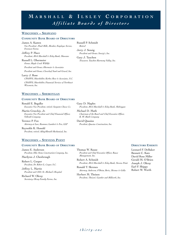#### **WISCONSIN – SHAWANO**

#### **COMMUNITY BANK BOARD OF DIRECTORS**

James A. Kasten *Vice President - Fluid Milk, Member, Employee Service, Foremost Farms*

Jeffrey P. Mace *President, M&I Marshall & Ilsley Bank, Shawano*

Russell L. Obermeier *Owner, Maple Creek Wildlife President and Owner, Obermeier & Associates*

*President and Owner, Cloverleaf Sand and Gravel, Inc.*

#### Larry J. Rose

*CPA/PFS, Shareholder, Kerber, Rose & Associates, S.C. CPA/PFS, Shareholder, Financial Services of Northeast Wisconsin, Inc.*

### **WISCONSIN – SHEBOYGAN**

#### **COMMUNITY BANK BOARD OF DIRECTORS**

Ronald E. Begalke *Executive Vice President, retired, Sargento Cheese Co.*

Martin Crneckiy, Jr. *Executive Vice President and Chief Financial Officer, Vollrath Company*

Terence P. Fox *Attorney at Law, Kummer, Lambert & Fox, LLP*

Reynolds K. Honold *President, retired, Aldag/Honold Mechanical, Inc.*

#### Russell P. Schmidt *Retired*

Jerry J. Senzig *President and Owner, Senzig's, Inc.*

Gary J. Tauchen *Treasurer, Tauchen Harmony Valley, Inc.*

Gary D. Maples

Michael D. Muth *Chairman of the Board and Chief Executive Officer,* 

David Quasius *President, Quasius Construction, Inc.*

### **WISCONSIN – STEVENS POINT**

#### **COMMUNITY BANK BOARD OF DIRECTORS**

James E. Anderson *President, Ellis Stone Construction Company, Inc.*

Marilynn J. Chesbrough

Robert L. Cooper *President, Dr. Robert L. Cooper, S.C.*

Jeffrey L. Martin *President and CEO, St. Michael's Hospital*

Richard W. Okray *Secretary, Okray Family Farms, Inc.* Thomas W. Rause *President and Chief Executive Officer, Rause Management, Inc.*

Robert A. Schmidt *President, M&I Marshall & Ilsley Bank, Stevens Point*

Ronald T. Skrenes *Attorney, Anderson, O'Brien, Bertz, Skrenes & Golla*

Herbert M. Theisen *President, Theisen's Lumber and Millwork, Inc.*

#### **DIRECTORS EMERITI**

Leonard F. DeBaker Bennett C. Katz David Ross Miller Gerald M. O'Brien Joseph J. Okray Earl F. Shippy Robert W. Worth

*President, M&I Marshall & Ilsley Bank, Sheboygan*

*K. W. Muth Company*

*thirty-one*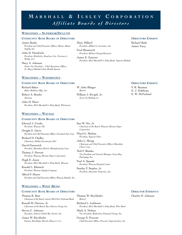#### **WISCONSIN – SUPERIOR/DULUTH**

**COMMUNITY BANK BOARD OF DIRECTORS** James Banks

*President and Chief Executive Officer, Allouez Maine Supply, Inc.*

John H. Hendricks *President, Hendricks, Knudson, Gee, Torvinen & Weiby, S.C.*

Mary A. Johnson *Senior Vice President – Chief Operations Officer, St. Mary's/Duluth Clinic Health System*

#### **WISCONSIN – WATERTOWN**

#### **COMMUNITY BANK BOARD OF DIRECTORS**

Richard Baker *Baker-Rullman Mfg., Inc.*

Robert A. Bender *Attorney*

John H. Ebert *President, M&I Marshall & Ilsley Bank, Watertown*

### **WISCONSIN – WAUSAU**

#### **COMMUNITY BANK BOARD OF DIRECTORS**

Edward J. Creske *President, Wausau Tile*

Dwight E. Davis *President and Chief Executive Officer, Greenheck Fan Corp.*

Richard D. Dudley *Chairman, Dudley Investments LLC*

David Eisenreich *President, Marathon Electric Manufacturing Corp.*

Thomas J. Howatt *President, Wausau-Mosinee Paper Corporation*

Hugh E. Jones *President, M&I Marshall & Ilsley Bank, Wausau*

Ronald L. Klimisch *President, Wausau Supply Company*

Alfred P. Moore *President and Chief Executive Officer, Wausau Benefits, Inc.*

### **WISCONSIN – WEST BEND**

#### **COMMUNITY BANK BOARD OF DIRECTORS**

Thomas R. Bast *Chairman of the Board, retired, M&I First National Bank*

Russell M. Darrow, Jr. *Chairman of the Board, Russ Darrow Group, Inc.*

Steven C. Johnson *President, Johnson School Bus Service, Inc.*

James W. Kieckhafer *Partner, Kieckhafer Dietzler Hauser & Co.* Mary Millard *President, Millard & Associates, Inc.*

Fred Shusterich *President, Midwest Energy Resources*

James E. Zastrow *President, M&I Marshall & Ilsley Bank, Superior/Duluth*

#### **DIRECTORS EMERITI**

V. R. Bauman E. J. Dobbratz E. W. McFarland

San W. Orr, Jr.

*Chairman of the Board, Wausau-Mosinee Paper Corporation*

Floyd G. Shelton *President, Superior Floor*

John L. Skoug *Chairman and Chief Executive Officer, Marathon Cheese Corp.*

Neil F. Slamka *Vice President and General Manager, Green Bay Packaging, Inc.*

Paul A. Spaude *President, Wausau Hospital Center*

Stanley F. Staples, Jr. *President, Alexander Properties, Inc.*

Charles H. Johnson

Thomas W. Kieckhafer *Retired*

Richard L. Leitheiser *President, M&I Marshall & Ilsley Bank, West Bend*

Mark A. Nielsen *Vice President, Richardson Financial Group, Inc.*

George E. Prescott *Chief Executive Officer, Prescott's Supermarkets, Inc.*

# **DIRECTOR EMERITUS**

*Seven-Up Bottling Co.*

#### **DIRECTORS EMERITI**

Richard Buth James Tracy

W. John Klinger *Retired* William J. Kwapil, Jr.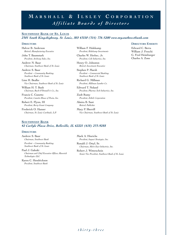### **SOUTHWEST BANK OF ST. LOUIS** *2301 South Kingshighway, St. Louis, MO 63110 (314) 776-5200 www.mysouthwestbank.com*

Halvor B. Anderson *Retired, Manufacturing Executive*

John T. Baumstark *President, Archway Sales, Inc.*

Andrew N. Baur *Chairman, Southwest Bank of St. Louis*

Andrew S. Baur *President – Community Banking, Southwest Bank of St. Louis*

Linn H. Bealke *Vice Chairman, Southwest Bank of St. Louis*

William H. T. Bush *Chairman, Bush-O'Donnell & Co., Inc.*

Francis C. Cunetto *President, Cunetto House of Pasta, Inc.*

Robert E. Flynn, III *President, Berry Grant Company*

Frederick O. Hanser *Chairman, St. Louis Cardinals, L.P.* William F. Holekamp *President, Holekamp Investments*

Charles W. Hrebec, Jr. *President, Colt Industries, Inc.*

Henry O. Johnston *Retired, Investment Executive*

Stephen P. Marsh *President – Commercial Banking, Southwest Bank of St. Louis*

Richard G. Millman *President, Millman Lumber Co.*

Edward T. Noland *President, Pharma Tech Industries, Inc.*

Zsolt Rumy *President, Zoltek Corporation*

Almira B. Sant *Retired, Publisher*

Mary P. Sherrill *Vice Chairman, Southwest Bank of St. Louis*

#### **DIRECTORS DIRECTORS EMERITI**

Edward C. Berra William J. Freschi G. Fred Heimburger Charles A. Zone

**SOUTHWEST BANK** *#2 Carlyle Plaza Drive, Belleville, IL 62221 (618) 233-9288*

#### **DIRECTORS**

Andrew S. Baur *Chairman, Southwest Bank President – Community Banking, Southwest Bank of St. Louis*

Paul J. Galeski *Chairman and Chief Executive Officer, Maverick Technologies LLC*

Karen C. Hendrickson *President, Southwest Bank* Mark A. Hinrichs *President, Impact Strategies, Inc.*

Ronald J. Ortyl, Sr. *Chairman, Metro East Industries, Inc.*

Robert J. Witterschein *Senior Vice President, Southwest Bank of St. Louis*

*thirty-three*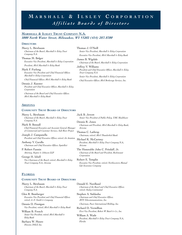#### **MARSHALL & ILSLEY TRUST COMPANY N.A.** *1000 North Water Street, Milwaukee, WI 53202 (414) 287-8700*

#### **DIRECTORS**

Morry L. Birnbaum *Chairman of the Board, Marshall & Ilsley Trust Company N.A.*

Thomas M. Bolger *Executive Vice President, Marshall & Ilsley Corporation President, M&I Marshall & Ilsley Bank*

#### Mark F. Furlong

*Executive Vice President and Chief Financial Officer, Marshall & Ilsley Corporation*

*Chief Financial Officer, M&I Marshall & Ilsley Bank* Dennis J. Kuester

*President and Chief Executive Officer, Marshall & Ilsley Corporation Chairman of the Board and Chief Executive Officer, M&I Marshall & Ilsley Bank*

#### **ARIZONA**

#### **COMMUNITY TRUST BOARD OF DIRECTORS**

Morry L. Birnbaum *Chairman of the Board, Marshall & Ilsley Trust Company N.A.*

Mark B. Bonsall *Chief Financial Executive and Associate General Manager of Commercial and Customer Services, Salt River Project*

Joseph J. Campanella *President and Chief Executive Officer, retired, Jet Aviation*

Anthony V. Carollo *Chairman and Chief Executive Officer, Syntellect*

P. Robert Fannin *Attorney, Steptoe & Johnson LLP*

George H. Isbell *Vice Chairman of the Board, retired, Marshall & Ilsley Trust Company N.A., Arizona*

#### **FLORIDA**

### **COMMUNITY TRUST BOARD OF DIRECTORS**

Morry L. Birnbaum *Chairman of the Board, Marshall & Ilsley Trust Company N.A.*

Glen R. Bomberger *Executive Vice President and Chief Financial Officer, retired, A. O. Smith & Company*

Dennis D. Finnigan *Vice President, retired, M&I Marshall & Ilsley Bank*

William B. French *Senior Vice President, retired, M&I Marshall & Ilsley Bank*

Barbara W. Moore *Director, DSLT, Inc.*

#### Thomas J. O'Neill *Senior Vice President, Marshall & Ilsley Corporation*

*Executive Vice President, M&I Marshall & Ilsley Bank*

James B. Wigdale *Chairman of the Board, Marshall & Ilsley Corporation*

Jeffrey V. Williams *President and Chief Executive Officer, Marshall & Ilsley Trust Company N.A.*

*Senior Vice President, Marshall & Ilsley Corporation Chief Executive Officer, M&I Brokerage Services, Inc.* 

#### Jack B. Jewett

*Senior Vice President of Public Policy, TMC Healthcare* Dennis R. Jones

*Chairman and President, M&I Marshall & Ilsley Bank, Arizona*

Thomas C. Lathrop *Chairman, retired, M&I Thunderbird Bank*

Michael K. McCartney *President, Marshall & Ilsley Trust Company N.A., Arizona*

The Honorable John C. Pritzlaff, Jr. *Chairman of the Board and President, Rockmount Corporation*

Robert E. Templin *Executive Vice President, retired, Northwestern Mutual Life Insurance Company*

Donald E. Nordlund *Chairman of the Board and Chief Executive Officer, retired, Staley Continental*

Stephen A. Saldanha *Chairman and Chief Executive Officer, MTS Telecommunications, Inc.*

*Chairman, Pacer International Holding, Inc.*

Richard D. Vermillion *First Vice President, Robert W. Baird & Co., Inc.*

William A. Wade *President, Marshall & Ilsley Trust Company N.A., Florida*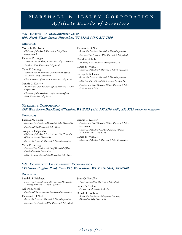### **M&I INVESTMENT MANAGEMENT CORP.** *1000 North Water Street, Milwaukee, WI 53202 (414) 287-7300*

#### **DIRECTORS**

Morry L. Birnbaum *Chairman of the Board, Marshall & Ilsley Trust Company N.A.*

Thomas M. Bolger *Executive Vice President, Marshall & Ilsley Corporation President, M&I Marshall & Ilsley Bank*

#### Mark F. Furlong

*Executive Vice President and Chief Financial Officer, Marshall & Ilsley Corporation*

*Chief Financial Officer, M&I Marshall & Ilsley Bank* Dennis J. Kuester *President and Chief Executive Officer, Marshall & Ilsley Corporation*

*Chairman of the Board and Chief Executive Officer, M&I Marshall & Ilsley Bank*

Thomas J. O'Neill *Senior Vice President, Marshall & Ilsley Corporation Executive Vice President, M&I Marshall & Ilsley Bank*

David W. Schulz *President, M&I Investment Management Corp.*

James B. Wigdale *Chairman of the Board, Marshall & Ilsley Corporation*

Jeffrey V. Williams *Senior Vice President, Marshall & Ilsley Corporation Chief Executive Officer, M&I Brokerage Services, Inc. President and Chief Executive Officer, Marshall & Ilsley Trust Company N.A.* 

#### **METAVANTE CORPORATION**

### *4900 West Brown Deer Road, Milwaukee, WI 53223 (414) 357-2290 (800) 236-3282 www.metavante.com*

#### **DIRECTORS**

Thomas M. Bolger *Executive Vice President, Marshall & Ilsley Corporation President, M&I Marshall & Ilsley Bank*

Joseph L. Delgadillo *Chairman of the Board, President, and Chief Executive Officer, Metavante Corporation*

*Senior Vice President, Marshall & Ilsley Corporation*

#### Mark F. Furlong *Executive Vice President and Chief Financial Officer,*

*Marshall & Ilsley Corporation Chief Financial Officer, M&I Marshall & Ilsley Bank*

#### Dennis J. Kuester

*President and Chief Executive Officer, Marshall & Ilsley Corporation*

*Chairman of the Board and Chief Executive Officer, M&I Marshall & Ilsley Bank*

James B. Wigdale *Chairman of the Board, Marshall & Ilsley Corporation*

### **M&I COMMUNITY DEVELOPMENT CORPORATION** *933 North Mayfair Road, Suite 211, Wauwatosa, WI 53226 (414) 765-7700*

#### **DIRECTORS**

Randall J. Erickson *Senior Vice President, General Counsel, and Corporate Secretary, Marshall & Ilsley Corporation*

Robert J. Nicol *President, M&I Community Development Corporation*

Thomas J. O'Neill *Senior Vice President, Marshall & Ilsley Corporation Executive Vice President, M&I Marshall & Ilsley Bank* Scott O. Sheaffer *Vice President, M&I Marshall & Ilsley Bank*

James A. Urdan *Partner, retired, Quarles & Brady*

Donald H. Wilson *Senior Vice President and Corporate Treasurer, Marshall & Ilsley Corporation*

### *thirty-five*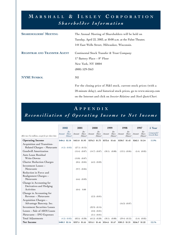# **M ARSHALL & I LSLEY C ORPORATION** *Shareholder Information*

| <b>SHAREHOLDERS' MEETING</b>        | The Annual Meeting of Shareholders will be held on           |
|-------------------------------------|--------------------------------------------------------------|
|                                     | Tuesday, April 22, 2003, at 10:00 a.m. at the Pabst Theater, |
|                                     | 144 East Wells Street, Milwaukee, Wisconsin.                 |
| <b>REGISTRAR AND TRANSFER AGENT</b> | Continental Stock Transfer & Trust Company                   |
|                                     | 17 Battery Place $-8th$ Floor                                |
|                                     | New York, NY 10004                                           |
|                                     | $(800)$ 529-3163                                             |
| <b>NYSE SYMBOL</b>                  | МI                                                           |

For the closing price of M&I stock, current stock prices (with a 20-minute delay), and historical stock prices, go to www.micorp.com on the Internet and click on *Investor Relations* and *Stock Quote/Chart.*

# **A PPENDIX**

# *Reconciliation of Operating Income to Net Income*

|                                                            | 2002           |                                | 2001           |                                | 2000           |                                | 1999           |                                | 1998           |                         | 1997           |                         | 5 Year                           |
|------------------------------------------------------------|----------------|--------------------------------|----------------|--------------------------------|----------------|--------------------------------|----------------|--------------------------------|----------------|-------------------------|----------------|-------------------------|----------------------------------|
| After-tax \$ in millions, except for per share data        | Amount         | Per<br>Share<br><b>Diluted</b> | Amount         | Per<br>Share<br><b>Diluted</b> | Amount         | Per<br>Share<br><i>Dilute∂</i> | Amount         | Per<br>Share<br><i>Dilute∂</i> | Amount         | Per<br>Share<br>Dilute∂ | Amount         | Per<br>Share<br>Diluted | Сотроипдед<br><b>Growth Rate</b> |
| <b>Operating Income</b>                                    | \$484.5 \$2.18 |                                | \$421.0 \$1.93 |                                | \$376.3 \$1.73 |                                | \$372.6 \$1.65 |                                | \$330.7 \$1.43 |                         | \$262.1 \$1.24 |                         | 11.9%                            |
| Acquisition and Transition-<br>Related Charges - Metavante |                | $(4.2)$ $(0.02)$               |                | $(27.1)$ $(0.12)$              |                |                                |                |                                |                |                         |                |                         |                                  |
| Goodwill Amortization                                      |                |                                |                | $(15.4)$ $(0.07)$              |                | $(14.7)$ $(0.07)$              |                | $(18.1)$ $(0.08)$              |                | $(13.1)$ $(0.05)$       |                | $(5.4)$ $(0.02)$        |                                  |
| Auto Lease Residual<br>Write-Downs                         |                |                                |                | $(15.8)$ $(0.07)$              |                |                                |                |                                |                |                         |                |                         |                                  |
| <b>Charter Reduction Charges</b>                           |                |                                |                | $(8.5)$ $(0.04)$               |                | $(6.2)$ $(0.03)$               |                |                                |                |                         |                |                         |                                  |
| Investment Losses -                                        |                |                                |                |                                |                |                                |                |                                |                |                         |                |                         |                                  |
| Metavante                                                  |                |                                |                | $(9.7)$ $(0.05)$               |                |                                |                |                                |                |                         |                |                         |                                  |
| Reduction in Force and<br>Realignment Charges -            |                |                                |                |                                |                |                                |                |                                |                |                         |                |                         |                                  |
| Metavante                                                  |                |                                |                | $(6.6)$ $(0.03)$               |                |                                |                |                                |                |                         |                |                         |                                  |
| Change in Accounting for<br>Derivatives and Hedging        |                |                                |                |                                |                |                                |                |                                |                |                         |                |                         |                                  |
| Activities                                                 |                |                                | (0.4)          | 0.00                           |                |                                |                |                                |                |                         |                |                         |                                  |
| Change in Accounting for<br>Revenue - Metavante            |                |                                |                |                                |                | $(2.3)$ $(0.01)$               |                |                                |                |                         |                |                         |                                  |
| Acquisition Charges –<br>Advantage Bancorp, Inc.           |                |                                |                |                                |                |                                |                |                                |                | $(16.3)$ $(0.07)$       |                |                         |                                  |
| <b>Investment Securities Losses</b>                        |                |                                |                |                                |                | $(32.9)$ $(0.15)$              |                |                                |                |                         |                |                         |                                  |
| Losses - Sale of ARM Loans                                 |                |                                |                |                                |                | $(2.0)$ $(0.01)$               |                |                                |                |                         |                |                         |                                  |
| Metavante – IPO Expenses                                   |                |                                |                |                                |                | $(3.1)$ $(0.01)$               |                |                                |                |                         |                |                         |                                  |
| <b>Total Adjustments</b>                                   |                | $(4.2)$ $(0.02)$               |                | $(83.5)$ $(0.38)$              |                | $(61.2)$ $(0.28)$              | (18.1)         | (0.08)                         |                | $(29.4)$ $(0.12)$       |                | $(5.4)$ $(0.02)$        |                                  |
| <b>Net Income</b>                                          | \$480.3 \$2.16 |                                | \$337.5        | \$1.55                         | \$315.1 \$1.45 |                                | \$354.5        | \$1.57                         | \$301.3 \$1.31 |                         | \$256.7 \$1.22 |                         | 12.1%                            |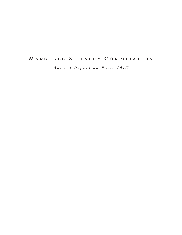# **M ARSHALL & I LSLEY C ORPORATION**

*Annual Report on Form 10-K*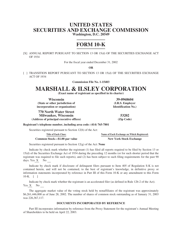# **UNITED STATES SECURITIES AND EXCHANGE COMMISSION**

**Washington, D.C. 20549**

# **FORM 10-K**

[X] ANNUAL REPORT PURSUANT TO SECTION 13 OR 15(d) OF THE SECURITIES EXCHANGE ACT OF 1934

For the fiscal year ended December 31, 2002

**OR**

[ ] TRANSITION REPORT PURSUANT TO SECTION 13 OR 15(d) OF THE SECURITIES EXCHANGE ACT OF 1934

**Commission File No. 1-15403**

# **MARSHALL & ILSLEY CORPORATION**

**(Exact name of registrant as specified in its charter)**

**Wisconsin 39-0968604 (State or other jurisdiction of (I.R.S. Employer incorporation or organization) Identification No.**)

**770 North Water Street Milwaukee, Wisconsin 53202 (Address of principal executive offices) (Zip Code)**

**Registrant's telephone number, including area code: (414) 765-7801**

Securities registered pursuant to Section 12(b) of the Act:

**Title of Each Class: Name of Each Exchange on Which Registered:**

**Common Stock—\$1.00 par value New York Stock Exchange** 

Securities registered pursuant to Section 12(g) of the Act: **None**

Indicate by check mark whether the registrant (1) has filed all reports required to be filed by Section 13 or 15(d) of the Securities Exchange Act of 1934 during the preceding 12 months (or for such shorter period that the registrant was required to file such reports), and (2) has been subject to such filing requirements for the past 90 days. Yes X No

Indicate by check mark if disclosure of delinquent filers pursuant to Item 405 of Regulation S-K is not contained herein, and will not be contained, to the best of registrant's knowledge, in definitive proxy or information statements incorporated by reference in Part III of this Form 10-K or any amendment to this Form 10-K. [ ]

Indicate by check mark whether the registrant is an accelerated filer (as defined in Rule 12b-2 of the Act). Yes X No

The aggregate market value of the voting stock held by nonaffiliates of the registrant was approximately \$6,261,446,000 as of June 28, 2002. The number of shares of common stock outstanding as of January 31, 2003 was 226,367,117.

# **DOCUMENTS INCORPORATED BY REFERENCE**

Part III incorporates information by reference from the Proxy Statement for the registrant's Annual Meeting of Shareholders to be held on April 22, 2003.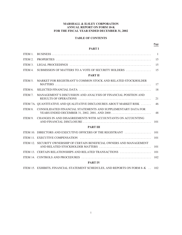# **MARSHALL & ILSLEY CORPORATION ANNUAL REPORT ON FORM 10-K FOR THE FISCAL YEAR ENDED DECEMBER 31, 2002**

# **TABLE OF CONTENTS**

## **PART I**

| ITEM 1.        |                                                                           | $\overline{1}$ |
|----------------|---------------------------------------------------------------------------|----------------|
| ITEM 2.        |                                                                           | 15             |
| ITEM 3.        |                                                                           | 15             |
| ITEM 4.        | SUBMISSION OF MATTERS TO A VOTE OF SECURITY HOLDERS                       | 15             |
|                | <b>PART II</b>                                                            |                |
| ITEM 5.        | MARKET FOR REGISTRANT'S COMMON STOCK AND RELATED STOCKHOLDER              | 17             |
| ITEM 6.        |                                                                           | 18             |
| ITEM 7.        | MANAGEMENT'S DISCUSSION AND ANALYSIS OF FINANCIAL POSITION AND            | 21             |
|                | ITEM 7A. QUANTITATIVE AND QUALITATIVE DISCLOSURES ABOUT MARKET RISK       | 46             |
| <b>ITEM 8.</b> | CONSOLIDATED FINANCIAL STATEMENTS AND SUPPLEMENTARY DATA FOR              | 48             |
| ITEM 9.        | CHANGES IN AND DISAGREEMENTS WITH ACCOUNTANTS ON ACCOUNTING               | 101            |
|                | <b>PART III</b>                                                           |                |
|                | ITEM 10. DIRECTORS AND EXECUTIVE OFFICERS OF THE REGISTRANT               | 101            |
|                |                                                                           | 101            |
|                | ITEM 12. SECURITY OWNERSHIP OF CERTAIN BENEFICIAL OWNERS AND MANAGEMENT   | 101            |
|                | ITEM 13. CERTAIN RELATIONSHIPS AND RELATED TRANSACTIONS                   | 101            |
|                |                                                                           | 102            |
|                | <b>PART IV</b>                                                            |                |
|                | ITEM 15. EXHIBITS, FINANCIAL STATEMENT SCHEDULES, AND REPORTS ON FORM 8-K | 102            |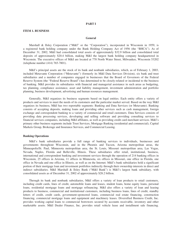## **PART I**

## **ITEM 1. BUSINESS**

## **General**

Marshall & Ilsley Corporation ("M&I" or the "Corporation"), incorporated in Wisconsin in 1959, is a registered bank holding company under the Bank Holding Company Act of 1956 (the "BHCA"). As of December 31, 2002, M&I had consolidated total assets of approximately \$32.9 billion and consolidated total deposits of approximately \$20.4 billion, making M&I the largest bank holding company headquartered in Wisconsin. The executive offices of M&I are located at 770 North Water Street, Milwaukee, Wisconsin 53202 (telephone number (414) 765-7801).

M&I's principal assets are the stock of its bank and nonbank subsidiaries, which, as of February 1, 2003, included Metavante Corporation ("Metavante") (formerly its M&I Data Services Division), six bank and trust subsidiaries and a number of companies engaged in businesses that the Board of Governors of the Federal Reserve System (the "Federal Reserve Board") has determined to be closely-related or incidental to the business of banking. M&I provides its subsidiaries with financial and managerial assistance in such areas as budgeting, tax planning, compliance assistance, asset and liability management, investment administration and portfolio planning, business development, advertising and human resources management.

Generally, M&I organizes its business segments based on legal entities. Each entity offers a variety of products and services to meet the needs of its customers and the particular market served. Based on the way M&I organizes its business, M&I has two reportable segments: Banking and Data Services (or Metavante). Banking consists of accepting deposits, making loans and providing other services such as cash management, foreign exchange and correspondent banking to a variety of commercial and retail customers. Data Services consists of providing data processing services, developing and selling software and providing consulting services to financial services companies, including M&I affiliates, as well as providing credit card merchant services. M&I's primary other business segments include Trust Services, Mortgage Banking (residential and commercial), Capital Markets Group, Brokerage and Insurance Services, and Commercial Leasing.

## **Banking Operations**

M&I's bank subsidiaries provide a full range of banking services to individuals, businesses and governments throughout Wisconsin, and in the Phoenix and Tucson, Arizona metropolitan areas, the Minneapolis/St. Paul, Minnesota metropolitan area, the St. Louis, Missouri metropolitan area, Las Vegas, Nevada, Naples, Florida and Belleville, Illinois. These subsidiaries offer retail, institutional, business, international and correspondent banking and investment services through the operation of 214 banking offices in Wisconsin, 25 offices in Arizona, 11 offices in Minnesota, six offices in Missouri, one office in Florida, one office in Nevada and one office in Illinois, as well as on the Internet. M&I's bank subsidiaries hold a significant portion of their mortgage loan and investment portfolios indirectly through their ownership interests in direct and indirect subsidiaries. M&I Marshall & Ilsley Bank ("M&I Bank") is M&I's largest bank subsidiary, with consolidated assets as of December 31, 2002 of approximately \$28.2 billion.

Through its bank and nonbank subsidiaries, M&I offers a variety of loan products to retail customers, including credit cards, lines of credit, automobile loans and leases, student loans, home equity loans, personal loans, residential mortgage loans and mortgage refinancing. M&I also offers a variety of loan and leasing products to business, commercial and institutional customers, including business loans, lines of credit, standby letters of credit, credit cards, government-sponsored loans, commercial real estate financing, construction financing, commercial mortgage loans and equipment and machinery leases. Diversified Business Credit, Inc. provides working capital loans to commercial borrowers secured by accounts receivable, inventory and other marketable assets. M&I Dealer Finance, Inc. provides retail vehicle lease and installment sale financing.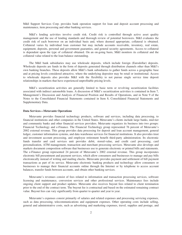M&I Support Services Corp. provides bank operation support for loan and deposit account processing and maintenance, item processing and other banking services.

M&I's lending activities involve credit risk. Credit risk is controlled through active asset quality management and the use of lending standards and thorough review of potential borrowers. M&I evaluates the credit risk of each borrower on an individual basis and, where deemed appropriate, collateral is obtained. Collateral varies by individual loan customer but may include accounts receivable, inventory, real estate, equipment, deposits, personal and government guaranties, and general security agreements. Access to collateral is dependent upon the type of collateral obtained. On an on-going basis, M&I monitors its collateral and the collateral value related to the loan balance outstanding.

The M&I bank subsidiaries may use wholesale deposits, which include foreign (Eurodollar) deposits. Wholesale deposits are funds in the form of deposits generated through distribution channels other than M&I's own banking branches. These deposits allow M&I's bank subsidiaries to gather funds across a geographic base and at pricing levels considered attractive, where the underlying depositor may be retail or institutional. Access to wholesale deposits also provides M&I with the flexibility to not pursue single service time deposit relationships in markets that have experienced unprofitable pricing levels.

M&I's securitization activities are generally limited to basic term or revolving securitization facilities associated with indirect automobile loans. A discussion of M&I's securitization activities is contained in Item 7, Management's Discussion and Analysis of Financial Position and Results of Operations, and in Note 9 of the Notes to the Consolidated Financial Statements contained in Item 8, Consolidated Financial Statements and Supplementary Data.

## **Data Services—Metavante Operations**

Metavante provides financial technology products, software and services, including data processing, to financial institutions and other companies in the United States. Metavante's clients include large banks, mid-tier and community banks and other financial services providers. Metavante organizes its business into two groups: Financial Technology and e-Finance. The Financial Technology group represented 76 percent of Metavante's 2002 external revenue. This group provides data processing for deposit and loan account management, general ledger, customer information systems, and data warehouse services for financial institutions. It also provides trust and investment account processing, and employee retirement benefit third-party administration. Its electronic funds transfer and card services unit provides debit, stored-value, and credit card processing, card personalization, ATM management, transaction and merchant processing services. Metavante also develops and markets document composition software that businesses use to generate electronic or printed bills and statements. The e-Finance group represented 24 percent of Metavante's 2002 external revenue. This group incorporates electronic bill presentment and payment services, which allow consumers and businesses to manage and pay bills electronically instead of writing and mailing checks. Metavante provides payment and settlement of bill payment transactions as part of its service. Metavante electronic banking products and technology allow consumers or businesses to manage their financial accounts online through the Internet or by telephone to access account balances, transfer funds between accounts, and obtain other banking services.

Metavante's revenues consist of fees related to information and transaction processing services, software licensing and maintenance, conversion services and other professional services. Maintenance fees include ongoing client support and product updates. Metavante also receives buyout fees related to client termination prior to the end of the contract term. The buyout fee is contractual and based on the estimated remaining contract value. Buyout fees can vary significantly from quarter to quarter and year to year.

Metavante's expenses consist primarily of salaries and related expenses and processing servicing expenses, such as data processing, telecommunications and equipment expenses. Other operating costs include selling, general and administrative costs, such as advertising and marketing expenses, travel, supplies and postage, and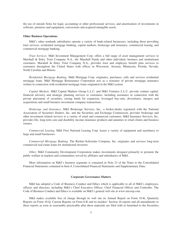the use of outside firms for legal, accounting or other professional services, and amortization of investments in software, premises and equipment, conversions and acquired intangible assets.

## **Other Business Operations**

M&I's other nonbank subsidiaries operate a variety of bank-related businesses, including those providing trust services, residential mortgage banking, capital markets, brokerage and insurance, commercial leasing, and commercial mortgage banking.

*Trust Services*. M&I Investment Management Corp. offers a full range of asset management services to Marshall & Ilsley Trust Company N.A., the Marshall Funds and other individual, business and institutional customers. Marshall & Ilsley Trust Company N.A., provides trust and employee benefit plan services to customers throughout the United States with offices in Wisconsin, Arizona, Minnesota, Florida, Nevada, North Carolina and Illinois.

*Residential Mortgage Banking*. M&I Mortgage Corp. originates, purchases, sells and services residential mortgage loans. M&I Mortgage Reinsurance Corporation acts as a reinsurer of private mortgage insurance written in connection with residential mortgage loans originated in the M&I system.

*Capital Markets*. M&I Capital Markets Group L.L.C. and M&I Ventures L.L.C. provide venture capital, financial advisory and strategic planning services to customers, including assistance in connection with the private placement of securities, raising funds for expansion, leveraged buy-outs, divestitures, mergers and acquisitions and small business investment company transactions.

*Brokerage and Insurance*. M&I Brokerage Services, Inc., a broker-dealer registered with the National Association of Securities Dealers, Inc. and the Securities and Exchange Commission, provides brokerage and other investment related services to a variety of retail and commercial customers. M&I Insurance Services, Inc. provides life, long-term care and disability income insurance products and annuities to retail clients and business owners.

*Commercial Leasing*. M&I First National Leasing Corp. leases a variety of equipment and machinery to large and small businesses.

*Commercial Mortgage Banking*. The Richter-Schroeder Company, Inc. originates and services long-term commercial real estate loans for institutional investors.

*Other*. M&I Community Development Corporation makes investments designed primarily to promote the public welfare in markets and communities served by affiliates and subsidiaries of M&I.

More information on M&I's business segments is contained in Note 23 of the Notes to the Consolidated Financial Statements contained in Item 8, Consolidated Financial Statements and Supplementary Data.

#### **Corporate Governance Matters**

M&I has adopted a Code of Business Conduct and Ethics which is applicable to all of M&I's employees, officers and directors, including M&I's Chief Executive Officer, Chief Financial Officer and Controller. The Code of Business Conduct and Ethics is available on M&I's general web site at www.micorp.com.

M&I makes available free of charge through its web site its Annual Report on Form 10-K, Quarterly Reports on Form 10-Q, Current Reports on Form 8-K and its insiders' Section 16 reports and all amendments to these reports as soon as reasonably practicable after these materials are filed with or furnished to the Securities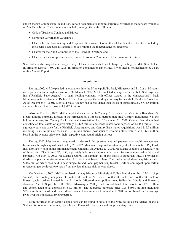and Exchange Commission. In addition, certain documents relating to corporate governance matters are available on M&I's web site. These documents include, among others, the following:

- Code of Business Conduct and Ethics;
- Corporate Governance Guidelines;
- Charter for the Nominating and Corporate Governance Committee of the Board of Directors, including the Board's categorical standards for determining the independence of directors;
- Charter for the Audit Committee of the Board of Directors; and
- Charter for the Compensation and Human Resources Committee of the Board of Directors.

Shareholders also may obtain a copy of any of these documents free of charge by calling the M&I Shareholder Information Line at 1-800-318-0208. Information contained on any of M&I's web sites is not deemed to be a part of this Annual Report.

## **Acquisitions**

During 2002, M&I expanded its operations into the Minneapolis/St. Paul, Minnesota and St. Louis, Missouri metropolitan areas through acquisitions. On March 1, 2002, M&I completed a merger with Richfield State Agency, Inc. ("Richfield State Agency"), a bank holding company with offices located in the Minneapolis/St. Paul, Minnesota metropolitan area. Richfield State Agency was the holding company for Richfield Bank and Trust Co. As of December 31, 2001, Richfield State Agency had consolidated total assets of approximately \$735.5 million and consolidated total deposits of \$547.8 million.

Also on March 1, 2002, M&I completed a merger with Century Bancshares, Inc. ("Century Bancshares"), a bank holding company located in the Minneapolis, Minnesota metropolitan area. Century Bancshares was the holding company for Century Bank, National Association. As of December 31, 2001, Century Bancshares had consolidated total assets of approximately \$326.2 million and consolidated total deposits of \$280.4 million. The aggregate purchase price for the Richfield State Agency and Century Bancshares acquisitions was \$216.5 million including \$29.9 million of cash and 6.2 million shares (post-split) of common stock valued at \$186.6 million based on the average price over their respective contractual pricing periods.

During 2002, Metavante strengthened its electronic bill presentment and payment and wealth management businesses through acquisitions. On July 29, 2002, Metavante acquired substantially all of the assets of PayTrust, Inc., a privately held online bill management company. On August 23, 2002, Metavante acquired substantially all of the assets of Spectrum EBP, LLC, a privately held, open interoperable switch for exchanging online bills and payments. On May 1, 2002, Metavante acquired substantially all of the assets of BenePlan, Inc., a provider of third-party plan administration services for retirement benefit plans. The total cost of these acquisitions was \$20.6 million which was paid in cash subject to additional payments up to \$10.0 million contingent upon certain revenue targets achieved two years from the date that acquisition was closed.

On October 1, 2002, M&I completed the acquisition of Mississippi Valley Bancshares, Inc. ("Mississippi Valley"), the holding company of Southwest Bank of St. Louis, Southwest Bank, and Southwest Bank of Phoenix, with offices located in the St. Louis, Missouri metropolitan area, Belleville, Illinois and Phoenix, Arizona. As of September 30, 2002, Mississippi Valley had consolidated total assets of \$2.1 billion and consolidated total deposits of \$1.7 billion. The aggregate purchase price was \$486.0 million including \$255.2 million of cash and 8.25 million shares of common stock valued at \$230.8 million based on the average price over the contractual pricing period.

More information on M&I's acquisitions can be found in Note 4 of the Notes to the Consolidated Financial Statements contained in Item 8, Consolidated Financial Statements and Supplementary Data.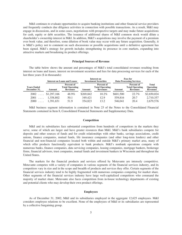M&I continues to evaluate opportunities to acquire banking institutions and other financial service providers and frequently conducts due diligence activities in connection with possible transactions. As a result, M&I may engage in discussions, and in some cases, negotiations with prospective targets and may make future acquisitions for cash, equity or debt securities. The issuance of additional shares of M&I common stock would dilute a shareholder's ownership interest in M&I. In addition, M&I's acquisitions may involve the payment of a premium over book value, and therefore, some dilution of book value may occur with any future acquisition. Generally, it is M&I's policy not to comment on such discussions or possible acquisitions until a definitive agreement has been signed. M&I's strategy for growth includes strengthening its presence in core markets, expanding into attractive markets and broadening its product offerings.

# **Principal Sources of Revenue**

The table below shows the amount and percentages of M&I's total consolidated revenues resulting from interest on loans and leases, interest on investment securities and fees for data processing services for each of the last three years (\$ in thousands):

|  |                                    |                    | <b>Interest on Loans and Leases</b>                     |               | Interest on<br><b>Investment Securities</b>             |               | <b>Fees for</b><br><b>Data Processing Services</b>      |                                              |
|--|------------------------------------|--------------------|---------------------------------------------------------|---------------|---------------------------------------------------------|---------------|---------------------------------------------------------|----------------------------------------------|
|  | <b>Years Ended</b><br>December 31. | Amount             | Percent of<br><b>Total Operating</b><br><b>Revenues</b> | <b>Amount</b> | Percent of<br><b>Total Operating</b><br><b>Revenues</b> | <b>Amount</b> | Percent of<br><b>Total Operating</b><br><b>Revenues</b> | <b>Total</b><br>Operating<br><b>Revenues</b> |
|  |                                    | $2002$ \$1,297,166 | 48.9%                                                   | \$269,842     | $10.2\%$                                                | \$601,500     | 22.7%                                                   | \$2,650,024                                  |
|  | $2001$                             | 1.358.802          | 50.1                                                    | 349,421       | 12.9                                                    | 559,816       | 20.7                                                    | 2,710,357                                    |
|  | $2000 \ldots$                      | 1.391.651          | 51.9                                                    | 354,823       | 13.2                                                    | 546,041       | 20.4                                                    | 2.679.576                                    |

M&I business segment information is contained in Note 23 of the Notes to the Consolidated Financial Statements contained in Item 8, Consolidated Financial Statements and Supplementary Data.

#### **Competition**

M&I and its subsidiaries face substantial competition from hundreds of competitors in the markets they serve, some of which are larger and have greater resources than M&I. M&I's bank subsidiaries compete for deposits and other sources of funds and for credit relationships with other banks, savings associations, credit unions, finance companies, mutual funds, life insurance companies (and other long-term lenders) and other financial and non-financial companies located both within and outside M&I's primary market area, many of which offer products functionally equivalent to bank products. M&I's nonbank operations compete with numerous banks, finance companies, data servicing companies, leasing companies, mortgage bankers, brokerage firms, financial advisors, trust companies, mutual funds and investment bankers in Wisconsin and throughout the United States.

The markets for the financial products and services offered by Metavante are intensely competitive. Metavante competes with a variety of companies in various segments of the financial services industry, and its competitors vary in size and in the scope and breadth of products and services they offer. Certain segments of the financial services industry tend to be highly fragmented with numerous companies competing for market share. Other segments of the financial services industry have large well-capitalized competitors who command the majority of market share. Metavante also faces competition from in-house technology departments of existing and potential clients who may develop their own product offerings.

#### **Employees**

As of December 31, 2002, M&I and its subsidiaries employed in the aggregate 12,625 employees. M&I considers employee relations to be excellent. None of the employees of M&I or its subsidiaries are represented by a collective bargaining group.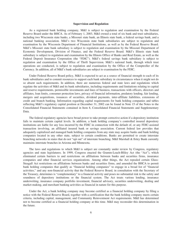#### **Supervision and Regulation**

As a registered bank holding company, M&I is subject to regulation and examination by the Federal Reserve Board under the BHCA. As of February 1, 2003, M&I owned a total of six bank and trust subsidiaries, including two Wisconsin state banks, a Missouri state bank, an Illinois state bank, a federal savings bank, and a national banking association. M&I's two Wisconsin state bank subsidiaries are subject to regulation and examination by the Wisconsin Department of Financial Institutions, as well as by the Federal Reserve Board. M&I's Missouri state bank subsidiary is subject to regulation and examination by the Missouri Department of Economic Development, Division of Finance, and the Federal Reserve Board. M&I's Illinois state bank subsidiary is subject to regulation and examination by the Illinois Office of Banks and Real Estate, as well as the Federal Deposit Insurance Corporation (the "FDIC"). M&I's federal savings bank subsidiary is subject to regulation and examination by the Office of Thrift Supervision. M&I's national bank, through which trust operations are conducted, is subject to regulation and examination by the Office of the Comptroller of the Currency. In addition, all of M&I's bank subsidiaries are subject to examination by the FDIC.

Under Federal Reserve Board policy, M&I is expected to act as a source of financial strength to each of its bank subsidiaries and to commit resources to support each bank subsidiary in circumstances when it might not do so absent such requirements. In addition, there are numerous federal and state laws and regulations which regulate the activities of M&I and its bank subsidiaries, including requirements and limitations relating to capital and reserve requirements, permissible investments and lines of business, transactions with officers, directors and affiliates, loan limits, consumer protection laws, privacy of financial information, predatory lending, fair lending, mergers and acquisitions, issuances of securities, dividend payments, inter-affiliate liabilities, extensions of credit and branch banking. Information regarding capital requirements for bank holding companies and tables reflecting M&I's regulatory capital position at December 31, 2002 can be found in Note 15 of the Notes to the Consolidated Financial Statements contained in Item 8, Consolidated Financial Statements and Supplementary Data.

The federal regulatory agencies have broad power to take prompt corrective action if a depository institution fails to maintain certain capital levels. In addition, a bank holding company's controlled insured depository institutions are liable for any loss incurred by the FDIC in connection with the default of, or any FDIC-assisted transaction involving, an affiliated insured bank or savings association. Current federal law provides that adequately capitalized and managed bank holding companies from any state may acquire banks and bank holding companies located in any other state, subject to certain conditions. Banks are permitted to create interstate branching networks in states that do not "opt out" of interstate branching. M&I Marshall & Ilsley Bank currently maintains interstate branches in Arizona and Minnesota.

The laws and regulations to which M&I is subject are constantly under review by Congress, regulatory agencies and state legislatures. In 1999, Congress enacted the Gramm-Leach-Bliley Act (the "Act"), which eliminated certain barriers to and restrictions on affiliations between banks and securities firms, insurance companies and other financial services organizations. Among other things, the Act repealed certain Glass-Steagall Act restrictions on affiliations between banks and securities firms, and amended the BHCA to permit bank holding companies that qualify as "financial holding companies" to engage in a broad list of "financial activities," and any non-financial activity that the Federal Reserve Board, in consultation with the Secretary of the Treasury, determines is "complementary" to a financial activity and poses no substantial risk to the safety and soundness of depository institutions or the financial system. The Act treats various lending, insurance underwriting, insurance company portfolio investment, financial advisory, securities underwriting, dealing and market-making, and merchant banking activities as financial in nature for this purpose.

Under the Act, a bank holding company may become certified as a financial holding company by filing a notice with the Federal Reserve Board, together with a certification that the bank holding company meets certain criteria, including capital, management, and Community Reinvestment Act requirements. M&I has determined not to become certified as a financial holding company at this time. M&I may reconsider this determination in the future.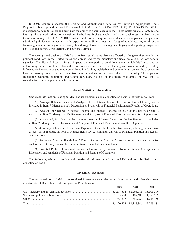In 2001, Congress enacted the Uniting and Strengthening America by Providing Appropriate Tools Required to Intercept and Obstruct Terrorism Act of 2001 (the "USA PATRIOT Act"). The USA PATRIOT Act is designed to deny terrorists and criminals the ability to obtain access to the United States financial system, and has significant implications for depository institutions, brokers, dealers and other businesses involved in the transfer of money. The USA PATRIOT Act mandates or will require financial services companies to implement additional policies and procedures with respect to, or additional measures designed to address, any or all of the following matters, among others: money laundering, terrorist financing, identifying and reporting suspicious activities and currency transactions, and currency crimes.

The earnings and business of M&I and its bank subsidiaries also are affected by the general economic and political conditions in the United States and abroad and by the monetary and fiscal policies of various federal agencies. The Federal Reserve Board impacts the competitive conditions under which M&I operates by determining the cost of funds obtained from money market sources for lending and investing and by exerting influence on interest rates and credit conditions. In addition, legislative and economic factors can be expected to have an ongoing impact on the competitive environment within the financial services industry. The impact of fluctuating economic conditions and federal regulatory policies on the future profitability of M&I and its subsidiaries cannot be predicted with certainty.

### **Selected Statistical Information**

Statistical information relating to M&I and its subsidiaries on a consolidated basis is set forth as follows:

(1) Average Balance Sheets and Analysis of Net Interest Income for each of the last three years is included in Item 7, Management's Discussion and Analysis of Financial Position and Results of Operations.

(2) Analysis of Changes in Interest Income and Interest Expense for each of the last two years is included in Item 7, Management's Discussion and Analysis of Financial Position and Results of Operations.

(3) Nonaccrual, Past Due and Restructured Loans and Leases for each of the last five years is included in Item 7, Management's Discussion and Analysis of Financial Position and Results of Operations.

(4) Summary of Loan and Lease Loss Experience for each of the last five years (including the narrative discussion) is included in Item 7, Management's Discussion and Analysis of Financial Position and Results of Operations.

(5) Return on Average Shareholders' Equity, Return on Average Assets and other statistical ratios for each of the last five years can be found in Item 6, Selected Financial Data.

(6) Potential Problem Loans and Leases for the last two years can be found in Item 7, Management's Discussion and Analysis of Financial Position and Results of Operations.

The following tables set forth certain statistical information relating to M&I and its subsidiaries on a consolidated basis.

## **Investment Securities**

The amortized cost of M&I's consolidated investment securities, other than trading and other short-term investments, at December 31 of each year are (\$ in thousands):

|  | 2002 2001 2000 |  |
|--|----------------|--|
|  |                |  |
|  |                |  |
|  |                |  |
|  |                |  |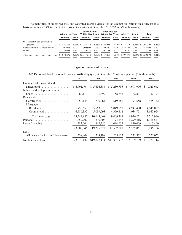The maturities, at amortized cost, and weighted average yields (for tax-exempt obligations on a fully taxable basis assuming a 35% tax rate) of investment securities at December 31, 2002 are (\$ in thousands):

|                                                         | <b>Within One Year</b>                                                                                      |       | <b>After One but</b><br>Within Five Years Within Ten Years After Ten Years |       | <b>After Five but</b> |       |                 |       | <b>Total</b>      |       |
|---------------------------------------------------------|-------------------------------------------------------------------------------------------------------------|-------|----------------------------------------------------------------------------|-------|-----------------------|-------|-----------------|-------|-------------------|-------|
|                                                         | Amount                                                                                                      | Yield | Amount                                                                     | Yield | Amount                | Yield | <b>Amount</b>   | Yield | Amount            | Yield |
| U.S. Treasury and government                            |                                                                                                             |       |                                                                            |       |                       |       |                 |       |                   |       |
| agencies                                                | $$1,420,286$ $$5.23\%$ $$1,726,735$ $$5.28\%$ $$52,958$ $$5.40\%$ $$1,415$ $$5.45\%$ $$3,201,394$ $$5.26\%$ |       |                                                                            |       |                       |       |                 |       |                   |       |
| States and political subdivisions                       | 100,038                                                                                                     | 6.97  | 300,995                                                                    | 7.16  | 264,430               | 7.30  | 520,341         | 7.45  | 1.185.804         | 7.30  |
|                                                         | 357,968                                                                                                     | 6.64  | 89.480                                                                     | 5.90  | 99.828                | 5.11  | 186,120         | 4.41  | 733.396           | 5.78  |
| $Total \dots \dots \dots \dots \dots \dots \dots \dots$ | \$1,878,292                                                                                                 |       | 5.59% \$2,117,210 5.57% \$417,216                                          |       |                       |       | 6.53% \$707,876 |       | 6.65% \$5,120,594 | 5.81% |

# **Types of Loans and Leases**

M&I's consolidated loans and leases, classified by type, at December 31 of each year are (\$ in thousands):

|                                                  | 2002         | 2001         | 2000         | 1999         | 1998         |
|--------------------------------------------------|--------------|--------------|--------------|--------------|--------------|
| Commercial, financial and                        |              |              |              |              |              |
| agricultural                                     | \$ 6,791,404 | \$5,656,384  | \$5,230,795  | \$4,691,996  | \$4,025,663  |
| Industrial development revenue                   |              |              |              |              |              |
|                                                  | 80,110       | 71,892       | 58,742       | 62,861       | 52,174       |
| Real estate:                                     |              |              |              |              |              |
| $Construction$                                   | 1,058,144    | 730,864      | 619,281      | 494,558      | 425,442      |
| Mortgage:                                        |              |              |              |              |              |
| Residential $\ldots \ldots \ldots \ldots \ldots$ | 6,758,650    | 5,563,975    | 5,049,557    | 4,941,450    | 4,045,022    |
| Commercial                                       | 6,586,332    | 5,099,093    | 4,359,812    | 4,034,771    | 3,667,924    |
| Total mortgage                                   | 13,344,982   | 10,663,068   | 9,409,369    | 8,976,221    | 7,712,946    |
| Personal                                         | 1,852,202    | 1,210,808    | 1,174,248    | 1,299,416    | 1,166,541    |
| Lease financing                                  | 782,004      | 962,356      | 1,094,652    | 810,009      | 613,400      |
|                                                  | 23,908,846   | 19,295,372   | 17,587,087   | 16,335,061   | 13,996,166   |
| Less:                                            |              |              |              |              |              |
| Allowance for loan and lease losses              | 338,409      | 268,198      | 235,115      | 225,862      | 226,052      |
| Net loans and leases $\ldots$ , $\ldots$         | \$23,570,437 | \$19,027,174 | \$17,351,972 | \$16,109,199 | \$13,770,114 |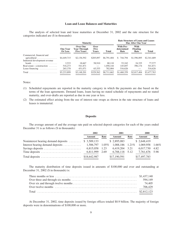## **Loan and Lease Balances and Maturities**

|                                                                              |                                   | <b>Maturity</b>                                      | <b>Rate Structure of Loans and Leases</b><br>Due After One Year |             |                                        |                          |              |
|------------------------------------------------------------------------------|-----------------------------------|------------------------------------------------------|-----------------------------------------------------------------|-------------|----------------------------------------|--------------------------|--------------|
|                                                                              | <b>One Year</b><br><b>Or Less</b> | Over One<br><b>Year Through</b><br><b>Five Years</b> | Over<br><b>Five</b><br>Years                                    | Total       | <b>With Pre-</b><br>determined<br>Rate | With<br>Floating<br>Rate | <b>Total</b> |
| Commercial, financial and                                                    |                                   |                                                      |                                                                 |             |                                        |                          |              |
| $agricultural \ldots \ldots \ldots \ldots$<br>Industrial development revenue | \$4,449,715                       | \$2,136,592                                          | \$205,097                                                       | \$6,791,404 | \$ 744,794                             | \$1,596,895              | \$2,341,689  |
|                                                                              | 2.533                             | 18,667                                               | 58,910                                                          | 80,110      | 53.242                                 | 24,335                   | 77.577       |
| Real estate—construction $\dots\dots$                                        | 516,273                           | 541,871                                              |                                                                 | 1.058.144   | 145,697                                | 396,174                  | 541,871      |
| Lease financing $\dots\dots\dots\dots\dots$                                  | 265,378                           | 451,071                                              | 65,555                                                          | 782,004     | 516,626                                |                          | 516,626      |
| $Total \dots \dots \dots \dots \dots \dots \dots \dots$                      | \$5,233,899                       | \$3,148,201                                          | \$329,562                                                       | \$8,711,662 | \$1,460,359                            | \$2,017,404              | \$3,477,763  |

The analysis of selected loan and lease maturities at December 31, 2002 and the rate structure for the categories indicated are (\$ in thousands):

#### Notes:

- (1) Scheduled repayments are reported in the maturity category in which the payments are due based on the terms of the loan agreements. Demand loans, loans having no stated schedule of repayments and no stated maturity, and over-drafts are reported as due in one year or less.
- (2) The estimated effect arising from the use of interest rate swaps as shown in the rate structure of loans and leases is immaterial.

## **Deposits**

The average amount of and the average rate paid on selected deposit categories for each of the years ended December 31 is as follows (\$ in thousands):

|                                                                    | 2002         |          | 2001             |      | 2000            |      |
|--------------------------------------------------------------------|--------------|----------|------------------|------|-----------------|------|
|                                                                    | Amount       | Rate     | <b>Amount</b>    | Rate | Amount          | Rate |
| Noninterest bearing demand deposits                                | \$ 3,509,133 |          | \$2,895,083      |      | \$2,648,419     |      |
| Interest bearing demand deposits                                   | 1.506.797    | $1.05\%$ | 1.088.186 1.21\% |      | 1.069.958 1.66% |      |
| Savings deposits $\dots \dots \dots \dots \dots \dots \dots \dots$ | 6,815,058    | 1.23     | 6,419,204 3.21   |      | 6,017,730 4.82  |      |
| Time deposits $\dots \dots \dots \dots \dots \dots \dots \dots$    | 6,811,999    | 2.69     | 6,788,118 5.12   |      | 7,761,676 5.98  |      |
| Total deposits $\dots \dots \dots \dots \dots \dots \dots \dots$   | \$18,642,987 |          | \$17,190,591     |      | \$17,497,783    |      |

The maturity distribution of time deposits issued in amounts of \$100,000 and over and outstanding at December 31, 2002 (\$ in thousands) is:

| Three months or less $\dots \dots \dots \dots \dots \dots \dots \dots \dots \dots \dots \dots \dots \dots \dots \dots$ \$1,437,140 |  |
|------------------------------------------------------------------------------------------------------------------------------------|--|
|                                                                                                                                    |  |
|                                                                                                                                    |  |
|                                                                                                                                    |  |
|                                                                                                                                    |  |

At December 31, 2002, time deposits issued by foreign offices totaled \$0.9 billion. The majority of foreign deposits were in denominations of \$100,000 or more.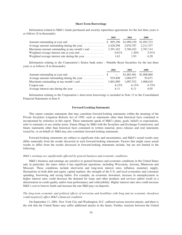## **Short-Term Borrowings**

Information related to M&I's funds purchased and security repurchase agreements for the last three years is as follows (\$ in thousands):

|                                                | 2002      | 2001      | 2000      |
|------------------------------------------------|-----------|-----------|-----------|
|                                                |           |           |           |
| Average amount outstanding during the year     | 2.420.298 | 2.076.787 | 2.211.537 |
| Maximum amount outstanding at any month's end  | 3.391.162 | 2.760.183 | 2.767.114 |
|                                                | $0.61\%$  | 1.20%     | 5.91%     |
| Weighted average interest rate during the year | 1.63      | 3.93      | 6.28      |

Information relating to the Corporation's Senior bank notes – Puttable Reset Securities for the last three years is as follows (\$ in thousands):

| 2002  | 2001  | 2000  |
|-------|-------|-------|
|       |       |       |
|       |       |       |
|       |       |       |
| 6.15% | 6.15% | 6.75% |
| 6.11  | 6.11  | 6.05  |

Information relating to the Corporation's short-term borrowings is included in Note 13 to the Consolidated Financial Statements in Item 8.

### **Forward-Looking Statements**

This report contains statements that may constitute forward-looking statements within the meaning of the Private Securities Litigation Reform Act of 1995, such as statements other than historical facts contained or incorporated by reference in this report. These statements speak of M&I's plans, goals, beliefs or expectations, refer to estimates or use similar terms. Future filings by M&I with the Securities and Exchange Commission, and future statements other than historical facts contained in written material, press releases and oral statements issued by, or on behalf of, M&I may also constitute forward-looking statements.

Forward-looking statements are subject to significant risks and uncertainties, and M&I's actual results may differ materially from the results discussed in such forward-looking statements. Factors that might cause actual results to differ from the results discussed in forward-looking statements include, but are not limited to the following:

### *M&I's earnings are significantly affected by general business and economic conditions.*

M&I's business and earnings are sensitive to general business and economic conditions in the United States and, in particular, the states where it has significant operations, including Wisconsin, Arizona, Minnesota and Missouri. These conditions include short-term and long-term interest rates, inflation, monetary supply, fluctuations in both debt and equity capital markets, the strength of the U.S. and local economies and consumer spending, borrowing and saving habits. For example, an economic downturn, increase in unemployment or higher interest rates could decrease the demand for loans and other products and services and/or result in a deterioration in credit quality and/or loan performance and collectability. Higher interest rates also could increase M&I's cost to borrow funds and increase the rate M&I pays on deposits.

## *The long-term economic and political effects of terrorism and hostilities with Iraq and an economic slowdown could negatively affect M&I's financial condition*

On September 11, 2001, New York City and Washington, D.C. suffered serious terrorist attacks, and there is the risk that the United States may suffer additional attacks in the future. Further, tensions between the United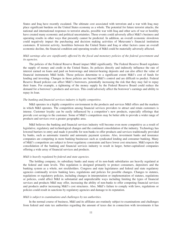States and Iraq have recently escalated. The ultimate cost associated with terrorism and a war with Iraq may place significant burdens on the United States economy as a whole. The potential for future terrorist attacks, the national and international responses to terrorist attacks, possible war with Iraq and other acts of war or hostility have created many economic and political uncertainties. These events could adversely affect M&I's business and operating results in other ways that presently cannot be predicted. In addition, an overall economic slowdown could negatively impact the purchasing and decision making activities of Metavante's financial institution customers. If terrorist activity, hostilities between the United States and Iraq or other factors cause an overall economic decline, the financial condition and operating results of M&I could be materially adversely affected.

# *M&I earnings also are significantly affected by the fiscal and monetary policies of the federal government and its agencies.*

The policies of the Federal Reserve Board impact M&I significantly. The Federal Reserve Board regulates the supply of money and credit in the United States. Its policies directly and indirectly influence the rate of interest earned on loans and paid on borrowings and interest-bearing deposits and can also affect the value of financial instruments M&I holds. Those policies determine to a significant extent M&I's cost of funds for lending and investing. Changes in those policies are beyond M&I's control and are difficult to predict. Federal Reserve Board policies can affect M&I's borrowers, potentially increasing the risk that they may fail to repay their loans. For example, a tightening of the money supply by the Federal Reserve Board could reduce the demand for a borrower's products and services. This could adversely affect the borrower's earnings and ability to repay its loan.

## *The banking and financial services industry is highly competitive.*

M&I operates in a highly competitive environment in the products and services M&I offers and the markets in which M&I operates. The competition among financial services providers to attract and retain customers is intense. Customer loyalty can be easily influenced by a competitor's new products, especially offerings that provide cost savings to the customer. Some of M&I's competitors may be better able to provide a wider range of products and services over a greater geographic area.

M&I believes the banking and financial services industry will become even more competitive as a result of legislative, regulatory and technological changes and the continued consolidation of the industry. Technology has lowered barriers to entry and made it possible for non-banks to offer products and services traditionally provided by banks, such as automatic transfer and automatic payment systems. Also, investment banks and insurance companies are competing in more banking businesses such as syndicated lending and consumer banking. Many of M&I's competitors are subject to fewer regulatory constraints and have lower cost structures. M&I expects the consolidation of the banking and financial services industry to result in larger, better-capitalized companies offering a wide array of financial services and products.

## *M&I is heavily regulated by federal and state agencies.*

The holding company, its subsidiary banks and many of its non-bank subsidiaries are heavily regulated at the federal and state levels. This regulation is designed primarily to protect consumers, depositors and the banking system as a whole, not stockholders. Congress and state legislatures and federal and state regulatory agencies continually review banking laws, regulations and policies for possible changes. Changes to statutes, regulations or regulatory policies, including changes in interpretation or implementation of statutes, regulations or policies, could affect M&I in substantial and unpredictable ways including limiting the types of financial services and products M&I may offer, increasing the ability of non-banks to offer competing financial services and products and/or increasing M&I's cost structures. Also, M&I's failure to comply with laws, regulations or policies could result in sanctions by regulatory agencies and damage to its reputation.

#### *M&I is subject to examinations and challenges by tax authorities.*

In the normal course of business, M&I and its affiliates are routinely subject to examinations and challenges from federal and state tax authorities regarding the amount of taxes due in connection with investments it has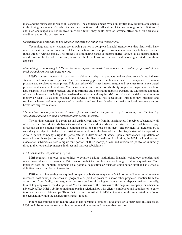made and the businesses in which it is engaged. The challenges made by tax authorities may result in adjustments to the timing or amount of taxable income or deductions or the allocation of income among tax jurisdictions. If any such challenges are not resolved in M&I's favor, they could have an adverse effect on M&I's financial condition and results of operations.

#### *Consumers may decide not to use banks to complete their financial transactions.*

Technology and other changes are allowing parties to complete financial transactions that historically have involved banks at one or both ends of the transaction. For example, consumers can now pay bills and transfer funds directly without banks. The process of eliminating banks as intermediaries, known as disintermediation, could result in the loss of fee income, as well as the loss of customer deposits and income generated from those deposits.

# *Maintaining or increasing M&I's market share depends on market acceptance and regulatory approval of new products and services and other factors.*

M&I's success depends, in part, on its ability to adapt its products and services to evolving industry standards and to control expenses. There is increasing pressure on financial services companies to provide products and services at lower prices. This can reduce M&I's net interest margin and revenues from its fee-based products and services. In addition, M&I's success depends in part on its ability to generate significant levels of new business in its existing markets and in identifying and penetrating markets. Further, the widespread adoption of new technologies, including Internet-based services, could require M&I to make substantial expenditures to modify or adapt its existing products and services. M&I may not successfully introduce new products and services, achieve market acceptance of its products and services, develop and maintain loyal customers and/or break into targeted markets.

# *The holding company relies on dividends from its subsidiaries for most of its revenue, and the banking subsidiaries hold a significant portion of their assets indirectly.*

The holding company is a separate and distinct legal entity from its subsidiaries. It receives substantially all of its revenue from dividends from its subsidiaries. These dividends are the principal source of funds to pay dividends on the holding company's common stock and interest on its debt. The payment of dividends by a subsidiary is subject to federal law restrictions as well as to the laws of the subsidiary's state of incorporation. Also, a parent company's right to participate in a distribution of assets upon a subsidiary's liquidation or reorganization is subject to the prior claims of the subsidiary's creditors. In addition, the M&I bank and savings association subsidiaries hold a significant portion of their mortgage loan and investment portfolios indirectly through their ownership interests in direct and indirect subsidiaries.

### *M&I has an active acquisition program.*

M&I regularly explores opportunities to acquire banking institutions, financial technology providers and other financial services providers. M&I cannot predict the number, size or timing of future acquisitions. M&I typically does not publicly comment on a possible acquisition or business combination until it has signed a definitive agreement for the transaction.

Difficulty in integrating an acquired company or business may cause M&I not to realize expected revenue increases, cost savings, increases in geographic or product presence, and/or other projected benefits from the acquisition. Specifically, the integration process could result in higher than expected deposit attrition (run-off), loss of key employees, the disruption of M&I's business or the business of the acquired company, or otherwise adversely affect M&I's ability to maintain existing relationships with clients, employees and suppliers or to enter into new business relationships. These factors could contribute to M&I not achieving the anticipated benefits of the acquisition within the desired time frames, if at all.

Future acquisitions could require M&I to use substantial cash or liquid assets or to incur debt. In such cases, M&I could become more susceptible to economic downturns and competitive pressures.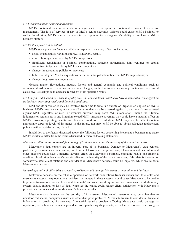#### *M&I is dependent on senior management.*

M&I's continued success depends to a significant extent upon the continued services of its senior management. The loss of services of any of M&I's senior executive officers could cause M&I's business to suffer. In addition, M&I's success depends in part upon senior management's ability to implement M&I's business strategy.

#### *M&I's stock price can be volatile.*

M&I's stock price can fluctuate widely in response to a variety of factors including:

- actual or anticipated variations in M&I's quarterly results;
- new technology or services by M&I's competitors;
- significant acquisitions or business combinations, strategic partnerships, joint ventures or capital commitments by or involving M&I or its competitors;
- changes in accounting policies or practices;
- failure to integrate M&I's acquisitions or realize anticipated benefits from M&I's acquisitions; or
- changes in government regulations.

General market fluctuations, industry factors and general economic and political conditions, such as economic slowdowns or recessions, interest rate changes, credit loss trends or currency fluctuations, also could cause M&I's stock price to decrease regardless of its operating results.

# *M&I may be a defendant in a variety of litigation and other actions, which may have a material adverse effect on its business, operating results and financial condition.*

M&I and its subsidiaries may be involved from time to time in a variety of litigation arising out of M&I's business. M&I's insurance may not cover all claims that may be asserted against it, and any claims asserted against M&I, regardless of merit or eventual outcome, may harm M&I's reputation. Should the ultimate judgments or settlements in any litigation exceed M&I's insurance coverage, they could have a material effect on M&I's business, operating results and financial condition. In addition, M&I may not be able to obtain appropriate types or levels of insurance in the future, nor may M&I be able to obtain adequate replacement policies with acceptable terms, if at all.

In addition to the factors discussed above, the following factors concerning Metavante's business may cause M&I's results to differ from the results discussed in forward-looking statements:

### *Metavante relies on the continued functioning of its data centers and the integrity of the data it processes.*

Metavante's data centers are an integral part of its business. Damage to Metavante's data centers, particularly its Wisconsin data centers, due to acts of terrorism, fire, power loss, telecommunications failure and other disasters could have a material adverse effect on Metavante's business, operating results and financial condition. In addition, because Metavante relies on the integrity of the data it processes, if this data is incorrect or somehow tainted, client relations and confidence in Metavante's services could be impaired, which would harm Metavante's business.

#### *Network operational difficulties or security problems could damage Metavante's reputation and business.*

Metavante depends on the reliable operation of network connections from its clients and its clients' end users to its systems. Any operational problems or outages in these systems would cause Metavante to be unable to process transactions for its clients and its clients' end users, resulting in decreased revenues. In addition, any system delays, failures or loss of data, whatever the cause, could reduce client satisfaction with Metavante's products and services and harm Metavante's financial results.

Metavante also depends on the security of its systems. Metavante's networks may be vulnerable to unauthorized access, computer viruses and other disruptive problems. Metavante transmits confidential financial information in providing its services. A material security problem affecting Metavante could damage its reputation, deter financial services providers from purchasing its products, deter their customers from using its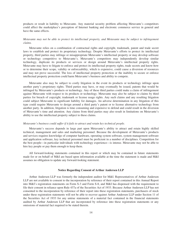products or result in liability to Metavante. Any material security problem affecting Metavante's competitors could affect the marketplace's perception of Internet banking and electronic commerce service in general and have the same effects.

# *Metavante may not be able to protect its intellectual property, and Metavante may be subject to infringement claims.*

Metavante relies on a combination of contractual rights and copyright, trademark, patent and trade secret laws to establish and protect its proprietary technology. Despite Metavante's efforts to protect its intellectual property, third parties may infringe or misappropriate Metavante's intellectual property or may develop software or technology competitive to Metavante's. Metavante's competitors may independently develop similar technology, duplicate its products or services or design around Metavante's intellectual property rights. Metavante may have to litigate to enforce and protect its intellectual property rights, trade secrets and know-how or to determine their scope, validity or enforceability, which is expensive, could cause a diversion of resources and may not prove successful. The loss of intellectual property protection or the inability to secure or enforce intellectual property protection could harm Metavante's business and ability to compete.

Metavante also may be subject to costly litigation in the event its products or technology infringe upon another party's proprietary rights. Third parties may have, or may eventually be issued, patents that would be infringed by Metavante's products or technology. Any of these third parties could make a claim of infringement against Metavante with respect to its products or technology. Metavante may also be subject to claims by third parties for breach of copyright, trademark or license usage rights. Any such claims and any resulting litigation could subject Metavante to significant liability for damages. An adverse determination in any litigation of this type could require Metavante to design around a third party's patent or to license alternative technology from another party. In addition, litigation is time consuming and expensive to defend and could result in the diversion of Metavante's time and attention. Any claims from third parties may also result in limitations on Metavante's ability to use the intellectual property subject to these claims.

#### *Metavante's business could suffer if it fails to attract and retain key technical people.*

Metavante's success depends in large part upon Metavante's ability to attract and retain highly skilled technical, management and sales and marketing personnel. Because the development of Metavante's products and services requires knowledge of computer hardware, operating system software, system management software and application software, key technical personnel must be proficient in a number of disciplines. Competition for the best people—in particular individuals with technology experience—is intense. Metavante may not be able to hire key people or pay them enough to keep them.

All forward-looking statements contained in this report or which may be contained in future statements made for or on behalf of M&I are based upon information available at the time the statement is made and M&I assumes no obligation to update any forward-looking statement.

## **Notice Regarding Consent of Arthur Andersen LLP**

Arthur Andersen LLP was formerly the independent auditor for M&I. Representatives of Arthur Andersen LLP are not available to consent to the incorporation by reference of their report contained in this Annual Report into M&I's registration statements on Form S-3 and Form S-8, and M&I has dispensed with the requirement to file their consent in reliance upon Rule 437a of the Securities Act of 1933. Because Arthur Andersen LLP has not consented to the incorporation by reference of their report into these registration statements, purchasers of stock under these registration statements will not be able to recover against Arthur Andersen LLP under Section 11 of the Securities Act of 1933 for any untrue statements of a material fact contained in the financial statements audited by Arthur Andersen LLP that are incorporated by reference into these registration statements or any omissions of material fact required to be stated therein.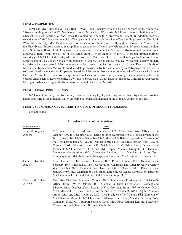## **ITEM 2. PROPERTIES**

M&I and M&I Marshall & Ilsley Bank ("M&I Bank") occupy offices on all or portions of 15 floors of a 21-story building located at 770 North Water Street, Milwaukee, Wisconsin. M&I Bank owns the building and its adjacent 10-story parking lot and leases the remaining floors to a professional tenant. In addition, various subsidiaries of M&I lease commercial office space in downtown Milwaukee office buildings near the 770 North Water Street facility. M&I Bank also owns or leases various branch offices throughout Wisconsin, 25 offices in the Phoenix and Tucson, Arizona metropolitan areas and ten offices in the Minneapolis, Minnesota metropolitan area. Southwest Bank of St. Louis owns or leases six offices in the St. Louis, Missouri metropolitan area. Southwest Bank owns one office in Belleville, Illinois. M&I Bank of Mayville, a special limited purpose subsidiary of M&I located in Mayville, Wisconsin, and M&I Bank FSB, a federal savings bank subsidiary of M&I located in Las Vegas, Nevada with branches in Naples, Florida and Milwaukee, Wisconsin, occupy modern facilities which are leased. Metavante owns a data processing facility located in Brown Deer, a suburb of Milwaukee, from which Metavante conducts data processing activities and a facility in Milwaukee that houses its software development teams. Properties leased by Metavante also include commercial office space in Brown Deer and Milwaukee, a data processing site in Oak Creek, Wisconsin, and processing centers and sales offices in various cities such as Lawrenceville, New Jersey; Sioux Falls, South Dakota; San Jose, California; Ann Arbor, Michigan; Atlanta, Georgia; Madison, Wisconsin; and Henderson, Nevada.

# **ITEM 3. LEGAL PROCEEDINGS**

M&I is not currently involved in any material pending legal proceedings other than litigation of a routine nature and various legal matters which are being defended and handled in the ordinary course of business.

## **ITEM 4. SUBMISSION OF MATTERS TO A VOTE OF SECURITY HOLDERS**

Not applicable.

#### **Executive Officers of the Registrant**

| Name of Officer              | <b>Office</b>                                                                                                                                                                                                                                                                                                                                                                                                                                                                                                                                                                                                                                                             |
|------------------------------|---------------------------------------------------------------------------------------------------------------------------------------------------------------------------------------------------------------------------------------------------------------------------------------------------------------------------------------------------------------------------------------------------------------------------------------------------------------------------------------------------------------------------------------------------------------------------------------------------------------------------------------------------------------------------|
| James B. Wigdale<br>Age $66$ | Chairman of the Board since December 1992, Chief Executive Officer from<br>October 1992 to December 2001, Director since December 1988, Vice Chairman of the<br>Board, December 1988 to December 1992, Marshall & Ilsley Corporation; Chairman of<br>the Board from January 1989 to October 2001, Chief Executive Officer from 1987 to<br>October 2001, Director since 1981, M&I Marshall & Ilsley Bank; Director and<br>President, M&I Ventures L.L.C. and M&I Capital Markets Group L.L.C.; Director,<br>Metavante Corporation, M&I Brokerage Services, Inc., Marshall & Ilsley Trust<br>Company N.A., M&I Investment Management Corp. and M&I Insurance Services, Inc. |
| Dennis J. Kuester<br>Age 61  | Chief Executive Officer since January 2002, President since 1987, Director since<br>February 1994, Marshall & Ilsley Corporation; Chairman and Chief Executive Officer<br>since October 2001, President from January 1989 to October 2001, Director since<br>January 1989, M&I Marshall & Ilsley Bank; Director, Metavante Corporation; Director,<br>M&I Ventures L.L.C. and M&I Capital Markets Group L.L.C.                                                                                                                                                                                                                                                             |
| Thomas M. Bolger<br>Age 52   | Executive Vice President since October 2001, Senior Vice President and Chief Credit<br>Officer from 1994 to October 2001, Marshall & Ilsley Corporation; President and<br>Director since October 2001, Executive Vice President from 1997 to October 2001,<br>M&I Marshall & Ilsley Bank; Director and Vice President, M&I Capital Markets<br>Group, LLC and M&I Ventures, LLC; Vice President of M&I Bank FSB; Director of<br>M&I Bank of Mayville, M&I Investment Management, Corp., Marshall & Ilsley Trust<br>Company, N.A., M&I Support Services Corp., M&I First National Leasing, Metavante<br>Corporation, and Diversified Business Credit, Inc.                  |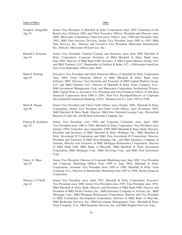| Name of Officer                  | Office                                                                                                                                                                                                                                                                                                                                                                                                                                                                                                                                                                                                                                                                                                                                                                              |
|----------------------------------|-------------------------------------------------------------------------------------------------------------------------------------------------------------------------------------------------------------------------------------------------------------------------------------------------------------------------------------------------------------------------------------------------------------------------------------------------------------------------------------------------------------------------------------------------------------------------------------------------------------------------------------------------------------------------------------------------------------------------------------------------------------------------------------|
| Joseph L. Delgadillo<br>Age 51   | Senior Vice President of Marshall & Ilsley Corporation since 1993; Chairman of the<br>Board since February 2003 and Chief Executive Officer, President and Director since<br>2000, Metavante Corporation; Chief Executive Officer since 1998 and President since<br>1993, M&I Data Services Division; Senior Vice President from 1989 to 1993, M&I<br>Data Services, Inc.; Director and Executive Vice President, Metavante International,<br>Inc.; Director, Metavante 401 kservices, Inc.                                                                                                                                                                                                                                                                                         |
| Randall J. Erickson<br>Age 43    | Senior Vice President, General Counsel and Secretary since June 2002 Marshall &<br>Ilsley Corporation; Corporate Secretary of M&I Marshall & Ilsley Bank since<br>June 2002; Director of M&I Bank FSB; Secretary of M&I Capital Markets Group, LLC<br>and M&I Ventures, LLC; Shareholder at Godfrey & Kahn, S.C., a Milwaukee-based law<br>firm, from September 1990 to June 2002.                                                                                                                                                                                                                                                                                                                                                                                                  |
| Mark F. Furlong<br>Age 45        | Executive Vice President and Chief Financial Officer of Marshall & Ilsley Corporation<br>since 2001; Chief Financial Officer of M&I Marshall & Ilsley Bank since<br>February 2003; Director, Vice President and Treasurer of M&I Capital Markets Group,<br>LLC and M&I Ventures LLC; Director of Marshall & Ilsley Trust Company, N.A.,<br>M&I Investment Management Corp. and Metavante Corporation; Institutional Trustee,<br>M&I Capital Trust A; Executive Vice President and Chief Financial Officer of Old Kent<br>Financial Corporation from 1998 to 2001; First Vice President/Director of Corporate<br>Development/Commercial Banking of H.F. Ahmanson & Co. from 1992 to 1998.                                                                                            |
| Mark R. Hogan<br>Age 48          | Senior Vice President and Chief Credit Officer since October 2001, Marshall & Ilsley<br>Corporation; Senior Vice President and Chief Credit Officer since November 1995,<br>M&I Marshall & Ilsley Bank; Director, M&I First National Leasing Corp., Diversified<br>Business Credit, Inc. and Richter-Schroeder Company, Inc.                                                                                                                                                                                                                                                                                                                                                                                                                                                        |
| Patricia R. Justiliano<br>Age 52 | Senior Vice President since 1994 and Corporate Controller since April 1989,<br>Vice President from 1986 to 1994, Marshall & Ilsley Corporation; Vice President since<br>January 1999, Controller since September 1998, M&I Marshall & Ilsley Bank; Director,<br>President and Secretary of M&I Marshall & Ilsley Holdings, Inc., M&I Marshall &<br>Ilsley Investment II Corporation and M&I Zion Investment II Corporation; Director,<br>President and Treasurer of M&I Zion Holdings. Inc., and M&I Insurance Company of<br>Arizona; Director and Treasurer of M&I Mortgage Reinsurance Corporation; Director<br>of M&I Bank FSB, M&I Bank of Mayville, M&I Marshall & Ilsley Investment<br>Corporation, M&I Mortgage Corp., M&I Servicing Corp., and M&I Zion Investment<br>Corp. |
| Nancy A. Maas<br>Age 43          | Senior Vice President, Director of Corporate Marketing since June 2002, Vice President<br>and Corporate Marketing Officer from 1999 to June 2002, Marshall & Ilsley<br>Corporation; Assistant Vice President from 1998 to 1999, Marshall & Ilsley Trust<br>Company N.A.; Director of Shareholder Marketing from 1997 to 1998, Strong Financial<br>Corporation.                                                                                                                                                                                                                                                                                                                                                                                                                      |
| Thomas J. O'Neill<br>Age 42      | Senior Vice President since April 1997, Marshall & Ilsley Corporation; Executive<br>Vice President since 2000, Senior Vice President since 1997, Vice President since 1991,<br>M&I Marshall & Ilsley Bank; Director and President of M&I Bank FSB; Director and<br>President of M&I Dealer Finance, Inc., M&I Insurance Company of Arizona, Inc., M&I<br>Mortgage Corp., M&I Mortgage Reinsurance Corporation; Director and Vice President<br>of M&I Community Development Corporation; Director of M&I Bank of Mayville,<br>M&I Brokerage Services, Inc., M&I Investment Management Corp., Marshall & Ilsley<br>Trust Company, N.A., M&I Insurance Services, Inc. and M&I Support Services Corp.                                                                                   |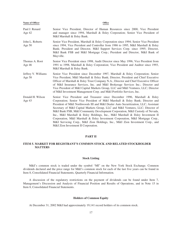| Name of Officer               | <b>Office</b>                                                                                                                                                                                                                                                                                                                                                                                                                                                                                                                                                                                                                                                                                                   |
|-------------------------------|-----------------------------------------------------------------------------------------------------------------------------------------------------------------------------------------------------------------------------------------------------------------------------------------------------------------------------------------------------------------------------------------------------------------------------------------------------------------------------------------------------------------------------------------------------------------------------------------------------------------------------------------------------------------------------------------------------------------|
| Paul J. Renard<br>Age 42      | Senior Vice President, Director of Human Resources since 2000, Vice President<br>and manager since 1994, Marshall & Ilsley Corporation; Senior Vice President of<br>M&I Marshall & Ilsley Bank.                                                                                                                                                                                                                                                                                                                                                                                                                                                                                                                 |
| John L. Roberts<br>Age $50$   | Senior Vice President, Marshall & Ilsley Corporation since 1994; Senior Vice President<br>since 1994, Vice President and Controller from 1986 to 1995, M&I Marshall & Ilsley<br>Bank; President and Director, M&I Support Services Corp. since 1995; Director,<br>M&I Bank FSB and M&I Mortgage Corp.; President and Director, M&I Bank of<br>Mayville.                                                                                                                                                                                                                                                                                                                                                         |
| Thomas A. Root<br>Age 46      | Senior Vice President since 1998, Audit Director since May 1996, Vice President from<br>1991 to 1998, Marshall & Ilsley Corporation; Vice President and Auditor since 1993,<br>M&I Marshall & Ilsley Bank.                                                                                                                                                                                                                                                                                                                                                                                                                                                                                                      |
| Jeffrey V. Williams<br>Age 58 | Senior Vice President since December 1997, Marshall & Ilsley Corporation; Senior<br>Vice President, M&I Marshall & Ilsley Bank; Director, President and Chief Executive<br>Officer of Marshall & Ilsley Trust Company N.A.; Director and Chief Executive Officer<br>of M&I Insurance Services, Inc. and M&I Brokerage Services Inc.; Director and<br>Vice President of M&I Capital Markets Group, LLC and M&I Ventures, LLC; Director<br>of M&I Investment Management Corp. and M&I Portfolio Services, Inc.                                                                                                                                                                                                    |
| Donald H. Wilson<br>Age 43    | Senior Vice President and Treasurer since December 1996, Marshall & Ilsley<br>Corporation; Senior Vice President of M&I Marshall & Ilsley Bank; Director and<br>President of M&I Northwoods III and M&I Dealer Auto Securitization, LLC; Assistant<br>Secretary of M&I Capital Markets Group, LLC and M&I Ventures, LLC; Director of<br>M&I Bank FSB, M&I Community Development Corporation, M&I Custody of Nevada,<br>Inc., M&I Marshall & Ilsley Holdings, Inc., M&I Marshall & Ilsley Investment II<br>Corporation, M&I Marshall & Ilsley Investment Corporation, M&I Mortgage Corp.,<br>M&I Servicing Corp., M&I Zion Holdings, Inc., M&I Zion Investment Corp., and<br>M&I Zion Investment II Corporation. |

## **PART II**

# **ITEM 5. MARKET FOR REGISTRANT'S COMMON STOCK AND RELATED STOCKHOLDER MATTERS**

# **Stock Listing**

M&I's common stock is traded under the symbol "MI" on the New York Stock Exchange. Common dividends declared and the price range for M&I's common stock for each of the last five years can be found in Item 8, Consolidated Financial Statements, Quarterly Financial Information.

A discussion of the regulatory restrictions on the payment of dividends can be found under Item 7, Management's Discussion and Analysis of Financial Position and Results of Operations, and in Note 15 in Item 8, Consolidated Financial Statements.

## **Holders of Common Equity**

At December 31, 2002 M&I had approximately 19,141 record holders of its common stock.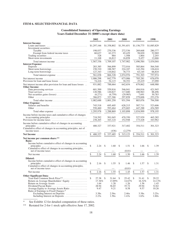# **ITEM 6. SELECTED FINANCIAL DATA**

# **Consolidated Summary of Operating Earnings Years Ended December 31 (\$000's except share data)**

|                                                                                                      |              | 2002          | 2001          | 2000            | 1999            |               | 1998            |
|------------------------------------------------------------------------------------------------------|--------------|---------------|---------------|-----------------|-----------------|---------------|-----------------|
| <b>Interest Income:</b>                                                                              |              |               |               |                 |                 |               |                 |
| Loans and leases $\dots\dots\dots\dots\dots\dots\dots\dots\dots\dots\dots\dots$                      |              | \$1,297,166   | \$1,358,802   | \$1,391,651     | \$1,156,775     |               | \$1,085,829     |
| Investment securities:                                                                               |              |               |               |                 |                 |               |                 |
|                                                                                                      |              | 198,037       | 270,336       | 272,536         | 269,668         |               | 280,377         |
| Exempt from federal income taxes                                                                     |              | 60,637<br>328 | 62,273<br>884 | 65,429<br>1.508 | 58,820<br>1.864 |               | 52,969<br>2,203 |
| Short-term investments                                                                               |              | 11,168        | 16,812        | 16.858          | 9,457           |               | 12,666          |
|                                                                                                      |              |               |               |                 |                 |               |                 |
| Total interest income<br><b>Interest Expense:</b>                                                    |              | 1,567,336     | 1,709,107     | 1,747,982       | 1,496,584       |               | 1,434,044       |
|                                                                                                      |              | 283,385       | 566,899       | 772,016         | 585,864         |               | 564,540         |
|                                                                                                      |              | 150,310       | 188,587       | 224,187         | 142,294         |               | 126,624         |
|                                                                                                      |              | 127,343       | 110,842       | 78,773          | 63,145          |               | 66,810          |
| Total interest expense                                                                               |              | 561,038       | 866,328       | 1,074,976       | 791,303         |               | 757,974         |
|                                                                                                      |              | 1.006.298     | 842,779       | 673,006         | 705,281         |               | 676,070         |
| Provision for loan and lease losses                                                                  |              | 74,416        | 54,115        | 30,352          | 25,419          |               | 27,090          |
| Net interest income after provision for loan and lease losses<br><b>Other Income:</b>                |              | 931,882       | 788,664       | 642,654         | 679,862         |               | 648,980         |
|                                                                                                      |              | 601,500       | 559,816       | 546,041         | 494,816         |               | 421,945         |
|                                                                                                      |              | 120,586       | 120,827       | 117,680         | 100,963         |               | 88,496          |
|                                                                                                      |              | (6,271)       | (6,759)       | (29,985)        | 7,691           |               | 30,783          |
|                                                                                                      |              | 366,873       | 327,366       | 297,858         | 279,606         |               | 253,276         |
| Total other income $\ldots, \ldots, \ldots, \ldots, \ldots, \ldots, \ldots$<br><b>Other Expense:</b> |              | 1,082,688     | 1,001,250     | 931,594         | 883,076         |               | 794,500         |
| Salaries and benefits                                                                                |              | 745.518       | 695,405       | 628,215         | 587,711         |               | 523,606         |
|                                                                                                      |              | 550,460       | 593,464       | 475,683         | 447,288         |               | 454,589         |
| Total other expense                                                                                  |              | 1,295,978     | 1,288,869     | 1,103,898       | 1,034,999       |               | 978,195         |
| Income before income taxes and cumulative effect of changes                                          |              |               |               |                 |                 |               |                 |
| in accounting principles $\dots \dots \dots \dots \dots \dots \dots \dots \dots$                     |              | 718,592       | 501,045       | 470,350         | 527,939         |               | 465,285         |
| Provision for income taxes                                                                           |              | 238,265       | 163,124       | 152,948         | 173,428         |               | 163,962         |
| Income before cumulative effect of changes in accounting                                             |              |               |               |                 |                 |               |                 |
|                                                                                                      |              | 480,327       | 337,921       | 317,402         | 354,511         |               | 301,323         |
| Cumulative effect of changes in accounting principles, net of                                        |              |               |               |                 |                 |               |                 |
|                                                                                                      |              |               | (436)         | (2,279)         |                 |               |                 |
|                                                                                                      | \$           | 480,327       | \$<br>337,485 | 315,123<br>\$   | 354,511<br>\$   | \$            | 301,323         |
| Net income per common share:**                                                                       |              |               |               |                 |                 |               |                 |
| <b>Basic:</b>                                                                                        |              |               |               |                 |                 |               |                 |
| Income before cumulative effect of changes in accounting                                             |              |               |               |                 |                 |               |                 |
|                                                                                                      | \$           | 2.24          | \$<br>1.60    | \$<br>1.51      | S.<br>1.66      | <sup>\$</sup> | 1.39            |
| Cumulative effect of changes in accounting principles,                                               |              |               |               |                 |                 |               |                 |
| net of income taxes                                                                                  |              |               |               | (0.01)          |                 |               |                 |
|                                                                                                      | \$           | 2.24          | \$<br>1.60    | \$<br>1.50      | \$<br>1.66      | \$            | 1.39            |
| Diluted:                                                                                             |              |               |               |                 |                 |               |                 |
| Income before cumulative effect of changes in accounting                                             |              |               |               |                 |                 |               |                 |
|                                                                                                      | \$           | 2.16          | \$<br>1.55    | \$<br>1.46      | \$<br>1.57      | \$            | 1.31            |
| Cumulative effect of changes in accounting principles,                                               |              |               |               |                 |                 |               |                 |
| net of income taxes                                                                                  |              |               |               | (0.01)          |                 |               |                 |
|                                                                                                      |              | 2.16          | 1.55          | 1.45            | 1.57            | \$            | 1.31            |
| <b>Other Significant Data:</b>                                                                       |              |               |               |                 |                 |               |                 |
|                                                                                                      | $\mathbb{S}$ | 27.38         | \$<br>31.64   | \$<br>25.42     | 31.41<br>\$     | \$            | 29.22           |
| Return on Average Shareholders' Equity                                                               |              | 17.36%        | 13.89%        | 14.67%          | 16.32%          |               | 14.13%          |
|                                                                                                      |              | 1.64          | 1.28          | 1.26            | 1.56            |               | 1.45            |
| Dividend Payout Ratio<br>Average Equity to Average Assets Ratio                                      |              | 28.94<br>9.47 | 36.65<br>9.21 | 35.72<br>8.58   | 29.94<br>9.57   |               | 32.82<br>10.26  |
| Ratio of Earnings to Fixed Charges:*                                                                 |              |               |               |                 |                 |               |                 |
| Excluding Interest on Deposits                                                                       |              | 3.38x         | 2.56x         | 2.46x           | 3.38x           |               | 3.25x           |
|                                                                                                      |              | 2.23x         | 1.56x         | 1.43x           | 1.65x           |               | 1.60x           |

\* See Exhibit 12 for detailed computation of these ratios.

\*\* Restated for 2-for-1 stock split effective June 17, 2002.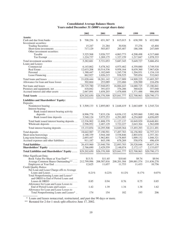# **Consolidated Average Balance Sheets Years ended December 31 (\$000's except share data)**

|                                                                                                                                                                | 2002                                            | 2001                                              | 2000                                            | 1999                                            | 1998                                            |
|----------------------------------------------------------------------------------------------------------------------------------------------------------------|-------------------------------------------------|---------------------------------------------------|-------------------------------------------------|-------------------------------------------------|-------------------------------------------------|
| Assets:<br>Cash and due from banks $\dots\dots\dots\dots\dots\dots$<br>Investment securities:                                                                  | \$<br>708,256                                   | \$<br>651,367                                     | \$<br>615,015                                   | \$<br>638,399                                   | \$<br>652,988                                   |
| Trading Securities<br>Short-term investments<br>Other investment securities:                                                                                   | 15,247<br>717,129                               | 21.284<br>503,857                                 | 30.926<br>265,487                               | 37,276<br>186,106                               | 43,404<br>247,049                               |
| Taxable                                                                                                                                                        | 3,325,568<br>1,224,737                          | 3,926,737<br>1,269,175                            | 4,063,773<br>1,327,159                          | 4,208,498<br>1,217,847                          | 4,317,668<br>1,078,333                          |
| Total investment securities<br>Loans and Leases:                                                                                                               | 5,282,681                                       | 5,721,053                                         | 5,687,345                                       | 5,649,727                                       | 5,686,454                                       |
| Commercial<br>Personal                                                                                                                                         | 6.143.862<br>12,633,208<br>1,388,447<br>862,927 | 5,478,342<br>10,514,536<br>1,182,049<br>1,026,215 | 4,975,482<br>9,958,164<br>1,245,738<br>938,525  | 4,359,880<br>8,639,360<br>1,204,931<br>705,054  | 3,749,518<br>7,967,626<br>1,154,110<br>532,043  |
| Total loans and leases<br>Allowance for loan and lease losses                                                                                                  | 21,028,444<br>302,664                           | 18,201,142<br>253,089                             | 17,117,909<br>233,466                           | 14,909,225<br>228,500                           | 13,403,297<br>216,456                           |
| Net loans and leases<br>Premises and equipment, net<br>Accrued interest and other assets                                                                       | 20,725,780<br>418,042<br>2,067,891              | 17,948,053<br>391,633<br>1,658,203                | 16,884,443<br>376,286<br>1,478,688              | 14,680,725<br>360,624<br>1,371,488              | 13,186,841<br>357,040<br>906,850                |
| Total Assets                                                                                                                                                   | \$29,202,650                                    | \$26,370,309                                      | \$25,041,777                                    | \$22,700,963                                    | \$20,790,173                                    |
| <b>Liabilities and Shareholders' Equity:</b><br>Deposits:<br>Noninterest bearing<br>Interest bearing:                                                          | \$ 3,509,133                                    | \$2,895,083                                       | \$2,648,419                                     | \$2,663,609                                     | \$2,545,724                                     |
| Bank issued interest bearing activity<br>deposits $\ldots \ldots \ldots \ldots \ldots \ldots \ldots$<br>Bank issued time deposits                              | 8,996,778<br>3,540,124                          | 7,833,126<br>3,975,253                            | 6,836,132<br>4,291,005                          | 6,595,060<br>4,254,869                          | 5,992,106<br>4,656,695                          |
| Total bank issued interest bearing deposits<br>Wholesale deposits                                                                                              | 12,536,902<br>2,596,952                         | 11,808,379<br>2,487,129                           | 11,127,137<br>3,722,227                         | 10,849,929<br>2,643,364                         | 10,648,801<br>1,562,690                         |
| Total interest bearing deposits                                                                                                                                | 15,133,854                                      | 14,295,508                                        | 14,849,364                                      | 13,493,293                                      | 12,211,491                                      |
| Total deposits $\dots \dots \dots \dots \dots \dots \dots \dots \dots$<br>Short-term borrowings<br>Accrued expenses and other liabilities                      | 18,642,987<br>4,188,339<br>2,693,447<br>911,187 | 17,190,591<br>3,944,160<br>1,962,801<br>843,198   | 17,497,783<br>3,538,846<br>1,178,805<br>678,269 | 16,156,902<br>2,803,834<br>1,009,132<br>558,978 | 14,757,215<br>2,357,161<br>1,046,321<br>496,439 |
| Total liabilities<br>Shareholders' Equity                                                                                                                      | 26,435,960<br>2,766,690                         | 23,940,750<br>2,429,559                           | 22,893,703<br>2,148,074                         | 20,528,846<br>2,172,117                         | 18,657,136<br>2,133,037                         |
| Total Liabilities and Shareholders' Equity                                                                                                                     | \$29,202,650                                    | \$26,370,309                                      | \$25,041,777                                    | \$22,700,963                                    | \$20,790,173                                    |
| Other Significant Data:<br>Book Value Per Share at Year End**<br>Average Common Shares Outstanding**<br>Employees at Year End<br><b>Credit Quality Ratios:</b> | \$13.51<br>212,799,996<br>12,625                | \$11.65<br>208,587,816<br>11,657                  | \$10.60<br>208, 201, 304<br>11,753              | \$9.74<br>209,881,574<br>11,433                 | \$9.94<br>211,836,278<br>10,756                 |
| Net Loan and Lease Charge-offs to Average<br>Total Nonperforming Loans and Leases*                                                                             | 0.21%                                           | 0.22%                                             | 0.12%                                           | 0.17%                                           | 0.07%                                           |
| and OREO to End of Period Loans and<br>Leases $&$ OREO $\ldots \ldots \ldots \ldots \ldots$                                                                    | 0.85                                            | 0.94                                              | 0.76                                            | 0.75                                            | 0.85                                            |
| Allowance for Loan and Lease Losses to<br>End of Period Loans and Leases<br>Allowance for Loan and Lease Losses to                                             | 1.42                                            | 1.39                                              | 1.34                                            | 1.38                                            | 1.62                                            |
| Total Nonperforming Loans and Leases*.                                                                                                                         | 174                                             | 154                                               | 182                                             | 193                                             | 206                                             |

\* Loans and leases nonaccrual, restructured, and past due 90 days or more.

\*\* Restated for 2-for-1 stock split effective June 17, 2002.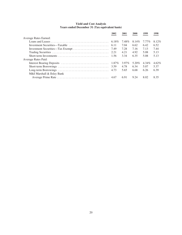|                                                                                                     | 2002 | 2001     | <b>2000</b> | 1999  | 1998  |
|-----------------------------------------------------------------------------------------------------|------|----------|-------------|-------|-------|
| Average Rates Earned:                                                                               |      |          |             |       |       |
|                                                                                                     |      | 7.48%    | 8.14%       | 7.77% | 8.12% |
|                                                                                                     |      | 7.04     | 6.62        | 6.42  | 6.52  |
|                                                                                                     |      | 7.28     | 7.16        | 7.13  | 7.44  |
|                                                                                                     |      | 4.21     | 4.92        | 5.08  | 5.13  |
| Short-term Investments $\dots \dots \dots \dots \dots \dots \dots \dots \dots \dots \dots$          | 1.56 | 3.34     | 6.35        | 5.08  | 5.13  |
| Average Rates Paid:                                                                                 |      |          |             |       |       |
|                                                                                                     |      | $3.97\%$ | 5.20%       | 4.34% | 4.62% |
|                                                                                                     | 3.59 | 4.78     | 6.34        | 5.07  | 5.37  |
| Long-term Borrowings $\dots \dots \dots \dots \dots \dots \dots \dots \dots \dots \dots \dots$ 4.73 |      | 5.65     | 6.68        | 6.26  | 6.39  |
| M&I Marshall & Ilsley Bank                                                                          |      |          |             |       |       |
|                                                                                                     |      | 6.91     | 9.24        | 8.02  | 8.35  |

# **Yield and Cost Analysis Years ended December 31 (Tax equivalent basis)**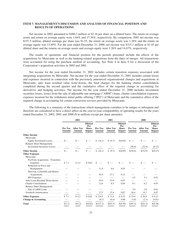# **ITEM 7. MANAGEMENT'S DISCUSSION AND ANALYSIS OF FINANCIAL POSITION AND RESULTS OF OPERATIONS**

Net income in 2002 amounted to \$480.3 million or \$2.16 per share on a diluted basis. The return on average assets and return on average equity were 1.64% and 17.36%, respectively. By comparison, 2001 net income was \$337.5 million, diluted earnings per share was \$1.55, the return on average assets was 1.28% and the return on average equity was 13.89%. For the year ended December 31, 2000, net income was \$315.1 million or \$1.45 per diluted share and the returns on average assets and average equity were 1.26% and 14.67%, respectively.

The results of operations and financial position for the periods presented include the effects of the acquisitions by Metavante as well as the banking-related acquisitions from the dates of merger. All transactions were accounted for using the purchase method of accounting. See Note 4 in Item 8 for a discussion of the Corporation's acquisition activities in 2002 and 2001.

Net income for the year ended December 31, 2002 includes certain transition expenses associated with integrating acquisitions by Metavante. Net income for the year ended December 31, 2001 includes certain losses and expenses incurred in connection with the previously announced organizational changes and acquisitions at Metavante, auto lease residual value write-downs, the final charges for the banking charter consolidation completed during the second quarter and the cumulative effect of the required change in accounting for derivatives and hedging activities. Net income for the year ended December 31, 2000 includes investment securities losses, losses from the sale of adjustable rate mortgage ("ARM") loans, charter consolidation expenses, expenses incurred for the withdrawn initial public offering ("IPO") of Metavante and the cumulative effect of the required change in accounting for certain conversion services provided by Metavante.

The following is a summary of the transactions which management considers to be unique or infrequent and therefore are considered to have a direct affect on the year-to-year comparability of operating results for the years ended December 31, 2002, 2001 and 2000 (\$ in millions except per share amounts):

|                                                |                                 | 2002                       |                                                 | 2001                     |                                   |                                                 | 2000                     |                                   |                                                        |  |
|------------------------------------------------|---------------------------------|----------------------------|-------------------------------------------------|--------------------------|-----------------------------------|-------------------------------------------------|--------------------------|-----------------------------------|--------------------------------------------------------|--|
|                                                | <b>Pre Tax</b><br><b>Amount</b> | <b>After Tax</b><br>Amount | <b>Diluted</b><br>Per<br><b>Share</b><br>Impact | <b>Pre Tax</b><br>Amount | <b>After Tax</b><br><b>Amount</b> | <b>Diluted</b><br>Per<br><b>Share</b><br>Impact | <b>Pre Tax</b><br>Amount | <b>After Tax</b><br><b>Amount</b> | <b>Diluted</b><br>Per<br><b>Share</b><br><b>Impact</b> |  |
| <b>Other Income</b>                            |                                 |                            |                                                 |                          |                                   |                                                 |                          |                                   |                                                        |  |
| Metavante:                                     |                                 |                            |                                                 |                          |                                   |                                                 |                          |                                   |                                                        |  |
| Equity Investment Losses                       | $S-$                            | $s-$                       | $s =$                                           | \$(16.1)                 | \$ (9.7)                          | \$(0.05)                                        | $s =$                    | S                                 |                                                        |  |
| <b>Balance Sheet Management:</b>               |                                 |                            |                                                 |                          |                                   |                                                 |                          |                                   |                                                        |  |
| Investment Securities Losses                   |                                 |                            |                                                 |                          |                                   |                                                 | (50.6)                   | (32.9)                            | (0.15)                                                 |  |
| Other Income                                   | $S-$                            |                            | $s -$                                           | \$(16.1)                 | \$ (9.7)                          | \$(0.05)                                        | \$(50.6)                 | \$(32.9)                          | \$(0.15)                                               |  |
| <b>Other Expenses</b>                          |                                 |                            |                                                 |                          |                                   |                                                 |                          |                                   |                                                        |  |
| Metavante:                                     |                                 |                            |                                                 |                          |                                   |                                                 |                          |                                   |                                                        |  |
| PayTrust Acquisition-Transition                |                                 |                            |                                                 |                          |                                   |                                                 |                          |                                   |                                                        |  |
| Expenses $\dots\dots\dots\dots\dots\dots\dots$ | \$7.1                           | \$4.2                      | \$0.02                                          | \$.                      |                                   |                                                 |                          |                                   |                                                        |  |
| Reduction in Force and                         |                                 |                            |                                                 |                          |                                   |                                                 |                          |                                   |                                                        |  |
| Realignment $\dots\dots\dots\dots\dots$        |                                 |                            |                                                 | 11.0                     | 6.6                               | 0.03                                            |                          |                                   |                                                        |  |
| Derivion, Cyberbills and Brokat                |                                 |                            |                                                 |                          |                                   |                                                 |                          |                                   |                                                        |  |
| Acquisitions                                   |                                 |                            |                                                 | 45.0                     | 27.1                              | 0.12                                            |                          |                                   |                                                        |  |
| IPO Expenses                                   |                                 |                            |                                                 |                          |                                   |                                                 | 4.5                      | 3.1                               | 0.01                                                   |  |
| Auto Lease Residual Write-downs                |                                 |                            |                                                 | 25.0                     | 15.8                              | 0.07                                            |                          |                                   |                                                        |  |
| Charter Consolidation                          |                                 |                            |                                                 | 12.0                     | 8.5                               | 0.04                                            | 9.1                      | 6.2                               | 0.03                                                   |  |
| <b>Balance Sheet Management:</b>               |                                 |                            |                                                 |                          |                                   |                                                 |                          |                                   |                                                        |  |
| Sale of ARM Loans                              |                                 |                            |                                                 |                          |                                   |                                                 | 3.0                      | 2.0                               | 0.01                                                   |  |
| Goodwill Amortization                          |                                 |                            |                                                 | 17.5                     | 15.4                              | 0.07                                            | 16.4                     | 14.7                              | 0.07                                                   |  |
| Other Expenses                                 | \$7.1                           | \$4.2                      | \$0.02                                          | \$110.5                  | \$73.4                            | \$ 0.33                                         | \$33.0                   | \$26.0                            | \$ 0.12                                                |  |
| Change in Accounting                           |                                 |                            |                                                 | (0.7)                    | (0.4)                             | 0.00                                            | (3.8)                    | (2.3)                             | (0.01)                                                 |  |
|                                                | \$(7.1)                         | \$(4.2)                    | \$(0.02)                                        | \$(127.3)                | $$$ (83.5)                        | \$(0.38)                                        | \$(87.4)                 | \$(61.2)                          | \$(0.28)                                               |  |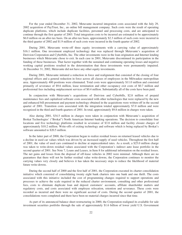For the year ended December 31, 2002, Metavante incurred integration costs associated with the July 29, 2002 acquisition of PayTrust, Inc., an online bill management company. Such costs were the result of operating duplicate platforms, which include duplicate facilities, personnel and processing costs, and are anticipated to continue through the first quarter of 2003. Total integration costs to be incurred are estimated to be approximately \$6.0 million on an after-tax basis. On an after-tax basis, approximately \$2.3 million of such costs were incurred in the third quarter of 2002 and \$1.9 million of such costs were incurred in the fourth quarter of 2002.

During 2001, Metavante wrote-off three equity investments with a carrying value of approximately \$16.1 million. One investment employed technology that was replaced through Metavante's acquisition of Derivion Corporation and Cyberbills, Inc. The other investments were in the loan origination and Internet lending businesses which Metavante chose to exit. In each case in 2001, Metavante discontinued its participation in the funding of these businesses. That factor together with the sustained and continuing operating losses and negative working capital positions resulted in the determination that these investments were permanently impaired. At December 31, 2002, Metavante did not have any other equity investments.

During 2001, Metavante initiated a reduction in force and realignment that consisted of the closing of four regional offices and a general reduction in force across all classes of employees in the Milwaukee metropolitan area. Approximately 400 positions were eliminated. Total costs were approximately \$11.0 million and consisted primarily of severance of \$9.6 million, lease termination and other occupancy exit costs of \$0.7 million and professional fees including outplacement services of \$0.4 million. Substantially all of the costs have been paid.

In conjunction with Metavante's acquisitions of Derivion and Cyberbills, \$2.8 million of prepaid maintenance fees and capitalized software costs associated with other technologies that were replaced by the new and enhanced bill presentment and payment technology obtained in the acquisitions were written-off in the second quarter of 2001. Transition costs associated with the integration totaled approximately \$7.0 million and were recognized in the third and fourth quarters of 2001. In total, approximately \$9.8 million in charges were taken.

Also during 2001, \$34.5 million in charges were taken in conjunction with Metavante's acquisition of Brokat Technologies' ("Brokat") North American Internet banking operations. The decision to consolidate four locations and five technology platforms resulted in severance of \$3.8 million and facility closure charges of approximately \$10.2 million. Write-offs of exiting technology and software which is being replaced by Brokat's software amounted to \$20.5 million.

In the latter part of 2000, the Corporation began to realize residual losses on returned leased vehicles due to a decline in used car values which was driven by an increased supply of used vehicles. Throughout the first half of 2001, the value of used cars continued to decline at unprecedented rates. As a result, a \$25.0 million charge was taken to write-down residual values associated with the Corporation's indirect auto lease portfolio in the second quarter of 2001. See Note 7, Loans and Leases, in Item 8 for additional information on the residual losses. The net gains and losses from the disposal of off-lease vehicles in 2002 were minimal. Although there are no guarantees that there will not be further residual value write-downs, the Corporation continues to monitor the carrying values very closely and believes it has taken the necessary steps to reduce the likelihood of material future write-downs.

During the second half of 2000 and the first half of 2001, the Corporation executed its charter consolidation initiative which consisted of consolidating twenty eight bank charters into one bank and one thrift. The costs associated with this initiative included the cost of programming changes required to support operations and processes to achieve the scale required in the reduced charter environment, consulting and other professional fees, costs to eliminate duplicate loan and deposit customers' accounts, affiliate shareholder matters and regulatory costs, and costs associated with employee relocation, retention and severance. These costs were recorded as incurred and there were no significant accrual of costs. During the second quarter of 2001, the consolidations were completed and there have been no material charges incurred since that time.

As part of its announced balance sheet restructuring in 2000, the Corporation realigned its available for sale investment securities portfolio through the sale of approximately \$1.6 billion of lower yield U.S. Government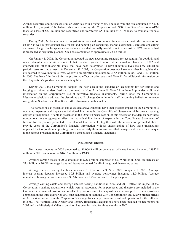Agency securities and purchased similar securities with a higher yield. The loss from the sale amounted to \$50.6 million. Also, as part of the balance sheet restructuring, the Corporation sold \$300.8 million of portfolio ARM loans at a loss of \$3.0 million and securitized and transferred \$511 million of ARM loans to available for sale securities.

During 2000, Metavante incurred registration costs and professional fees associated with the preparation of an IPO as well as professional fees for tax and benefit plan consulting, market assessments, strategic consulting and name change. Such expenses also include costs that normally would be netted against the IPO proceeds had it proceeded as originally planned. Such costs amounted to approximately \$4.5 million.

On January 1, 2002, the Corporation adopted the new accounting standard for accounting for goodwill and other intangible assets. As a result of that standard, goodwill amortization ceased on January 1, 2002 and goodwill and other intangible assets that have been determined to have indefinite lives are now subject to periodic tests for impairment. At December 31, 2002, the Corporation does not have any other intangibles that are deemed to have indefinite lives. Goodwill amortization amounted to \$17.5 million in 2001 and \$16.4 million in 2000. See Note 2 in Item 8 for the pro forma effect on prior years and Note 11 for additional information on the Corporation's goodwill and other intangibles.

During 2001, the Corporation adopted the new accounting standard on accounting for derivatives and hedging activities as described and discussed in Note 2 in Item 8. Note 21 in Item 8 provides additional information on the Corporation's use of derivative financial instruments. During 2000, the Corporation's Metavante subsidiary adopted the Securities and Exchange Commission's staff accounting bulletin on revenue recognition. See Note 2 in Item 8 for further discussion on this matter.

The transactions as presented and discussed above generally have their greatest impact on the Corporation's operating expenses and impact the individual line items in the Consolidated Statements of Income to varying degrees of magnitude. A table is presented in the Other Expense section of this discussion that depicts how these transactions, in the aggregate, affect the individual line items of expense in the Consolidated Statements of Income for the periods presented. It is intended that the table, together with the information presented above, provide users of the Corporation's financial information with an understanding of how these transactions impacted the Corporation's operating results and identify those transactions that management believes are unique to the periods presented in the Corporation's consolidated financial statements.

## **Net Interest Income**

Net interest income in 2002 amounted to \$1,006.3 million compared with net interest income of \$842.8 million in 2001, an increase of \$163.5 million or 19.4%.

Average earning assets in 2002 amounted to \$26.3 billion compared to \$23.9 billion in 2001, an increase of \$2.4 billion or 10.0%. Average loans and leases accounted for all of the growth in earning assets.

Average interest bearing liabilities increased \$1.8 billion or 9.0% in 2002 compared to 2001. Average interest bearing deposits increased \$0.8 billion and average borrowings increased \$1.0 billion. Average noninterest bearing deposits increased \$0.6 billion or 21.2% compared to the prior year.

Average earning assets and average interest bearing liabilities in 2002 and 2001 reflect the impact of the Corporation's banking acquisitions which were all accounted for as purchases and therefore are included in the Corporation's financial position and results of operations since the acquisitions were completed. The acquisitions completed in the third quarter of 2001 (the acquisition of National City Bancorporation and twelve branch offices in Arizona) are reflected in the Corporation's average financial position and results of operations for the full year in 2002. The Richfield State Agency and Century Bancshares acquisitions have been included for ten months in 2002 and the Mississippi Valley acquisition has been included for three months in 2002.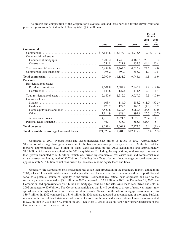The growth and composition of the Corporation's average loan and lease portfolio for the current year and prior two years are reflected in the following table (\$ in millions):

|                                                                                                                                                                                                                                                    |            |            |             | Percent<br>Growth         |                                  |
|----------------------------------------------------------------------------------------------------------------------------------------------------------------------------------------------------------------------------------------------------|------------|------------|-------------|---------------------------|----------------------------------|
|                                                                                                                                                                                                                                                    | 2002       | 2001       | <b>2000</b> | 2002<br><b>VS</b><br>2001 | 2001<br><b>VS</b><br><b>2000</b> |
| Commercial:                                                                                                                                                                                                                                        |            |            |             |                           |                                  |
| Commercial<br>Commercial real estate:                                                                                                                                                                                                              | \$6,143.8  | \$ 5,478.3 | \$4,975.5   |                           | 12.1\% 10.1\%                    |
|                                                                                                                                                                                                                                                    | 5,703.2    | 4,740.7    | 4,182.6     | 20.3                      | 13.3                             |
|                                                                                                                                                                                                                                                    | 754.8      | 521.9      | 433.3       | 44.6                      | 20.4                             |
| Total commercial real estate $\dots\dots\dots\dots\dots\dots\dots\dots\dots$                                                                                                                                                                       | 6.458.0    | 5.262.6    | 4.615.9     | 22.7                      | 14.0                             |
|                                                                                                                                                                                                                                                    | 395.2      | 390.3      | 353.2       | 1.3                       | 10.5                             |
| Total commercial contained and contained a series of the contact of the Total County of Total County and Total County of Total County of Total County of Total County of Total County of Total County of Total County of Total<br><b>Personal:</b> | 12,997.0   | 11,131.2   | 9,944.6     | 16.8                      | 11.9                             |
| Residential real estate:                                                                                                                                                                                                                           |            |            |             |                           |                                  |
| Residential mortgages                                                                                                                                                                                                                              | 2,501.8    | 2,384.9    | 2.945.2     | 4.9                       | (19.0)                           |
|                                                                                                                                                                                                                                                    | 143.8      | 127.6      | 114.5       | 12.7                      | 11.4                             |
| Total residential real estate $\ldots, \ldots, \ldots, \ldots, \ldots, \ldots$<br>Consumer loans:                                                                                                                                                  | 2,645.6    | 2,512.5    | 3.059.7     | 5.3                       | (17.9)                           |
|                                                                                                                                                                                                                                                    | 103.4      | 116.0      | 185.2       | (11.0)                    | (37.3)                           |
|                                                                                                                                                                                                                                                    | 170.2      | 177.5      | 165.6       | (4.1)                     | 7.2                              |
|                                                                                                                                                                                                                                                    | 3,529.6    | 2,739.4    | 2,282.6     | 28.8                      | 20.0                             |
|                                                                                                                                                                                                                                                    | 1,114.9    | 888.6      | 894.9       | 25.5                      | (0.7)                            |
| Total consumer loans $\dots \dots \dots \dots \dots \dots \dots \dots \dots$                                                                                                                                                                       | 4,918.1    | 3,921.5    | 3,528.3     | 25.4                      | 11.1                             |
| Personal lease financing                                                                                                                                                                                                                           | 467.7      | 635.9      | 585.3       | (26.4)                    | 8.7                              |
|                                                                                                                                                                                                                                                    | 8,031.4    | 7,069.9    | 7,173.3     | 13.6                      | (1.4)                            |
| Total consolidated average loans and leases                                                                                                                                                                                                        | \$21,028.4 | \$18,201.1 | \$17,117.9  | 15.5%                     | 6.3%                             |

Compared to 2001, average loans and leases increased \$2.8 billion or 15.5% in 2002. Approximately \$1.7 billion of average loan growth was due to the bank acquisitions previously discussed. At the time of the mergers, approximately \$2.3 billion of loans were acquired in the 2002 acquisitions and approximately \$1.0 billion of loans were acquired in the 2001 acquisitions. Excluding the acquisitions, total average commercial loan growth amounted to \$0.6 billion, which was driven by commercial real estate loan and commercial real estate construction loan growth of \$0.7 billion. Excluding the effects of acquisitions, average personal loans grew approximately \$0.5 billion, which was driven by increases in home equity loans and lines.

Generally, the Corporation sells residential real estate loan production in the secondary market, although in 2002, selected loans with wider spreads and adjustable rate characteristics have been retained in the portfolio and serve as a potential source of liquidity in the future. Residential real estate loans originated and sold to the secondary market amounted to \$3.1 billion in 2002 compared to \$2.4 billion in 2001. At December 31, 2002, the Corporation had approximately \$0.3 billion of mortgage loans held for sale. Auto loans securitized and sold in 2002 amounted to \$0.6 billion. The Corporation anticipates that it will continue to divest of narrower interest rate spread assets through sale or securitization in future periods. Gains from the sale of mortgage loans amounted to \$39.7 million in 2002 compared to \$31.0 million in 2001 and are reported as a component of mortgage banking revenue in the consolidated statements of income. Gains from the sale and securitization of auto loans amounted to \$7.2 million in 2002 and \$7.9 million in 2001. See Note 9, Asset Sales, in Item 8 for further discussion of the Corporation's securitization activities.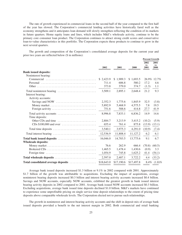The rate of growth experienced in commercial loans in the second half of the year compared to the first half of the year has slowed. The Corporation's commercial lending activities have historically fared well as the economy strengthens and it anticipates loan demand will slowly strengthen reflecting the condition of its markets in future quarters. Home equity loans and lines, which includes M&I's wholesale activity, continue to be the primary core consumer loan product. The Corporation continues to attract strong credit scores and conservative loan-to-value characteristics in this portfolio. The Corporation expects these products to continue to grow in the next several quarters.

The growth and composition of the Corporation's consolidated average deposits for the current year and prior two years are reflected below (\$ in millions):

|            |                                                                   |                                                                   | <b>Percent Growth</b>                                             |                                                          |
|------------|-------------------------------------------------------------------|-------------------------------------------------------------------|-------------------------------------------------------------------|----------------------------------------------------------|
| 2002       | 2001                                                              | 2000                                                              | 2002<br><b>VS</b><br>2001                                         | 2001<br><b>VS</b><br>2000                                |
|            |                                                                   |                                                                   |                                                                   |                                                          |
|            |                                                                   |                                                                   |                                                                   |                                                          |
| \$ 2,423.9 | \$1,909.3                                                         | \$1,693.5                                                         |                                                                   | 26.9% 12.7%                                              |
|            |                                                                   |                                                                   |                                                                   | 4.6                                                      |
|            |                                                                   |                                                                   |                                                                   | 1.1                                                      |
| 3,509.1    | 2,895.1                                                           | 2,648.4                                                           | 21.2                                                              | 9.3                                                      |
|            |                                                                   |                                                                   |                                                                   |                                                          |
|            |                                                                   |                                                                   |                                                                   |                                                          |
|            |                                                                   |                                                                   |                                                                   | (3.8)                                                    |
|            |                                                                   |                                                                   |                                                                   | 19.5                                                     |
|            |                                                                   |                                                                   |                                                                   | 41.9                                                     |
| 8.996.8    | 7.833.1                                                           | 6.836.2                                                           | 14.9                                                              | 14.6                                                     |
|            |                                                                   |                                                                   |                                                                   |                                                          |
|            |                                                                   |                                                                   |                                                                   | (5.9)                                                    |
|            |                                                                   |                                                                   |                                                                   | (13.1)                                                   |
| 3,540.1    | 3,975.3                                                           | 4,291.0                                                           | (10.9)                                                            | (7.4)                                                    |
| 12,536.9   | 11,808.4                                                          | 11,127.2                                                          | 6.2                                                               | 6.1                                                      |
| 16,046.0   | 14,703.5                                                          | 13.775.6                                                          | 9.1                                                               | 6.7                                                      |
|            |                                                                   |                                                                   |                                                                   |                                                          |
| 76.6       | 262.9                                                             | 666.4                                                             | (70.8)                                                            | (60.5)                                                   |
| 1,465.5    | 1,478.4                                                           | 1,430.6                                                           | (0.9)                                                             | 3.3                                                      |
| 1,054.9    | 745.8                                                             | 1,625.2                                                           | 41.4                                                              | (54.1)                                                   |
| 2,597.0    | 2,487.1                                                           | 3,722.2                                                           | 4.4                                                               | (33.2)                                                   |
| \$18,643.0 | \$17,190.6                                                        | \$17,497.8                                                        |                                                                   | $8.4\%$ $(1.8)\%$                                        |
|            | 711.4<br>373.8<br>2,352.3<br>5,892.9<br>751.6<br>2,884.7<br>655.4 | 606.8<br>379.0<br>1,775.6<br>5,468.9<br>588.6<br>3,213.9<br>761.4 | 580.2<br>374.7<br>1,845.9<br>4.575.5<br>414.8<br>3,415.2<br>875.8 | 17.2<br>(1.3)<br>32.5<br>7.8<br>27.7<br>(10.2)<br>(13.9) |

Average bank issued deposits increased \$1.3 billion or 9.1% in 2002 compared with 2001. Approximately \$1.7 billion of the growth was attributable to acquisitions. Excluding the impact of acquisitions, average noninterest bearing deposits increased \$0.3 billion and interest bearing activity accounts increased \$0.4 billion. Savings and NOW accounts, especially NOW accounts, exhibited the greatest growth in bank issued interest bearing activity deposits in 2002 compared to 2001. Average bank issued NOW accounts increased \$0.3 billion. Excluding acquisitions, average bank issued time deposits declined \$1.0 billion. M&I's markets have continued to experience some unprofitable pricing on single service time deposit relationships to the extent of pricing time deposits above comparable wholesale levels. The Corporation elected not to pursue such relationships.

The growth in noninterest and interest-bearing activity accounts and the shift in deposit mix of average bank issued deposits provided a benefit to the net interest margin in 2002. Both commercial and retail banking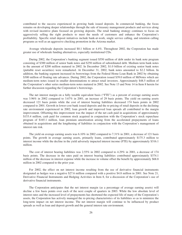contributed to the success experienced in growing bank issued deposits. In commercial banking, the focus remains on developing deeper relationships through the sale of treasury management products and services along with revised incentive plans focused on growing deposits. The retail banking strategy continues to focus on aggressively selling the right products to meet the needs of customers and enhance the Corporation's profitability. Specific retail deposit initiatives include bank-at-work, single service calling, and retention calling programs as well as an aggressive checking promotion in the Arizona market.

Average wholesale deposits increased \$0.1 billion or 4.4%. Throughout 2002, the Corporation has made greater use of wholesale funding alternatives, especially institutional CDs.

During 2002, the Corporation's banking segment issued \$550 million of debt under its bank note program consisting of \$300 million of senior bank notes and \$250 million of subordinated debt. Medium term bank notes in the amount of \$200 million matured in 2002. In December 2002, \$1.0 billion of existing senior bank notes (puttable reset securities) were remarketed. At December 31, 2002, bank notes amounted to \$2.2 billion. In addition, the banking segment increased its borrowings from the Federal Home Loan Bank in 2002 by obtaining \$300 million of floating rate advances. During 2002, the Corporation issued \$39.0 million of MiNotes which are medium-term notes issued in smaller denominations to attract retail investors. Approximately \$48.5 million of the Corporation's other series medium-term notes matured in 2002. See Note 13 and Note 14 in Item 8 herein for further discussion regarding the Corporation's borrowings.

The net interest margin on a fully taxable equivalent basis ("FTE") as a percent of average earning assets was 3.96% in 2002 compared to 3.67% in 2001, an increase of 29 basis points. The yield on earning assets decreased 121 basis points while the cost of interest bearing liabilities decreased 174 basis points in 2002 compared to 2001. Growth in lower-cost bank issued deposits and the re-pricing of retail deposits in the declining rate environment experienced in 2002, loan growth and improved loan spreads all contributed to the margin improvement. Offsetting this improvement was the impact of the net cash paid in acquisitions of approximately \$153.4 million, cash paid for common stock acquired in conjunction with the Corporation's stock repurchase program of \$165.1 million, loan premium amortization arising from the accelerated prepayments of loans obtained in acquisitions and the lengthening of liabilities in conjunction with the Corporation's management of interest rate risk.

The yield on average earning assets was 6.10% in 2002 compared to 7.31% in 2001, a decrease of 121 basis points. The growth in average earning assets, primarily loans, contributed approximately \$175.3 million to interest income while the decline in the yield adversely impacted interest income (FTE) by approximately \$316.1 million.

The cost of interest bearing liabilities was 2.55% in 2002 compared to 4.29% in 2001, a decrease of 174 basis points. The decrease in the rates paid on interest bearing liabilities contributed approximately \$374.1 million of the decrease in interest expense while the increase in volume offset the benefit by approximately \$68.8 million in 2002 compared to the prior year.

For 2002, the effect on net interest income resulting from the use of derivative financial instruments designated as hedges was a negative \$27.6 million compared with a positive \$4.8 million in 2001. See Note 21, Derivative Financial Instruments and Hedging Activities in Item 8, for a discussion of the Corporation's use of derivative financial instruments.

The Corporation anticipates that the net interest margin (as a percentage of average earning assets) will decline a few basis points over each of the next couple of quarters in 2003. While the low absolute level of interest rates and the increased level of prepayments has shortened the expected life of many of the Corporation's assets, the Corporation has actively managed the re-pricing characteristics of its liabilities so as to minimize the long-term impact on net interest income. The net interest margin will continue to be influenced by product spreads as well as loan and deposit growth and the general interest rate environment.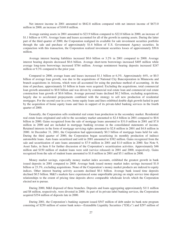Net interest income in 2001 amounted to \$842.8 million compared with net interest income of \$673.0 million in 2000, an increase of \$169.8 million.

Average earning assets in 2001 amounted to \$23.9 billion compared to \$22.8 billion in 2000, an increase of \$1.1 billion or 4.9%. Average loans and leases accounted for all of the growth in earning assets. During the latter part of the third quarter of 2000, the Corporation realigned its available for sale investment securities portfolio through the sale and purchase of approximately \$1.6 billion of U.S. Government Agency securities. In conjunction with this transaction, the Corporation realized investment securities losses of approximately \$50.6 million.

Average interest bearing liabilities increased \$0.6 billion or 3.2% in 2001 compared to 2000. Average interest bearing deposits decreased \$0.6 billion. Average short-term borrowings increased \$405 million while average long-term borrowings increased \$784 million. Average noninterest bearing deposits increased \$247 million or 9.3% compared to the prior year.

Compared to 2000, average loans and leases increased \$1.1 billion or 6.3%. Approximately 44%, or \$0.5 billion of average loan growth, was due to the acquisitions of National City Bancorporation in Minnesota and branch acquisitions in Arizona, which were all accounted for using the purchase method of accounting. At the time of purchase, approximately \$1 billion in loans were acquired. Excluding the acquisitions, total commercial loan growth amounted to \$0.8 billion and was driven by commercial real estate loan and commercial real estate construction loan growth of \$0.6 billion. Average personal loans declined \$0.2 billion, excluding acquisitions, largely due to accelerated prepayments combined with the strategy to sell new production of residential mortgages. For the second year in a row, home equity loans and lines exhibited double digit growth fueled in part by the acquisition of home equity loans and lines in support of its private-label banking services in the fourth quarter of 2000.

Generally, the Corporation sells residential real estate loan production in the secondary market. Residential real estate loans originated and sold to the secondary market amounted to \$2.4 billion in 2001 compared to \$0.6 billion in 2000. Gains recognized from the sale of mortgage loans amounted to \$31.0 million in 2001 and \$7.8 million in 2000 and are included in mortgage banking revenue in the consolidated statements of income. Retained interests in the form of mortgage servicing rights amounted to \$2.8 million in 2001 and \$4.8 million in 2000. At December 31, 2001, the Corporation had approximately \$0.3 billion of mortgage loans held for sale. During the third quarter of 2000, the Corporation began securitizing its monthly production of indirect automobile loans. Auto loans securitized and sold in 2001 amounted to \$382 million. Gains recognized from the sale and securitization of auto loans amounted to \$7.9 million in 2001 and \$1.0 million in 2000. See Note 9, Asset Sales, in Item 8 for further discussion of the Corporation's securitization activities. Approximately \$46 million and \$150 million of student loans were sold (service released) in 2001 and 2000, respectively. Gains recognized from the sale of student loans amounted to \$1.8 million in 2001 and \$5.1 million in 2000.

Money market savings, especially money market index accounts, exhibited the greatest growth in bank issued deposits in 2001 compared to 2000. Average bank issued money market index savings increased \$1.0 billion or 23.3%, excluding acquisitions. None of the Corporation's money market products are indexed to equity indices. Other interest bearing activity accounts declined \$0.1 billion. Average bank issued time deposits declined \$0.5 billion. M&I's markets have experienced some unprofitable pricing on single service time deposit relationships to the extent of pricing time deposits above comparable wholesale levels which the Corporation elected not to pursue.

During 2000, M&I disposed of three branches. Deposits and loans aggregating approximately \$111 million and \$8 million, respectively, were divested in 2000. As part of its private-label banking services, the Corporation acquired \$354 million of deposits late in 2000.

During 2001, the Corporation's banking segment issued \$547 million of debt under its bank note program consisting of \$250 million of senior bank notes—Extendible Liquidity Securities ("EXLs") and \$297 million of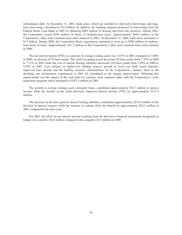subordinated debt. At December 31, 2001, bank notes, which are included in short-term borrowings and longterm borrowings, amounted to \$1.8 billion. In addition, the banking segment increased its borrowings from the Federal Home Loan Bank in 2001 by obtaining \$685 million of floating and fixed rate advances. During 2001, the Corporation issued \$250 million of Series E medium-term notes. Approximately \$68.0 million of the Corporation's other series medium-term notes matured in 2001. At December 31, 2000, bank notes amounted to \$1.4 billion. During 2000, the Corporation filed a registration statement to issue up to \$500 million of mediumterm Series E notes. Approximately \$21.2 million of the Corporation's other series medium-term notes matured in 2000.

The net interest margin (FTE) as a percent of average earning assets was 3.67% in 2001 compared to 3.08% in 2000, an increase of 59 basis points. The yield on earning assets decreased 48 basis points from 7.79% in 2000 to 7.31% in 2001 while the cost of interest bearing liabilities decreased 120 basis points from 5.49% in 2000 to 4.29% in 2001. Less reliance on higher-cost funding sources, growth in lower-cost bank issued deposits, improved loan spreads and the liability sensitive characteristics of the Corporation's balance sheet in the declining rate environment experienced in 2001 all contributed to the margin improvement. Offsetting this improvement was the impact of the cash paid for common stock acquired under with the Corporation's stock repurchase program which amounted to \$267.4 million in 2001.

The growth in average earning assets, primarily loans, contributed approximately \$78.7 million to interest income while the decline in the yield adversely impacted interest income (FTE) by approximately \$117.4 million.

The decrease in the rates paid on interest bearing liabilities contributed approximately \$232.9 million of the decrease in interest expense while the increase in volume offset the benefit by approximately \$24.2 million in 2001 compared to the prior year.

For 2001, the effect on net interest income resulting from the derivative financial instruments designated as hedges was a positive \$4.8 million compared with a negative \$3.5 million in 2000.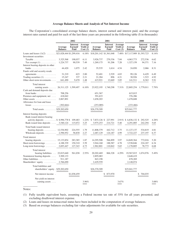# **Average Balance Sheets and Analysis of Net Interest Income**

The Corporation's consolidated average balance sheets, interest earned and interest paid, and the average interest rates earned and paid for each of the last three years are presented in the following table (\$ in thousands):

|                                                                                                 |                           | 2002                               |                                       | 2001                           |                                    |                                       | 2000                               |                                    |                                       |  |
|-------------------------------------------------------------------------------------------------|---------------------------|------------------------------------|---------------------------------------|--------------------------------|------------------------------------|---------------------------------------|------------------------------------|------------------------------------|---------------------------------------|--|
|                                                                                                 | Average<br><b>Balance</b> | <b>Interest</b><br>Earned/<br>Paid | Average<br><b>Yield or</b><br>Cost(3) | Average<br><b>Balance</b>      | <b>Interest</b><br>Earned/<br>Paid | Average<br><b>Yield or</b><br>Cost(3) | Average<br><b>Balance</b>          | <b>Interest</b><br>Earned/<br>Paid | Average<br><b>Yield or</b><br>Cost(3) |  |
| Loans and leases $(1)(2)$ \$21,028,444 \$1,299,416<br>Investment securities:                    |                           |                                    |                                       | 6.18% \$18,201,142 \$1,361,048 |                                    |                                       | 7.48% \$17,117,909 \$1,393,723     |                                    | 8.14%                                 |  |
| Tax exempt $(1)$                                                                                | 3,325,568<br>1,224,737    | 198,037<br>90,539                  | 6.11<br>7.49                          | 3,926,737<br>1,269,175         | 270,336<br>91,206                  | 7.04<br>7.28                          | 4,063,773<br>1,327,159             | 272,536<br>94,371                  | 6.62<br>7.16                          |  |
| Interest bearing deposits in other                                                              | 44,420                    | 1.075                              | 2.42                                  | 35,535                         | 1,614                              | 4.54                                  | 24,850                             | 2.066                              | 8.31                                  |  |
| Funds sold and security resale<br>agreements $\dots\dots\dots\dots\dots\dots$                   | 31,219                    | 623                                | 2.00                                  | 52,401                         | 2,529                              | 4.83                                  | 99,126                             | 6,429                              | 6.49                                  |  |
| Trading securities $(1)$                                                                        | 15,247                    | 337                                | 2.21                                  | 21,284                         | 896                                | 4.21                                  | 30,926                             | 1,523                              | 4.92                                  |  |
| Other short-term investments                                                                    | 641,490                   | 9,470                              | 1.48                                  | 415,921                        | 12,669                             | 3.05                                  | 141,511                            | 8,363                              | 5.91                                  |  |
| Total interest<br>earning assets $26,311,125$ 1,599,497                                         |                           |                                    | 6.10%                                 | 23,922,195                     | 1,740,298                          | 7.31%                                 | 22,805,254                         | 1,779,011                          | 7.79%                                 |  |
| Cash and demand deposits due<br>from banks $\dots \dots \dots \dots$                            | 708,256                   |                                    |                                       | 651,367                        |                                    |                                       | 615,015                            |                                    |                                       |  |
| Premises and equipment, net                                                                     | 418,042                   |                                    |                                       | 391,633                        |                                    |                                       | 376,286                            |                                    |                                       |  |
| Other assets<br>Allowance for loan and lease                                                    | 2,067,891                 |                                    |                                       | 1,658,203                      |                                    |                                       | 1,478,688                          |                                    |                                       |  |
| $losses$                                                                                        | (302, 664)                |                                    |                                       | (253,089)                      |                                    |                                       | (233, 466)                         |                                    |                                       |  |
| Total assets \$29,202,650                                                                       |                           |                                    |                                       | \$26,370,309                   |                                    |                                       | \$25,041,777                       |                                    |                                       |  |
| Interest bearing deposits:<br>Bank issued interest bearing                                      |                           |                                    |                                       |                                |                                    |                                       |                                    |                                    |                                       |  |
| activity deposits $\dots \dots$ \$ 8,996,778 \$<br>Bank issued time deposits $\ldots$ 3,540,124 |                           | 109,483<br>115,072                 | 1.22%<br>3.25                         | $$7,833,126$ \$<br>3,975,253   | 227,991<br>214,721                 | 5.40                                  | 2.91% \$ 6,836,132 \$<br>4,291,005 | 292,525<br>242,294                 | 4.28%<br>5.65                         |  |
| Total bank issued interest                                                                      |                           |                                    |                                       |                                |                                    |                                       |                                    |                                    |                                       |  |
| bearing deposits $\dots \dots \dots \dots 12,536,902$                                           |                           | 224,555                            | 1.79                                  | 11,808,379                     | 442,712                            | 3.75                                  | 11, 127, 137                       | 534,819                            | 4.81                                  |  |
| Wholesale deposits $\ldots$ 2,596,952                                                           |                           | 58,830                             | 2.27                                  | 2,487,129                      | 124,187                            | 4.99                                  | 3,722,227                          | 237,197                            | 6.37                                  |  |
| Total interest                                                                                  |                           |                                    |                                       |                                |                                    |                                       |                                    |                                    |                                       |  |
| bearing deposits $\dots \dots \dots \dots \dots 15,133,854$                                     |                           | 283,385                            | 1.87                                  | 14,295,508                     | 566,899                            | 3.97                                  | 14,849,364                         | 772,016                            | 5.20                                  |  |
| Short-term borrowings $\dots\dots\dots$                                                         | 4,188,339                 | 150,310                            | 3.59                                  | 3,944,160                      | 188,587                            | 4.78                                  | 3,538,846                          | 224,187                            | 6.34                                  |  |
| Long-term borrowings $\dots\dots\dots$                                                          | 2,693,447                 | 127,343                            | 4.73                                  | 1,962,801                      | 110,842                            | 5.65                                  | 1,178,805                          | 78,773                             | 6.68                                  |  |
| Total interest<br>bearing liabilities $\ldots$ 22,015,640                                       |                           | 561,038                            | 2.55%                                 | 20, 202, 469                   | 866,328                            | 4.29%                                 | 19,567,015                         | 1,074,976                          | 5.49%                                 |  |
| Noninterest bearing deposits $\dots$                                                            | 3,509,133                 |                                    |                                       | 2,895,083                      |                                    |                                       | 2,648,419                          |                                    |                                       |  |
| Other liabilities                                                                               | 911,187                   |                                    |                                       | 843,198                        |                                    |                                       | 678,269                            |                                    |                                       |  |
| Shareholders' equity $\dots\dots\dots$                                                          | 2,766,690                 |                                    |                                       | 2,429,559                      |                                    |                                       | 2,148,074                          |                                    |                                       |  |
| Total liabilities and<br>shareholders' equity . \$29,202,650                                    |                           |                                    |                                       | \$26,370,309                   |                                    |                                       | \$25,041,777                       |                                    |                                       |  |
| Net interest income.                                                                            |                           | \$1,038,459                        |                                       |                                | \$<br>873,970                      |                                       |                                    | \$<br>704,035                      |                                       |  |
| Net yield on interest                                                                           |                           |                                    |                                       |                                |                                    |                                       |                                    |                                    |                                       |  |
| earning assets                                                                                  |                           |                                    | 3.96%                                 |                                |                                    | 3.67%                                 |                                    |                                    | 3.08%                                 |  |

Notes:

(1) Fully taxable equivalent basis, assuming a Federal income tax rate of 35% for all years presented, and excluding disallowed interest expense.

(2) Loans and leases on nonaccrual status have been included in the computation of average balances.

(3) Based on average balances excluding fair value adjustments for available for sale securities.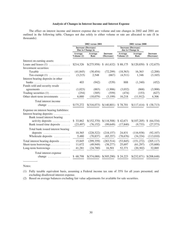# **Analysis of Changes in Interest Income and Interest Expense**

The effect on interest income and interest expense due to volume and rate changes in 2002 and 2001 are outlined in the following table. Changes not due solely to either volume or rate are allocated to rate (\$ in thousands):

|                                          |                         | 2002 versus 2001                               |                               | 2001 versus 2000                               |                           |                               |  |  |
|------------------------------------------|-------------------------|------------------------------------------------|-------------------------------|------------------------------------------------|---------------------------|-------------------------------|--|--|
|                                          |                         | <b>Increase (Decrease)</b><br>Due to Change in |                               | <b>Increase (Decrease)</b><br>due to Change in |                           |                               |  |  |
|                                          | Average<br>Volume $(2)$ | Average<br>Rate                                | <b>Increase</b><br>(Decrease) | Average<br>Volume (2)                          | Average<br>Rate           | <b>Increase</b><br>(Decrease) |  |  |
| Interest on earning assets:              |                         |                                                |                               |                                                |                           |                               |  |  |
| Loans and leases $(1)$                   | \$214,326               |                                                | $$(275,958)$ \$ $(61,632)$    | \$88,175                                       | \$(120,850) \$ (\$32,675) |                               |  |  |
| Investment securities:                   |                         |                                                |                               |                                                |                           |                               |  |  |
| Taxable                                  | (41, 845)               | (30, 454)                                      | (72, 299)                     | (18, 563)                                      | 16,363                    | (2,200)                       |  |  |
| Tax-exempt $(1)$                         | (3,215)                 | 2,548                                          | (667)                         | (4,511)                                        | 1,346                     | (3,165)                       |  |  |
| Interest bearing deposits in other       |                         |                                                |                               |                                                |                           |                               |  |  |
|                                          | 403                     | (942)                                          | (539)                         | 888                                            | (1,340)                   | (452)                         |  |  |
| Funds sold and security resale           |                         |                                                |                               |                                                |                           |                               |  |  |
|                                          | (1,023)                 | (883)                                          | (1,906)                       | (3,032)                                        | (868)                     | (3,900)                       |  |  |
| Trading securities $(1)$                 | (254)                   | (305)                                          | (559)                         | (474)                                          | (153)                     | (627)                         |  |  |
| Other short-term investments             | 6,880                   | (10,079)                                       | (3,199)                       | 16,218                                         | (11, 912)                 | 4,306                         |  |  |
| Total interest income                    |                         |                                                |                               |                                                |                           |                               |  |  |
| change $\dots\dots\dots\dots\dots$       | \$175,272               | \$(316,073)                                    | \$(140,801)                   | \$78,701                                       | \$(117,414)               | \$ (38,713)                   |  |  |
|                                          |                         |                                                |                               |                                                |                           |                               |  |  |
| Expense on interest bearing liabilities: |                         |                                                |                               |                                                |                           |                               |  |  |
| Interest bearing deposits:               |                         |                                                |                               |                                                |                           |                               |  |  |
| Bank issued interest bearing             |                         |                                                |                               |                                                |                           |                               |  |  |
| activity deposits                        | \$33,862                | \$(152,370)                                    | \$(118,508)                   | \$42,671                                       | \$(107,205)               | (64, 534)<br><sup>\$</sup>    |  |  |
| Bank issued time deposits                | (23, 497)               | (76, 152)                                      | (99, 649)                     | (17, 840)                                      | (9,733)                   | (27, 573)                     |  |  |
| Total bank issued interest bearing       |                         |                                                |                               |                                                |                           |                               |  |  |
| deposits                                 | 10,365                  | (228, 522)                                     | (218, 157)                    | 24,831                                         | (116,938)                 | (92, 107)                     |  |  |
| Wholesale deposits                       | 5,480                   | (70, 837)                                      | (65, 357)                     | (78, 676)                                      | (34, 334)                 | (113,010)                     |  |  |
| Total interest bearing deposits          | 15,845                  | (299, 359)                                     | (283, 514)                    | (53, 845)                                      | (151,272)                 | (205, 117)                    |  |  |
| Short-term borrowings                    | 11,672                  | (49, 949)                                      | (38,277)                      | 25,697                                         | (61, 297)                 | (35,600)                      |  |  |
| Long-term borrowings                     | 41,281                  | (24,780)                                       | 16,501                        | 52,371                                         | (20, 302)                 | 32,069                        |  |  |
| Total interest expense                   |                         |                                                |                               |                                                |                           |                               |  |  |
| change $\dots\dots\dots\dots\dots$       | \$68,798                |                                                | $$(374,088)$ $$(305,290)$     | \$24,223                                       | \$(232,871)               | \$(208,648)                   |  |  |
|                                          |                         |                                                |                               |                                                |                           |                               |  |  |

Notes:

(1) Fully taxable equivalent basis, assuming a Federal income tax rate of 35% for all years presented, and excluding disallowed interest expense.

(2) Based on average balances excluding fair value adjustments for available for sale securities.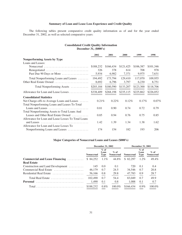# **Summary of Loan and Lease Loss Experience and Credit Quality**

The following tables present comparative credit quality information as of and for the year ended December 31, 2002, as well as selected comparative years:

# **Consolidated Credit Quality Information December 31, (\$000's)**

|                                                       | 2002      | 2001      | <b>2000</b> | 1999      | 1998      |
|-------------------------------------------------------|-----------|-----------|-------------|-----------|-----------|
| Nonperforming Assets by Type                          |           |           |             |           |           |
| Loans and Leases:                                     |           |           |             |           |           |
|                                                       | \$188,232 | \$166,434 | \$121,425   | \$106,387 | \$101,346 |
|                                                       | 326       | 378       | 614         | 708       | 978       |
| Past Due 90 Days or More                              | 5,934     | 6,982     | 7,371       | 9,975     | 7,631     |
| Total Nonperforming Loans and Leases                  | 194,492   | 173,794   | 129,410     | 117,070   | 109,955   |
| Other Real Estate Owned                               | 8,692     | 6,796     | 3,797       | 6,230     | 8,751     |
| Total Nonperforming Assets                            | \$203,184 | \$180,590 | \$133,207   | \$123,300 | \$118,706 |
| Allowance for Loan and Lease Losses                   | \$338,409 | \$268,198 | \$235,115   | \$225,862 | \$226,052 |
| <b>Consolidated Statistics</b>                        |           |           |             |           |           |
| Net Charge-offs to Average Loans and Leases           | 0.21%     | $0.22\%$  | $0.12\%$    | $0.17\%$  | $0.07\%$  |
| Total Nonperforming Loans and Leases To Total         |           |           |             |           |           |
| Loans and Leases                                      | 0.81      | 0.90      | 0.74        | 0.72      | 0.79      |
| Total Nonperforming Assets to Total Loans And         |           |           |             |           |           |
| Leases and Other Real Estate Owned                    | 0.85      | 0.94      | 0.76        | 0.75      | 0.85      |
| Allowance for Loan and Lease Losses To Total Loans    |           |           |             |           |           |
|                                                       | 1.42      | 1.39      | 1.34        | 1.38      | 1.62      |
| Allowance for Loan and Lease Losses To                |           |           |             |           |           |
| Nonperforming Loans and Leases $\dots\dots\dots\dots$ | 174       | 154       | 182         | 193       | 206       |

# **Major Categories of Nonaccrual Loans and Leases (\$000's)**

|                                   | <b>December 31, 2002</b> |                               |                             | <b>December 31, 2001</b> |                               |                       |
|-----------------------------------|--------------------------|-------------------------------|-----------------------------|--------------------------|-------------------------------|-----------------------|
|                                   | <b>Nonaccrual</b>        | $%$ of<br>Loan<br><b>Type</b> | $%$ of<br><b>Nonaccrual</b> | <b>Nonaccrual</b>        | $%$ of<br>Loan<br><b>Type</b> | $\%$ of<br>Nonaccrual |
| Commercial and Lease Financing    | \$ 84,252                | $1.1\%$                       | 44.8%                       | \$ 82,297                | $1.2\%$                       | 49.4%                 |
| <b>Real Estate</b>                |                          |                               |                             |                          |                               |                       |
| Construction and Land Development | 145                      | 0.0                           | 0.1                         | 720                      | 0.1                           | 0.4                   |
| Commercial Real Estate            | 46.179                   | 0.7                           | 24.5                        | 34.546                   | 0.7                           | 20.8                  |
| Residential Real Estate           | 56,166                   | 0.8                           | 29.8                        | 47,783                   | 0.9                           | 28.7                  |
| Total Real Estate                 | 102,490                  | 0.7                           | 54.4                        | 83,049                   | 0.7                           | 49.9                  |
| Personal                          | 1,490                    | 0.1                           | 0.8                         | 1,088                    | 0.1                           | 0.7                   |
|                                   | \$188,232                | $0.8\%$                       | 100.0%                      | \$166,434                | $0.9\%$                       | 100.0%                |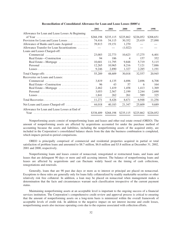|                                                                                       | 2002      | 2001      | 2000      | 1999      | 1998      |
|---------------------------------------------------------------------------------------|-----------|-----------|-----------|-----------|-----------|
| Allowance for Loan and Lease Losses At Beginning                                      |           |           |           |           |           |
| of Year $\dots\dots\dots\dots\dots\dots\dots\dots\dots\dots\dots\dots\dots\dots\dots$ | \$268,198 | \$235,115 | \$225,862 | \$226,052 | \$208,651 |
| Provision for Loan and Lease Losses                                                   | 74,416    | 54,115    | 30,352    | 25,419    | 27,090    |
| Allowance of Banks and Loans Acquired                                                 | 39,813    | 19,151    | 1,270     |           |           |
| Allowance Transfer for Loan Securitizations                                           |           |           | (1,022)   |           |           |
| Loans and Leases Charged-off:                                                         |           |           |           |           |           |
| Commercial                                                                            | 23,003    | 22,773    | 10,623    | 17,275    | 6,401     |
| Real Estate—Construction $\dots\dots\dots\dots\dots\dots$                             | 94        | 186       | 4         | 157       | 352       |
| Real Estate—Mortgage                                                                  | 10,681    | 11,795    | 9.848     | 5,719     | 5,115     |
| Personal                                                                              | 12,265    | 10,965    | 8,216     | 7.121     | 7.886     |
|                                                                                       | 9,246     | 2,890     | 1,327     | 2,285     | 1,191     |
| Total Charge-offs                                                                     | 55,289    | 48,609    | 30,018    | 32,557    | 20,945    |
| Recoveries on Loans and Leases:                                                       |           |           |           |           |           |
| Commercial                                                                            | 3.819     | 4.135     | 4.696     | 2.696     | 6.708     |
| Real Estate—Construction $\dots\dots\dots\dots\dots\dots$                             | 96        | 43        | 57        | 6         | 164       |
| Real Estate—Mortgage $\dots\dots\dots\dots\dots\dots\dots$                            | 2,462     | 1,419     | 1,458     | 1,413     | 1,369     |
| Personal                                                                              | 3,053     | 2,567     | 2,199     | 2,244     | 2,690     |
|                                                                                       | 1,841     | 262       | 261       | 589       | 325       |
|                                                                                       | 11,271    | 8,426     | 8,671     | 6,948     | 11,256    |
| Net Loans and Leases Charged-off                                                      | 44,018    | 40,183    | 21,347    | 25,609    | 9,689     |
| Allowance for Loan and Lease Losses at End of                                         |           |           |           |           |           |
|                                                                                       | \$338,409 | \$268,198 | \$235,115 | \$225,862 | \$226,052 |

## **Reconciliation of Consolidated Allowance for Loan and Lease Losses (\$000's)**

Nonperforming assets consist of nonperforming loans and leases and other real estate owned (OREO). The amount of nonperforming assets are affected by acquisitions accounted for under the purchase method of accounting because the assets and liabilities, including the nonperforming assets of the acquired entity, are included in the Corporation's consolidated balance sheets from the date the business combination is completed, which impacts period-to-period comparisons.

OREO is principally comprised of commercial and residential properties acquired in partial or total satisfaction of problem loans and amounted to \$8.7 million, \$6.8 million and \$3.8 million at December 31, 2002, 2001 and 2000, respectively.

Nonperforming loans and leases consist of nonaccrual, renegotiated or restructured loans, and loans and leases that are delinquent 90 days or more and still accruing interest. The balance of nonperforming loans and leases are affected by acquisitions and can fluctuate widely based on the timing of cash collections, renegotiations and renewals.

Generally, loans that are 90 past due days or more as to interest or principal are placed on nonaccrual. Exceptions to these rules are generally only for loans fully collateralized by readily marketable securities or other relatively risk free collateral. In addition, a loan may be placed on nonaccrual when management makes a determination that the facts and circumstances warrant such classification irrespective of the current payment status.

Maintaining nonperforming assets at an acceptable level is important to the ongoing success of a financial services institution. The Corporation's comprehensive credit review and approval process is critical to ensuring that the amount of nonperforming assets on a long-term basis is minimized within the overall framework of acceptable levels of credit risk. In addition to the negative impact on net interest income and credit losses, nonperforming assets also increase operating costs due to the expense associated with collection efforts.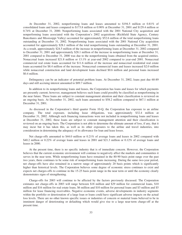At December 31, 2002, nonperforming loans and leases amounted to \$194.5 million or 0.81% of consolidated loans and leases compared to \$173.8 million or 0.90% at December 31, 2001 and \$129.4 million or 0.74% at December 31, 2000. Nonperforming loans associated with the 2001 National City acquisition and nonperforming loans associated with the Corporation's 2002 acquisitions (Richfield State Agency, Century Bancshares and Mississippi Valley) accounted for approximately \$52.6 million of the total nonperforming loans outstanding at December 31, 2002. Nonperforming loans associated with the 2001 National City acquisition accounted for approximately \$28.1 million of the total nonperforming loans outstanding at December 31, 2001. As a result, approximately \$24.5 million of the increase in nonperforming loans at December 31, 2002 compared to December 31, 2001 and approximately \$28.1 million of the increase in nonperforming loans at December 31, 2001 compared to December 31, 2000 was due to the nonperforming loans obtained from the acquired entities. Nonaccrual loans increased \$21.8 million or 13.1% at year-end 2002 compared to year-end 2001. Nonaccrual commercial real estate loans accounted for \$11.6 million of the increase and nonaccrual residential real estate loans accounted for \$8.4 million of the increase. Nonaccrual commercial loans and leases increased \$2.0 million while nonaccrual construction and land development loans declined \$0.6 million and personal loans increased \$0.4 million.

Delinquency can be an indicator of potential problem loans. At December 31, 2002, loans past due 60-89 days and still accruing interest amounted to \$89.7 million.

In addition to its nonperforming loans and leases, the Corporation has loans and leases for which payments are presently current; however, management believes such loans could possibly be classified as nonperforming in the near future. These loans are subject to constant management attention and their classification is reviewed on an ongoing basis. At December 31, 2002, such loans amounted to \$58.2 million compared to \$67.1 million at December 31, 2001.

As discussed in the Corporation's third quarter Form 10-Q, the Corporation has exposure to an airline company. The total exposure, including lease obligations, was approximately \$32.4 million at December 31, 2002. Although such financing transactions were not included in nonperforming loans and leases at December 31, 2002, these loans are subject to constant management attention and their classification is reviewed on an ongoing basis. The Corporation is not able to determine the ultimate amount of loss, if any, that it may incur but it has taken this, as well as its other exposures to the airline and travel industries, into consideration in determining the adequacy of its allowance for loan and lease losses.

Net charge-offs amounted to \$44.0 million or 0.21% of average loans and leases in 2002 compared with \$40.2 million or 0.22% of average loans and leases in 2001 and \$21.3 million or 0.12% of average loans and leases in 2000.

At the present time, there is no specific industry that is of immediate concern. However, the Corporation believes that the current economic environment will continue to negatively affect the markets and communities it serves in the near term. While nonperforming loans have remained in the 80-90 basis point range over the past two years, there continues to be some risk of nonperforming loans increasing. During the same two-year period, net charge-offs have also remained in a narrow range of approximately 20 basis points which is significantly higher than historical levels. The Corporation believes some degree of economic stress continues to exist and expects net charges-offs to continue in the 15-25 basis point range in the near term or until the economy clearly demonstrates signs of strengthening.

Charge-offs for 2003 will continue to be affected by the factors previously discussed. The Corporation estimates net charge-offs in 2003 will range between \$18 million and \$29 million for commercial loans, \$10 million and \$16 million for real estate loans, \$6 million and \$10 million for personal loans and \$3 million and \$5 million for lease financing receivables. Negative economic events, adverse developments in industry segments within the portfolio or deterioration of a large loan or loans could have significant adverse impacts on the actual loss levels. There are no other known specific issues or industries of concern or material loans believed to be in imminent danger of deteriorating or defaulting which would give rise to a large near-term charge-off at the present time.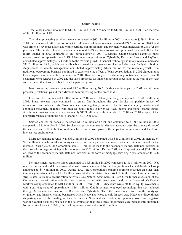#### **Other Income**

Total other income amounted to \$1,082.7 million in 2002 compared to \$1,001.3 million in 2001, an increase of \$81.4 million or 8.1%.

Total data processing services revenue amounted to \$601.5 million in 2002 compared to \$559.8 million in 2001, an increase of \$41.7 million or 7.4%. e-Finance solutions revenue increased \$24.5 million or 20.4% and was driven by revenues associated with electronic bill presentment and payment which increased 68.2% over the prior year. The number of active customers increased 110% and total transactions processed increased 98% in the fourth quarter of 2002 compared to the fourth quarter of 2001. Electronic banking revenue exhibited more modest growth of approximately 3.5%. Metavante's acquisitions of Cyberbills, Derivion, Brokat and PayTrust contributed approximately \$15.1 million to the revenue growth. Financial technology solutions revenue increased \$21.2 million or 4.9%, which was attributable to wealth management services and electronic funds distribution. Acquisitions in wealth management contributed approximately \$14.9 million to the revenue growth. The traditional outsourcing business continued to experience the effects of bank consolidations in 2002 although to a lesser degree than the effects experienced in 2001. However, long-term outsourcing contracts with more than 30 customers were renewed in 2002 and the sales prospects for financial account processing at the end of the year were stronger than those exhibited over the past two years.

Item processing revenue decreased \$8.6 million during 2002. During the latter part of 2001, certain item processing relationships and four Midwest item processing centers were sold.

Fees from trust services of \$120.6 million in 2002 were relatively unchanged compared to \$120.8 million in 2001. Trust revenues have continued to remain flat throughout the year despite the positive impact of acquisitions and sales efforts. Trust revenue was negatively impacted by the volatile equity markets and continued movement of funds from high fee equity funds to lower fee fixed income and money market funds. Assets under management were approximately \$12.9 billion at both December 31, 2002 and 2001 in spite of the poor performance of both the S&P 500 and NASDAQ in 2002.

Service charges on deposits increased \$14.8 million or 17.2% and amounted to \$100.8 million in 2002 compared to \$86.0 million in 2001. Service charges on commercial demand accounts were the primary driver of the increase and reflect the Corporation's focus on deposit growth, the impact of acquisitions and the lower interest rate environment.

Mortgage banking revenue was \$55.2 million in 2002 compared with \$46.2 million in 2001, an increase of \$9.0 million. Gains from sales of mortgages to the secondary market and mortgage-related fees accounted for the increase. During 2002, the Corporation sold \$3.1 billion of loans to the secondary market. Retained interests in the form of mortgage servicing rights amounted to \$3.2 million. During 2001, the Corporation sold \$2.4 billion of loans to the secondary market. Retained interests in the form of mortgage servicing rights amounted to \$2.8 million.

Net investment securities losses amounted to \$6.3 million in 2002 compared to \$6.8 million in 2001. Net realized and unrealized losses associated with investments held by the Corporation's Capital Markets Group amounted to \$4.7 million in 2002. During 2002, the Corporation's banking segment recorded an other than temporary impairment loss of \$1.5 million associated with retained interests held in the form of an interest-only strip related to its auto securitization activities. See Note 9, Asset Sales, in Item 8 for further discussion of the Corporation's securitization activities. Net gains associated with investments held by the Corporation's Capital Markets Group amounted to \$10.4 million in 2001. During 2001, Metavante wrote-off three equity investments with a carrying value of approximately \$16.1 million. One investment employed technology that was replaced through Metavante's acquisition of Derivion and Cyberbills. The other investments were in the mortgage origination and Internet lending businesses which Metavante chose to exit. In each case Metavante discontinued its participation in the funding of these businesses. Sustained and continuing operating losses and negative working capital positions resulted in the determination that these three investments were permanently impaired. Net securities losses in 2001 by the banking segment amounted to \$1.1 million.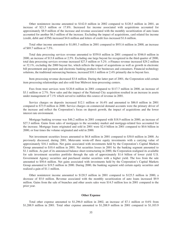Other noninterest income amounted to \$142.0 million in 2002 compared to \$120.5 million in 2001, an increase of \$21.5 million or 17.8%. Increased fee income associated with acquisitions accounted for approximately \$8.9 million of the increase and revenue associated with the monthly securitization of auto loans accounted for another \$6.3 million of the increase. Excluding the impact of acquisitions, card related fee income (credit, debit and ATM) increased \$4.6 million and letters of credit fees increased \$1.6 million.

Total other income amounted to \$1,001.3 million in 2001 compared to \$931.6 million in 2000, an increase of \$69.7 million or 7.5%.

Total data processing services revenue amounted to \$559.8 million in 2001 compared to \$546.0 million in 2000, an increase of \$13.8 million or 2.5%. Excluding one large buyout fee recognized in the third quarter of 2000, total data processing services revenue increased \$27.5 million or 5.2%. e-Finance revenue increased \$29.2 million or 32.1%, excluding the 2000 buyout fee, which reflects the impact of acquisitions as well as growth in electronic bill presentment and payment and electronic banking products for businesses and consumers. Financial technology solutions, the traditional outsourcing business, increased \$10.1 million or 2.4% primarily due to buyout fees.

Item processing revenue decreased \$3.8 million. During the latter part of 2001, the Corporation sold certain item processing relationships and also sold four Midwest item-processing centers.

Fees from trust services were \$120.8 million in 2001 compared to \$117.7 million in 2000, an increase of \$3.1 million or 2.7%. New sales and the impact of the National City acquisition resulted in an increase in assets under management of 7.1% which served to stabilize this source of revenue in 2001.

Service charges on deposits increased \$12.1 million or 16.4% and amounted to \$86.0 million in 2001 compared to \$73.9 million in 2000. Service charges on commercial demand accounts were the primary driver of the increase and reflect the Corporation's focus on deposit growth, the impact of acquisitions and the lower interest rate environment.

Mortgage banking revenue was \$46.2 million in 2001 compared with \$18.9 million in 2000, an increase of \$27.3 million. Gains from sales of mortgages to the secondary market and mortgage-related fees accounted for the increase. Mortgage loans originated and sold in 2001 were \$2.4 billion in 2001 compared to \$0.6 billion in 2000, or four times the volume originated and sold in 2000.

Net investment securities losses amounted to \$6.8 million in 2001 compared to \$30.0 million in 2000. As previously discussed, during 2001, Metavante wrote-off three equity investments with a carrying value of approximately \$16.1 million. Net gains associated with investments held by the Corporation's Capital Markets Group amounted to \$10.4 million in 2001. Net securities losses in 2001 by the banking segment amounted to \$1.1 million. As part of its announced balance sheet restructuring in 2000, the Corporation realigned its available for sale investment securities portfolio through the sale of approximately \$1.6 billion of lower yield U.S. Government Agency securities and purchased similar securities with a higher yield. The loss from the sale amounted to \$50.6 million. Net gains associated with investments held by the Corporation's Capital Markets Group amounted to \$19.5 million in 2000. During 2000, the banking segment sold certain equity securities and realized a gain of \$1.1 million.

Other noninterest income amounted to \$120.5 million in 2001 compared to \$125.5 million in 2000, a decrease of \$5.0 million. Revenue associated with the monthly securitization of auto loans increased \$9.9 million. Gains from the sale of branches and other assets sales were \$14.5 million less in 2001 compared to the prior year.

# **Other Expense**

Total other expense amounted to \$1,296.0 million in 2002, an increase of \$7.1 million or 0.6% from \$1,288.9 million in 2001. Total other expense amounted to \$1,288.9 million in 2001 compared to \$1,103.9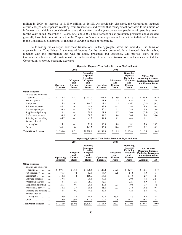million in 2000, an increase of \$185.0 million or 16.8%. As previously discussed, the Corporation incurred certain charges and expenses resulting from transactions and events that management considers to be unique or infrequent and which are considered to have a direct affect on the year-to-year comparability of operating results for the years ended December 31, 2002, 2001 and 2000. These transactions as previously presented and discussed generally have their greatest impact on the Corporation's operating expenses and impact the individual line items in the Consolidated Statements of Income to varying degrees of magnitude.

The following tables depict how these transactions, in the aggregate, affect the individual line items of expense in the Consolidated Statements of Income for the periods presented. It is intended that this table, together with the information that was previously presented and discussed, will provide users of the Corporation's financial information with an understanding of how these transactions and events affected the Corporation's reported operating expenses.

|                                                  | <b>Operating Expenses Year Ended December 31, (\$ millions)</b> |              |              |                 |              |              |                                     |                                                                                                |                  |                                     |                                                                                         |                                                                                               |  |
|--------------------------------------------------|-----------------------------------------------------------------|--------------|--------------|-----------------|--------------|--------------|-------------------------------------|------------------------------------------------------------------------------------------------|------------------|-------------------------------------|-----------------------------------------------------------------------------------------|-----------------------------------------------------------------------------------------------|--|
|                                                  |                                                                 | 2002         |              |                 | 2001         |              |                                     |                                                                                                |                  |                                     |                                                                                         |                                                                                               |  |
|                                                  |                                                                 | Operating    |              |                 |              |              | <b>Infrequent</b><br>and<br>Unusual | Operating<br><b>Expenses</b><br><b>Excluding</b><br><b>Infrequent</b><br>and<br><b>Unusual</b> | <b>Operating</b> | <b>Infrequent</b><br>and<br>Unusual | Operating<br><b>Expenses</b><br><b>Excluding</b><br>Infrequent<br>and<br><b>Unusual</b> | 2002 vs 2001<br><b>Operating Expenses</b><br><b>Excluding Infrequent</b><br>and Unusual Items |  |
|                                                  | <b>Expenses</b>                                                 | <b>Items</b> | <b>Items</b> | <b>Expenses</b> | <b>Items</b> | <b>Items</b> | <b>Amount</b>                       | Pct                                                                                            |                  |                                     |                                                                                         |                                                                                               |  |
| <b>Other Expense:</b>                            |                                                                 |              |              |                 |              |              |                                     |                                                                                                |                  |                                     |                                                                                         |                                                                                               |  |
| Salaries and employee                            |                                                                 |              |              |                 |              |              |                                     |                                                                                                |                  |                                     |                                                                                         |                                                                                               |  |
| benefits $\ldots \ldots \ldots \ldots$           | \$745.5                                                         | \$4.1        | 741.4<br>\$. | 695.4<br>\$     | \$16.9       | 678.5<br>\$  | \$62.9                              | 9.3%                                                                                           |                  |                                     |                                                                                         |                                                                                               |  |
| Net occupancy $\dots \dots$                      | 74.7                                                            | 1.7          | 73.0         | 71.3            | 7.5          | 63.8         | 9.2                                 | 14.4                                                                                           |                  |                                     |                                                                                         |                                                                                               |  |
| Equipment                                        | 116.8                                                           | 0.5          | 116.3        | 118.2           | 1.5          | 116.7        | (0.4)                               | (0.3)                                                                                          |                  |                                     |                                                                                         |                                                                                               |  |
| Software expenses                                | 44.2                                                            | 0.1          | 44.1         | 39.8            |              | 39.8         | 4.3                                 | 10.8                                                                                           |                  |                                     |                                                                                         |                                                                                               |  |
| Processing charges                               | 39.3                                                            |              | 39.3         | 40.1            | 2.1          | 38.0         | 1.3                                 | 3.4                                                                                            |                  |                                     |                                                                                         |                                                                                               |  |
| Supplies and printing $\dots$                    | 20.1                                                            |              | 20.1         | 21.3            | 0.7          | 20.6         | (0.5)                               | (2.4)                                                                                          |                  |                                     |                                                                                         |                                                                                               |  |
| Professional services                            | 38.5                                                            | 0.3          | 38.2         | 34.2            | 3.4          | 30.8         | 7.4                                 | 24.0                                                                                           |                  |                                     |                                                                                         |                                                                                               |  |
| Shipping and handling $\dots$<br>Amortization of | 45.7                                                            |              | 45.7         | 44.8            | 0.2          | 44.6         | 1.1                                 | 2.5                                                                                            |                  |                                     |                                                                                         |                                                                                               |  |
| $intangles$                                      | 25.1                                                            |              | 25.1         | 36.9            | 18.8         | 18.1         | 7.0                                 | 38.7                                                                                           |                  |                                     |                                                                                         |                                                                                               |  |
| Other                                            | 146.1                                                           | 0.4          | 145.7        | 186.9           | 59.4         | 127.5        | 18.2                                | 14.3                                                                                           |                  |                                     |                                                                                         |                                                                                               |  |
| Total Other Expense                              | \$1,296.0                                                       | \$7.1        | \$1,288.9    | \$1,288.9       | \$110.5      | \$1,178.4    | \$110.5                             | 9.4%                                                                                           |                  |                                     |                                                                                         |                                                                                               |  |

|                                       |                 | 2001         |              |                 | 2000             |              |                              |                                                                                         |                  |                                     |                                                                                         |                                                                                               |  |
|---------------------------------------|-----------------|--------------|--------------|-----------------|------------------|--------------|------------------------------|-----------------------------------------------------------------------------------------|------------------|-------------------------------------|-----------------------------------------------------------------------------------------|-----------------------------------------------------------------------------------------------|--|
|                                       |                 |              |              |                 | <b>Operating</b> |              | Infrequent<br>and<br>Unusual | Operating<br><b>Expenses</b><br><b>Excluding</b><br><b>Infrequent</b><br>and<br>Unusual | <b>Operating</b> | Infrequent<br>and<br><b>Unusual</b> | Operating<br><b>Expenses</b><br>Excluding<br><b>Infrequent</b><br>and<br><b>Unusual</b> | 2001 vs 2000<br><b>Operating Expenses</b><br><b>Excluding Infrequent</b><br>and Unusual Items |  |
|                                       | <b>Expenses</b> | <b>Items</b> | <b>Items</b> | <b>Expenses</b> | <b>Items</b>     | <b>Items</b> | Amount                       | Pct                                                                                     |                  |                                     |                                                                                         |                                                                                               |  |
| <b>Other Expense:</b>                 |                 |              |              |                 |                  |              |                              |                                                                                         |                  |                                     |                                                                                         |                                                                                               |  |
| Salaries and employee                 |                 |              |              |                 |                  |              |                              |                                                                                         |                  |                                     |                                                                                         |                                                                                               |  |
| benefits $\dots\dots\dots\dots\dots$  | 695.4<br>S.     | \$16.9       | 678.5<br>S.  | 628.2<br>S.     | \$0.8            | 627.4<br>S.  | \$51.1                       | 8.1%                                                                                    |                  |                                     |                                                                                         |                                                                                               |  |
| Net occupancy $\dots \dots$           | 71.3            | 7.5          | 63.8         | 54.9            | 0.1              | 54.8         | 9.0                          | 16.4                                                                                    |                  |                                     |                                                                                         |                                                                                               |  |
| Equipment $\dots\dots\dots\dots\dots$ | 118.2           | 1.5          | 116.7        | 114.0           |                  | 114.0        | 2.7                          | 2.4                                                                                     |                  |                                     |                                                                                         |                                                                                               |  |
| Software expenses                     | 39.8            |              | 39.8         | 30.0            |                  | 30.0         | 9.8                          | 32.7                                                                                    |                  |                                     |                                                                                         |                                                                                               |  |
| Processing charges $\dots$            | 40.1            | 2.1          | 38.0         | 32.1            |                  | 32.1         | 5.9                          | 18.4                                                                                    |                  |                                     |                                                                                         |                                                                                               |  |
| Supplies and printing $\dots$ .       | 21.3            | 0.7          | 20.6         | 20.8            | 0.9              | 19.9         | 0.7                          | 3.5                                                                                     |                  |                                     |                                                                                         |                                                                                               |  |
| Professional services                 | 34.2            | 3.4          | 30.8         | 41.0            | 7.0              | 34.0         | (3.2)                        | (9.4)                                                                                   |                  |                                     |                                                                                         |                                                                                               |  |
| Shipping and handling $\dots$         | 44.8            | 0.2          | 44.6         | 42.0            |                  | 42.0         | 2.6                          | 6.2                                                                                     |                  |                                     |                                                                                         |                                                                                               |  |
| Amortization of                       |                 |              |              |                 |                  |              |                              |                                                                                         |                  |                                     |                                                                                         |                                                                                               |  |
| intangibles                           | 36.9            | 18.8         | 18.1         | 30.9            | 16.4             | 14.5         | 3.6                          | 24.8                                                                                    |                  |                                     |                                                                                         |                                                                                               |  |
| Other                                 | 186.9           | 59.4         | 127.5        | 110.0           | 7.8              | 102.2        | 25.3                         | 24.8                                                                                    |                  |                                     |                                                                                         |                                                                                               |  |
| Total Other Expense                   | \$1,288.9       | \$110.5      | \$1,178.4    | \$1,103.9       | \$33.0           | \$1,070.9    | \$107.5                      | 10.0%                                                                                   |                  |                                     |                                                                                         |                                                                                               |  |

**Operating Expenses Year Ended December 31, (\$ millions)**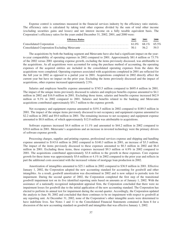Expense control is sometimes measured in the financial services industry by the efficiency ratio statistic. The efficiency ratio is calculated by taking total other expense divided by the sum of total other income (excluding securities gains and losses) and net interest income on a fully taxable equivalent basis. The Corporation's efficiency ratios for the years ended December 31, 2002, 2001, and 2000 were:

| <b>Efficiency Ratios</b> | 2002 | 2001 | <b>2000</b> |
|--------------------------|------|------|-------------|
|                          |      |      |             |
|                          |      |      |             |

The acquisitions by both the banking segment and Metavante have also had a significant impact on the yearto-year comparability of operating expenses in 2002 compared to 2001. Approximately \$81.4 million or 73.7% of the 2002 versus 2001 operating expense growth, excluding the items previously discussed, was attributable to the acquisitions. As all acquisitions were accounted for using the purchase method of accounting, the operating expenses of the acquired entities are included in the consolidated operating expenses from the dates the acquisitions were completed. Operating expenses associated with acquisitions completed in 2001 are reflected for the full year in 2002 as opposed to a partial year in 2001. Acquisitions completed in 2002 directly affect the current year but have no impact on the prior year. Excluding the items previously discussed and the impact of acquisitions, other expense increased approximately 2.5%.

Salaries and employee benefits expense amounted to \$745.5 million compared to \$695.4 million in 2001. The impact of the unique items previously discussed to salaries and employee benefits expense amounted to \$4.1 million in 2002 and \$16.9 million in 2001. Excluding those items, salaries and benefits expense increased \$62.9 million or 9.3% in 2002 compared to 2001. Salaries and benefits related to the banking and Metavante acquisitions contributed approximately \$51.7 million to the expense growth.

Net occupancy and equipment expense amounted to \$191.5 million in 2002 compared to \$189.5 million in 2001. The impact of the unique items previously discussed to net occupancy and equipment expense amounted to \$2.2 million in 2002 and \$9.0 million in 2001. The remaining increase to net occupancy and equipment expense amounted to \$8.8 million, of which approximately \$12.0 million was attributable to acquisitions.

Software expenses increased \$4.4 million or 11.1% and amounted to \$44.2 million in 2002 compared to \$39.8 million in 2001. Metavante's acquisitions and an increase in invested technology were the primary drivers of software expense growth.

Processing charges, supplies and printing expense, professional services expense and shipping and handling expense amounted to \$143.6 million in 2002 compared to \$140.3 million in 2001, an increase of \$3.3 million. The impact of the items previously discussed to these expenses amounted to \$0.3 million in 2002 and \$6.4 million in 2001. Excluding those items, these expenses increased \$9.3 million or 6.9% in 2002 compared to 2001. The acquisitions contributed approximately \$3.8 million to the growth in these expenses. Core expense growth for these items was approximately \$5.6 million or 4.1% in 2002 compared to the prior year and reflects in part the additional costs associated with the increased volume of mortgage loan production in 2002.

Amortization of intangibles amounted to \$25.1 million in 2002 compared to \$36.9 million in 2001. Effective January 1, 2002, the Corporation adopted the new accounting standard for accounting for goodwill and other intangibles. As a result, goodwill amortization was discontinued in 2002 and is now subject to periodic tests for impairment. During the second quarter of 2002, the Corporation completed the first step of the transitional goodwill impairment test on its five identified reporting units based on amounts as of January 1, 2002. With the assistance of a nationally recognized independent appraisal firm, the Corporation concluded that there were no impairment losses for goodwill due to the initial application of the new accounting standard. The Corporation has elected to perform its annual test for impairment during the second quarter. Accordingly, the Corporation updated the analysis to June 30, 2002 and concluded that there continues to be no impairment with respect to goodwill at any reporting unit. At December 31, 2002, none of the Corporation's other intangible assets were determined to have indefinite lives. See Notes 1 and 11 to the Consolidated Financial Statements contained in Item 8 for a discussion of the new accounting standard on goodwill and intangibles that was effective January 1, 2002.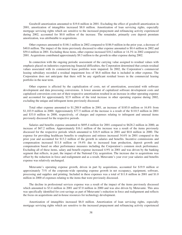Goodwill amortization amounted to \$19.8 million in 2001. Excluding the effect of goodwill amortization in 2001, amortization of intangibles increased \$8.0 million. Amortization of loan servicing rights, especially mortgage servicing rights which are sensitive to the increased prepayment and refinancing activity experienced during 2002, accounted for \$0.8 million of the increase. The remainder, primarily core deposit premium amortization, was attributable to acquisitions.

Other expenses amounted to \$146.1 million in 2002 compared to \$186.9 million in the prior year, a decrease of \$40.8 million. The impact of the items previously discussed to other expense amounted to \$0.4 million in 2002 and \$59.4 million in 2001. Excluding those items, other expense increased \$18.2 million or 14.3% in 2002 compared to 2001. Acquisitions contributed approximately \$9.3 million to the growth in other expense during 2002.

In connection with the ongoing periodic assessment of the carrying value assigned to residual values with emphasis placed on industries experiencing financial difficulties, the Corporation determined that certain residual values associated with its commercial lease portfolio were impaired. In 2002, the Corporation's commercial leasing subsidiary recorded a residual impairment loss of \$6.8 million that is included in other expense. The Corporation does not anticipate that there will be any significant residual losses in the commercial leasing portfolio in the near term.

Other expense is affected by the capitalization of costs, net of amortization, associated with software development and data processing conversions. A lower amount of capitalized software development costs and capitalized conversion costs net of their respective amortization resulted in an increase in other operating expense and accounted for approximately \$2.9 million of the total increase in other operating expense during 2002, excluding the unique and infrequent items previously discussed.

Total other expense amounted to \$1,288.9 million in 2001, an increase of \$185.0 million or 16.8% from \$1,103.9 million in 2000. Approximately \$77.5 million of the increase is a result of the \$110.5 million in 2001 and \$33.0 million in 2000, respectively, of charges and expenses relating to infrequent and unusual items previously discussed for the respective periods.

Salaries and benefits expense amounted to \$695.4 million for 2001 compared to \$628.2 million in 2000, an increase of \$67.2 million. Approximately \$16.1 million of the increase was a result of the items previously discussed for the respective periods which amounted to \$16.9 million in 2001 and \$0.8 million in 2000. The expense for providing healthcare benefits to employees and retirees increased 34.6% in 2001 compared to the prior year and accounted for \$13.2 million of the growth in salaries and benefits. Incentive commissions and compensation increased \$11.8 million or 19.4% due to increased loan production, deposit growth and compensation based on other performance measures including the Corporation's common stock performance. Excluding all of these items, salary and benefit expense increased 4.9% in 2001 and was driven by the banking segment that reflects, in part, the impact of the National City acquisition. The increase due to acquisitions was offset by the reduction in force and realignment and as a result, Metavante's year over year salaries and benefits expense was relatively unchanged.

Metavante's operating expense growth, driven in part by acquisitions, accounted for \$19.9 million or approximately 71% of the corporate-wide operating expense growth in net occupancy, equipment, software, processing and supplies and printing. Included in these expenses was a total of \$11.8 million in 2001 and \$1.0 million in 2000 of expenses relating to the items that were previously discussed.

The decline in professional services expense was a result of the impact of the items previously discussed which amounted to \$3.4 million in 2001 and \$7.0 million in 2000 and was also driven by Metavante. This area was specifically identified for cost-savings as part of Metavante's reduction in force and realignment and reflects the focus on acquisitions and in-house resources for technology development.

Amortization of intangibles increased \$6.0 million. Amortization of loan servicing rights, especially mortgage servicing rights which are sensitive to the increased prepayment and refinancing activity experienced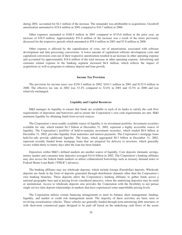during 2001, accounted for \$4.1 million of the increase. The remainder was attributable to acquisitions. Goodwill amortization amounted to \$19.8 million in 2001 compared to \$16.7 million in 2000.

Other expenses amounted to \$186.9 million in 2001 compared to \$110.0 million in the prior year, an increase of \$76.9 million. Approximately \$51.6 million of the increase was a result of the items previously discussed for the respective periods which amounted to \$59.4 million in 2001 and \$7.8 million in 2000.

Other expense is affected by the capitalization of costs, net of amortization, associated with software development and data processing conversions. A lower amount of capitalized software development costs and capitalized conversion costs net of their respective amortization resulted in an increase in other operating expense and accounted for approximately \$18.6 million of the total increase in other operating expense. Advertising and customer related expense in the banking segment increased \$6.8 million, which reflects the impact of acquisitions as well as programs to enhance deposit and loan growth.

# **Income Tax Provision**

The provision for income taxes was \$238.3 million in 2002, \$163.1 million in 2001 and \$152.9 million in 2000. The effective tax rate in 2002 was 33.2% compared to 32.6% in 2001 and 32.5% in 2000 and was relatively unchanged.

### **Liquidity and Capital Resources**

M&I manages its liquidity to ensure that funds are available to each of its banks to satisfy the cash flow requirements of depositors and borrowers and to ensure the Corporation's own cash requirements are met. M&I maintains liquidity by obtaining funds from several sources.

The Corporation's most readily available source of liquidity is its investment portfolio. Investment securities available for sale, which totaled \$4.3 billion at December 31, 2002, represent a highly accessible source of liquidity. The Corporation's portfolio of held-to-maturity investment securities, which totaled \$0.9 billion at December 31, 2002, provides liquidity from maturities and interest payments. The Corporation's mortgage loans held-for-sale provide additional liquidity. The loans, which aggregated \$0.3 billion at December 31, 2002, represent recently funded home mortgage loans that are prepared for delivery to investors, which generally occurs within thirty to ninety days after the loan has been funded.

Depositors within M&I's defined markets are another source of liquidity. Core deposits (demand, savings, money market and consumer time deposits) averaged \$14.6 billion in 2002. The Corporation's banking affiliates may also access the federal funds markets or utilize collateralized borrowings such as treasury demand notes or Federal Home Loan Bank ("FHLB") advances.

The banking affiliates may use wholesale deposits, which include foreign (Eurodollar) deposits. Wholesale deposits are funds in the form of deposits generated through distribution channels other than the Corporation's own banking branches. These deposits allow the Corporation's banking affiliates to gather funds across a national geographic base and at pricing levels considered attractive, where the underlying depositor may be retail or institutional. Access to wholesale deposits also provides the Corporation with the flexibility to not pursue single service time deposit relationships in markets that have experienced some unprofitable pricing levels.

The Corporation utilizes certain financing arrangements to meet its balance sheet management, funding, liquidity, and market or credit risk management needs. The majority of these activities are basic term or revolving securitization vehicles. These vehicles are generally funded through term-amortizing debt structures or with short-term commercial paper designed to be paid off based on the underlying cash flows of the assets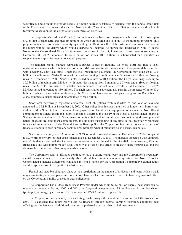securitized. These facilities provide access to funding sources substantially separate from the general credit risk of the Corporation and its subsidiaries. See Note 9 to the Consolidated Financial Statements contained in Item 8 for further discussion of the Corporation's securitization activities.

The Corporation's lead bank ("Bank") has implemented a bank note program which permits it to issue up to \$7.0 billion of short-term and medium-term notes which are offered and sold only to institutional investors. This program is intended to enhance liquidity by enabling the Bank to sell its debt instruments in private markets in the future without the delays which would otherwise be incurred. As shown and discussed in Note 14 in the Notes to the Consolidated Financial Statements contained in Item 8, longer-term bank notes outstanding at December 31, 2002, amounted to \$2.2 billion of which \$0.6 billion is subordinated and qualifies as supplementary capital for regulatory capital purposes.

The national capital markets represent a further source of liquidity for M&I. M&I has filed a shelf registration statement which is intended to permit M&I to raise funds through sales of corporate debt securities with a relatively short lead time. Under the shelf registration statement, the Corporation may issue up to \$0.5 billion of medium-term Series E notes with maturities ranging from 9 months to 30 years and at fixed or floating rates. At December 31, 2002, Series E notes issued amounted to \$0.3 billion. The Corporation may issue up to \$0.5 billion of medium-term MiNotes with maturities ranging from 9 months to 30 years and at fixed or floating rates. The MiNotes are issued in smaller denominations to attract retail investors. At December 31, 2002, MiNotes issued amounted to \$39 million. The shelf registration statement also permits the issuance of up to \$0.5 billion of other debt securities. Additionally, the Corporation has a commercial paper program. At December 31, 2002, commercial paper outstanding amounted to \$0.4 billion.

Short-term borrowings represent contractual debt obligations with maturities of one year or less and amounted to \$6.1 billion at December 31, 2002. Other obligations include maturities of longer-term borrowings as described in Note 14, future minimum lease payments on facilities and equipment as described in Note 10 and commitments to extend credit and letters of credit as described in Note 19 of the Notes to Consolidated Financial Statements contained in Item 8. Since many commitments to extend credit expire without being drawn upon and letters of credit are contingent commitments, the amounts outstanding at any time do not necessarily represent future cash requirements. Under Federal Reserve Board policy, the Corporation is expected to act as a source of financial strength to each subsidiary bank in circumstances when it might not do so absent such policy.

Shareholders' equity was \$3.04 billion or 9.2% of total consolidated assets at December 31, 2002, compared to \$2.49 billion or 9.1% of total consolidated assets at December 31, 2001. The increase associated with earnings, net of dividends paid, and the increase due to common stock issued in the Richfield State Agency, Century Bancshares and Mississippi Valley acquisitions was offset by the effect of treasury share repurchases and the decrease in accumulated other comprehensive income.

The Corporation and its affiliates continue to have a strong capital base and the Corporation's regulatory capital ratios continue to be significantly above the defined minimum regulatory ratios. See Note 15 to the Consolidated Financial Statements contained in Item 8 herein for the Corporation's comparative capital ratios and the capital ratios of its significant subsidiaries.

Federal and state banking laws place certain restrictions on the amount of dividends and loans which a bank may make to its parent company. Such restrictions have not had, and are not expected to have, any material effect on the Corporation's ability to meet its cash obligations.

The Corporation has a Stock Repurchase Program under which up to 12 million shares (post-split) can be repurchased annually. During 2002 and 2001, the Corporation repurchased 5.1 million and 9.4 million shares (post-split) at an aggregate cost of \$159.3 million and \$273.3 million, respectively.

The Corporation has generally financed its growth through the retention of earnings and the issuance of debt. It is expected that future growth can be financed through internal earnings retention, additional debt offerings, or the issuance of additional common or preferred stock or other capital instruments.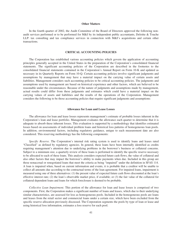#### **Other Matters**

In the fourth quarter of 2002, the Audit Committee of the Board of Directors approved the following nonaudit services performed or to be performed for M&I by its independent public accountants, Deloitte & Touche LLP: tax consulting and tax compliance services in connection with M&I's acquisitions and certain other transactions.

### **CRITICAL ACCOUNTING POLICIES**

The Corporation has established various accounting policies which govern the application of accounting principles generally accepted in the United States in the preparation of the Corporation's consolidated financial statements. The significant accounting policies of the Corporation are described in the footnotes to the consolidated financial statements contained in the Corporation's Annual Report on Form 10-K and updated as necessary in its Quarterly Reports on Form 10-Q. Certain accounting policies involve significant judgments and assumptions by management that may have a material impact on the carrying value of certain assets and liabilities. Management considers such accounting policies to be critical accounting policies. The judgments and assumptions used by management are based on historical experience and other factors, which are believed to be reasonable under the circumstances. Because of the nature of judgments and assumptions made by management, actual results could differ from these judgments and estimates which could have a material impact on the carrying values of assets and liabilities and the results of the operations of the Corporation. Management considers the following to be those accounting policies that require significant judgments and assumptions:

# **Allowance for Loan and Lease Losses**

The allowance for loan and lease losses represents management's estimate of probable losses inherent in the Corporation's loan and lease portfolio. Management evaluates the allowance each quarter to determine that it is adequate to absorb these inherent losses. This evaluation is supported by a methodology that identifies estimated losses based on assessments of individual problem loans and historical loss patterns of homogeneous loan pools. In addition, environmental factors, including regulatory guidance, unique to each measurement date are also considered. This reserving methodology has the following components:

*Specific Reserve.* The Corporation's internal risk rating system is used to identify loans and leases rated "Classified" as defined by regulatory agencies. In general, these loans have been internally identified as credits requiring management's attention due to underlying problems in the borrower's business or collateral concerns. Subject to a minimum size, a quarterly review of these loans is performed to identify the specific reserve necessary to be allocated to each of these loans. This analysis considers expected future cash flows, the value of collateral and also other factors that may impact the borrower's ability to make payments when due. Included in this group are those nonaccrual or renegotiated loans that meet the criteria as being "impaired" under the definition in SFAS 114. A loan is impaired when, based on current information and events, it is probable that a creditor will be unable to collect all amounts due according to the contractual terms of the loan agreement. For impaired loans, impairment is measured using one of three alternatives: (1) the present value of expected future cash flows discounted at the loan's effective interest rate; (2) the loan's observable market price, if available; or (3) the fair value of the collateral for collateral dependent loans and loans for which foreclosure is deemed to be probable.

*Collective Loan Impairment.* This portion of the allowance for loan and lease losses is comprised of two components. First, the Corporation makes a significant number of loans and leases, which due to their underlying similar characteristics, are assessed for loss as homogeneous pools. Included in the homogeneous pools are loans and leases from the retail sector and commercial loans under a certain size, which have been excluded from the specific reserve allocation previously discussed. The Corporation segments the pools by type of loan or lease and using historical loss information, estimates a loss reserve for each pool.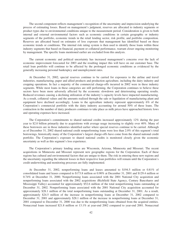The second component reflects management's recognition of the uncertainty and imprecision underlying the process of estimating losses. Based on management's judgment, reserves are allocated to industry segments or product types due to environmental conditions unique to the measurement period. Consideration is given to both internal and external environmental factors such as economic conditions in certain geographic or industry segments of the portfolio, economic trends in the retail lending sector, risk profile, and portfolio composition. Reserves are allocated based on estimates of loss exposure that management has identified based on these economic trends or conditions. The internal risk rating system is then used to identify those loans within these industry segments that based on financial, payment or collateral performance, warrant closer ongoing monitoring by management. The specific loans mentioned earlier are excluded from this analysis.

The current economic and political uncertainty has increased management's concerns over the lack of economic improvement forecasted for 2003 and the resulting impact this will have on our customer base. The retail loan portfolio will continue to be affected by the prolonged economic conditions as evidenced by the generally increasing personal bankruptcy and unemployment rates.

At December 31, 2002, special reserves continue to be carried for exposures to the airline and travel industries, manufacturing, paper and allied products and production agriculture, including the dairy industry and cropping operations. In fact a majority of the commercial charge-offs incurred in 2002 were in these industry segments. While most loans in these categories are still performing, the Corporation continues to believe these sectors have been more adversely affected by the economic slowdown and deteriorating operating results. Reduced revenues causing a declining utilization of the industry's capacity levels have impacted manufacturing. As a result, collateral values and the amounts realized through the sale or liquidation of manufacturing plant and equipment have declined accordingly. Loans to the agriculture industry represent approximately 6% of the Corporation's commercial portfolio with the dairy industry accounting for around 50% of these loans. The contraction in the number of dairy producers continues to take place as milk prices have approached historic lows and operating expenses have increased.

The Corporation's commitments to shared national credits increased approximately 12% during the past year to \$2.0 billion primarily due to acquisitions with average usage increasing to slightly over 40%. Many of these borrowers are in those industries identified earlier where special reserves continue to be carried. Although as of December 31, 2002 shared national credit nonperforming loans were less than 2.0% of this segment's total borrowings, historically many of the Corporation's largest charge-offs have come from the shared national credit portfolio. The Corporation's exposure to shared national credits is monitored closely given the economic uncertainty as well as this segment's loss experience.

The Corporation's primary lending areas are Wisconsin, Arizona, Minnesota and Missouri. The recent acquisitions in Minnesota and Missouri represent new geographic regions for the Corporation. Each of these regions has cultural and environmental factors that are unique to them. The risk in entering these new regions and the uncertainty regarding the inherent losses in their respective loan portfolios will remain until the Corporation's credit underwriting and monitoring processes are fully implemented.

At December 31, 2002, nonperforming loans and leases amounted to \$194.5 million or 0.81% of consolidated loans and leases compared to \$173.8 million or 0.90% at December 31, 2001 and \$129.4 million or 0.74% at December 31, 2000. Nonperforming loans associated with the 2001 National City acquisition and nonperforming loans associated with the 2002 acquisitions (Richfield State Agency, Century Bancshares and Mississippi Valley) accounted for approximately \$52.6 million of the total nonperforming loans outstanding at December 31, 2002. Nonperforming loans associated with the 2001 National City acquisition accounted for approximately \$28.1 million of the total nonperforming loans outstanding at December 31, 2001. As a result, approximately \$24.5 million of the increase in nonperforming loans at December 31, 2002 compared to December 31, 2001 and approximately \$28.1 million of the increase in nonperforming loans at December 31, 2001 compared to December 31, 2000 was due to the nonperforming loans obtained from the acquired entities. Nonaccrual loans increased \$21.8 million or 13.1% at year-end 2002 compared to year-end 2001. Nonaccrual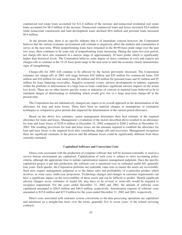commercial real estate loans accounted for \$11.6 million of the increase and nonaccrual residential real estate loans accounted for \$8.4 million of the increase. Nonaccrual commercial loans and leases increased \$2.0 million while nonaccrual construction and land development loans declined \$0.6 million and personal loans increased \$0.4 million.

At the present time, there is no specific industry that is of immediate concern however, the Corporation believes that the current economic environment will continue to negatively affect the markets and communities it serves in the near term. While nonperforming loans have remained in the 80-90 basis point range over the past two years, there continues to be some risk of nonperforming loans increasing. During the same two-year period, net charge-offs have also remained in a narrow range of approximately 20 basis points which is significantly higher than historical levels. The Corporation believes some degree of stress continues to exist and expects net charges-offs to continue in the 15-25 basis point range in the near term or until the economy clearly demonstrates signs of strengthening.

Charge-offs for 2003 will continue to be affected by the factors previously discussed. The Corporation estimates net charge-offs in 2003 will range between \$18 million and \$29 million for commercial loans, \$10 million and \$16 million for real estate loans, \$6 million and \$10 million for personal loans and \$3 million and \$5 million for lease financing receivables. Negative economic events, adverse developments in industry segments within the portfolio or deterioration of a large loan or loans could have significant adverse impacts on the actual loss levels. There are no other known specific issues or industries of concern or material loans believed to be in imminent danger of deteriorating or defaulting which would give rise to a large near-term charge-off at the present time.

The Corporation has not substantively changed any aspect to its overall approach in the determination of the allowance for loan and lease losses. There have been no material changes in assumptions or estimation techniques as compared to prior periods that impacted the determination of the current period allowance.

Based on the above loss estimates, senior management determines their best estimate of the required allowance for loans and leases. Management's evaluation of the factors described above resulted in an allowance for loan and lease losses of \$338.4 million at December 31, 2002 compared to \$268.2 million at December 31, 2001. The resulting provisions for loan and lease losses are the amounts required to establish the allowance for loan and lease losses to the required level after considering charge-offs and recoveries. Management recognizes there are significant estimates in the process and the ultimate losses could be significantly different from those currently estimated.

#### **Capitalized Software and Conversion Costs**

Direct costs associated with the production of computer software that will be licensed externally or used in a service bureau environment are capitalized. Capitalization of such costs is subject to strict accounting policy criteria, although the appropriate time to initiate capitalization requires management judgment. Once the specific capitalized project is put into production, the software cost is amortized over its estimated useful life, generally four years. Each quarter, the Corporation performs net realizable value tests to ensure the assets are recoverable. Such tests require management judgment as to the future sales and profitability of a particular product which involves, in some cases, multi-year projections. Technology changes and changes in customer requirements can have a significant impact on the recoverability of these assets and can be difficult to predict. Should significant adverse changes occur, estimates of useful life may have to be revised or write-offs would be required to recognize impairment. For the years ended December 31, 2002 and 2001, the amount of software costs capitalized amounted to \$56.0 million and \$46.6 million, respectively. Amortization expense of software costs amounted to \$35.6 million and \$37.9 million for the years ended December 31, 2002 and 2001, respectively.

Direct costs associated with customer system conversions to the data processing operations are capitalized and amortized on a straight-line basis over the terms, generally five to seven years, of the related servicing contracts.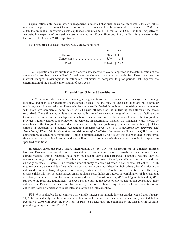Capitalization only occurs when management is satisfied that such costs are recoverable through future operations or penalties (buyout fees) in case of early termination. For the years ended December 31, 2002 and 2001, the amount of conversion costs capitalized amounted to \$10.6 million and \$12.1 million, respectively. Amortization expense of conversion costs amounted to \$17.9 million and \$19.6 million for the years ended December 31, 2002 and 2001, respectively.

Net unamortized costs at December 31, were (\$ in millions):

|                           | 2002 2001 |
|---------------------------|-----------|
| Software  \$138.5 \$111.8 |           |
| Conversions 35.9 43.4     |           |
| Total  \$174.4 \$155.2    |           |
|                           |           |

The Corporation has not substantively changed any aspect to its overall approach in the determination of the amount of costs that are capitalized for software development or conversion activities. There have been no material changes in assumptions or estimation techniques as compared to prior periods that impacted the determination of the periodic amortization of such costs.

### **Financial Asset Sales and Securitizations**

The Corporation utilizes certain financing arrangements to meet its balance sheet management, funding, liquidity, and market or credit risk management needs. The majority of these activities are basic term or revolving securitization vehicles. These vehicles are generally funded through term-amortizing debt structures or with short-term commercial paper designed to be paid off based on the underlying cash flows of the assets securitized. These financing entities are contractually limited to a narrow range of activities that facilitate the transfer of or access to various types of assets or financial instruments. In certain situations, the Corporation provides liquidity and/or loss protection agreements. In determining whether the financing entity should be consolidated, the Corporation considers whether the entity is a qualifying special-purpose entity (QSPE) as defined in Statement of Financial Accounting Standards (SFAS) No. 140, *Accounting for Transfers and Servicing of Financial Assets and Extinguishments of Liabilities.* For non-consolidation, a QSPE must be demonstrably distinct, have significantly limited permitted activities, hold assets that are restricted to transferred financial assets and related assets, and can sell or dispose of non-cash financial assets only in response to specified conditions.

In January 2003, the FASB issued Interpretation No. 46 (FIN 46), **Consolidation of Variable Interest Entities.** This interpretation addresses consolidation by business enterprises of variable interest entities. Under current practice, entities generally have been included in consolidated financial statements because they are controlled through voting interests. This interpretation explains how to identify variable interest entities and how an entity assesses its interests in a variable interest entity to decide whether to consolidate that entity. FIN 46 requires existing unconsolidated variable interest entities to be consolidated by their primary beneficiaries if the entities do not effectively disperse risks among parties involved. Variable interest entities that effectively disperse risks will not be consolidated unless a single party holds an interest or combination of interests that effectively recombines risks that were previously dispersed. Transferors to QSPEs and "grandfathered" QSPEs subject to the reporting requirements of SFAS 140 are outside the scope of FIN 46 and do not consolidate those entities. FIN 46 also requires certain disclosures by the primary beneficiary of a variable interest entity or an entity that holds a significant variable interest in a variable interest entity.

FIN 46 is applicable for all entities with variable interests in variable interest entities created after January 31, 2003 immediately. Public companies with a variable interest in a variable interest entity created before February 1, 2003 will apply the provisions of FIN 46 no later than the beginning of the first interim reporting period beginning after June 15, 2003.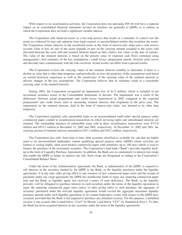With respect to its securitization activities, the Corporation does not anticipate FIN 46 will have a material impact on its consolidated financial statements because its transfers are generally to QSPEs or to entities in which the Corporation does not hold a significant variable interest.

The Corporation sells financial assets, in a two-step process that results in a surrender of control over the assets as evidenced by true-sale opinions from legal counsel, to unconsolidated entities that securitize the assets. The Corporation retains interests in the securitized assets in the form of interest-only strips and a cash reserve account. Gain or loss on sale of the assets depends in part on the carrying amount assigned to the assets sold allocated between the asset sold and retained interests based on their relative fair values at the date of transfer. The value of the retained interests is based on the present value of expected cash flows estimated using management's best estimates of the key assumptions—credit losses, prepayment speeds, forward yield curves and discount rates commensurate with the risks involved. Actual results can differ from expected results.

The Corporation reviews the carrying values of the retained interests monthly to determine if there is a decline in value that is other than temporary and periodically reviews the propriety of the assumptions used based on current historical experience as well as the sensitivities of the carrying value of the retained interests to adverse changes in the key assumptions. The Corporation believes that its estimates result in a reasonable carrying value of the retained interests.

During 2002, the Corporation recognized an impairment loss of \$1.5 million, which is included in net investment securities losses in the Consolidated Statements of Income. The impairment was a result of the differences between actual prepayments and credit losses experienced in 2002 compared to the expected prepayments and credit losses used in measuring retained interests that originated in the prior year. The impairment on the retained interests, held in the form of interest-only strips, was deemed to be other than temporary.

The Corporation regularly sells automobile loans to an unconsolidated multi-seller special purpose entity commercial paper conduit in securitization transactions in which servicing rights and subordinated interests are retained. The outstanding balances of automobile loans sold in these securitization transactions were \$713.8 million and \$433.3 million at December 31, 2002 and 2001, respectively. At December 31, 2002 and 2001, the carrying amount of retained interests amounted to \$43.1 million and \$30.2 million, respectively.

The Corporation also sells, from time to time, debt securities classified as available for sale that are highly rated to an unconsolidated bankruptcy remote qualifying special purpose entity (QSPE) whose activities are limited to issuing highly rated asset-backed commercial paper with maturities up to 180 days which is used to finance the purchase of the investment securities. The Corporation's lead bank ("Bank") provides liquidity backup in the form of Liquidity Purchase Agreements. In addition, the Bank acts as counterparty to interest rate swaps that enable the QSPE to hedge its interest rate risk. Such swaps are designated as trading in the Corporation's Consolidated Balance Sheet.

Under the terms of the Administration Agreement, the Bank, as administrator of the QSPE, is required to sell interests in the securities funded by the QSPE to the Bank, as the liquidity purchaser under the liquidity agreements, if at any time (after giving effect to any issuance of new commercial paper notes and the receipt of payments under any swap agreement) the QSPE has insufficient funds to repay any maturing commercial paper note and the Bank, as liquidity agent, has received a notice of such deficiency. The Bank, as the liquidity provider, will be obligated to purchase interests in such securities under the terms of the liquidity agreement to repay the maturing commercial paper notes unless (i) after giving effect to such purchase, the aggregate of securities purchased under the relevant liquidity agreement would exceed the aggregate maximum liquidity purchase amount under such liquidity agreement or (ii) certain bankruptcy events with respect to the QSPE have occurred; provided that the Bank is not required to purchase any defaulted security. For this purpose, a defaulted security is any security that is rated below "Caa2" by Moody's and below "CCC" by Standard & Poor's. To date, the Bank has never acquired interests in any securities under the terms of the liquidity agreements.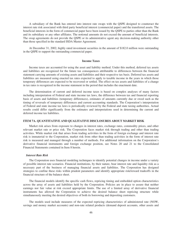A subsidiary of the Bank has entered into interest rate swaps with the QSPE designed to counteract the interest rate risk associated with third party beneficial interest (commercial paper) and the transferred assets. The beneficial interests in the form of commercial paper have been issued by the QSPE to parties other than the Bank and its subsidiary or any other affiliates. The notional amounts do not exceed the amount of beneficial interests. The swap agreements do not provide the QSPE or its administrative agent any decision-making authority other than those specified in the standard ISDA Master Agreement.

At December 31, 2002, highly rated investment securities in the amount of \$182.0 million were outstanding in the QSPE to support the outstanding commercial paper.

#### **Income Taxes**

Income taxes are accounted for using the asset and liability method. Under this method, deferred tax assets and liabilities are recognized for the future tax consequences attributable to differences between the financial statement carrying amounts of existing assets and liabilities and their respective tax basis. Deferred tax assets and liabilities are measured using enacted tax rates expected to apply to taxable income in the years in which those temporary differences are expected to be recovered or settled. The effect on tax assets and liabilities of a change in tax rates is recognized in the income statement in the period that includes the enactment date.

The determination of current and deferred income taxes is based on complex analyses of many factors including interpretation of Federal and state income tax laws, the difference between tax and financial reporting basis of assets and liabilities (temporary differences), estimates of amounts currently due or owed such as the timing of reversals of temporary differences and current accounting standards. The Corporation's interpretation of Federal and state income tax laws is periodically reviewed by the Federal and state taxing authorities. Actual results could differ significantly from the estimates and interpretations used in determining the current and deferred income tax liabilities.

### **ITEM 7A. QUANTITATIVE AND QUALITATIVE DISCLOSURES ABOUT MARKET RISK**

Market risk arises from exposure to changes in interest rates, exchange rates, commodity prices, and other relevant market rate or price risk. The Corporation faces market risk through trading and other than trading activities. While market risk that arises from trading activities in the form of foreign exchange and interest rate risk is immaterial to the Corporation, market risk from other than trading activities in the form of interest rate risk is measured and managed through a number of methods. For additional information on the Corporation's derivative financial instruments and foreign exchange position, see Notes 20 and 21 to the Consolidated Financial Statements contained in Item 8 herein.

### *Interest Rate Risk*

The Corporation uses financial modeling techniques to identify potential changes in income under a variety of possible interest rate scenarios. Financial institutions, by their nature, bear interest rate and liquidity risk as a necessary part of the business of managing financial assets and liabilities. The Corporation has designed strategies to confine these risks within prudent parameters and identify appropriate risk/reward tradeoffs in the financial structure of the balance sheet.

The financial models identify the specific cash flows, repricing timing and embedded option characteristics across the array of assets and liabilities held by the Corporation. Policies are in place to assure that neither earnings nor fair value at risk exceed appropriate limits. The use of a limited array of derivative financial instruments has allowed the Corporation to achieve the desired balance sheet repricing structure while simultaneously meeting the desired objectives of both its borrowing and depositing customers.

The models used include measures of the expected repricing characteristics of administered rate (NOW, savings and money market accounts) and non-rate related products (demand deposit accounts, other assets and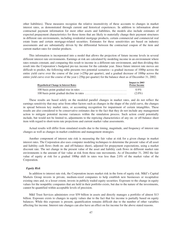other liabilities). These measures recognize the relative insensitivity of these accounts to changes in market interest rates, as demonstrated through current and historical experiences. In addition to information about contractual payment information for most other assets and liabilities, the models also include estimates of expected prepayment characteristics for those items that are likely to materially change their payment structures in different rate environments, including residential mortgage products, certain commercial and commercial real estate loans and certain mortgage-related securities. Estimates for these sensitivities are based on industry assessments and are substantially driven by the differential between the contractual coupon of the item and current market rates for similar products.

This information is incorporated into a model that allows the projection of future income levels in several different interest rate environments. Earnings at risk are calculated by modeling income in an environment where rates remain constant, and comparing this result to income in a different rate environment, and then dividing this result into the Corporation's budgeted pre-tax income for the calendar year. Since future interest rate moves are difficult to predict, the following table presents two potential scenarios—a gradual increase of 100bp across the entire yield curve over the course of the year (+25bp per quarter), and a gradual decrease of 100bp across the entire yield curve over the course of the year (-25bp per quarter) for the balance sheet as of December 31, 2002:

| Impact to 2003<br><b>Hypothetical Change in Interest Rates</b> |           |  |  |
|----------------------------------------------------------------|-----------|--|--|
|                                                                | $0.9\%$   |  |  |
|                                                                | $(2.0\%)$ |  |  |

These results are based solely on the modeled parallel changes in market rates, and do not reflect the earnings sensitivity that may arise from other factors such as changes in the shape of the yield curve, the changes in spread between key market rates, or accounting recognition for impairment of certain intangibles. These results are also considered to be conservative estimates due to the fact that they do not include any management action to mitigate potential income variances within the simulation process. Such action could potentially include, but would not be limited to, adjustments to the repricing characteristics of any on- or off-balance sheet item with regard to short-term rate projections and current market value assessments.

Actual results will differ from simulated results due to the timing, magnitude, and frequency of interest rate changes as well as changes in market conditions and management strategies.

Another component of interest rate risk is measuring the fair value at risk for a given change in market interest rates. The Corporation also uses computer modeling techniques to determine the present value of all asset and liability cash flows (both on- and off-balance sheet), adjusted for prepayment expectations, using a market discount rate. The net change in the present value of the asset and liability cash flows in different market rate environments is the amount of fair value at risk from those rate movements. As of December 31, 2002 the fair value of equity at risk for a gradual 100bp shift in rates was less than 2.0% of the market value of the Corporation.

# *Equity Risk*

In addition to interest rate risk, the Corporation incurs market risk in the form of equity risk. M&I's Capital Markets Group invests in private, medium-sized companies to help establish new businesses or recapitalize existing ones and, to a lesser extent, invests in publicly traded equity securities. Exposure to the change in equity values for the nonpublic companies that are held in their portfolio exists, but due to the nature of the investments, cannot be quantified within acceptable levels of precision.

M&I Trust Services administers over \$59 billion in assets and directly manages a portfolio of almost \$13 billion. Exposure exists to changes in equity values due to the fact that fee income is partially based on equity balances. While this exposure is present, quantification remains difficult due to the number of other variables affecting fee income. Interest rate changes can also have an effect on fee income for the above stated reasons.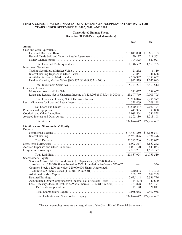# **ITEM 8. CONSOLIDATED FINANCIAL STATEMENTS AND SUPPLEMENTARY DATA FOR YEARS ENDED DECEMBER 31, 2002, 2001, AND 2000**

# **Consolidated Balance Sheets December 31 (\$000's except share data)**

|                                                                            | 2002         | 2001                    |
|----------------------------------------------------------------------------|--------------|-------------------------|
| <b>Assets</b>                                                              |              |                         |
| Cash and Cash Equivalents:                                                 |              |                         |
|                                                                            | \$1,012,090  | $\mathbb{S}$<br>617,183 |
|                                                                            | 30,117       | 119,561                 |
|                                                                            | 104,325      | 827,021                 |
| <b>Investment Securities:</b>                                              | 1,146,532    | 1,563,765               |
|                                                                            | 21,252       | 6,119                   |
|                                                                            | 93,851       | 41.668                  |
|                                                                            | 4,266,372    | 3,383,632               |
| Held to Maturity, Market Value \$993,937 (\$1,049,952 in 2001)             | 942,819      | 1,032,093               |
| Loans and Leases:                                                          | 5,324,294    | 4,463,512               |
|                                                                            | 311,077      | 289,667                 |
| Loans and Leases, Net of Unearned Income of \$124,793 (\$178,734 in 2001). | 23,597,769   | 19,005,705              |
| Total Loans and Leases, Net of Unearned Income                             | 23,908,846   | 19,295,372              |
|                                                                            | 338,409      | 268,198                 |
|                                                                            | 23,570,437   | 19,027,174              |
|                                                                            | 442,395      | 393,030                 |
|                                                                            | 1,088,804    | 586,838                 |
|                                                                            | 1,302,180    | 1,218,168               |
|                                                                            | \$32,874,642 | \$27,252,487            |
| <b>Liabilities and Shareholders' Equity</b><br>Deposits:                   |              |                         |
|                                                                            | \$4,461,880  | \$3,558,571             |
|                                                                            | 15,931,826   | 12,934,476              |
|                                                                            | 20,393,706   | 16,493,047              |
|                                                                            | 6,093,367    | 5,857,242               |
|                                                                            | 1,067,120    | 849,053                 |
|                                                                            | 2,283,781    | 1,560,177               |
| Shareholders' Equity:                                                      | 29,837,974   | 24,759,519              |
| Series A Convertible Preferred Stock, \$1.00 par value, 2,000,000 Shares   |              |                         |
| Authorized; 336,370 Shares Issued in 2001; Liquidation Preference \$33,637 |              | 336                     |
| Common Stock, \$1.00 par value, 320,000,000 Shares Authorized;             |              |                         |
|                                                                            | 240,833      | 117,302                 |
|                                                                            | 569,162      | 698,289                 |
|                                                                            | 2,675,148    | 2,331,776               |
| Accumulated Other Comprehensive Income, Net of Related Taxes               | (44, 427)    | 40,600                  |
| Less: Treasury Stock, at Cost, 14,599,565 Shares (13,352,817 in 2001)      | 381,878      | 673,494                 |
|                                                                            | 22,170       | 21,841                  |
|                                                                            | 3,036,668    | 2,492,968               |
|                                                                            | \$32,874,642 | \$27,252,487            |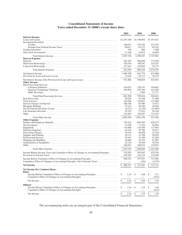| <b>Consolidated Statements of Income</b>            |  |
|-----------------------------------------------------|--|
| Years ended December 31 (\$000's except share data) |  |

|                                                                                                                                                   | 2002               | 2001               | <b>2000</b>        |
|---------------------------------------------------------------------------------------------------------------------------------------------------|--------------------|--------------------|--------------------|
| <b>Interest Income:</b>                                                                                                                           |                    |                    |                    |
| <b>Investment Securities:</b>                                                                                                                     | \$1,297,166        | \$1,358,802        | \$1,391,651        |
|                                                                                                                                                   | 198,037            | 270,336            | 272,536            |
|                                                                                                                                                   | 60,637             | 62,273             | 65,429             |
|                                                                                                                                                   | 328                | 884                | 1,508              |
|                                                                                                                                                   | 11,168             | 16,812             | 16,858             |
|                                                                                                                                                   | 1,567,336          | 1,709,107          | 1,747,982          |
| <b>Interest Expense:</b>                                                                                                                          | 283,385            | 566,899            | 772,016            |
|                                                                                                                                                   | 150,310            | 188,587            | 224,187            |
|                                                                                                                                                   | 127,343            | 110,842            | 78,773             |
|                                                                                                                                                   | 561,038            | 866,328            | 1,074,976          |
|                                                                                                                                                   | 1,006,298          | 842,779            | 673,006            |
|                                                                                                                                                   | 74,416             | 54,115             | 30,352             |
| <b>Other Income:</b>                                                                                                                              | 931,882            | 788,664            | 642,654            |
| Data Processing Services:                                                                                                                         | 144,633            | 120,147            | 104,681            |
|                                                                                                                                                   | 456,865            | 435,700            | 425.589            |
|                                                                                                                                                   | 2                  | 3,969              | 15,771             |
|                                                                                                                                                   | 601,500            | 559,816            | 546,041            |
|                                                                                                                                                   | 39,078             | 47,638             | 51,409             |
|                                                                                                                                                   | 120,586            | 120,827            | 117,680            |
|                                                                                                                                                   | 100,796            | 85,980             | 73,872             |
|                                                                                                                                                   | 55,213             | 46,188             | 18,946             |
|                                                                                                                                                   | (6,271)            | (6,759)            | (29,985)           |
|                                                                                                                                                   | 29,783<br>142,003  | 27,053<br>120,507  | 28,106             |
|                                                                                                                                                   | 1,082,688          | 1,001,250          | 125,525<br>931,594 |
| <b>Other Expense:</b>                                                                                                                             |                    |                    |                    |
|                                                                                                                                                   | 745,518            | 695,405            | 628,215            |
|                                                                                                                                                   | 74,706<br>116,806  | 71,322<br>118,199  | 54,836<br>113,962  |
|                                                                                                                                                   | 44,210             | 39,790             | 30,013             |
|                                                                                                                                                   | 39,316             | 40,058             | 32,104             |
|                                                                                                                                                   | 20,131             | 21,298             | 20,836             |
|                                                                                                                                                   | 38,441             | 34,189             | 41,028             |
|                                                                                                                                                   | 45,669             | 44,792             | 41,965             |
|                                                                                                                                                   | 25,134             | 36,904             | 30,916             |
|                                                                                                                                                   | 146,047            | 186,912            | 110,023            |
|                                                                                                                                                   | 1,295,978          | 1,288,869          | 1,103,898          |
| Income Before Income Taxes and Cumulative Effect of Changes in Accounting Principles                                                              | 718,592<br>238,265 | 501,045<br>163,124 | 470,350<br>152,948 |
| Income Before Cumulative Effect of Changes in Accounting Principles<br>Cumulative Effect of Changes in Accounting Principles, Net of Income Taxes | 480,327            | 337,921<br>(436)   | 317,402<br>(2,279) |
| Net Income                                                                                                                                        | \$480,327          | \$337,485          | \$315,123          |
| <b>Net Income Per Common Share:</b>                                                                                                               |                    |                    |                    |
| <b>Basic:</b><br>Income Before Cumulative Effect of Changes in Accounting Principles                                                              | \$                 | \$                 | \$                 |
| Cumulative Effect of Changes in Accounting Principles                                                                                             | 2.24               | 1.60               | 1.51<br>(0.01)     |
|                                                                                                                                                   | \$<br>2.24         | \$<br>1.60         | \$<br>1.50         |
| Diluted:                                                                                                                                          |                    |                    |                    |
| Income Before Cumulative Effect of Changes in Accounting Principles                                                                               | \$<br>2.16         | \$<br>1.55         | \$<br>1.46         |
| Cumulative Effect of Changes in Accounting Principles                                                                                             |                    |                    | (0.01)             |
|                                                                                                                                                   | \$<br>2.16         | \$<br>1.55         | \$<br>1.45         |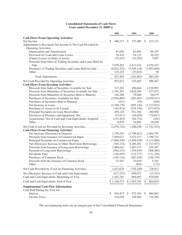# **Consolidated Statements of Cash Flows Years ended December 31 (\$000's)**

|                                                                                                     | 2002          | 2001          | 2000                    |
|-----------------------------------------------------------------------------------------------------|---------------|---------------|-------------------------|
| <b>Cash Flows From Operating Activities:</b>                                                        |               |               |                         |
|                                                                                                     | \$<br>480,327 | 337,485<br>\$ | 315,123<br>$\mathbb{S}$ |
| Adjustments to Reconcile Net Income to Net Cash Provided by                                         |               |               |                         |
| <b>Operating Activities:</b>                                                                        |               |               |                         |
|                                                                                                     | 91,050        | 61,894        | 69,197                  |
| Provision for Loan and Lease Losses                                                                 | 74,416        | 54,115        | 30,352                  |
|                                                                                                     | (75, 147)     | (23,292)      | 7,047                   |
| Proceeds from Sales of Trading Securities and Loans Held for                                        |               |               |                         |
|                                                                                                     | 7,079,263     | 5,412,432     | 4,529,322               |
| Purchases of Trading Securities and Loans Held for Sale                                             | (6,822,322)   | (5,549,128)   | (3,952,604)             |
|                                                                                                     | 110,225       | (57, 823)     | 30                      |
|                                                                                                     | 457,485       | (101, 802)    | 683,344                 |
|                                                                                                     | 937,812       | 235,683       | 998,467                 |
| <b>Cash Flows From Investing Activities:</b>                                                        |               |               |                         |
| Proceeds from Sales of Securities Available for Sale                                                | 317,201       | 196,664       | 1,538,995               |
| Proceeds from Maturities of Securities Available for Sale                                           | 2,181,391     | 1,818,294     | 677,075                 |
| Proceeds from Maturities of Securities Held to Maturity                                             | 144,296       | 79,040        | 58,675                  |
| Purchases of Securities Available for Sale                                                          | (2,936,885)   | (282, 481)    | (2,030,511)             |
| Purchases of Securities Held to Maturity                                                            | (631)         | (55)          | (249)                   |
|                                                                                                     | (2,760,170)   | (695, 130)    | (1,713,032)             |
|                                                                                                     | (182, 874)    | (576, 150)    | (573, 833)              |
| Principal Payments on Lease Receivables                                                             | 456,124       | 761,164       | 360,992                 |
| Purchases of Premises and Equipment, Net                                                            | (52,611)      | (44,620)      | (78, 817)               |
| Acquisitions, Net of Cash and Cash Equivalents Acquired                                             | (153, 443)    | (64, 752)     | (265)                   |
|                                                                                                     | 8,878         | 16,664        | 18,428                  |
| Net Cash (Used in) Provided by Investing Activities<br><b>Cash Flows From Financing Activities:</b> | (2,978,724)   | 1,208,638     | (1,742,542)             |
|                                                                                                     | 1,370,143     | (3,798,822)   | 2,464,793               |
| Proceeds from Issuance of Commercial Paper                                                          | 7,050,671     | 3,472,573     | 3,190,712               |
| Principal Payments on Commercial Paper                                                              | (7,069,509)   | (3,499,459)   | (3,115,064)             |
| Net (Decrease) Increase in Other Short-term Borrowings                                              | (765, 214)    | 2,280,201     | (1,717,077)             |
| Proceeds from Issuance of Long-term Borrowings                                                      | 1,888,623     | 1,487,373     | 536,587                 |
|                                                                                                     | (564, 151)    | (319, 839)    | (368, 469)              |
|                                                                                                     | (136,955)     | (122, 777)    | (111, 379)              |
|                                                                                                     | (165, 116)    | (267, 438)    | (156,319)               |
| Proceeds from the Issuance of Common Stock                                                          | 15,187        | 23,630        | 5,241                   |
|                                                                                                     |               | (691)         | (113)                   |
| Net Cash Provided by (Used in) Financing Activities                                                 | 1,623,679     | (745, 249)    | 728,912                 |
| Net (Decrease) Increase in Cash and Cash Equivalents                                                | (417, 233)    | 699,072       | (15, 163)               |
| Cash and Cash Equivalents, Beginning of Year                                                        | 1,563,765     | 864,693       | 879,856                 |
|                                                                                                     | \$1,146,532   | \$1,563,765   | 864,693<br>$\mathbb{S}$ |
| <b>Supplemental Cash Flow Information:</b>                                                          |               |               |                         |
| Cash Paid During the Year for:                                                                      |               |               |                         |
|                                                                                                     | 564,475<br>\$ | \$<br>972,354 | 984,883<br>\$           |
|                                                                                                     | 216,026       | 148,864       | 116,363                 |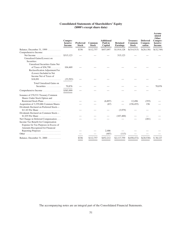| <b>Consolidated Statements of Shareholders' Equity</b> |  |
|--------------------------------------------------------|--|
| (\$000's except share data)                            |  |

|                                                                      | Compre-<br>hensive<br><b>Income</b> | <b>Preferred</b><br><b>Stock</b> | Common<br><b>Stock</b> | <b>Additional</b><br>Paid-in<br>Capital | <b>Retained</b><br><b>Earnings</b> | <b>Treasury</b><br>Common<br><b>Stock</b> | <b>Deferred</b><br>Compen-<br>sation | Accum-<br>ulated<br><b>Other</b><br>Compre-<br>hensive<br>Income |
|----------------------------------------------------------------------|-------------------------------------|----------------------------------|------------------------|-----------------------------------------|------------------------------------|-------------------------------------------|--------------------------------------|------------------------------------------------------------------|
| Balance, December 31, 1999                                           |                                     | \$336                            | \$112,757              | \$457,097                               | \$1,914,128                        | $$$ (314,513)                             | \$(20,130)                           | $$$ (32,749)                                                     |
| Comprehensive Income:                                                |                                     |                                  |                        |                                         |                                    |                                           |                                      |                                                                  |
| Net Income                                                           | \$315,123                           |                                  |                        |                                         | 315,123                            |                                           |                                      |                                                                  |
| Unrealized Gains/(Losses) on                                         |                                     |                                  |                        |                                         |                                    |                                           |                                      |                                                                  |
| Securities:                                                          |                                     |                                  |                        |                                         |                                    |                                           |                                      |                                                                  |
| <b>Unrealized Securities Gains Net</b>                               |                                     |                                  |                        |                                         |                                    |                                           |                                      |                                                                  |
| of Taxes of $$56,790$                                                | 104,469                             |                                  |                        |                                         |                                    |                                           |                                      |                                                                  |
| Reclassification Adjustment For                                      |                                     |                                  |                        |                                         |                                    |                                           |                                      |                                                                  |
| (Losses) Included in Net<br>Income Net of Taxes of                   |                                     |                                  |                        |                                         |                                    |                                           |                                      |                                                                  |
| $$18,091$                                                            | (33,593)                            |                                  |                        |                                         |                                    |                                           |                                      |                                                                  |
|                                                                      |                                     |                                  |                        |                                         |                                    |                                           |                                      |                                                                  |
| <b>Total Unrealized Gains on</b>                                     |                                     |                                  |                        |                                         |                                    |                                           |                                      |                                                                  |
| Securities                                                           | 70,876                              |                                  |                        |                                         |                                    |                                           |                                      | 70,876                                                           |
| Comprehensive Income                                                 | \$385,999                           |                                  |                        |                                         |                                    |                                           |                                      |                                                                  |
| Issuance of 270,531 Treasury Common<br>Shares Under Stock Option and |                                     |                                  |                        |                                         |                                    |                                           |                                      |                                                                  |
| Restricted Stock Plans                                               |                                     |                                  |                        | (6,897)                                 |                                    | 12,496                                    | (355)                                |                                                                  |
| Acquisition of 3,239,686 Common Shares                               |                                     |                                  |                        | (67)                                    |                                    | (156, 455)                                | 156                                  |                                                                  |
| Dividends Declared on Preferred Stock-                               |                                     |                                  |                        |                                         |                                    |                                           |                                      |                                                                  |
| \$11.83 Per Share $\dots\dots\dots\dots\dots\dots$                   |                                     |                                  |                        |                                         | (3,979)                            |                                           |                                      |                                                                  |
| Dividends Declared on Common Stock-                                  |                                     |                                  |                        |                                         |                                    |                                           |                                      |                                                                  |
| \$1.035 Per Share $\dots\dots\dots\dots\dots\dots$                   |                                     |                                  |                        |                                         | (107, 400)                         |                                           |                                      |                                                                  |
| Net Change in Deferred Compensation                                  |                                     |                                  |                        |                                         |                                    |                                           | (201)                                |                                                                  |
| Income Tax Benefit for Compensation                                  |                                     |                                  |                        |                                         |                                    |                                           |                                      |                                                                  |
| Expense for Tax Purposes in Excess of                                |                                     |                                  |                        |                                         |                                    |                                           |                                      |                                                                  |
| Amounts Recognized for Financial                                     |                                     |                                  |                        |                                         |                                    |                                           |                                      |                                                                  |
| Reporting Purposes                                                   |                                     |                                  |                        | 2,486                                   |                                    |                                           |                                      |                                                                  |
|                                                                      |                                     |                                  |                        | (407)                                   | (113)                              |                                           |                                      |                                                                  |
| Balance, December 31, 2000                                           |                                     | \$336                            | \$112.757              | \$452,212                               | \$2,117,759                        | $$$ (458,472)                             | \$(20,530)                           | \$38.127                                                         |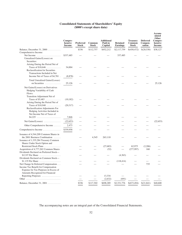| <b>Consolidated Statements of Shareholders' Equity</b> |  |
|--------------------------------------------------------|--|
| (\$000's except share data)                            |  |

|                                                                                                                                                            | Compre-<br>hensive<br><b>Income</b> | <b>Preferred</b><br><b>Stock</b> | Common<br><b>Stock</b> | <b>Additional</b><br>Paid-in<br>Capital | <b>Retained</b><br><b>Earnings</b> | <b>Treasury</b><br>Common<br><b>Stock</b> | <b>Deferred</b><br>Compen-<br>sation | Accum-<br>ulated<br>Other<br>Compre-<br>hensive<br><b>Income</b> |
|------------------------------------------------------------------------------------------------------------------------------------------------------------|-------------------------------------|----------------------------------|------------------------|-----------------------------------------|------------------------------------|-------------------------------------------|--------------------------------------|------------------------------------------------------------------|
| Balance, December 31, 2000<br>Comprehensive Income:                                                                                                        |                                     | \$336                            | \$112,757              | \$452,212                               | \$2,117,759                        | \$(458,472)                               | \$(20,530)                           | \$38,127                                                         |
| Net Income<br>Unrealized Gains/(Losses) on<br>Securities:<br>Arising During the Period Net of                                                              | \$337,485                           |                                  |                        |                                         | 337,485                            |                                           |                                      |                                                                  |
| Taxes of $$18,646$<br><b>Reclassification for Securities</b><br>Transactions Included in Net<br>Income Net of Taxes of \$4,781.                            | 34,004<br>(8,878)                   |                                  |                        |                                         |                                    |                                           |                                      |                                                                  |
|                                                                                                                                                            |                                     |                                  |                        |                                         |                                    |                                           |                                      |                                                                  |
| Total Unrealized Gains/(Losses)<br>on Securities                                                                                                           | 25,126                              |                                  |                        |                                         |                                    |                                           |                                      | 25,126                                                           |
| Net Gains/(Losses) on Derivatives<br>Hedging Variability of Cash<br>Flows:<br>Transition Adjustment Net of                                                 |                                     |                                  |                        |                                         |                                    |                                           |                                      |                                                                  |
| Taxes of $$5,483$                                                                                                                                          | (10, 182)                           |                                  |                        |                                         |                                    |                                           |                                      |                                                                  |
| Arising During the Period Net of<br>Taxes of $$10,940$<br>Reclassification Adjustments For<br>Hedging Activities Included in<br>Net Income Net of Taxes of | (20, 317)                           |                                  |                        |                                         |                                    |                                           |                                      |                                                                  |
| $$4,225$                                                                                                                                                   | 7,846                               |                                  |                        |                                         |                                    |                                           |                                      |                                                                  |
|                                                                                                                                                            |                                     |                                  |                        |                                         |                                    |                                           |                                      |                                                                  |
| Net Gains/(Losses)                                                                                                                                         | (22, 653)                           |                                  |                        |                                         |                                    |                                           |                                      | (22.653)                                                         |
| Other Comprehensive Income                                                                                                                                 | 2,473                               |                                  |                        |                                         |                                    |                                           |                                      |                                                                  |
| Comprehensive Income                                                                                                                                       | \$339,958                           |                                  |                        |                                         |                                    |                                           |                                      |                                                                  |
| Issuance of 4,544,209 Common Shares in<br>the 2001 Business Combination $\dots$<br>Issuance of 1,335,284 Treasury Common<br>Shares Under Stock Option and  |                                     |                                  | 4,545                  | 263,110                                 |                                    |                                           |                                      |                                                                  |
| Restricted Stock Plans                                                                                                                                     |                                     |                                  |                        | (27, 683)                               |                                    | 62,975                                    | (2,206)                              |                                                                  |
| Acquisition of 4,777,262 Common Shares                                                                                                                     |                                     |                                  |                        | (52)                                    |                                    | (277, 997)                                | 160                                  |                                                                  |
| Dividends Declared on Preferred Stock-                                                                                                                     |                                     |                                  |                        |                                         |                                    |                                           |                                      |                                                                  |
| Dividends Declared on Common Stock-                                                                                                                        |                                     |                                  |                        |                                         | (4,363)                            |                                           |                                      |                                                                  |
| \$1.135 Per Share $\dots\dots\dots\dots\dots\dots$                                                                                                         |                                     |                                  |                        |                                         | (118, 414)                         |                                           |                                      |                                                                  |
| Net Change In Deferred Compensation                                                                                                                        |                                     |                                  |                        |                                         |                                    |                                           | 735                                  |                                                                  |
| Income Tax Benefit for Compensation                                                                                                                        |                                     |                                  |                        |                                         |                                    |                                           |                                      |                                                                  |
| Expense for Tax Purposes in Excess of                                                                                                                      |                                     |                                  |                        |                                         |                                    |                                           |                                      |                                                                  |
| Amounts Recognized for Financial                                                                                                                           |                                     |                                  |                        |                                         |                                    |                                           |                                      |                                                                  |
| Reporting Purposes                                                                                                                                         |                                     |                                  |                        | 13,334                                  |                                    |                                           |                                      |                                                                  |
|                                                                                                                                                            |                                     |                                  |                        | (2,632)                                 | (691)                              |                                           |                                      |                                                                  |
| Balance, December 31, 2001                                                                                                                                 |                                     | \$336                            | \$117,302              | \$698,289                               | \$2,331,776                        | \$(673,494)                               | \$(21,841)                           | \$40,600                                                         |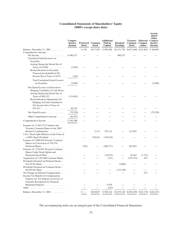# **Consolidated Statements of Shareholders' Equity (\$000's except share data)**

|                                                                                                                                                                                                                                       | Compre-<br>hensive<br><b>Income</b> | <b>Stock</b> | Preferred Common<br><b>Stock</b> | <b>Additional</b><br>Paid-in<br>Capital | <b>Retained</b><br><b>Earnings</b>            | <b>Treasury</b><br>Common Compen-<br><b>Stock</b> | <b>Deferred</b><br>sation | Accum-<br>ulated<br>Other<br>Compre-<br>hensive<br><b>Income</b> |
|---------------------------------------------------------------------------------------------------------------------------------------------------------------------------------------------------------------------------------------|-------------------------------------|--------------|----------------------------------|-----------------------------------------|-----------------------------------------------|---------------------------------------------------|---------------------------|------------------------------------------------------------------|
| Balance, December 31, 2001                                                                                                                                                                                                            |                                     | \$ 336       | \$117,302                        | \$698,289                               | \$2,331,776 \$(673,494) \$(21,841) \$40,600   |                                                   |                           |                                                                  |
| Comprehensive Income:<br>Net Income<br>Unrealized Gains/(Losses) on<br>Securities:                                                                                                                                                    | \$480,327                           |              |                                  |                                         | 480,327                                       |                                                   |                           |                                                                  |
| Arising During the Period Net of<br>Taxes of $$2,850$<br>Reclassification for Securities<br>Transactions Included in Net                                                                                                              | (5,265)                             |              |                                  |                                         |                                               |                                                   |                           |                                                                  |
| Income Net of Taxes of \$233                                                                                                                                                                                                          | (434)                               |              |                                  |                                         |                                               |                                                   |                           |                                                                  |
| Total Unrealized Gains/(Losses)<br>on Securities                                                                                                                                                                                      | (5,699)                             |              |                                  |                                         |                                               |                                                   |                           | (5,699)                                                          |
| Net Gains/(Losses) on Derivatives<br>Hedging Variability of Cash Flows:<br>Arising During the Period Net of<br>Taxes of $$64,325$<br>Reclassification Adjustments For<br>Hedging Activities Included in<br>Net Income Net of Taxes of | (119, 462)                          |              |                                  |                                         |                                               |                                                   |                           |                                                                  |
| $$21,611$                                                                                                                                                                                                                             | 40,134                              |              |                                  |                                         |                                               |                                                   |                           |                                                                  |
| Net Gains/(Losses)                                                                                                                                                                                                                    | (79, 328)                           |              |                                  |                                         |                                               |                                                   |                           | (79, 328)                                                        |
| Other Comprehensive Income                                                                                                                                                                                                            | (85,027)                            |              |                                  |                                         |                                               |                                                   |                           |                                                                  |
| Comprehensive Income                                                                                                                                                                                                                  | \$395,300                           |              |                                  |                                         |                                               |                                                   |                           |                                                                  |
| Issuance of 11,365,723 Common and<br>Treasury Common Shares in the 2002<br>Business Combinations<br>2 for 1 Stock Split Effective in the Form of                                                                                      |                                     |              | 3,115                            | 197,114                                 |                                               | 215,852                                           |                           |                                                                  |
| a $100\%$ Stock Dividend<br>Issuance of 7,688,456 Treasury Common<br>Shares on Conversion of 336,370                                                                                                                                  |                                     |              | 120,416                          | (120, 416)                              |                                               |                                                   |                           |                                                                  |
| Preferred Shares<br>Issuance of 1,334,056 Treasury Common                                                                                                                                                                             |                                     | (336)        |                                  | (200, 717)                              |                                               | 201,053                                           |                           |                                                                  |
| Shares Under Stock Option and<br>Restricted Stock Plans<br>Acquisition of 5,167,660 Common Shares.                                                                                                                                    |                                     |              |                                  | (10,523)<br>(151)                       |                                               | 34,463<br>(159, 752)                              | (1,331)<br>479            |                                                                  |
| Dividends Declared on Preferred Stock-<br>\$14.29 Per Share $\dots\dots\dots\dots\dots\dots\dots$<br>Dividends Declared on Common Stock-                                                                                              |                                     |              |                                  |                                         | (4,806)                                       |                                                   |                           |                                                                  |
| $$0.625$ Per Share<br>Net Change in Deferred Compensation<br>Income Tax Benefit for Compensation<br>Expense for Tax Purposes in Excess of<br>Amounts Recognized for Financial                                                         |                                     |              |                                  |                                         | (132, 149)                                    |                                                   | 523                       |                                                                  |
| Reporting Purposes                                                                                                                                                                                                                    |                                     |              |                                  | 5,976                                   |                                               |                                                   |                           |                                                                  |
|                                                                                                                                                                                                                                       |                                     |              |                                  | (410)                                   |                                               |                                                   |                           |                                                                  |
| Balance, December 31, 2002                                                                                                                                                                                                            |                                     | $s -$        | \$240,833                        | \$569,162                               | \$2,675,148 \$(381,878) \$(22,170) \$(44,427) |                                                   |                           |                                                                  |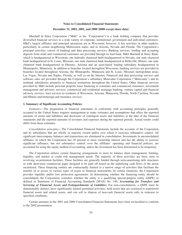#### **Notes to Consolidated Financial Statements**

# **December 31, 2002, 2001, and 2000 (\$000 except share data)**

Marshall & Ilsley Corporation ("M&I" or the "Corporation") is a bank holding company that provides diversified financial services to a wide variety of corporate, institutional, government and individual customers. M&I's largest affiliates and principal operations are in Wisconsin; however, it has activities in other markets, particularly in certain neighboring Midwestern states, and in Arizona, Nevada and Florida. The Corporation's principal activities consist of banking and data processing services. Banking services, lending and accepting deposits from retail and commercial customers are provided through its lead bank, M&I Marshall & Ilsley Bank, which is headquartered in Wisconsin, one federally chartered thrift headquartered in Nevada, one state chartered bank headquartered in St. Louis, Missouri, one state chartered bank headquartered in Belleville, Illinois, one state chartered bank headquartered in Phoenix, Arizona and an asset-based lending subsidiary headquartered in Minneapolis, Minnesota. In addition to branches located throughout Wisconsin, banking services are provided in branches located throughout Arizona, the Minneapolis, Minnesota and St. Louis, Missouri metropolitan areas, Las Vegas, Nevada and Naples, Florida, as well as on the Internet. Financial and data processing services and software sales are provided through the Corporation's subsidiary Metavante Corporation ("Metavante") and its nonbank subsidiaries primarily to financial institutions throughout the United States. Other financial services provided by M&I include personal property lease financing to consumer and commercial customers; investment management and advisory services; commercial and residential mortgage banking; venture capital and financial advisory services; trust services to residents of Wisconsin, Arizona, Minnesota, Florida, North Carolina, Nevada and Illinois and brokerage and insurance services.

#### **1. Summary of Significant Accounting Policies**

*Estimates*—The preparation of financial statements in conformity with accounting principles generally accepted in the United States requires management to make estimates and assumptions that affect the reported amounts of assets and liabilities and disclosure of contingent assets and liabilities at the date of the financial statements and the reported amounts of revenues and expenses during the reported periods. Actual results could differ from those estimates.

*Consolidation principles*—The Consolidated Financial Statements include the accounts of the Corporation and its subsidiaries that are wholly or majority owned and/or over which it exercises substantive control. All significant intercompany balances and transactions are eliminated in consolidation. Investments in unconsolidated affiliates, in which the Corporation has 20 percent or more ownership interest and has the ability to exercise significant influence, but not substantive control, over the affiliates' operating and financial policies, are accounted for using the equity method of accounting, unless the investment has been determined to be temporary.

The Corporation utilizes certain financing arrangements to meet its balance sheet management, funding, liquidity, and market or credit risk management needs. The majority of these activities are basic term or revolving securitization facilities. These facilities are generally funded through term-amortizing debt structures or with short-term commercial paper designed to be paid off based on the underlying cash flows of the assets securitized. These financing entities are contractually limited to a narrow range of activities that facilitate the transfer of or access to various types of assets or financial instruments. In certain situations, the Corporation provides liquidity and/or loss protection agreements. In determining whether the financing entity should be consolidated, the Corporation considers whether the entity is a qualifying special-purpose entity (QSPE) as defined in Statement of Financial Accounting Standards (SFAS) No. 140, *Accounting for Transfers and Servicing of Financial Assets and Extinguishments of Liabilities***.** For non-consolidation, a QSPE must be demonstrably distinct, have significantly limited permitted activities, hold assets that are restricted to transferred financial assets and related assets, and can sell or dispose of non-cash financial assets only in response to specified conditions.

Certain amounts in the 2001 and 2000 Consolidated Financial Statements have been reclassified to conform to the 2002 presentation.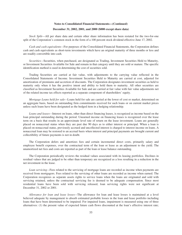# **December 31, 2002, 2001, and 2000 (\$000 except share data)**

*Stock Split*—All per share data and certain other share information has been restated for the two-for-one split of the Corporation's common stock in the form of a 100 percent stock dividend effective June 17, 2002.

*Cash and cash equivalents—*For purposes of the Consolidated Financial Statements, the Corporation defines cash and cash equivalents as short-term investments which have an original maturity of three months or less and are readily convertible into cash.

*Securities—*Securities, when purchased, are designated as Trading, Investment Securities Held to Maturity, or Investment Securities Available for Sale and remain in that category until they are sold or mature. The specific identification method is used in determining the cost of securities sold.

Trading Securities are carried at fair value, with adjustments to the carrying value reflected in the Consolidated Statements of Income. Investment Securities Held to Maturity are carried at cost, adjusted for amortization of premiums and accretion of discounts. The Corporation designates investment securities as held to maturity only when it has the positive intent and ability to hold them to maturity. All other securities are classified as Investment Securities Available for Sale and are carried at fair value with fair value adjustments net of the related income tax effects reported as a separate component of shareholders' equity.

*Mortgage Loans held for sale—*Loans held for sale are carried at the lower of cost or market, determined on an aggregate basis, based on outstanding firm commitments received for such loans or on current market prices unless such loans have been designated as the hedged item in a hedging relationship.

*Loans and leases—*Interest on loans, other than direct financing leases, is recognized as income based on the loan principal outstanding during the period. Unearned income on financing leases is recognized over the lease term on a basis that results in an approximate level rate of return on the lease investment. Loans are generally placed on nonaccrual status when they are past due 90 days as to either interest or principal. When a loan is placed on nonaccrual status, previously accrued and uncollected interest is charged to interest income on loans. A nonaccrual loan may be restored to an accrual basis when interest and principal payments are brought current and collectibility of future payments is not in doubt.

The Corporation defers and amortizes fees and certain incremental direct costs, primarily salary and employee benefit expenses, over the contractual term of the loan or lease as an adjustment to the yield. The unamortized net fees and costs are reported as part of the loan or lease balance outstanding.

The Corporation periodically reviews the residual values associated with its leasing portfolios. Declines in residual values that are judged to be other than temporary are recognized as a loss resulting in a reduction in the net investment in the lease.

*Loan servicing—Fees related to the servicing of mortgage loans are recorded as income when payments are* received from mortgagors. Fees related to the servicing of other loans are recorded as income when earned. The Corporation recognizes as separate assets rights to service loans when the loans are originated and sold with servicing retained, unless the contractual servicing fee is deemed to be adequate compensation. Since most residential loans have been sold with servicing released, loan servicing rights were not significant at December 31, 2002 or 2001.

*Allowance for loan and lease losses—*The allowance for loan and lease losses is maintained at a level believed adequate by management to absorb estimated probable losses in the loan and lease portfolio including loans that have been determined to be impaired. For impaired loans, impairment is measured using one of three alternatives: (1) the present value of expected future cash flows discounted at the loan's effective interest rate;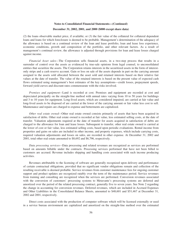# **December 31, 2002, 2001, and 2000 (\$000 except share data)**

(2) the loans observable market price, if available; or (3) the fair value of the collateral for collateral dependent loans and loans for which foreclosure is deemed to be probable. Management's determination of the adequacy of the allowance is based on a continual review of the loan and lease portfolio, loan and lease loss experience, economic conditions, growth and composition of the portfolio, and other relevant factors. As a result of management's continual review, the allowance is adjusted through provisions for loan and lease losses charged against income.

*Financial Asset sales—*The Corporation sells financial assets, in a two-step process that results in a surrender of control over the assets as evidenced by true-sale opinions from legal counsel, to unconsolidated entities that securitize the assets. The Corporation retains interests in the securitized assets in the form of interestonly strips and a cash reserve account. Gain or loss on sale of the assets depends in part on the carrying amount assigned to the assets sold allocated between the asset sold and retained interests based on their relative fair values at the date of transfer. The value of the retained interests is based on the present value of expected cash flows estimated using management's best estimates of the key assumptions—credit losses, prepayment speeds, forward yield curves and discount rates commensurate with the risks involved.

*Premises and equipment—*Land is recorded at cost. Premises and equipment are recorded at cost and depreciated principally on the straight-line method with annual rates varying from 10 to 50 years for buildings and 3 to 10 years for equipment. Long-lived assets, which are considered impaired, are carried at fair value and long-lived assets to be disposed of are carried at the lower of the carrying amount or fair value less cost to sell. Maintenance and repairs are charged to expense and betterments are capitalized.

*Other real estate owned—*Other real estate owned consists primarily of assets that have been acquired in satisfaction of debts. Other real estate owned is recorded at fair value, less estimated selling costs, at the date of transfer. Valuation adjustments required at the date of transfer for assets acquired in satisfaction of debts are charged to the allowance for loan and lease losses. Subsequent to transfer, other real estate owned is carried at the lower of cost or fair value, less estimated selling costs, based upon periodic evaluations. Rental income from properties and gains on sales are included in other income, and property expenses, which include carrying costs, required valuation adjustments and losses on sales, are recorded in other expense. At December 31, 2002 and 2001, total other real estate amounted to \$8,692 and \$6,796, respectively.

*Data processing services—*Data processing and related revenues are recognized as services are performed based on amounts billable under the contracts. Processing services performed that have not been billed to customers are accrued. Revenue includes shipping and handling costs associated with such income producing activities.

Revenues attributable to the licensing of software are generally recognized upon delivery and performance of certain contractual obligations, provided that no significant vendor obligations remain and collection of the resulting receivable is deemed probable. Service revenues from customer maintenance fees for ongoing customer support and product updates are recognized ratably over the term of the maintenance period. Service revenues from training and consulting are recognized when the services are performed. Conversion revenues associated with the conversion of customers' processing systems to Metavante's processing systems are deferred and amortized over the period of the related processing contract, generally five to seven years. See Note 2 regarding the change in accounting for conversion revenues. Deferred revenues, which are included in Accrued Expenses and Other Liabilities in the Consolidated Balance Sheets, amounted to \$48,601 and \$51,467 at December 31, 2002 and 2001, respectively.

Direct costs associated with the production of computer software which will be licensed externally or used in a service bureau environment are capitalized and amortized on the straight-line method over the estimated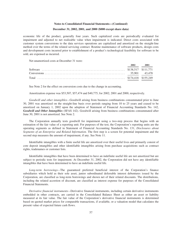# **December 31, 2002, 2001, and 2000 (\$000 except share data)**

economic life of the product, generally four years. Such capitalized costs are periodically evaluated for impairment and adjusted to net realizable value when impairment is indicated. Direct costs associated with customer system conversions to the data services operations are capitalized and amortized on the straight-line method over the terms of the related servicing contract. Routine maintenance of software products, design costs and development costs incurred prior to establishment of a product's technological feasibility for software to be sold, are expensed as incurred.

Net unamortized costs at December 31 were:

| 2002 | 2001 |
|------|------|
|      |      |
|      |      |
|      |      |

See Note 2 for the effect on conversion costs due to the change in accounting.

Amortization expense was \$53,507, \$57,474 and \$40,775, for 2002, 2001 and 2000, respectively.

*Goodwill and other intangibles—*Goodwill arising from business combinations consummated prior to June 30, 2001 was amortized on the straight-line basis over periods ranging from 10 to 25 years and ceased to be amortized on January 1, 2002 upon the adoption of Statement of Financial Accounting Standards No. 142, *Goodwill and Other Intangibles* (SFAS 142). Goodwill arising from business combinations consummated after June 30, 2001 is not amortized. See Note 2.

The Corporation annually tests goodwill for impairment using a two-step process that begins with an estimation of the fair value of a reporting unit. For purposes of the test, the Corporation's reporting units are the operating segments as defined in Statement of Financial Accounting Standards No. 131, *Disclosures about Segments of an Enterprise and Related Information.* The first step is a screen for potential impairment and the second step measures the amount of impairment, if any. See Note 11.

Identifiable intangibles with a finite useful life are amortized over their useful lives and primarily consist of core deposit intangibles and other identifiable intangibles arising from purchase acquisitions such as contract rights, tradenames or customer lists.

Identifiable intangibles that have been determined to have an indefinite useful life are not amortized but are subject to periodic tests for impairment. At December 31, 2002, the Corporation did not have any identifiable intangibles that have been determined to have an indefinite useful life.

*Long-term borrowings—*The guaranteed preferred beneficial interest of the Corporation's finance subsidiaries which hold as their sole asset, junior subordinated deferrable interest debentures issued by the Corporation, are classified as long-term borrowings and shown net of their related discounts. The distributions, including the related accretion of discount, are classified as interest expense for purposes of the Consolidated Financial Statements.

*Derivative financial instruments—*Derivative financial instruments, including certain derivative instruments embedded in other contracts, are carried in the Consolidated Balance Sheet as either an asset or liability measured at its fair value. The fair value of the Corporation's derivative financial instruments is determined based on quoted market prices for comparable transactions, if available, or a valuation model that calculates the present value of expected future cash flows.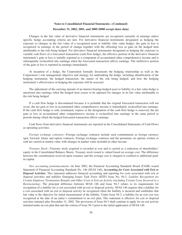# **Notes to Consolidated Financial Statements—(Continued) December 31, 2002, 2001, and 2000 (\$000 except share data)**

Changes in the fair value of derivative financial instruments are recognized currently in earnings unless specific hedge accounting criteria are met. For derivative financial instruments designated as hedging the exposure to changes in the fair value of a recognized asset or liability (fair value hedge), the gain or loss is recognized in earnings in the period of change together with the offsetting loss or gain on the hedged item attributable to the risk being hedged. For derivative financial instruments designated as hedging the exposure to variable cash flows of a forecasted transaction (cash flow hedge), the effective portion of the derivative financial instrument's gain or loss is initially reported as a component of accumulated other comprehensive income and is subsequently reclassified into earnings when the forecasted transaction affects earnings. The ineffective portion of the gain or loss is reported in earnings immediately.

At inception of a hedge, the Corporation formally documents the hedging relationship as well as the Corporation's risk management objective and strategy for undertaking the hedge, including identification of the hedging instrument, the hedged transaction, the nature of the risk being hedged, and how the hedging instrument's effectiveness in hedging the exposure will be assessed.

The adjustment of the carrying amount of an interest bearing hedged asset or liability in a fair value hedge is amortized into earnings when the hedged item ceases to be adjusted for changes in its fair value attributable to the risk being hedged.

If a cash flow hedge is discontinued because it is probable that the original forecasted transaction will not occur, the net gain or loss in accumulated other comprehensive income is immediately reclassified into earnings. If the cash flow hedge is sold, terminated, expires or the designation of the cash flow hedge is removed, the net gain or loss in accumulated other comprehensive income is reclassified into earnings in the same period or periods during which the hedged forecasted transaction affects earnings.

Cash flows from derivative financial instruments are reported in the Consolidated Statements of Cash Flows as operating activities.

*Foreign exchange contracts—*Foreign exchange contracts include such commitments as foreign currency spot, forward, future and option contracts. Foreign exchange contracts and the premiums on options written or sold are carried at market value with changes in market value included in other income.

*Treasury Stock—*Treasury stock acquired is recorded at cost and is carried as a reduction of shareholders' equity in the Consolidated Balance Sheets. Treasury stock issued is valued based on average cost. The difference between the consideration received upon issuance and the average cost is charged or credited to additional paidin capital.

*New accounting pronouncements—*In June 2002, the Financial Accounting Standards Board (FASB) issued Statement of Financial Accounting Standards No. 146 (SFAS 146), *Accounting for Costs Associated with Exit or Disposal Activities.* This statement addresses financial accounting and reporting for costs associated with exit or disposal activities and nullifies Emerging Issues Task Force (EITF) Issue No. 94-3, *Liability Recognition for Certain Employee Termination Benefits and Other Costs to Exit an Activity (including Certain Costs Incurred in a Restructuring).* The principal difference between SFAS 146 and Issue 94-3 relates to its requirements for recognition of a liability for a cost associated with an exit or disposal activity. SFAS 146 requires that a liability for a cost associated with an exit or disposal activity be recognized when the liability is incurred and establishes that fair value is the objective for initial measurement of the liability. Under Issue 94-3, a liability for an exit cost was recognized at the date of an entity's commitment to an exit plan. This statement is effective for exit or disposal activities initiated after December 31, 2002. The provisions of Issue 94-3 shall continue to apply for an exit activity initiated under an exit plan that met the criteria of Issue 94-3 prior to the initial application of SFAS 146.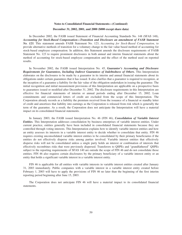# **December 31, 2002, 2001, and 2000 (\$000 except share data)**

In December 2002, the FASB issued Statement of Financial Accounting Standards No. 148 (SFAS 148), *Accounting for Stock-Based Compensation—Transition and Disclosure an amendment of FASB Statement No. 123.* This statement amends FASB Statement No. 123, *Accounting for Stock-Based Compensation,* to provide alternative methods of transition for a voluntary change to the fair value based method of accounting for stock-based employee compensation. In addition, this Statement amends the disclosure requirements of FASB Statement No. 123 to require prominent disclosures in both annual and interim financial statements about the method of accounting for stock-based employee compensation and the effect of the method used on reported results.

In November 2002, the FASB issued Interpretation No. 45, *Guarantor's Accounting and Disclosure Requirements for Guarantees, Including Indirect Guarantees of Indebtedness of Others.* This Interpretation elaborates on the disclosures to be made by a guarantor in its interim and annual financial statements about its obligations under certain guarantees that it has issued. It also clarifies that a guarantor is required to recognize, at the inception of a guarantee a liability for the fair value of the obligation undertaken in issuing the guarantee. The initial recognition and initial measurement provisions of this Interpretation are applicable on a prospective basis to guarantees issued or modified after December 31, 2002. The disclosure requirements in this Interpretation are effective for financial statements of interim or annual periods ending after December 15, 2002. Loan commitments and commercial letters of credit are excluded from the scope of this Interpretation. The Corporation already records as a liability the premium received from the issuance of a financial or standby letter of credit and amortizes that liability into earnings as the Corporation is released from risk which is generally the term of the guarantee. As a result, the Corporation does not anticipate the Interpretation will have a material impact on its consolidated financial statements.

In January 2003, the FASB issued Interpretation No. 46 (FIN 46), *Consolidation of Variable Interest Entities.* This Interpretation addresses consolidation by business enterprises of variable interest entities. Under current practice, entities generally have been included in consolidated financial statements because they are controlled through voting interests. This Interpretation explains how to identify variable interest entities and how an entity assesses its interests in a variable interest entity to decide whether to consolidate that entity. FIN 46 requires existing unconsolidated variable interest entities to be consolidated by their primary beneficiaries if the entities do not effectively disperse risks among parties involved. Variable interest entities that effectively disperse risks will not be consolidated unless a single party holds an interest or combination of interests that effectively recombines risks that were previously dispersed. Transferors to QSPEs and "grandfathered" QSPEs subject to the reporting requirements of SFAS 140 are outside the scope of FIN 46 and do not consolidate those entities. FIN 46 also requires certain disclosures by the primary beneficiary of a variable interest entity or an entity that holds a significant variable interest in a variable interest entity.

FIN 46 is applicable for all entities with variable interests in variable interest entities created after January 31, 2003 immediately. Public companies with a variable interest in a variable interest entity created before February 1, 2003 will have to apply the provisions of FIN 46 no later than the beginning of the first interim reporting period beginning after June 15, 2003.

The Corporation does not anticipate FIN 46 will have a material impact to its consolidated financial statements.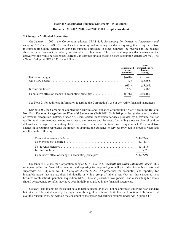### **December 31, 2002, 2001, and 2000 (\$000 except share data)**

#### **2. Change in Method of Accounting**

On January 1, 2001, the Corporation adopted SFAS 133, *Accounting for Derivative Instruments and Hedging Activities.* SFAS 133 established accounting and reporting standards requiring that every derivative instrument (including certain derivative instruments embedded in other contracts) be recorded in the balance sheet as either an asset or liability measured at its fair value. The statement requires that changes in the derivatives fair value be recognized currently in earnings unless specific hedge accounting criteria are met. The effects of adopting SFAS 133 are as follows:

|                                                                                                                                | <b>Consolidated</b><br><b>Income</b><br><b>Statement</b> | <b>Other</b><br>Comprehensive<br>Income<br>(Equity) |
|--------------------------------------------------------------------------------------------------------------------------------|----------------------------------------------------------|-----------------------------------------------------|
|                                                                                                                                | \$(628)                                                  |                                                     |
| $Cash flow hedges \dots \dots \dots \dots \dots \dots \dots \dots \dots \dots \dots \dots \dots \dots \dots \dots \dots \dots$ | (43)                                                     | (15,665)                                            |
|                                                                                                                                | (671)                                                    | (15,665)                                            |
|                                                                                                                                | 235                                                      | 5,483                                               |
| Cumulative effect of change in accounting principles                                                                           | \$(436)                                                  | \$(10,182)                                          |

See Note 21 for additional information regarding the Corporation's use of derivative financial instruments.

During 2000, the Corporation adopted the Securities and Exchange Commission's Staff Accounting Bulletin No. 101—*Revenue Recognition in Financial Statements* (SAB 101). SAB 101 provides guidance on a variety of revenue recognition matters. Under SAB 101, certain conversion services provided by Metavante did not qualify as discrete earnings events. As a result, the revenue and the cost of providing those services should be deferred and recognized on a straight-line basis over the term of the total processing contract. The cumulative change in accounting represents the impact of applying the guidance to services provided in previous years and resulted in the following:

| Net revenue deferred $\dots \dots \dots \dots \dots \dots \dots \dots \dots \dots \dots \dots \dots \dots$ (3,811) |  |
|--------------------------------------------------------------------------------------------------------------------|--|
|                                                                                                                    |  |
|                                                                                                                    |  |

On January 1, 2002, the Corporation adopted SFAS No. 142, *Goodwill and Other Intangible Assets.* This statement addresses financial accounting and reporting for acquired goodwill and other intangible assets and supercedes APB Opinion No. 17, *Intangible Assets*. SFAS 142 prescribes the accounting and reporting for intangible assets that are acquired individually or with a group of other assets (but not those acquired in a business combination) upon their acquisition. SFAS 142 also prescribes how goodwill and other intangible assets should be accounted for after they have been initially recognized in the financial statements.

Goodwill and intangible assets that have indefinite useful lives will not be amortized under the new standard but rather will be tested annually for impairment. Intangible assets with finite lives will continue to be amortized over their useful lives, but without the constraint of the prescribed ceilings required under APB Opinion 17.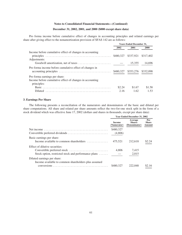# **December 31, 2002, 2001, and 2000 (\$000 except share data)**

Pro forma income before cumulative effect of changes in accounting principles and related earnings per share after giving effect to the nonamortization provision of SFAS 142 are as follows:

|                                                                                                          | <b>Years Ended December 31,</b> |                     |                |  |
|----------------------------------------------------------------------------------------------------------|---------------------------------|---------------------|----------------|--|
|                                                                                                          | <b>2002</b>                     | 2001                | 2000           |  |
| Income before cumulative effect of changes in accounting<br>Adjustments:                                 | \$480.327                       | \$337.921           | \$317,402      |  |
|                                                                                                          |                                 | 15,355              | 14,696         |  |
| Pro forma income before cumulative effect of changes in                                                  |                                 | \$480,327 \$353,276 | \$332,098      |  |
| Pro forma earnings per share:<br>Income before cumulative effect of changes in accounting<br>principles: |                                 |                     |                |  |
| <b>Diluted</b>                                                                                           | \$2.24<br>2.16                  | \$1.67<br>1.62      | \$1.58<br>1.53 |  |

# **3. Earnings Per Share**

The following presents a reconciliation of the numerators and denominators of the basic and diluted per share computations. All share and related per share amounts reflect the two-for-one stock split in the form of a stock dividend which was effective June 17, 2002 (dollars and shares in thousands, except per share data):

|                                                                                                    | Year Ended December 31, 2002 |                                           |                                      |  |
|----------------------------------------------------------------------------------------------------|------------------------------|-------------------------------------------|--------------------------------------|--|
|                                                                                                    | Income<br>(Numerator)        | Average<br><b>Shares</b><br>(Denominator) | <b>Per</b><br><b>Share</b><br>Amount |  |
|                                                                                                    | \$480,327<br>(4,806)         |                                           |                                      |  |
| Basic earnings per share:<br>Income available to common shareholders                               | 475,521                      | 212,618                                   | \$2.24                               |  |
| Effect of dilutive securities:<br>Stock option, restricted stock and performance plans $\dots$ .   | 4.806                        | 7,415<br>2,015                            |                                      |  |
| Diluted earnings per share:<br>Income available to common shareholders plus assumed<br>conversions | \$480,327                    | 222,048                                   |                                      |  |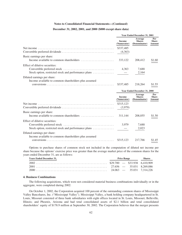# **December 31, 2002, 2001, and 2000 (\$000 except share data)**

|                                                                                        | <b>Year Ended December 31, 2001</b> |                                           |                               |
|----------------------------------------------------------------------------------------|-------------------------------------|-------------------------------------------|-------------------------------|
|                                                                                        | <b>Income</b><br>(Numerator)        | Average<br><b>Shares</b><br>(Denominator) | Per<br><b>Share</b><br>Amount |
|                                                                                        | \$337,485<br>(4,363)                |                                           |                               |
| Basic earnings per share:                                                              | 333,122                             | 208,412                                   | \$1.60                        |
| Effect of dilutive securities:<br>Stock option, restricted stock and performance plans | 4,363                               | 7,688<br>2,164                            |                               |
| Diluted earnings per share:<br>Income available to common shareholders plus assumed    | \$337,485                           | 218,264                                   | \$1.55                        |
|                                                                                        |                                     | Year Ended December 31, 2000              |                               |
|                                                                                        | <b>Income</b><br>(Numerator)        | Average<br><b>Shares</b><br>(Denominator) | Per<br><b>Share</b><br>Amount |
|                                                                                        | \$315,123<br>(3,979)                |                                           |                               |
| Basic earnings per share:                                                              | 311,144                             | 208,055                                   | \$1.50                        |
| Effect of dilutive securities:<br>Stock option, restricted stock and performance plans | 3,979                               | 7,688<br>2,023                            |                               |
| Diluted earnings per share:<br>Income available to common shareholders plus assumed    | \$315,123                           | 217,766                                   | \$1.45                        |
|                                                                                        |                                     |                                           |                               |

Options to purchase shares of common stock not included in the computation of diluted net income per share because the options' exercise price was greater than the average market price of the common shares for the years ended December 31, are as follows:

| <b>Years Ended December 31,</b> | <b>Price Range Shares</b> |  |  |  |
|---------------------------------|---------------------------|--|--|--|
|                                 |                           |  |  |  |
|                                 |                           |  |  |  |
|                                 |                           |  |  |  |

#### **4. Business Combinations**

The following acquisitions, which were not considered material business combinations individually or in the aggregate, were completed during 2002:

On October 1, 2002, the Corporation acquired 100 percent of the outstanding common shares of Mississippi Valley Bancshares, Inc. ("Mississippi Valley"). Mississippi Valley, a bank holding company headquartered in St. Louis, Missouri consisted of three bank subsidiaries with eight offices located in St. Louis, Missouri; Belleville, Illinois; and Phoenix, Arizona and had total consolidated assets of \$2.1 billion and total consolidated shareholders' equity of \$178.9 million at September 30, 2002. The Corporation believes that the merger presents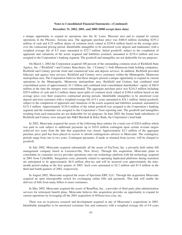# **Notes to Consolidated Financial Statements—(Continued) December 31, 2002, 2001, and 2000 (\$000 except share data)**

a unique opportunity to expand its operations into the St. Louis, Missouri area and to expand its current operations in the Phoenix, Arizona area. The aggregate purchase price was \$486.0 million including \$255.2 million of cash and 8.25 million shares of common stock valued at \$230.8 million based on the average price over the contractual pricing period. Identifiable intangibles to be amortized (core deposit and tradename) with a weighted average life of 8.5 years amounted to \$72.7 million. Initial goodwill, subject to the completion of appraisals and valuations of the assets acquired and liabilities assumed, amounted to \$276.4 million and was assigned to the Corporation's banking segment. The goodwill and intangibles are not deductible for tax purposes.

On March 1, 2002 the Corporation acquired 100 percent of the outstanding common stock of Richfield State Agency, Inc. ("Richfield") and Century Bancshares, Inc. ("Century"), both Minnesota bank holding companies. Richfield and Century provide retail and commercial loan and deposit services. In addition, Richfield provided fiduciary and agency trust services. Richfield and Century serve customers within the Minneapolis, Minnesota metropolitan area. The Corporation believes that these mergers present a unique opportunity to expand its current operations in the Minneapolis, Minnesota metropolitan area. Richfield and Century had combined total consolidated assets of approximately \$1.1 billion and combined total consolidated shareholders' equity of \$84.8 million at the time the mergers were consummated. The aggregate purchase price was \$216.5 million including \$29.9 million of cash and 6.2 million shares (post-split) of common stock valued at \$186.6 million based on the average price over their respective contractual pricing periods. Identifiable intangibles to be amortized (core deposit and trust customer) with a weighted average life of 6.1 years amounted to \$24.1 million. Initial goodwill, subject to the completion of appraisals and valuations of the assets acquired and liabilities assumed, amounted to \$131.5 million. Approximately \$129.4 million of the initial goodwill was assigned to the Corporation's banking segment and the remainder was assigned to the Corporation's Trust reporting unit. The goodwill and intangibles resulting from each transaction are not deductible for tax purposes. In June 2002, the former bank subsidiaries of Richfield and Century were merged into M&I Marshall & Ilsley Bank, the Corporation's lead bank.

In 2002, Metavante acquired the assets of the following three entities for a total cost of \$20.6 million which was paid in cash subject to additional payments up to \$10.0 million contingent upon certain revenue targets achieved two years from the date that acquisition was closed. Approximately \$2.3 million of the aggregate purchase price paid has been placed in escrow to absorb contingencies adverse to Metavante. The contingency periods range from one to two years. Contingent payments, if made or returned from escrow, will be charged to goodwill.

In July 2002, Metavante acquired substantially all the assets of PayTrust, Inc. a privately held online bill management company based in Lawrenceville, New Jersey. Through this acquisition, Metavante plans to consolidate its consumer service provider operations onto one technology platform with the technology acquired in 2001 from CyberBills. Integration costs, primarily related to operating duplicated platforms during transition are anticipated to be approximately \$6.0 million after-tax and will be incurred over approximately the ninemonth period ending in the first quarter of 2003. Such costs amounted to \$2.3 million and \$1.9 million in the third and fourth quarters of 2002, respectively.

In August 2002, Metavante acquired the assets of Spectrum EBP, LLC. Through this acquisition Metavante acquired an open interoperable switch for exchanging online bills and payments. This link will enable the delivery of bills from many billers to more consumers.

In May 2002, Metavante acquired the assets of BenePlan, Inc., a provider of third party plan administration services for retirement benefit plans. Metavante believes this acquisition provides an opportunity to expand its current operations by leveraging off the 2001 acquisition of 401kservices.com, inc.

There was no in-process research and development acquired in any of Metavante's acquisitions in 2002. Identifiable intangibles to be amortized (customer lists and contracts) with a weighted average life of 9.8 years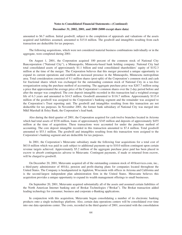# **December 31, 2002, 2001, and 2000 (\$000 except share data)**

amounted to \$6.7 million. Initial goodwill, subject to the completion of appraisals and valuations of the assets acquired and liabilities assumed, amounted to \$15.8 million. The goodwill and intangibles resulting from each transaction are deductible for tax purposes.

The following acquisitions, which were not considered material business combinations individually or in the aggregate, were completed during 2001:

On August 1, 2001, the Corporation acquired 100 percent of the common stock of National City Bancorporation ("National City"), a Minneapolis, Minnesota-based bank holding company. National City had total consolidated assets of approximately \$1.1 billion and total consolidated shareholders' equity of \$152.3 million at the time of the merger. The Corporation believes that this merger presented a unique opportunity to expand its current operations and establish an increased presence in the Minneapolis, Minnesota metropolitan area. Total consideration consisted of 9.1 million shares (post-split) of the Corporation's common stock and cash for fractional shares which was exchanged for the outstanding common stock of National City in a tax-free reorganization using the purchase method of accounting. The aggregate purchase price was \$267.7 million using a price that approximated the average price of the Corporation's common shares over the 2-day period before and after the merger was completed. The core deposit intangible recorded in this transaction had a weighted average life of 6.3 years and amounted to \$14.5 million. Goodwill amounted to \$116.7 million. Approximately \$115.4 million of the goodwill was assigned to the Corporation's banking segment and the remainder was assigned to the Corporation's Trust reporting unit. The goodwill and intangibles resulting from this transaction are not deductible for tax purposes. In November 2001, the former bank subsidiary of National City was merged into M&I Marshall & Ilsley Bank, the Corporation's lead bank.

Also during the third quarter of 2001, the Corporation acquired for cash twelve branches located in Arizona which had total assets of \$538 million, loans of approximately \$345 million and deposits of approximately \$455 million at the time of acquisition. These transactions were accounted for under the purchase method of accounting. The core deposit intangible recorded in this transaction amounted to \$7.4 million. Total goodwill amounted to \$53.1 million. The goodwill and intangibles resulting from this transaction were assigned to the Corporation's banking segment and are deductible for tax purposes.

In 2001, the Corporation's Metavante subsidiary made the following four acquisitions for a total cost of \$63.8 million which was paid in cash subject to additional payments up to \$10.0 million contingent upon certain revenue targets achieved. Approximately \$5.2 million of the aggregate purchase price paid has been placed in escrow to absorb contingencies adverse to Metavante. Contingent payments, if made or returned from escrow, will be charged to goodwill.

On December 20, 2001, Metavante acquired all of the outstanding common stock of 401kservices.com, inc., a third-party administrator of 401(k), pension and profit-sharing plans for companies located throughout the United States. The Company is headquartered in Appleton, Wisconsin with offices in Arizona and California and is the second-largest independent plan administration firm in the United States. Metavante believes this acquisition provides a unique opportunity to expand its wealth management offerings to small businesses.

On September 20, 2001, Metavante acquired substantially all of the assets and assumed certain liabilities of the North American Internet banking unit of Brokat Technologies ("Brokat"). The Brokat transaction added leading technology for consumer, business and corporate e-Banking applications.

In conjunction with this acquisition, Metavante began consolidating a number of its electronic banking products onto a single technology platform. Also, certain data operations centers will be consolidated over time into one data operations center. The costs, recorded in the third quarter of 2001, associated with the consolidation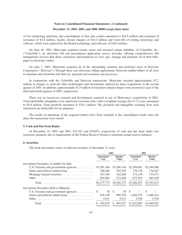# **December 31, 2002, 2001, and 2000 (\$000 except share data)**

of five technology platforms and consolidation of four data centers amounted to \$34.5 million and consisted of severance of \$3.8 million, facility closure charges of \$10.2 million and write-offs of exiting technology and software, which were replaced by the Brokat technology and software, of \$20.5 million.

On June 20, 2001, Metavante acquired certain assets and assumed certain liabilities of Cyberbills, Inc. ("Cyberbills"), an electronic bill and presentment application service provider, offering comprehensive bill management services that allow consumers and businesses to view, pay, manage and automate all of their billspaper or electronic-online.

On June 1, 2001, Metavante acquired all of the outstanding common and preferred stock of Derivion Corporation ("Derivion"). Through three core electronic billing applications, Derivion enables billers of all sizes to automate and streamline bill delivery, payment and customer-care processes.

In conjunction with the Cyberbills and Derivion transactions, Metavante incurred approximately \$7.2 million in charges to write-off other technologies and investments replaced by these acquisitions in the second quarter of 2001. In addition, approximately \$3.5 million of transition related charges were incurred in each of the third and fourth quarters of 2001, respectively.

There was no in-process research and development acquired in any of Metavante's acquisitions in 2001. Total identifiable intangibles to be amortized (customer lists) with a weighted average life of 7.8 years amounted to \$5.8 million. Total goodwill amounted to \$78.1 million. The goodwill and intangibles resulting from each transaction are deductible for tax purposes.

The results of operations of the acquired entities have been included in the consolidated results since the dates the transactions were closed.

#### **5. Cash and Due from Banks**

At December 31, 2002 and 2001, \$33,552 and \$10,052, respectively of cash and due from banks was restricted, primarily due to requirements of the Federal Reserve System to maintain certain reserve balances.

#### **6. Securities**

The book and market values of selected securities at December 31 were:

|                                                              |                                                    | 2002         | 2001              |                               |  |
|--------------------------------------------------------------|----------------------------------------------------|--------------|-------------------|-------------------------------|--|
|                                                              | Amortized<br><b>Market</b><br><b>Value</b><br>Cost |              | Amortized<br>Cost | <b>Market</b><br><b>Value</b> |  |
| Investment Securities Available for Sale:                    |                                                    |              |                   |                               |  |
| U.S. Treasury and government agencies                        | \$3,201,364                                        | \$3,266,144  | \$2,268,681       | \$2,346,566                   |  |
| States and political subdivisions                            | 246,646                                            | 265,470      | 170.130           | 176,167                       |  |
| Mortgage backed securities                                   | 163,796                                            | 162,268      | 172,139           | 175,471                       |  |
|                                                              | 565,969                                            | 572,490      | 675,303           | 685,428                       |  |
|                                                              | \$4,177,775                                        | \$4,266,372  | \$3,286,253       | \$3,383,632                   |  |
| Investment Securities Held to Maturity:                      |                                                    |              |                   |                               |  |
| U.S. Treasury and government agencies $\dots \dots \dots$ \$ | 30S                                                | 30S          |                   | - \$                          |  |
| States and political subdivisions                            | 939,158                                            | 990,276      | 1.028.555         | 1,046,414                     |  |
|                                                              | 3,631                                              | 3.631        | 3,538             | 3.538                         |  |
| Total                                                        | 942.819<br>S.                                      | 993.937<br>S | \$1,032,093       | \$1,049,952                   |  |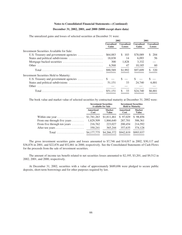# **December 31, 2002, 2001, and 2000 (\$000 except share data)**

The unrealized gains and losses of selected securities at December 31 were:

|                                           | 2002                       |                                    |                            | 2001                               |  |
|-------------------------------------------|----------------------------|------------------------------------|----------------------------|------------------------------------|--|
|                                           | <b>Unrealized</b><br>Gains | <b>Unrealized</b><br><b>Losses</b> | <b>Unrealized</b><br>Gains | <b>Unrealized</b><br><b>Losses</b> |  |
| Investment Securities Available for Sale: |                            |                                    |                            |                                    |  |
| U.S. Treasury and government agencies     | \$64,883                   | S.<br>103                          | \$78,089                   | S.<br>204                          |  |
|                                           | 18.838                     | 14                                 | 6.093                      | 56                                 |  |
|                                           | 300                        | 1.828                              | 3.332                      |                                    |  |
|                                           | 6,568                      | 47                                 | 10,185                     | 60                                 |  |
|                                           | \$90,589                   | \$1,992                            | \$97,699                   | 320                                |  |
| Investment Securities Held to Maturity:   |                            |                                    |                            |                                    |  |
| U.S. Treasury and government agencies     | \$.                        | \$.                                |                            |                                    |  |
|                                           | 51.151                     | 33                                 | 24,740                     | 6.881                              |  |
|                                           |                            |                                    |                            |                                    |  |
|                                           | \$51,151                   | 33                                 | \$24,740                   | \$6,881                            |  |

The book value and market value of selected securities by contractual maturity at December 31, 2002 were:

|                                                 |                          | <b>Investment Securities</b><br><b>Available for Sale</b> | <b>Investment Securities</b><br><b>Held to Maturity</b> |                               |  |
|-------------------------------------------------|--------------------------|-----------------------------------------------------------|---------------------------------------------------------|-------------------------------|--|
|                                                 | <b>Amortized</b><br>Cost | <b>Market</b><br><b>Value</b>                             | <b>Amortized</b><br>Cost                                | <b>Market</b><br><b>Value</b> |  |
| Within one year $\dots \dots \dots \dots \dots$ | \$1,781,263              | \$1,811,461                                               | \$97,029                                                | \$98,856                      |  |
| From one through five years                     | 1,829,509                | 1,866,640                                                 | 287,701                                                 | 306,361                       |  |
| From five through ten years $\dots \dots$       | 216,762                  | 223,027                                                   | 200,454                                                 | 214,592                       |  |
|                                                 | 350,241                  | 365,244                                                   | 357,635                                                 | 374,128                       |  |
|                                                 | \$4,177,775              | \$4,266,372                                               | \$942,819                                               | \$993,937                     |  |

The gross investment securities gains and losses amounted to \$7,746 and \$14,017 in 2002, \$30,117 and \$36,876 in 2001, and \$22,876 and \$52,861 in 2000, respectively. See the Consolidated Statements of Cash Flows for the proceeds from the sale of investment securities.

The amount of income tax benefit related to net securities losses amounted to \$2,195, \$3,201, and \$9,512 in 2002, 2001, and 2000, respectively.

At December 31, 2002, securities with a value of approximately \$689,696 were pledged to secure public deposits, short-term borrowings and for other purposes required by law.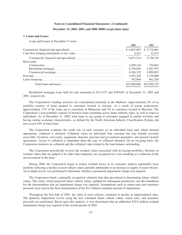# **December 31, 2002, 2001, and 2000 (\$000 except share data)**

# **7. Loans and Leases**

Loans and Leases at December 31 were:

|              | 2002         | 2001         |
|--------------|--------------|--------------|
|              | \$6,867,091  | \$ 5,716,061 |
|              | 4,423        | 12.215       |
|              | 6,871,514    | 5.728.276    |
| Real estate: |              |              |
|              | 1.058.144    | 730,864      |
|              | 6.758.650    | 5,563,975    |
|              | 6.586.332    | 5.099.093    |
|              | 1.852.202    | 1.210.808    |
|              | 782,004      | 962,356      |
|              | \$23,908,846 | \$19,295,372 |
|              |              |              |

Residential mortgage loans held for sale amounted to \$311,077 and \$289,667 at December 31, 2002 and 2001, respectively.

The Corporation's lending activities are concentrated primarily in the Midwest. Approximately 8% of its portfolio consists of loans granted to customers located in Arizona. As a result of recent acquisitions, approximately 11% of the loans are to customers in Minnesota and 5% to customers located in Missouri. The Corporation's loan portfolio consists of business loans extending across many industry types, as well as loans to individuals. As of December 31, 2002, total loans to any group of customers engaged in similar activities and having similar economic characteristics, as defined by the North American Industry Classification System, did not exceed 10% of total loans.

The Corporation evaluates the credit risk of each customer on an individual basis and, where deemed appropriate, collateral is obtained. Collateral varies by individual loan customer but may include accounts receivable, inventory, real estate, equipment, deposits, personal and government guaranties, and general security agreements. Access to collateral is dependent upon the type of collateral obtained. On an on-going basis, the Corporation monitors its collateral and the collateral value related to the loan balance outstanding.

The Corporation periodically reviews the residual values associated with its leasing portfolios. Declines in residual values that are judged to be other than temporary are recognized as a loss resulting in a reduction in the net investment in the lease.

During 2000, the Corporation began to realize residual losses in its consumer indirect automobile lease portfolio reflecting a decline in used vehicle values partially attributable to an increase in supply of used vehicles. An in-depth review was performed to determine whether a permanent impairment charge was required.

The Corporation hired a nationally recognized valuation firm that specialized in determining future vehicle values. This study, which projected future vehicle values, updated for subsequent production, was the foundation for the determination that an impairment charge was required. Assumptions such as return rates and insurance proceeds were used in the final determination of the \$9.5 million estimated amount of impairment.

Throughout the first half of 2001, the value of used vehicles continued to decline at unprecedented rates. The quarterly impairment review using the new estimated future vehicle values, return rates, and insurance proceeds was performed. Based upon this analysis, it was determined that an additional \$25.0 million residual impairment charge was required in the second quarter of 2001.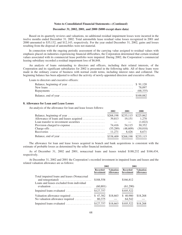# **December 31, 2002, 2001, and 2000 (\$000 except share data)**

Based on its quarterly reviews and valuations, no additional residual impairment losses were incurred in the twelve months ended December 31, 2002. Total automobile lease residual value losses recognized in 2001 and 2000 amounted to \$35,132, and \$12,143, respectively. For the year ended December 31, 2002, gains and losses resulting from the disposal of automobiles were not material.

In connection with the ongoing periodic assessment of the carrying value assigned to residual values with emphasis placed on industries experiencing financial difficulties, the Corporation determined that certain residual values associated with its commercial lease portfolio were impaired. During 2002, the Corporation's commercial leasing subsidiary recorded a residual impairment loss of \$6,848.

An analysis of loans outstanding to directors and officers, including their related interests, of the Corporation and its significant subsidiaries for 2002 is presented in the following table. All of these loans were made in the ordinary course of business with normal credit terms, including interest rates and collateral. The beginning balance has been adjusted to reflect the activity of newly-appointed directors and executive officers.

Loans to directors and executive officers:

#### **8. Allowance for Loan and Lease Losses**

An analysis of the allowance for loan and lease losses follows:

|                                                                         | 2002     | <b>2001</b> | <b>2000</b> |
|-------------------------------------------------------------------------|----------|-------------|-------------|
|                                                                         |          |             |             |
| Allowance of loans and leases acquired                                  | 39.813   | 19.151      | 1.270       |
| Loan transfer to investment securities $\ldots, \ldots, \ldots, \ldots$ |          |             | (1,022)     |
|                                                                         | 74.416   | 54.115      | 30.352      |
|                                                                         | (55.289) | (48,609)    | (30,018)    |
|                                                                         | 11.271   | 8.426       | 8,671       |
|                                                                         |          |             |             |

The allowance for loan and lease losses acquired in branch and bank acquisitions is consistent with the estimate of probable losses as determined by the seller financial institution.

As of December 31, 2002 and 2001, nonaccrual loans and leases totaled \$188,232 and \$166,434, respectively.

At December 31, 2002 and 2001 the Corporation's recorded investment in impaired loans and leases and the related valuation allowance are as follows:

|                                                                                                               | 2002                          |                               | 2001                          |                                      |
|---------------------------------------------------------------------------------------------------------------|-------------------------------|-------------------------------|-------------------------------|--------------------------------------|
|                                                                                                               | <b>Recorded</b><br>Investment | Valuation<br><b>Allowance</b> | <b>Recorded</b><br>Investment | <b>Valuation</b><br><b>Allowance</b> |
| Total impaired loans and leases (Nonaccrual<br>and renegotiated)<br>Loans and leases excluded from individual | \$188,558                     |                               | \$166,812                     |                                      |
| evaluation $\dots\dots\dots\dots\dots\dots\dots\dots\dots\dots$                                               | (60, 801)                     |                               | (61,290)                      |                                      |
| Impaired loans evaluated                                                                                      | \$127,757                     |                               | \$105,522                     |                                      |
| Valuation allowance required                                                                                  | \$47,382                      | \$18,663                      | \$40,980                      | \$18,268                             |
| No valuation allowance required $\dots\dots\dots$                                                             | 80,375                        |                               | 64,542                        |                                      |
| Impaired loans evaluated                                                                                      | \$127,757                     | \$18,663                      | \$105,522                     | \$18,268                             |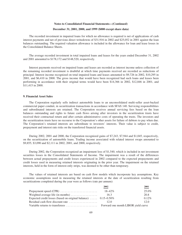# **December 31, 2001, 2000, and 1999 (\$000 except share data)**

The recorded investment in impaired loans for which no allowance is required is net of applications of cash interest payments and net of previous direct writedowns of \$31,916 in 2002 and \$25,052 in 2001 against the loan balances outstanding. The required valuation allowance is included in the allowance for loan and lease losses in the Consolidated Balance Sheets.

The average recorded investment in total impaired loans and leases for the years ended December 31, 2002 and 2001 amounted to \$178,172 and \$148,520, respectively.

Interest payments received on impaired loans and leases are recorded as interest income unless collection of the remaining recorded investment is doubtful at which time payments received are recorded as reductions of principal. Interest income recognized on total impaired loans and leases amounted to \$9,726 in 2002, \$10,295 in 2001, and \$6,410 in 2000. The gross income that would have been recognized had such loans and leases been performing in accordance with their original terms would have been \$14,366 in 2002, \$12,846 in 2001, and \$11,415 in 2000.

## **9. Financial Asset Sales**

The Corporation regularly sells indirect automobile loans to an unconsolidated multi-seller asset-backed commercial paper conduit, in securitization transactions in accordance with SFAS 140. Servicing responsibilities and subordinated interests are retained. The Corporation receives annual servicing fees based on the loan balances outstanding and rights to future cash flows arising after investors in the securitization trusts have received their contractual return and after certain administrative costs of operating the trusts. The investors and the securitization trusts have no recourse to the Corporation's other assets for failure of debtors to pay when due. The Corporation's retained interests are subordinate to investors' interests. Their value is subject to credit, prepayment and interest rate risks on the transferred financial assets.

During 2002, 2001 and 2000, the Corporation recognized gains of \$7,243, \$7,944 and \$1,045, respectively, on the securitization of automobile loans. Trading income associated with related interest swaps amounted to \$9,855, \$3,090 and \$2,111 in 2002, 2001, and 2000, respectively.

During 2002, the Corporation recognized an impairment loss of \$1,540, which is included in net investment securities losses in the Consolidated Statements of Income. The impairment was a result of the differences between actual prepayments and credit losses experienced in 2002 compared to the expected prepayments and credit losses used in measuring retained interests originating in the prior year. The impairment on the retained interests, held in the form of interest-only strips, was deemed to be other than temporary.

The values of retained interests are based on cash flow models which incorporate key assumptions. Key economic assumptions used in measuring the retained interests at the date of securitization resulting from securitizations completed during the year were as follows (rate per annum):

|                                                                        | 2002        | 2001  |
|------------------------------------------------------------------------|-------------|-------|
|                                                                        | $18 - 42\%$ | 25.0% |
| Weighted average life (in months) $\dots\dots\dots\dots\dots$          | -16.3       | 20.8  |
| Expected credit losses (based on original balance) $\ldots$ 0.15–0.50% |             | 0.12% |
| Residual cash flow discount rate $\ldots, \ldots, \ldots, \ldots$      | $-12.0$     | 12.0  |
|                                                                        |             |       |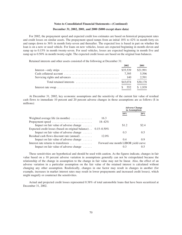## **December 31, 2002, 2001, and 2000 (\$000 except share data)**

For 2002, the prepayment speed and expected credit loss estimates are based on historical prepayment rates and credit losses on similar assets. The prepayment speed ramps from an initial 18% to 42% in month forty-six and ramps down to 36% in month forty-seven and thereafter. The expected loss is based in part on whether the loan is on a new or used vehicle. For loans on new vehicles, losses are expected beginning in month eleven and ramp up to 0.15% in month twenty-seven. For used vehicles, losses are expected beginning in month five and ramp up to 0.50% in month twenty-eight. The expected credit losses are based on the original loan balances.

Retained interests and other assets consisted of the following at December 31:

|                                                                                                     | 2002 | 2001     |
|-----------------------------------------------------------------------------------------------------|------|----------|
| Interest—only strips $\dots \dots \dots \dots \dots \dots \dots \dots \dots \dots \dots \$ \$35,539 |      | \$21,991 |
|                                                                                                     |      | 5,596    |
|                                                                                                     |      | 2,591    |
|                                                                                                     |      | \$30,178 |
|                                                                                                     |      | \$1,939  |

At December 31, 2002, key economic assumptions and the sensitivity of the current fair value of residual cash flows to immediate 10 percent and 20 percent adverse changes in those assumptions are as follows (\$ in millions):

|                                                                        |        |                                     | <b>Adverse Change</b><br>in Assumptions |
|------------------------------------------------------------------------|--------|-------------------------------------|-----------------------------------------|
|                                                                        |        | $10\%$                              | $20\%$                                  |
| Weighted average life (in months) $\dots\dots\dots\dots$               | 16.3   |                                     |                                         |
| Prepayment speed                                                       | 18–42% |                                     |                                         |
| Impact on fair value of adverse change                                 |        | \$1.2                               | \$2.4                                   |
| Expected credit losses (based on original balance) $\ldots$ 0.15–0.50% |        |                                     |                                         |
| Impact on fair value of adverse change $\dots$                         |        | 0.3                                 | 0.5                                     |
| Residual cash flows discount rate (annual)                             | 12.0%  |                                     |                                         |
| Impact on fair value of adverse change $\dots$                         |        | 0.4                                 | 0.9                                     |
| Interest rate returns to transferees                                   |        | Forward one month LIBOR yield curve |                                         |
| Impact on fair value of adverse change $\dots$ .                       |        | 0.3                                 | 0.5                                     |

These sensitivities are hypothetical and should be used with caution. As the figures indicate, changes in fair value based on a 10 percent adverse variation in assumptions generally can not be extrapolated because the relationship of the change in assumption to the change in fair value may not be linear. Also, the effect of an adverse variation in a particular assumption on the fair value of the retained interest is calculated without changing any other assumption. Realistically, changes in one factor may result in changes in another (for example, increases in market interest rates may result in lower prepayments and increased credit losses), which might magnify or counteract the sensitivities.

Actual and projected credit losses represented 0.38% of total automobile loans that have been securitized at December 31, 2002.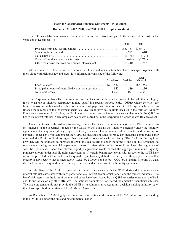# **December 31, 2002, 2001, and 2000 (\$000 except share data)**

The following table summarizes certain cash flows received from and paid to the securitization trust for the years ended December 31:

| 2002 | 2001              |
|------|-------------------|
|      |                   |
|      | 2.610             |
|      | (491)             |
|      | $(694)$ $(1,771)$ |
|      |                   |

At December 31, 2002, securitized automobile loans and other automobile loans managed together with them along with delinquency and credit loss information consisted of the following:

|                                                              | Securitized Portfolio |         | Total<br><b>Managed</b> |
|--------------------------------------------------------------|-----------------------|---------|-------------------------|
|                                                              |                       |         |                         |
| Principal amounts of loans 60 days or more past due  847 389 |                       |         | 1.236                   |
|                                                              | 1 253                 | 1 0 9 1 | 2.344                   |

The Corporation also sells, from time to time, debt securities classified as available for sale that are highly rated to an unconsolidated bankruptcy remote qualifying special purpose entity (QSPE) whose activities are limited to issuing highly rated asset-backed commercial paper with maturities up to 180 days which is used to finance the purchase of the investment securities. M&I Bank provides liquidity back-up in the form of Liquidity Purchase Agreements. In addition, the Bank acts as counterparty to interest rate swaps that enable the QSPE to hedge its interest rate risk. Such swaps are designated as trading in the Corporation's Consolidated Balance Sheet.

Under the terms of the Administration Agreement, the Bank, as administrator of the QSPE, is required to sell interests in the securities funded by the QSPE to the Bank as the liquidity purchaser under the liquidity agreements, if at any time (after giving effect to any issuance of new commercial paper notes and the receipt of payments under any swap agreement) the QSPE has insufficient funds to repay any maturing commercial paper note and the Bank, as liquidity agent, has received a notice of such deficiency. The Bank, as the liquidity provider, will be obligated to purchase interests in such securities under the terms of the liquidity agreement to repay the maturing commercial paper notes unless (i) after giving effect to such purchase, the aggregate of securities, purchased under the relevant liquidity agreement would exceed the aggregate maximum liquidity purchase amount under such liquidity agreement or (ii) certain bankruptcy events with respect to the QSPE have occurred; provided that the Bank is not required to purchase any defaulted security. For this purpose, a defaulted security is any security that is rated below "Caa2" by Moody's and below "CCC" by Standard & Poors. To date, the Bank has never acquired interests in any securities under the terms of the liquidity agreements.

A subsidiary of the Bank has entered into interest rate swaps with the QSPE designed to counteract the interest rate risk associated with third party beneficial interest (commercial paper) and the transferred assets. The beneficial interests in the form of commercial paper have been issued by the QSPE to parties other than the Bank and its subsidiary or any other affiliates. The notional amounts do not exceed the amount of beneficial interests. The swap agreements do not provide the QSPE or its administrative agent any decision-making authority other than those specified in the standard ISDA Master Agreement.

At December 31, 2002, highly rated investment securities in the amount of \$182.0 million were outstanding in the QSPE to support the outstanding commercial paper.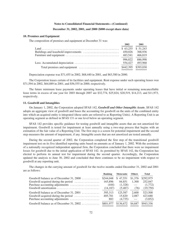# **December 31, 2002, 2001, and 2000 (\$000 except share data)**

## **10. Premises and Equipment**

The composition of premises and equipment at December 31 was:

|         | 2001            |
|---------|-----------------|
|         |                 |
| 450,026 | 368,936         |
| 483,541 | 466,819         |
| 996,822 | 886,998         |
|         | 554,427 493,968 |
|         |                 |
|         | 2002            |

Depreciation expense was \$71,455 in 2002, \$68,440 in 2001, and \$63,580 in 2000.

The Corporation leases certain of its facilities and equipment. Rent expense under such operating leases was \$71,594 in 2002, \$64,889 in 2001, and \$56,555 in 2000, respectively.

The future minimum lease payments under operating leases that have initial or remaining noncancellable lease terms in excess of one year for 2003 through 2007 are \$32,774, \$25,824, \$20,519, \$14,213, and \$11,973, respectively.

## **11. Goodwill and Intangibles**

On January 1, 2002, the Corporation adopted SFAS 142, *Goodwill and Other Intangible Assets*. SFAS 142 adopts an aggregate view of goodwill and bases the accounting for goodwill on the units of the combined entity into which an acquired entity is integrated (those units are referred to as Reporting Units). A Reporting Unit is an operating segment as defined in SFAS 131 or one level below an operating segment.

SFAS 142 provides specific guidance for testing goodwill and intangible assets that are not amortized for impairment. Goodwill is tested for impairment at least annually using a two-step process that begins with an estimation of the fair value of a Reporting Unit. The first step is a screen for potential impairment and the second step measures the amount of impairment, if any. Intangible assets that are not amortized are tested annually.

During the second quarter of 2002, the Corporation completed the first step of the transitional goodwill impairment test on its five identified reporting units based on amounts as of January 1, 2002. With the assistance of a nationally recognized independent appraisal firm, the Corporation concluded that there were no impairment losses for goodwill due to the initial application of SFAS 142. As permitted by SFAS 142, the Corporation has elected to perform its annual test for impairment during the second quarter. Accordingly, the Corporation updated the analysis to June 30, 2002 and concluded that there continues to be no impairment with respect to goodwill at any reporting unit.

The changes in the carrying amount of goodwill for the twelve months ended December 31, 2002 and 2001 are as follows:

|                                                                 | <b>Banking</b> | Metavante | <b>Others</b>                    | <b>Total</b> |
|-----------------------------------------------------------------|----------------|-----------|----------------------------------|--------------|
| Goodwill balance as of December 31, 2000                        | \$244,048      | \$47,551  | \$1,376                          | \$292,975    |
| Goodwill acquired during the period $\dots\dots\dots\dots\dots$ | 165,896        | 84.851    | 1.300                            | 252,047      |
| Purchase accounting adjustments                                 | (444)          | (1,328)   | $\overbrace{\phantom{12322111}}$ | (1,772)      |
|                                                                 | (14, 187)      | (5,487)   | (76)                             | (19,750)     |
| Goodwill balance as of December 31, 2001 $\dots$                | 395,313        | 125.587   | 2.600                            | 523,500      |
| Goodwill acquired during the period                             | 405,781        | 15,820    | 2.087                            | 423,688      |
| Purchase accounting adjustments                                 | 883            | (4,735)   | $\overline{\phantom{m}}$         | (3,852)      |
| Goodwill balance as of December 31, 2002                        | \$801,977      | \$136,672 | \$4,687                          | \$943,336    |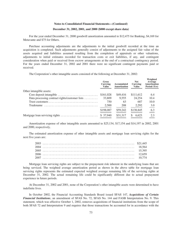# **December 31, 2002, 2001, and 2000 (\$000 except share data)**

For the year ended December 31, 2000 goodwill amortization amounted to \$12,475 for Banking, \$4,169 for Metavante and \$75 for Others.

Purchase accounting adjustments are the adjustments to the initial goodwill recorded at the time an acquisition is completed. Such adjustments generally consist of adjustments to the assigned fair value of the assets acquired and liabilities assumed resulting from the completion of appraisals or other valuations, adjustments to initial estimates recorded for transaction costs or exit liabilities, if any, and contingent consideration when paid or received from escrow arrangements at the end of a contractual contingency period. For the years ended December 31, 2002 and 2001 there were no significant contingent payments paid or received.

The Corporation's other intangible assets consisted of the following at December 31, 2002:

|                                                | Gross<br>Carrying<br><b>Value</b> | Accumulated<br><b>Amortization</b> | Net.<br>Carrying<br><b>Value</b> | Weighted<br>Average<br>Amortization<br>Period (Yrs) |
|------------------------------------------------|-----------------------------------|------------------------------------|----------------------------------|-----------------------------------------------------|
| Other intangible assets:                       |                                   |                                    |                                  |                                                     |
|                                                | \$161,028                         | \$49,416                           | \$111,612                        | 6.4                                                 |
| Data processing contract rights/customer lists | 33,809                            | 9.555                              | 24.254                           | 10.4                                                |
|                                                | 750                               | 63                                 | 687                              | 10.0                                                |
| Tradename                                      | 2,500                             | 208                                | 2,292                            | 3.0                                                 |
|                                                | \$198,087                         | \$59,242                           | \$138,845                        | 6.3                                                 |
|                                                | \$ 37,940                         | \$31,317                           | 6,623                            | 2.3                                                 |

Amortization expense of other intangible assets amounted to \$25,134, \$17,154 and \$14,197 in 2002, 2001 and 2000, respectively.

The estimated amortization expense of other intangible assets and mortgage loan servicing rights for the next five years are:

Mortgage loan servicing rights are subject to the prepayment risk inherent in the underlying loans that are being serviced. The weighted average amortization period as shown in the above table for mortgage loan servicing rights represents the estimated expected weighted average remaining life of the servicing rights at December 31, 2002. The actual remaining life could be significantly different due to actual prepayment experience in future periods.

At December 31, 2002 and 2001, none of the Corporation's other intangible assets were determined to have indefinite lives.

In October 2002, the Financial Accounting Standards Board issued SFAS 147, *Acquisitions of Certain Financial Institutions*, an amendment of SFAS No. 72, SFAS No. 144 and FASB Interpretation No. 9. This statement, which was effective October 1, 2002, removes acquisitions of financial institutions from the scope of both SFAS 72 and Interpretation 9 and requires that those transactions be accounted for in accordance with the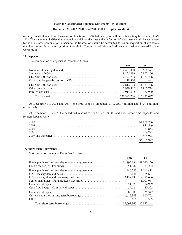# **December 31, 2002, 2001, and 2000 (\$000 except share data)**

recently issued standards on business combinations (SFAS 141) and goodwill and other intangible assets (SFAS 142). The statement clarifies that a branch acquisition that meets the definition of a business should be accounted for as a business combination, otherwise the transaction should be accounted for as an acquisition of net assets that does not result in the recognition of goodwill. The impact of this standard was not considered material to the Corporation.

## **12. Deposits**

The composition of deposits at December 31 was:

| 2002      | 2001        |
|-----------|-------------|
|           | \$3,558,571 |
| 9.225.899 | 7,867,106   |
| 2,793,793 | 1,321,746   |
| 18,330    |             |
| 2.812.123 | 1.321.746   |
| 2,979,502 | 2.962.724   |
| 914.302   | 782,900     |
|           |             |

At December 31, 2002 and 2001, brokered deposits amounted to \$2,258.9 million and \$774.2 million, respectively.

At December 31, 2002, the scheduled maturities for CDs \$100,000 and over, other time deposits, and foreign deposits were:

| \$6,705,927 |
|-------------|

## **13. Short-term Borrowings**

Short-term borrowings at December 31 were:

| 2002                            | 2001        |
|---------------------------------|-------------|
| 895,196<br>S.                   | \$1,090,150 |
| 51,387                          | 21,262      |
| 946,583                         | 1,111,412   |
| 3.141                           | 315.644     |
| 3,137,183                       | 2.290.606   |
| $\hspace{0.1mm}-\hspace{0.1mm}$ | 1.001.961   |
| 351,079                         | 314.989     |
| 34,624                          | 20.353      |
| 385,703                         | 335,342     |
| 1,612,343                       | 800,772     |
| 8.414                           | 1.505       |
| \$6,093,367                     | \$5,857,242 |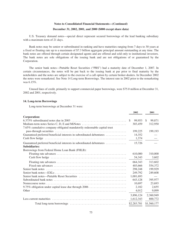# **December 31, 2002, 2001, and 2000 (\$000 except share data)**

U.S. Treasury demand notes—special direct represent secured borrowings of the lead banking subsidiary with a maximum term of 21 days.

Bank notes may be senior or subordinated in ranking and have maturities ranging from 7 days to 30 years at a fixed or floating rate up to a maximum of \$7.3 billion aggregate principal amount outstanding at any time. The bank notes are offered through certain designated agents and are offered and sold only to institutional investors. The bank notes are sole obligations of the issuing bank and are not obligations of or guaranteed by the Corporation.

The senior bank notes—Puttable Reset Securities ("PRS") had a maturity date of December 1, 2007. In certain circumstances, the notes will be put back to the issuing bank at par prior to final maturity by the noteholders and the notes are subject to the exercise of a call option by certain broker-dealers. In December 2002 the notes were remarketed. See Note 14 Long-term Borrowings. The interest rate in 2002 prior to the remarketing was 6.15%.

Unused lines of credit, primarily to support commercial paper borrowings, were \$75.0 million at December 31, 2002 and 2001, respectively.

# **14. Long-term Borrowings**

Long-term borrowings at December 31 were:

|                                                                         |     | 2002        |               | 2001        |
|-------------------------------------------------------------------------|-----|-------------|---------------|-------------|
| Corporation:                                                            |     |             |               |             |
|                                                                         | \$. | 99.953      | <sup>\$</sup> | 99.871      |
| Medium-term notes Series C, D, E and MiNotes                            |     | 303,459     |               | 312,950     |
| 7.65% cumulative company-obligated mandatorily redeemable capital trust |     |             |               |             |
|                                                                         |     | 199,225     |               | 199,193     |
| Guaranteed preferred beneficial interests in subordinated debentures    |     | 14,352      |               |             |
|                                                                         |     | 1,374       |               |             |
| Guaranteed preferred beneficial interests in subordinated debentures    |     | 15,726      |               |             |
| Subsidiaries:                                                           |     |             |               |             |
| Borrowings from Federal Home Loan Bank (FHLB):                          |     |             |               |             |
|                                                                         |     | 610,000     |               | 310,000     |
|                                                                         |     | 54,343      |               | 3,602       |
|                                                                         |     | 664,343     |               | 313,602     |
|                                                                         |     | 403,666     |               | 554,372     |
|                                                                         |     | 298,248     |               | 199,929     |
|                                                                         |     | 249,792     |               | 249,608     |
|                                                                         |     | 1,001,693   |               |             |
|                                                                         |     | 643.128     |               | 395,977     |
|                                                                         |     | 10,697      |               | 23.693      |
| 9.75% obligation under capital lease due through 2006                   |     | 2,182       |               | 2,655       |
|                                                                         |     | 4,012       |               | 9,099       |
|                                                                         |     | 3,896,124   |               | 2,360,949   |
|                                                                         |     | 1,612,343   |               | 800,772     |
|                                                                         |     | \$2,283,781 |               | \$1,560,177 |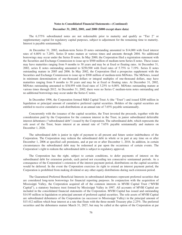# **December 31, 2002, 2001, and 2000 (\$000 except share data)**

The 6.375% subordinated notes are not redeemable prior to maturity and qualify as "Tier 2" or supplementary capital for regulatory capital purposes, subject to adjustment for the remaining time to maturity. Interest is payable semiannually.

At December 31, 2002, medium-term Series D notes outstanding amounted to \$14,000 with fixed interest rates of 6.80% to 7.20%. Series D notes mature at various times and amounts through 2004. No additional borrowings may occur under the Series D notes. In May 2000, the Corporation filed a registration statement with the Securities and Exchange Commission to issue up to \$500 million of medium-term Series E notes. These issues may have maturities ranging from 9 months to 30 years and may be at fixed or floating rates. At December 31, 2002, series E notes outstanding amounted to \$250,500 with fixed rates of 5.75% to 7.19%. Series E notes outstanding mature in 2005 and 2006. In May 2002, the Corporation filed a prospectus supplement with the Securities and Exchange Commission to issue up to \$500 million of medium-term MiNotes. The MiNotes, issued in minimum denominations of one-thousand dollars or integral multiples of one-thousand dollars, may have maturities ranging from 9 months to 30 years and may be at fixed or floating rates. At December 31, 2002, MiNotes outstanding amounted to \$38,959 with fixed rates of 3.25% to 6.00%. MiNotes outstanding mature at various times through 2012. At December 31, 2002, there were no Series C medium-term notes outstanding and no additional borrowings may occur under the Series C notes.

In December 1996, the Corporation formed M&I Capital Trust A (the "Trust") and issued \$200 million in liquidation or principal amount of cumulative preferred capital securities. Holders of the capital securities are entitled to receive cumulative cash distributions at an annual rate of 7.65% payable semiannually.

Concurrently with the issuance of the capital securities, the Trust invested the proceeds, together with the consideration paid by the Corporation for the common interest in the Trust, in junior subordinated deferrable interest debentures ("subordinated debt") issued by the Corporation. The subordinated debt, which represents the sole asset of the Trust, bears interest at an annual rate of 7.65% payable semiannually and matures on December 1, 2026.

The subordinated debt is junior in right of payment to all present and future senior indebtedness of the Corporation. The Corporation may redeem the subordinated debt in whole or in part at any time on or after December 1, 2006 at specified call premiums, and at par on or after December 1, 2016. In addition, in certain circumstances the subordinated debt may be redeemed at par upon the occurrence of certain events. The Corporation's right to redeem the subordinated debt is subject to regulatory approval.

The Corporation has the right, subject to certain conditions, to defer payments of interest on the subordinated debt for extension periods, each period not exceeding ten consecutive semiannual periods. As a consequence of the Corporation's extension of the interest payment period, distributions on the capital securities would be deferred. In the event the Corporation exercises its right to extend an interest payment period, the Corporation is prohibited from making dividend or any other equity distributions during such extension period.

The Guaranteed Preferred Beneficial Interests in subordinated debentures represent preferred securities that are considered long-term borrowings for financial reporting purposes. In conjunction with the acquisition of Mississippi Valley, the Corporation acquired all of the common interests in MVBI Capital Trust ("MVBI Capital"), a statutory business trust formed by Mississippi Valley in 1997. All accounts of MVBI Capital are included in the consolidated financial statements of the Corporation. MVBI Capital has issued and outstanding \$14.95 million in liquidation or principal amount of preferred capital securities. The sole assets of MVBI Capital are subordinated debentures of the Corporation (as successor to Mississippi Valley) in the principal amount of \$15.412 million which bear interest at a rate that floats with the three-month Treasury plus 2.25%. The preferred securities and the debentures mature March 31, 2027, but may be called at the option of the Corporation at par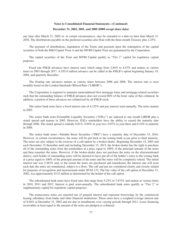# **December 31, 2002, 2001, and 2000 (\$000 except share data)**

any time after March 31, 2002 or, in certain circumstances, may be extended to a date no later than March 31, 2036. The distributions payable on the preferred securities also float with the three-month Treasury plus 2.25%.

The payment of distributions, liquidation of the Trusts and payment upon the redemption of the capital securities of both the M&I Capital Trust A and the MVBI Capital Trust are guaranteed by the Corporation.

The capital securities of the Trust and MVBI Capital qualify as "Tier 1" capital for regulatory capital purposes.

Fixed rate FHLB advances have interest rates which range from 2.84% to 8.47% and mature at various times in 2003 through 2017. A \$55.0 million advance can be called at the FHLB's option beginning January 19, 2004, and quarterly thereafter.

The floating rate advances mature at various times between 2006 and 2008. The interest rate is reset monthly based on the London Interbank Offered Rate ("LIBOR").

The Corporation is required to maintain unencumbered first mortgage loans and mortgage-related securities such that the outstanding balance of FHLB advances does not exceed 60% of the book value of this collateral. In addition, a portion of these advances are collaterized by all FHLB stock.

The senior bank notes have a fixed interest rate of 4.125% and pay interest semi-annually. The notes mature in 2003.

The senior bank notes-Extendible Liquidity Securities ("EXLs") are indexed to one month LIBOR plus a stated spread and mature in 2003. However, EXLs noteholders have the ability to extend the maturity date through 2006. The stated spread is initially  $0.01\%$ ,  $0.04\%$  in year two,  $0.07\%$  in year three and  $0.10\%$  to maturity in 2006.

The senior bank notes—Puttable Reset Securities ("PRS") have a maturity date of December 15, 2016. However, in certain circumstances, the notes will be put back to the issuing bank at par prior to final maturity. The notes are also subject to the exercise of a call option by a broker-dealer. Beginning December 15, 2003 and each December 15 thereafter until and including December 15, 2015, the broker-dealer has the right to purchase all of the outstanding notes from the noteholders at a price equal to 100% of the principal amount of the notes and then remarket the notes. However, if the broker-dealer does not purchase the notes on the aforementioned date(s), each holder of outstanding notes will be deemed to have put all of the holder's notes to the issuing bank at a price equal to 100% of the principal amount of the notes and the notes will be completely retired. The initial interest rate was 5.263% and, to the extent the notes are purchased and remarketed, the interest rate will reset each date the notes are remarketed, subject to a floor. The call and put are considered clearly and closely related for purposes of recognition and measurement under SFAS 133. The fair value of the call option at December 31, 2002, was approximately \$115 million as determined by the holder of the call option.

The subordinated bank notes have fixed rates that range from 5.25% to 7.875% and mature at various times in 2010, 2011 and 2012. Interest is paid semi-annually. The subordinated bank notes qualify as "Tier 2" or supplementary capital for regulatory capital purposes.

The nonrecourse notes are reported net of prepaid interest and represent borrowings by the commercial leasing subsidiary from banks and other financial institutions. These notes have a weighted average interest rate of 8.04% at December 31, 2002 and are due in installments over varying periods through 2011. Lease financing receivables at least equal to the amount of the notes are pledged as collateral.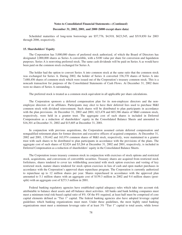# **December 31, 2002, 2001, and 2000 (\$000 except share data)**

Scheduled maturities of long-term borrowings are \$57,776, \$4,918, \$623,545, and \$519,850 for 2003 through 2006, respectively.

### **15. Shareholders' Equity**

The Corporation has 5,000,000 shares of preferred stock authorized, of which the Board of Directors has designated 2,000,000 shares as Series A convertible, with a \$100 value per share for conversion and liquidation purposes. Series A is nonvoting preferred stock. The same cash dividends will be paid on Series A as would have been paid on the common stock exchanged for Series A.

The holder had the option to convert Series A into common stock at the same ratio that the common stock was exchanged for Series A. During 2002, the holder of Series A converted 336,370 shares of Series A into 7,688,456 shares of common stock which were issued out of the Corporation's treasury common stock. This is a noncash transaction for purposes of the Consolidated Statements of Cash Flows. At December 31, 2002 there were no shares of Series A outstanding.

The preferred stock is treated as a common stock equivalent in all applicable per share calculations.

The Corporation sponsors a deferred compensation plan for its non-employee directors and the nonemployee directors of its affiliates. Participants may elect to have their deferred fees used to purchase M&I common stock with dividend reinvestment. Such shares will be distributed to plan participants in accordance with the plan provisions. At December 31, 2002 and 2001, 623,478 and 603,386 shares of M&I common stock, respectively, were held in a grantor trust. The aggregate cost of such shares is included in Deferred Compensation as a reduction of shareholders' equity in the Consolidated Balance Sheets and amounted to \$16,301 at December 31, 2002 and \$15,605 at December 31, 2001.

In conjunction with previous acquisitions, the Corporation assumed certain deferred compensation and nonqualified retirement plans for former directors and executive officers of acquired companies. At December 31, 2002 and 2001, 139,442 and 163,974 common shares of M&I stock, respectively, were maintained in a grantor trust with such shares to be distributed to plan participants in accordance with the provisions of the plans. The aggregate cost of such shares of \$2,824 and \$3,264 at December 31, 2002 and 2001, respectively, is included in Deferred Compensation as a reduction of shareholders' equity in the Consolidated Balance Sheets.

The Corporation issues treasury common stock in conjunction with exercises of stock options and restricted stock, acquisitions, and conversions of convertible securities. Treasury shares are acquired from restricted stock forfeitures, shares tendered to cover tax withholding associated with stock option exercises and vesting of key restricted stock, mature shares tendered for stock option exercises in lieu of cash and open market purchases in accordance with the Corporation's approved share repurchase program. The Corporation is currently authorized to repurchase up to 12 million shares per year. Shares repurchased in accordance with the approved plan amounted to 5.1 million shares with an aggregate cost of \$159.3 million in 2002 and 9.4 million shares (postsplit) with an aggregate cost of \$273.3 million in 2001.

Federal banking regulatory agencies have established capital adequacy rules which take into account risk attributable to balance sheet assets and off-balance sheet activities. All banks and bank holding companies must meet a minimum total risk-based capital ratio of 8%. Of the 8% required, at least half must be comprised of core capital elements defined as "Tier 1" capital. The federal banking agencies also have adopted leverage capital guidelines which banking organizations must meet. Under these guidelines, the most highly rated banking organizations must meet a minimum leverage ratio of at least 3% "Tier 1" capital to total assets, while lower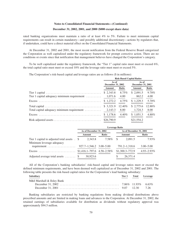# **December 31, 2002, 2001, and 2000 (\$000 except share data)**

rated banking organizations must maintain a ratio of at least 4% to 5%. Failure to meet minimum capital requirements can result in certain mandatory—and possibly additional discretionary—actions by regulators that, if undertaken, could have a direct material effect on the Consolidated Financial Statements.

At December 31, 2002 and 2001, the most recent notification from the Federal Reserve Board categorized the Corporation as well capitalized under the regulatory framework for prompt corrective action. There are no conditions or events since that notification that management believes have changed the Corporation's category.

To be well capitalized under the regulatory framework, the "Tier 1" capital ratio must meet or exceed 6%, the total capital ratio must meet or exceed 10% and the leverage ratio must meet or exceed 5%.

The Corporation's risk-based capital and leverage ratios are as follows (\$ in millions):

|                                                                                                                                              | <b>Risk-Based Capital Ratios</b>  |                |                                   |                |  |  |
|----------------------------------------------------------------------------------------------------------------------------------------------|-----------------------------------|----------------|-----------------------------------|----------------|--|--|
|                                                                                                                                              | As of<br><b>December 31, 2002</b> |                | As of<br><b>December 31, 2001</b> |                |  |  |
|                                                                                                                                              | <b>Amount</b>                     | Ratio          | <b>Amount</b>                     | Ratio          |  |  |
| Tier 1 capital $\ldots \ldots \ldots \ldots \ldots \ldots \ldots \ldots \ldots \ldots \ldots$<br>Tier 1 capital adequacy minimum requirement | \$2,343.8<br>1,071.6              | 8.75%<br>4.00  | \$ 2,091.5<br>862.2               | 9.70%<br>4.00  |  |  |
|                                                                                                                                              | \$1,272.2                         | 4.75%          | \$1,229.3                         | 5.70%          |  |  |
| Total capital adequacy minimum requirement                                                                                                   | \$ 3,321.9<br>2,143.3             | 12.40%<br>8.00 | \$2,775.6<br>1,724.3              | 12.88%<br>8.00 |  |  |
|                                                                                                                                              | \$1,178.6                         | 4.40%          | \$1,051.3                         | 4.88%          |  |  |
|                                                                                                                                              | \$26,790.9                        |                | \$21,554.2                        |                |  |  |

|                                                                       | <b>Leverage Ratio</b>   |          |                                     |               |                         |                 |  |       |
|-----------------------------------------------------------------------|-------------------------|----------|-------------------------------------|---------------|-------------------------|-----------------|--|-------|
|                                                                       | As of December 31, 2002 |          |                                     |               | As of December 31, 2001 |                 |  |       |
|                                                                       |                         | Amount   | Ratio                               | <b>Amount</b> |                         |                 |  | Ratio |
| Tier 1 capital to adjusted total assets.<br>Minimum leverage adequacy | -S                      | 2.343.8  | 7.58%                               | -S            | 2.091.5                 | 7.93%           |  |       |
| requirement $\dots\dots\dots\dots\dots\dots\dots$                     |                         |          | $927.7 - 1,546.2 \quad 3.00 - 5.00$ |               | 791.2–1,318.6           | $3.00 - 5.00$   |  |       |
| $Excess \ldots \ldots \ldots \ldots \ldots \ldots \ldots$             |                         |          | $$1,416.1-797.6$ $4.58-2.58\%$      |               | $$1,300.3-772.9$        | $4.93 - 2.93\%$ |  |       |
| Adjusted average total assets                                         |                         | 30,923.6 |                                     |               | 26,371.4                |                 |  |       |

All of the Corporation's banking subsidiaries' risk-based capital and leverage ratios meet or exceed the defined minimum requirements, and have been deemed well capitalized as of December 31, 2002 and 2001. The following table presents the risk-based capital ratios for the Corporation's lead banking subsidiary:

|  | Subsidiarv |  |
|--|------------|--|
|  |            |  |
|  |            |  |

| Subsidiary                 | Tier 1 Total Leverage |  |
|----------------------------|-----------------------|--|
| M&I Marshall & Ilsley Bank |                       |  |
|                            |                       |  |
|                            |                       |  |

Banking subsidiaries are restricted by banking regulations from making dividend distributions above prescribed amounts and are limited in making loans and advances to the Corporation. At December 31, 2002, the retained earnings of subsidiaries available for distribution as dividends without regulatory approval was approximately \$94.5 million.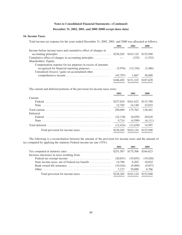# **December 31, 2002, 2001, and 2000 (\$000 except share data)**

# **16. Income Taxes**

| Total income tax expense for the years ended December 31, 2002, 2001, and 2000 was allocated as follows:                                                      |           |                               |             |
|---------------------------------------------------------------------------------------------------------------------------------------------------------------|-----------|-------------------------------|-------------|
|                                                                                                                                                               | 2002      | 2001                          | <b>2000</b> |
| Income before income taxes and cumulative effect of changes in                                                                                                |           | \$238,265 \$163,124 \$152,948 |             |
| Cumulative effect of changes in accounting principles<br>Shareholders' Equity:                                                                                |           | (235)                         | (1,532)     |
| Compensation expense for tax purposes in excess of amounts<br>recognized for financial reporting purposes<br>Unrealized (losses) / gains on accumulated other | (5.976)   | (13.334)                      | (2,486)     |
|                                                                                                                                                               | (45,797)  | 1,667                         | 38,699      |
|                                                                                                                                                               | \$186,492 | \$151,222                     | \$187,629   |

The current and deferred portions of the provision for income taxes were:

|                                                                                                        | 2002      | 2001                | 2000      |
|--------------------------------------------------------------------------------------------------------|-----------|---------------------|-----------|
| Current:                                                                                               |           |                     |           |
|                                                                                                        | \$237.924 | \$161,622 \$115,789 |           |
|                                                                                                        |           | 14,140              | 22,652    |
|                                                                                                        |           | 175.762             | 138.441   |
| Deferred:                                                                                              |           |                     |           |
| Federal $\ldots \ldots \ldots \ldots \ldots \ldots \ldots \ldots \ldots \ldots \ldots \ldots$ (22,138) |           | (8,039)             | 20.618    |
|                                                                                                        |           | (4,599)             | (6,111)   |
|                                                                                                        |           | (12,638)            | 14,507    |
| Total provision for income taxes $\dots \dots \dots \dots \dots$ \$238,265                             |           | \$163,124           | \$152,948 |

The following is a reconciliation between the amount of the provision for income taxes and the amount of tax computed by applying the statutory Federal income tax rate (35%):

|                                                | 2002     | 2001      | <b>2000</b> |
|------------------------------------------------|----------|-----------|-------------|
|                                                |          |           |             |
| Increase (decrease) in taxes resulting from:   |          |           |             |
|                                                | (20,651) | (19.855)  | (19, 428)   |
| State income taxes, net of Federal tax benefit | 14.706   | 6.202     | 10.824      |
| Bank owned life insurance                      | (10.424) | (9, 469)  | (9,837)     |
|                                                | 3.127    | 10.880    | 6,766       |
|                                                |          | \$163,124 | \$152,948   |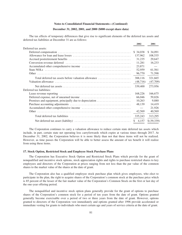# **December 31, 2002, 2001, and 2000 (\$000 except share data)**

The tax effects of temporary differences that give rise to significant elements of the deferred tax assets and deferred tax liabilities at December 31 are as follows:

|                                                                                                              | 2002                  | 2001        |
|--------------------------------------------------------------------------------------------------------------|-----------------------|-------------|
| Deferred tax assets:                                                                                         |                       |             |
|                                                                                                              | \$ 34,038             | \$ 34,091   |
|                                                                                                              | 137,962               | 108,535     |
|                                                                                                              | 31,235                | 29,647      |
|                                                                                                              | 11,281                | 16,233      |
|                                                                                                              | 23,871                |             |
|                                                                                                              | 52,959                | 61,561      |
|                                                                                                              | 96,770                | 71,598      |
| Total deferred tax assets before valuation allowance                                                         | 388,116               | 321,665     |
|                                                                                                              | (48, 716)             | (47,709)    |
|                                                                                                              | 339,400               | 273,956     |
| Deferred tax liabilities:                                                                                    |                       |             |
|                                                                                                              | 168,226               | 166,675     |
|                                                                                                              | 66,046                | 59,826      |
|                                                                                                              | 10,263                | 9,880       |
|                                                                                                              | 48,139                | 14,419      |
|                                                                                                              |                       | 21,926      |
|                                                                                                              | 42,569                | 40,569      |
|                                                                                                              | 335,243               | 313,295     |
| Net deferred tax asset (liability) $\dots \dots \dots \dots \dots \dots \dots \dots \dots \dots \dots \dots$ | $\mathbb{S}$<br>4,157 | \$ (39,339) |

The Corporation continues to carry a valuation allowance to reduce certain state deferred tax assets which include, in part, certain state net operating loss carryforwards which expire at various times through 2017. At December 31, 2002, the Corporation believes it is more likely than not that these items will not be realized. However, as time passes the Corporation will be able to better assess the amount of tax benefit it will realize from using these items.

### **17. Stock Option, Restricted Stock and Employee Stock Purchase Plans**

The Corporation has Executive Stock Option and Restricted Stock Plans which provide for the grant of nonqualified and incentive stock options, stock appreciation rights and rights to purchase restricted shares to key employees and directors of the Corporation at prices ranging from not less than the par value of the common shares to the market value of the shares at the date of grant.

The Corporation also has a qualified employee stock purchase plan which gives employees, who elect to participate in the plan, the right to acquire shares of the Corporation's common stock at the purchase price which is 85 percent of the lesser of the fair market value of the Corporation's Common Stock on the first or last day of the one-year offering period.

The nonqualified and incentive stock option plans generally provide for the grant of options to purchase shares of the Corporation's common stock for a period of ten years from the date of grant. Options granted generally become exercisable over a period of two or three years from the date of grant. However, options granted to directors of the Corporation vest immediately and options granted after 1996 provide accelerated or immediate vesting for grants to individuals who meet certain age and years of service criteria at the date of grant.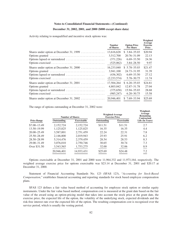# **December 31, 2002, 2001, and 2000 (\$000 except share data)**

Activity relating to nonqualified and incentive stock options was:

|                                                   | <b>Number</b><br>of Shares | <b>Option Price</b><br><b>Per Share</b> | Weighted<br>Average<br><b>Exercise</b><br>Price |
|---------------------------------------------------|----------------------------|-----------------------------------------|-------------------------------------------------|
| Shares under option at December 31, 1999 $\ldots$ | 13,616,628                 | $$3.84 - 35.03$                         | \$20.94                                         |
|                                                   | 3,512,700                  | $20.76 - 31.09$                         | 22.13                                           |
|                                                   | (371, 226)                 | $6.69 - 33.50$                          | 24.36                                           |
|                                                   | (525,062)                  | 3.84–28.50                              | 9.97                                            |
|                                                   | 16.233,040                 | $$5.78 - 35.03$                         | \$21.47                                         |
|                                                   | 3,941,100                  | 24.73-31.95                             | 31.39                                           |
|                                                   | (436,302)                  | $6.69 - 33.50$                          | 27.12                                           |
|                                                   | (2,233,574)                | 5.78–30.75                              | 11.74                                           |
| Shares under option at December 31, 2001          | 17,504,264                 | $$6.20 - 35.03$                         | \$24.81                                         |
|                                                   | 4.803.042                  | 12.87-31.78                             | 27.04                                           |
|                                                   | (375, 658)                 | 15.94 - 35.03                           | 28.68                                           |
|                                                   | (985, 247)                 | $6.20 - 30.75$                          | 15.58                                           |
| Shares under option at December 31, 2002          | 20.946.401                 | $$7.69 - 33.94$                         | \$25.69                                         |

The range of options outstanding at December 31, 2002 were:

|                    |             | <b>Number of Shares</b> | <b>Weighted-Average</b><br><b>Exercise Price</b> |                    |                 | Average<br>Remaining<br><b>Contractual</b> |  |  |
|--------------------|-------------|-------------------------|--------------------------------------------------|--------------------|-----------------|--------------------------------------------|--|--|
| <b>Price Range</b> | Outstanding | <b>Exercisable</b>      | Outstanding                                      | <b>Exercisable</b> | Life (In Years) |                                            |  |  |
| $$7.00 - 13.49$    | 2,152,724   | 2,152,724               | \$11.51                                          | \$11.51            | 2.7             |                                            |  |  |
| 13.50-19.99        | 1,125,825   | 1,125,825               | 16.35                                            | 16.35              | 4.4             |                                            |  |  |
| 20.00-25.49        | 3,587,001   | 2,751,459               | 22.24                                            | 22.31              | 7.8             |                                            |  |  |
| 25.50-28.49        | 2,146,800   | 2,019,943               | 25.93                                            | 25.91              | 6.2             |                                            |  |  |
| 28.50-28.99        | 5,314,476   | 2,379,459               | 28.54                                            | 28.53              | 8.3             |                                            |  |  |
| 29.00-31.49        | 3,076,010   | 2,750,746               | 30.65                                            | 30.74              | 7.3             |                                            |  |  |
| Over \$31.50       | 3,543,565   | 1,753,275               | 32.00                                            | 32.06              | 8.9             |                                            |  |  |
|                    | 20,946,401  | 14,933,431              | \$25.69                                          | \$24.48            | 7.2             |                                            |  |  |
|                    |             |                         |                                                  |                    | $=$             |                                            |  |  |

**Weighted-**

Options exercisable at December 31, 2001 and 2000 were 11,964,332 and 11,973,164, respectively. The weighted average exercise price for options exercisable was \$23.14 at December 31, 2001 and \$20.17 at December 31, 2000.

Statement of Financial Accounting Standards No. 123 (SFAS 123), "*Accounting for Stock-Based Compensation*," establishes financial accounting and reporting standards for stock based employee compensation plans.

SFAS 123 defines a fair value based method of accounting for employee stock option or similar equity instruments. Under the fair value based method, compensation cost is measured at the grant date based on the fair value of the award using an option-pricing model that takes into account the stock price at the grant date, the exercise price, the expected life of the option, the volatility of the underlying stock, expected dividends and the risk-free interest rate over the expected life of the option. The resulting compensation cost is recognized over the service period, which is usually the vesting period.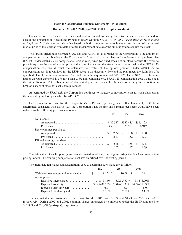# **December 31, 2002, 2001, and 2000 (\$000 except share data)**

Compensation cost can also be measured and accounted for using the intrinsic value based method of accounting prescribed in Accounting Principles Board Opinion No. 25 (APBO 25), "*Accounting for Stock Issued to Employees.*" Under the intrinsic value based method, compensation cost is the excess, if any, of the quoted market price of the stock at grant date or other measurement date over the amount paid to acquire the stock.

The largest differences between SFAS 123 and APBO 25 as it relates to the Corporation is the amount of compensation cost attributable to the Corporation's fixed stock option plans and employee stock purchase plan (ESPP). Under APBO 25 no compensation cost is recognized for fixed stock option plans because the exercise price is equal to the quoted market price at the date of grant and therefore there is no intrinsic value. SFAS 123 compensation cost would equal the calculated fair value of the options granted. Under APBO 25 no compensation cost is recognized for the ESPP because the discount (15%) and the plan meets the definition of a qualified plan of the Internal Revenue Code and meets the requirements of APBO 25. Under SFAS 123 the safeharbor discount threshold is 5% for a plan to be non-compensatory. SFAS 123 compensation cost would equal the initial discount (15% of beginning of plan period price per share) plus the value of a one year call option on 85% of a share of stock for each share purchased.

As permitted by SFAS 123, the Corporation continues to measure compensation cost for such plans using the accounting method prescribed by APBO 25.

Had compensation cost for the Corporation's ESPP and options granted after January 1, 1995 been determined consistent with SFAS 123, the Corporation's net income and earnings per share would have been reduced to the following pro forma amounts:

|                                                                                        | 2002 |      | 2001 |      | 2000 |  |
|----------------------------------------------------------------------------------------|------|------|------|------|------|--|
| Net income:                                                                            |      |      |      |      |      |  |
|                                                                                        |      |      |      |      |      |  |
|                                                                                        |      |      |      |      |      |  |
| Basic earnings per share:                                                              |      |      |      |      |      |  |
|                                                                                        |      |      |      |      | 1.50 |  |
| Pro forma $\ldots \ldots \ldots \ldots \ldots \ldots \ldots \ldots \ldots \ldots$ 2.13 |      |      |      | 1.52 | 1.43 |  |
| Diluted earnings per share:                                                            |      |      |      |      |      |  |
|                                                                                        |      |      |      |      | 1.45 |  |
| Pro forma $\ldots \ldots \ldots \ldots \ldots \ldots \ldots \ldots \ldots \ldots$      |      | 2.07 |      | 1.47 | 1 39 |  |

The fair value of each option grant was estimated as of the date of grant using the Black-Scholes option pricing model. The resulting compensation cost was amortized over the vesting period.

The grant date fair values and assumptions used to determine such value are as follows:

|                                                   | <b>2002</b><br><b>2001</b> |               | <b>2000</b> |  |                                                 |
|---------------------------------------------------|----------------------------|---------------|-------------|--|-------------------------------------------------|
| Weighted-average grant date fair value $\dots$ \$ |                            | 8.15 \$       | $10.09$ S   |  | 6.91                                            |
| Assumptions:                                      |                            |               |             |  |                                                 |
| Risk-free interest rates                          |                            |               |             |  | $3.11 - 5.16\%$ $3.92 - 5.30\%$ $5.14 - 6.79\%$ |
| Expected volatility                               |                            |               |             |  | 30.95-31.25% 31.09-31.33% 24.36-31.33%          |
| Expected term (in years) $\dots \dots \dots$      |                            | $6.0^{\circ}$ | 6.0         |  | $6.0^{\circ}$                                   |
| Expected dividend yield                           |                            | 2.10%         | $2.13\%$    |  | $2.11\%$                                        |

The estimated compensation cost per share for the ESPP was \$5.33 and \$4.48 for 2002 and 2001, respectively. During 2002 and 2001, common shares purchased by employees under the ESPP amounted to 302,809 and 356,994 (post-split), respectively.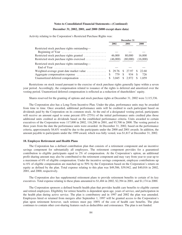# **Notes to Consolidated Financial Statements—(Continued) December 31, 2002, 2001, and 2000 (\$000 except share data)**

Activity relating to the Corporation's Restricted Purchase Rights was:

|                                                                                     | December 31 |          |          |                       |          |        |
|-------------------------------------------------------------------------------------|-------------|----------|----------|-----------------------|----------|--------|
|                                                                                     |             | 2002     |          | 2001                  |          | 2000   |
| Restricted stock purchase rights outstanding—                                       |             |          |          |                       |          |        |
|                                                                                     |             |          |          |                       |          |        |
| Restricted stock purchase rights granted                                            |             | 46,000   |          | 80,000                |          | 16,000 |
| Restricted stock purchase rights exercised                                          | (46,000)    |          | (80,000) |                       | (16,000) |        |
| Restricted stock purchase rights outstanding—                                       |             |          |          |                       |          |        |
| End of Year $\ldots \ldots \ldots \ldots \ldots \ldots \ldots \ldots \ldots \ldots$ |             |          |          |                       |          |        |
| Weighted-average grant date market value                                            |             | \$29.76  |          | \$27.97               | S.       | 22.68  |
|                                                                                     | -S          | 779      | -S       | 934                   | <b>S</b> | 726    |
| Unamortized deferred compensation                                                   |             | \$ 3.045 |          | $\frac{1}{2}$ , 2.972 | S        | 1.859  |

Restrictions on stock issued pursuant to the exercise of stock purchase rights generally lapse within a seven year period. Accordingly, the compensation related to issuance of the rights is deferred and amortized over the vesting period. Unamortized deferred compensation is reflected as a reduction of shareholders' equity.

Shares reserved for the granting of options and stock purchase rights at December 31, 2002 were 3,115,336.

The Corporation also has a Long-Term Incentive Plan. Under the plan, performance units may be awarded from time to time. Once awarded, additional performance units will be credited to each participant based on dividends paid by the Corporation on its common stock. At the end of a designated vesting period, participants will receive an amount equal to some percent  $(0\% - 275\%)$  of the initial performance units credited plus those additional units credited as dividends based on the established performance criteria. Units awarded to certain executives of the Corporation were 117,000 in 2002, 116,200 in 2001, and 93,700 in 2000. The vesting period is three years from the date the performance units were awarded. At December 31, 2002, based on the performance criteria, approximately \$4,651 would be due to the participants under the 2000 and 2001 awards. In addition, the amount payable to participants under the 1999 award, which was fully vested, was \$1,817 at December 31, 2002.

## **18. Employee Retirement and Health Plans**

The Corporation has a defined contribution plan that consists of a retirement component and an incentive savings component for substantially all employees. The retirement component provides for a guaranteed contribution to eligible participants equal to 2% of compensation. At the Corporation's option, an additional profit sharing amount may also be contributed to the retirement component and may vary from year to year up to a maximum of 6% of eligible compensation. Under the incentive savings component, employee contributions up to 6% of eligible compensation are matched up to 50% by the Corporation based on the Corporation's return on equity as defined by the plan. Total expense relating to this plan was \$49,586, \$39,942, and \$40,016 in 2002, 2001, and 2000, respectively.

The Corporation also has supplemental retirement plans to provide retirement benefits to certain of its key executives. Total expense relating to these plans amounted to \$1,484 in 2002, \$2,394 in 2001, and \$1,174 in 2000.

The Corporation sponsors a defined benefit health plan that provides health care benefits to eligible current and retired employees. Eligibility for retiree benefits is dependent upon age, years of service, and participation in the health plan during active service. The plan is contributory and in 1997 and 2002 the plan was amended. Employees hired or retained from mergers after September 1, 1997 will be granted access to the Corporation's plan upon retirement however, such retirees must pay 100% of the cost of health care benefits. The plan continues to contain other cost-sharing features such as deductibles and coinsurance. The plan is not funded.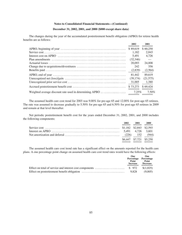# **December 31, 2002, 2001, and 2000 (\$000 except share data)**

The changes during the year of the accumulated postretirement benefit obligation (APBO) for retiree health benefits are as follows:

|                                                                                                                   | 2002      | 2001                     |
|-------------------------------------------------------------------------------------------------------------------|-----------|--------------------------|
|                                                                                                                   | \$89.619  | \$60,250                 |
|                                                                                                                   | 1.182     | 2.843                    |
| Interest cost on APBO $\dots \dots \dots \dots \dots \dots \dots \dots \dots \dots \dots \dots \dots \dots \dots$ | 5.491     | 4.726                    |
|                                                                                                                   | (32, 346) | $\overline{\phantom{m}}$ |
|                                                                                                                   | 20,093    | 24,008                   |
|                                                                                                                   | 242       | 356                      |
|                                                                                                                   | (2,839)   | (2,564)                  |
|                                                                                                                   | 81.442    | 89.619                   |
|                                                                                                                   | (39,174)  | (21,575)                 |
|                                                                                                                   | 31,005    | 1,380                    |
|                                                                                                                   | \$73.273  | \$69,424                 |
| Weighted average discount rate used in determining APBO                                                           | $7.25\%$  | 7.50%                    |

The assumed health care cost trend for 2003 was 9.00% for pre-age 65 and 12.00% for post-age 65 retirees. The rate was assumed to decrease gradually to 5.50% for pre-age 65 and 6.50% for post-age 65 retirees in 2009 and remain at that level thereafter.

Net periodic postretirement benefit cost for the years ended December 31, 2002, 2001, and 2000 includes the following components:

|                                                                                                             |                         | 2002 2001 2000 |  |
|-------------------------------------------------------------------------------------------------------------|-------------------------|----------------|--|
|                                                                                                             |                         |                |  |
|                                                                                                             |                         |                |  |
| Net amortization and deferral $\dots \dots \dots \dots \dots \dots \dots \dots \dots \dots$ (226) 152 (944) |                         |                |  |
|                                                                                                             | \$6,447 \$7,721 \$5,250 |                |  |

The assumed health care cost trend rate has a significant effect on the amounts reported for the health care plans. A one percentage point change on assumed health care cost trend rates would have the following effects:

| One.<br>Point<br><b>Increase</b> | One<br>Percentage Percentage<br>Point<br><b>Decrease</b> |
|----------------------------------|----------------------------------------------------------|
|                                  |                                                          |
|                                  | (9.005)                                                  |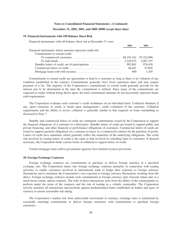# **December 31, 2002, 2001, and 2000 (\$000 except share data)**

# **19. Financial Instruments with Off-Balance Sheet Risk**

Financial instruments with off-balance sheet risk at December 31 were:

|                                                                                                                                       | 2002      | 2001      |
|---------------------------------------------------------------------------------------------------------------------------------------|-----------|-----------|
| Financial instruments whose amounts represent credit risk:                                                                            |           |           |
| Commitments to extend credit:                                                                                                         |           |           |
|                                                                                                                                       |           |           |
| To individuals $\ldots$ , $\ldots$ , $\ldots$ , $\ldots$ , $\ldots$ , $\ldots$ , $\ldots$ , $\ldots$ , $\ldots$ , $\ldots$ , $\ldots$ | 2.242.675 | 2,007,197 |
| Standby letters of credit, net of participations                                                                                      | 992.881   | 976.438   |
|                                                                                                                                       | 46.441    | 57.605    |
|                                                                                                                                       | 690       | 1.105     |
|                                                                                                                                       |           |           |

Commitments to extend credit are agreements to lend to a customer as long as there is no violation of any condition established in the contract. Commitments generally have fixed expiration dates and may require payment of a fee. The majority of the Corporation's commitments to extend credit generally provide for the interest rate to be determined at the time the commitment is utilized. Since many of the commitments are expected to expire without being drawn upon, the total commitment amounts do not necessarily represent future cash requirements.

The Corporation evaluates each customer's credit worthiness on an individual basis. Collateral obtained, if any, upon extension of credit, is based upon management's credit evaluation of the customer. Collateral requirements and the ability to access collateral is generally similar to that required on loans outstanding as discussed in Note 7.

Standby and commercial letters of credit are contingent commitments issued by the Corporation to support the financial obligations of a customer to a third party. Standby letters of credit are issued to support public and private financing, and other financial or performance obligations of customers. Commercial letters of credit are issued to support payment obligations of a customer as buyer in a commercial contract for the purchase of goods. Letters of credit have maturities which generally reflect the maturities of the underlying obligations. The credit risk involved in issuing letters of credit is the same as that involved in extending loans to customers. If deemed necessary, the Corporation holds various forms of collateral to support letters of credit.

Certain mortgage loans sold to government agencies have limited recourse provisions.

## **20. Foreign Exchange Contracts**

Foreign exchange contracts are commitments to purchase or deliver foreign currency at a specified exchange rate. The Corporation enters into foreign exchange contracts primarily in connection with trading activities to enable customers involved in international trade to hedge their exposure to foreign currency fluctuations and to minimize the Corporation's own exposure to foreign currency fluctuations resulting from the above. Foreign exchange contracts include such commitments as foreign currency spot, forward, future and, to a much lesser extent, option contracts. The risks in these transactions arise from the ability of the counterparties to perform under the terms of the contracts and the risk of trading in a volatile commodity. The Corporation actively monitors all transactions and positions against predetermined limits established on traders and types of currency to ensure reasonable risk taking.

The Corporation's market risk from unfavorable movements in currency exchange rates is minimized by essentially matching commitments to deliver foreign currencies with commitments to purchase foreign currencies.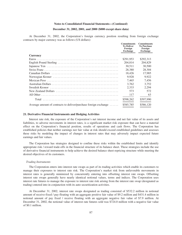# **December 31, 2002, 2001, and 2000 (\$000 except share data)**

At December 31, 2002, the Corporation's foreign currency position resulting from foreign exchange contracts by major currency was as follows (US dollars):

|                                                                          | <b>Commitments</b><br><b>To Deliver</b><br>Foreign<br><b>Exchange</b> | <b>Commitments</b><br><b>To Purchase</b><br>Foreign<br><b>Exchange</b> |
|--------------------------------------------------------------------------|-----------------------------------------------------------------------|------------------------------------------------------------------------|
| <b>Currency</b>                                                          |                                                                       |                                                                        |
|                                                                          | \$291,953                                                             | \$292,313                                                              |
|                                                                          | 204,814                                                               | 204,829                                                                |
|                                                                          | 30,511                                                                | 30,500                                                                 |
|                                                                          | 28,380                                                                | 28,304                                                                 |
|                                                                          | 18,426                                                                | 17,985                                                                 |
|                                                                          | 9,928                                                                 | 9,922                                                                  |
|                                                                          | 7.465                                                                 | 7.456                                                                  |
|                                                                          | 3.762                                                                 | 3.752                                                                  |
|                                                                          | 2.333                                                                 | 2.294                                                                  |
|                                                                          | 573                                                                   | 572                                                                    |
|                                                                          | 117                                                                   | 63                                                                     |
|                                                                          | \$598,262                                                             | \$597,990                                                              |
| Average amount of contracts to deliver/purchase foreign exchange $\dots$ | \$585,785                                                             | \$586.120                                                              |

## **21. Derivative Financial Instruments and Hedging Activities**

Interest rate risk, the exposure of the Corporation's net interest income and net fair value of its assets and liabilities, to adverse movements in interest rates, is a significant market risk exposure that can have a material effect on the Corporation's financial position, results of operations and cash flows. The Corporation has established policies that neither earnings nor fair value at risk should exceed established guidelines and assesses these risks by modeling the impact of changes in interest rates that may adversely impact expected future earnings and fair values.

The Corporation has strategies designed to confine these risks within the established limits and identify appropriate risk / reward trade-offs in the financial structure of its balance sheet. These strategies include the use of derivative financial instruments to help achieve the desired balance sheet repricing structure while meeting the desired objectives of its customers.

#### *Trading Instruments*

The Corporation enters into interest rate swaps as part of its trading activities which enable its customers to manage their exposures to interest rate risk. The Corporation's market risk from unfavorable movements in interest rates is generally minimized by concurrently entering into offsetting interest rate swaps. Offsetting interest rate swaps generally have nearly identical notional values, terms and indices. The Corporation uses interest rate futures to manage the exposure to interest rate risk arising from the interest rate swap (designated as trading) entered into in conjunction with its auto securitization activities.

At December 31, 2002, interest rate swaps designated as trading consisted of \$532.2 million in notional amount of receive-fixed / pay-floating with an aggregate positive fair value of \$9.2 million and \$431.4 million in notional amount of pay fixed / receive floating with an aggregate negative fair value of \$7.9 million. At December 31, 2002, the notional value of interest rate futures sold was \$724.0 million with a negative fair value of \$0.1 million.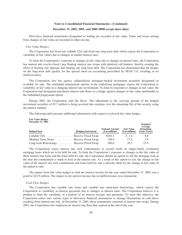# **December 31, 2002, 2001, and 2000 (\$000 except share data)**

Derivative financial instruments designated as trading are recorded at fair value. Gains and losses arising from changes in fair value are recorded in other income.

#### *Fair Value Hedges*

The Corporation has fixed rate callable CDs and fixed rate long-term debt which expose the Corporation to variability in fair values due to changes in market interest rates.

To limit the Corporation's exposure to changes in fair value due to changes in interest rates, the Corporation has entered into receive-fixed / pay-floating interest rate swaps with identical call features, thereby creating the effect of floating rate deposits and floating rate long-term debt. The Corporation has determined that the hedges on the long-term debt qualify for the special short-cut accounting prescribed by SFAS 133, resulting in no ineffectiveness.

The Corporation also has agency collateralized mortgage-backed investment securities designated as available for sale. The embedded prepayment options in the underlying mortgages expose the Corporation to variability in fair value in a changing interest rate environment. To limit its exposure to changes in fair value, the Corporation had designated purchased interest rate floors as a hedge against changes in fair value attributable to the embedded prepayment option.

During 2001, the Corporation sold the floors. The adjustment to the carrying amount of the hedged investment securities of \$5.7 million is being accreted into earnings over the remaining life of the security using the interest method.

The following table presents additional information with respect to selected fair value hedges.

| <b>ran</b> vanie meuges<br>December 31, 2002<br><b>Hedged Item</b> | <b>Hedging Instrument</b> | <b>Notional Amount</b><br>(\$ in millions) | <b>Fair Value</b><br>$$$ in millions) | Weighted<br>Average<br>Remaining<br>Term (Years) |
|--------------------------------------------------------------------|---------------------------|--------------------------------------------|---------------------------------------|--------------------------------------------------|
|                                                                    | Receive Fixed Swap        | \$201.5                                    | \$1.6                                 | 6.8                                              |
| Medium Term Notes                                                  | Receive Fixed Swap        | 196.4                                      | 17.4                                  | 3.9                                              |
| Long-term Borrowings  Receive Fixed Swap                           |                           | 200.0                                      | 39.3                                  | 23.9                                             |

The Corporation issues interest rate lock commitments to extend credit on single-family residential mortgage loans which are to be held for sale. To limit the Corporation's exposure to changes in the fair value of these interest rate locks and the loans held for sale, the Corporation obtains an option to sell the mortgage loan at the time the commitment is made to lock in the interest rate. As a result of this option to sell, the change in fair value of the interest rate lock commitment and loans held for sale is directly offset by the change in fair value of the option to sell.

The impact from fair value hedges to total net interest income for the year ended December 31, 2002 was a positive \$22.9 million. The impact to net interest income due to ineffectiveness was immaterial.

## *Cash Flow Hedges*

**Fair Value Hedges**

The Corporation has variable rate loans and variable rate short-term borrowings, which expose the Corporation to variability in interest payments due to changes in interest rates. The Corporation believes it is prudent to limit the variability of a portion of its interest receipts and payments. To meet this objective, the Corporation enters into various types of derivative financial instruments to manage fluctuations in cash flows resulting from interest rate risk. At December 31, 2001, these instruments consisted of interest rate swaps. During 2001, the Corporation also employed an interest rate floor that expired at the end of the year.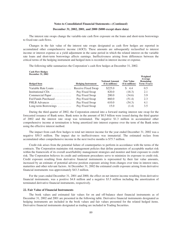# **December 31, 2002, 2001, and 2000 (\$000 except share data)**

The interest rate swaps change the variable-rate cash flow exposure on the loans and short-term borrowings to fixed-rate cash flows.

Changes in the fair value of the interest rate swaps designated as cash flow hedges are reported in accumulated other comprehensive income (AOCI). These amounts are subsequently reclassified to interest income or interest expense as a yield adjustment in the same period in which the related interest on the variable rate loans and short-term borrowings affects earnings. Ineffectiveness arising from differences between the critical terms of the hedging instrument and hedged item is recorded in interest income or expense.

The following table summarizes the Corporation's cash flow hedges at December 31, 2002.

#### **Cash Flow Hedges December 31, 2002**

| <b>Hedged Item</b>                     | <b>Hedging Instrument</b> | <b>Notional Amount</b><br>(\$ in millions) | <b>Fair Value</b><br>(\$ in millions) | <i>vv</i> eighted<br>Average<br>Remaining<br>Term (Years) |
|----------------------------------------|---------------------------|--------------------------------------------|---------------------------------------|-----------------------------------------------------------|
| Variable Rate Loans                    | Receive Fixed Swap        | \$225.0                                    | \$4.4                                 | 0.5                                                       |
| Institutional CDs                      | Pay Fixed Swap            | 820.0                                      | (18.3)                                | 2.1                                                       |
| Commercial Paper                       | Pay Fixed Swap            | 200.0                                      | (34.6)                                | 3.9                                                       |
| Fed Funds Purchased                    | Pay Fixed Swap            | 860.0                                      | (51.4)                                | 2.3                                                       |
| FHLB Advances $\dots\dots\dots\dots$   | Pay Fixed Swap            | 610.0                                      | (54.3)                                | 4.1                                                       |
| Long-term Borrowings $\dots\dots\dots$ | Pay Fixed Swap            | 15.0                                       | (1.4)                                 | 3.5                                                       |

**Weighted**

During the third quarter of 2002, the Corporation entered into a forward starting interest rate swap for the forecasted issuance of Bank notes. Bank notes in the amount of \$0.5 billion were issued during the third quarter of 2002 and the interest rate swap was terminated. The negative \$1.3 million in accumulated other comprehensive income at termination is being amortized into interest expense over the term of the Bank notes using the effective interest method.

The impact from cash flow hedges to total net interest income for the year ended December 31, 2002 was a negative \$50.5 million. The impact due to ineffectiveness was immaterial. The estimated reclass from accumulated other comprehensive income in the next twelve months is \$75.7 million.

Credit risk arises from the potential failure of counterparties to perform in accordance with the terms of the contracts. The Corporation maintains risk management policies that define parameters of acceptable market risk within the framework of its overall asset/liability management strategies and monitor and limit exposure to credit risk. The Corporation believes its credit and settlement procedures serve to minimize its exposure to credit risk. Credit exposure resulting from derivative financial instruments is represented by their fair value amounts, increased by an estimate of potential adverse position exposure arising from changes over time in interest rates, maturities and other relevant factors. At December 31, 2002 the estimated credit exposure arising from derivative financial instruments was approximately \$43.3 million.

For the years ended December 31, 2001 and 2000, the effect on net interest income resulting from derivative financial instruments, was a positive \$4.8 million and a negative \$3.5 million including the amortization of terminated derivative financial instruments, respectively.

## **22. Fair Value of Financial Instruments**

The book values and estimated fair values for on and off-balance sheet financial instruments as of December 31, 2002 and 2001 are presented in the following table. Derivative financial instruments designated as hedging instruments are included in the book values and fair values presented for the related hedged items. Derivative financial instruments designated as trading are included in Trading Securities.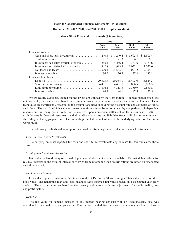# **December 31, 2002, 2001, and 2000 (\$000 except share data)**

# **Balance Sheet Financial Instruments (\$ in millions)**

|                                                        | 2002                 |                      |                      | 2001                 |
|--------------------------------------------------------|----------------------|----------------------|----------------------|----------------------|
|                                                        | Book<br><b>Value</b> | Fair<br><b>Value</b> | <b>Book</b><br>Value | Fair<br><b>Value</b> |
| <b>Financial Assets:</b>                               |                      |                      |                      |                      |
| Cash and short-term investments                        | \$1.240.4            | \$1,240.4            | \$1.605.4            | \$1,605.4            |
| Trading securities                                     | 21.3                 | 21.3                 | 6.1                  | 6.1                  |
| Investment securities available for sale $\dots \dots$ | 4.266.4              | 4.266.4              | 3.383.6              | 3,383.6              |
| Investment securities held to maturity $\dots\dots$    | 942.8                | 993.9                | 1.032.1              | 1,050.0              |
| Net loans and leases                                   | 23,570.4             | 24,543.1             | 19,027.2             | 19.754.7             |
| Interest receivable                                    | 136.5                | 136.5                | 137.8                | 137.8                |
| Financial Liabilities:                                 |                      |                      |                      |                      |
|                                                        | 20,393.7             | 20,564.1             | 16,493.0             | 16,624.3             |
| Short-term borrowings                                  | 4.481.0              | 4.481.0              | 5.056.5              | 5.056.5              |
|                                                        | 3,896.1              | 4.313.8              | 2,360.9              | 2,680.8              |
| Interest payable                                       | 94.1                 | 94.1                 | 97.5                 | 97.5                 |

Where readily available, quoted market prices are utilized by the Corporation. If quoted market prices are not available, fair values are based on estimates using present value or other valuation techniques. These techniques are significantly affected by the assumptions used, including the discount rate and estimates of future cash flows. The calculated fair value estimates, therefore, cannot be substantiated by comparison to independent markets and, in many cases, could not be realized upon immediate settlement of the instrument. SFAS 107 excludes certain financial instruments and all nonfinancial assets and liabilities from its disclosure requirements. Accordingly, the aggregate fair value amounts presented do not represent the underlying value of the entire Corporation.

The following methods and assumptions are used in estimating the fair value for financial instruments.

### *Cash and Short-term Investments*

The carrying amounts reported for cash and short-term investments approximate the fair values for those assets.

## *Trading and Investment Securities*

Fair value is based on quoted market prices or dealer quotes where available. Estimated fair values for residual interests in the form of interest-only strips from automobile loan securitizations are based on discounted cash flow analysis.

## *Net Loans and Leases*

Loans that reprice or mature within three months of December 31 were assigned fair values based on their book value. The remaining loan and lease balances were assigned fair values based on a discounted cash flow analysis. The discount rate was based on the treasury yield curve, with rate adjustments for credit quality, cost and profit factors.

#### *Deposits*

The fair value for demand deposits or any interest bearing deposits with no fixed maturity date was considered to be equal to the carrying value. Time deposits with defined maturity dates were considered to have a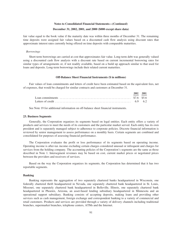# **December 31, 2002, 2001, and 2000 (\$000 except share data)**

fair value equal to the book value if the maturity date was within three months of December 31. The remaining time deposits were assigned fair values based on a discounted cash flow analysis using discount rates that approximate interest rates currently being offered on time deposits with comparable maturities.

## *Borrowings*

Short-term borrowings are carried at cost that approximates fair value. Long-term debt was generally valued using a discounted cash flow analysis with a discount rate based on current incremental borrowing rates for similar types of arrangements or, if not readily available, based on a build up approach similar to that used for loans and deposits. Long-term borrowings include their related current maturities.

#### **Off-Balance Sheet Financial Instruments (\$ in millions)**

Fair values of loan commitments and letters of credit have been estimated based on the equivalent fees, net of expenses, that would be charged for similar contracts and customers at December 31.

|                                                                                                              | 2002 2001 |  |
|--------------------------------------------------------------------------------------------------------------|-----------|--|
| Loan commitments $\dots \dots \dots \dots \dots \dots \dots \dots \dots \dots \dots \dots \dots$ \$7.6 \$5.6 |           |  |
|                                                                                                              |           |  |

See Note 19 for additional information on off-balance sheet financial instruments.

#### **23. Business Segments**

Generally, the Corporation organizes its segments based on legal entities. Each entity offers a variety of products and services to meet the needs of its customers and the particular market served. Each entity has its own president and is separately managed subject to adherence to corporate policies. Discrete financial information is reviewed by senior management to assess performance on a monthly basis. Certain segments are combined and consolidated for purposes of assessing financial performance.

The Corporation evaluates the profit or loss performance of its segments based on operating income. Operating income is after-tax income excluding certain charges considered unusual or infrequent and charges for services from the holding company. The accounting policies of the Corporation's segments are the same as those described in Note 1. Intersegment revenues may be based on cost, current market prices or negotiated prices between the providers and receivers of services.

Based on the way the Corporation organizes its segments, the Corporation has determined that it has two reportable segments.

#### **Banking**

Banking represents the aggregation of two separately chartered banks headquartered in Wisconsin, one federally chartered thrift headquartered in Nevada, one separately chartered bank headquartered in St. Louis, Missouri, one separately chartered bank headquartered in Belleville, Illinois, one separately chartered bank headquartered in Phoenix, Arizona, an asset-based lending subsidiary headquartered in Minnesota and an operational support subsidiary. Banking consists of accepting deposits, making loans and providing other services such as cash management, foreign exchange and correspondent banking to a variety of commercial and retail customers. Products and services are provided through a variety of delivery channels including traditional branches, supermarket branches, telephone centers, ATMs and the Internet.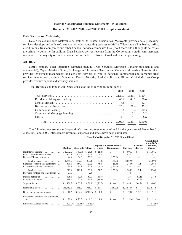# **December 31, 2002, 2001, and 2000 (\$000 except share data)**

## **Data Services (or Metavante)**

Data Services includes Metavante as well as its related subsidiaries. Metavante provides data processing services, develops and sells software and provides consulting services to M&I affiliates as well as banks, thrifts, credit unions, trust companies and other financial services companies throughout the world although its activities are primarily domestic. In addition, Data Services derives revenue from the Corporation's credit card merchant operations. The majority of Data Services revenue is derived from internal and external processing.

## **All Others**

M&I's primary other operating segments include Trust Services, Mortgage Banking (residential and commercial), Capital Markets Group, Brokerage and Insurance Services and Commercial Leasing. Trust Services provides investment management and advisory services as well as personal, commercial and corporate trust services in Wisconsin, Arizona, Minnesota, Florida, Nevada, North Carolina, and Illinois. Capital Markets Group provides venture capital and advisory services.

Total Revenues by type in All Others consist of the following (\$ in millions):

| 2002              | 2001    | 2000    |
|-------------------|---------|---------|
|                   | \$121.1 | \$120.1 |
| 46.8              | 43.5    | 26.6    |
| (3.6)             | 13.1    | 22.7    |
| 23.4              | 21.4    | 22.1    |
| 13.8              | 13.2    | 10.3    |
| 4.6               | 3.1     | 2.2     |
|                   | 5.7     | 6.6     |
| $$209.4$ $$221.1$ |         | \$210.6 |
|                   |         |         |

The following represents the Corporation's operating segments as of and for the years ended December 31, 2002, 2001 and 2000. Intrasegment revenues, expenses and assets have been eliminated.

|                                                                                                          | <b>Banking</b> |               |               | Metavante Others Overhead | Corporate Reclassifications/<br><b>Eliminations</b> | Sub-total       | <b>Excluded</b><br><b>Charges</b> | Consolidated<br><b>Income Before</b><br><b>Accounting</b><br><b>Change</b> |
|----------------------------------------------------------------------------------------------------------|----------------|---------------|---------------|---------------------------|-----------------------------------------------------|-----------------|-----------------------------------|----------------------------------------------------------------------------|
| Net Interest Income $\dots\dots\dots\dots\dots$                                                          | \$1,002.7      | \$ (3.8)      | \$28.4        | \$(21.0)                  | S.                                                  | \$1,006.3       | $S-$                              | \$1,006.3                                                                  |
| Fees—unaffiliated customers<br>Fees—affiliated customers                                                 | 322.8<br>44.4  | 601.5<br>64.6 | 154.2<br>26.8 | 4.2                       | (135.8)                                             | 1,082.7         |                                   | 1,082.7                                                                    |
| Total revenue                                                                                            | 1,369.9        | 662.3         | 209.4         | (16.8)                    | (135.8)                                             | 2,089.0         |                                   | 2,089.0                                                                    |
| Expenses—unaffiliated customers<br>Expenses—affiliated customers                                         | 539.3<br>80.1  | 554.9<br>24.8 | 120.2<br>33.7 | 75.8<br>(4.1)             | (1.3)<br>(134.5)                                    | 1,288.9         | 7.1                               | 1,296.0                                                                    |
| Total expenses $\dots\dots\dots\dots\dots\dots$<br>Provision for loan and lease losses                   | 619.4<br>71.9  | 579.7         | 153.9<br>2.5  | 71.7                      | (135.8)                                             | 1,288.9<br>74.4 | 7.1                               | 1,296.0<br>74.4                                                            |
| Income before taxes<br>Income tax expense $\dots \dots \dots \dots \dots$                                | 678.6<br>219.4 | 82.6<br>32.4  | 53.0<br>21.2  | (88.5)<br>(31.8)          |                                                     | 725.7<br>241.2  | (7.1)<br>(2.9)                    | 718.6<br>238.3                                                             |
| Segment income $\dots\dots\dots\dots\dots\dots$                                                          | 459.2          | \$50.2        | \$31.8        | \$ (56.7)                 | $s =$                                               | 484.5           | \$(4.2)                           | \$<br>480.3                                                                |
| Identifiable assets                                                                                      | \$31,753.3     | \$835.2       | \$718.0       | \$427.1                   | \$(859.0)                                           | \$32,874.6      | $s-$                              | \$32,874.6                                                                 |
| Depreciation and amortization $\dots\dots$                                                               | 18.6<br>S.     | \$84.9        | \$(17.0)      | \$4.3                     | $s =$                                               | 90.8            | \$ 0.3                            | \$<br>91.1                                                                 |
| Purchase of premises and equipment,<br>$net \dots \dots \dots \dots \dots \dots \dots \dots \dots \dots$ | 29.4<br>S      | \$20.3        | S.<br>1.6     | \$1.3                     | S.                                                  | S.<br>52.6      | $s-$                              | \$<br>52.6                                                                 |
| Return on Average Equity                                                                                 | 17.99%         | 16.55%        | 14.22%        |                           |                                                     |                 |                                   | 17.36%                                                                     |

# **Year Ended December 31, 2002 (\$ in millions)**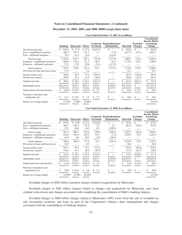# **December 31, 2002, 2001, and 2000 (\$000 except share data)**

|                                                                                                           | <b>Banking</b>           | <b>Metavante</b>          | <b>Others</b>           | Overhead                | Corporate Reclassifications/<br><b>Eliminations</b> | Sub-total               | <b>Excluded</b><br><b>Charges</b> | <b>Consolidated</b><br><b>Income Before</b><br>Accounting<br><b>Change</b> |
|-----------------------------------------------------------------------------------------------------------|--------------------------|---------------------------|-------------------------|-------------------------|-----------------------------------------------------|-------------------------|-----------------------------------|----------------------------------------------------------------------------|
| Net Interest Income $\ldots \ldots \ldots$<br>Fees—unaffiliated customers<br>Fees—affiliated customers    | 842.8<br>286.3<br>33.5   | \$ (3.7)<br>557.6<br>61.4 | \$27.4<br>171.7<br>22.0 | \$(23.7)<br>2.7         | \$<br>(1.0)<br>(116.9)                              | \$.<br>842.8<br>1,017.3 | $\frac{1}{2}$<br>(16.1)           | \$<br>842.8<br>1,001.2                                                     |
| Total revenue $\dots\dots\dots\dots$<br>Expenses—unaffiliated customers.<br>Expenses—affiliated customers | 1,162.6<br>468.4<br>75.5 | 615.3<br>512.6<br>17.0    | 221.1<br>111.7<br>29.8  | (21.0)<br>86.4<br>(5.1) | (117.9)<br>(0.7)<br>(117.2)                         | 1,860.1<br>1,178.4      | (16.1)<br>110.5                   | 1,844.0<br>1,288.9                                                         |
| Total expenses $\dots\dots\dots\dots\dots$<br>Provision for loan and lease losses.                        | 543.9<br>51.9            | 529.6                     | 141.5<br>2.2            | 81.3                    | (117.9)                                             | 1,178.4<br>54.1         | 110.5                             | 1,288.9<br>54.1                                                            |
| Income before taxes<br>Income tax expense $\dots\dots\dots\dots$                                          | 566.8<br>180.6           | 85.7<br>35.3              | 77.4<br>29.3            | (102.3)<br>(38.6)       |                                                     | 627.6<br>206.6          | (126.6)<br>(43.5)                 | 501.0<br>163.1                                                             |
| Segment income $\dots\dots\dots\dots\dots$                                                                | 386.2<br><b>S</b>        | \$50.4                    | \$48.1                  | \$ (63.7)               | $s =$                                               | S.<br>421.0             | \$(83.1)                          | 337.9<br>S.                                                                |
| Identifiable assets                                                                                       | \$26,255.4               | \$754.7                   | \$832.1                 | \$359.4                 | \$(949.1)                                           | \$27,252.5              | $s =$                             | \$27,252.5                                                                 |
| Depreciation and amortization $\dots$                                                                     | (26.8)<br>S.             | \$87.2                    | \$(19.5)                | \$3.5                   | $\hspace{0.1mm}-\hspace{0.1mm}$                     | 44.4                    | \$17.5                            | 61.9<br>S.                                                                 |
| Purchase of premises and<br>equipment, $net \ldots \ldots \ldots \ldots$                                  | 21.1<br>-S               | \$18.3                    | 1.5<br>S.               | 3.7<br>S.               |                                                     | S.<br>44.6              | $s =$                             | S.<br>44.6                                                                 |
| Return on Average Equity<br>1.1.1.1.1.1.1                                                                 | 17.76%                   | 17.60%                    | 18.96%                  |                         |                                                     |                         |                                   | 13.91%                                                                     |

#### **Year Ended December 31, 2001 (\$ in millions)**

|                                                                                              |                        | Banking Metavante Others Overhead |                        |                         | <b>Corporate Reclassifications/</b><br><b>Eliminations</b> | Sub-total             | Excluded<br><b>Charges</b> | <b>Consolidated</b><br><b>Income Before</b><br>Accounting<br><b>Change</b> |
|----------------------------------------------------------------------------------------------|------------------------|-----------------------------------|------------------------|-------------------------|------------------------------------------------------------|-----------------------|----------------------------|----------------------------------------------------------------------------|
| Net Interest Income<br>Fees—unaffiliated customers                                           | 679.2<br>260.7         | S.<br>(2.8)<br>542.5              | \$21.4<br>175.0        | \$(24.8)<br>3.9         | 0.1                                                        | 673.0<br>\$.<br>982.2 | (50.6)                     | 673.0<br>\$<br>931.6                                                       |
| Fees—affiliated customers                                                                    | 21.9                   | 64.0                              | 14.2                   | 0.1                     | (100.2)                                                    |                       |                            |                                                                            |
| Total revenue<br>Expenses—unaffiliated customers.<br>Expenses—affiliated customers           | 961.8<br>418.9<br>61.9 | 603.7<br>495.4<br>8.6             | 210.6<br>105.5<br>28.3 | (20.8)<br>54.3<br>(1.9) | (100.1)<br>(3.2)<br>(96.9)                                 | 1,655.2<br>1,070.9    | (50.6)<br>33.0             | 1,604.6<br>1,103.9                                                         |
| Total expenses $\dots\dots\dots\dots\dots$<br>Provision for loan and lease losses.           | 480.8<br>29.9          | 504.0                             | 133.8<br>0.5           | 52.4                    | (100.1)                                                    | 1.070.9<br>30.4       | 33.0                       | 1.103.9<br>30.4                                                            |
| Income before taxes $\dots\dots\dots\dots$<br>Income tax expense $\dots\dots\dots\dots\dots$ | 451.1<br>136.6         | 99.7<br>41.3                      | 76.3<br>30.4           | (73.2)<br>(30.7)        |                                                            | 553.9<br>177.6        | (83.6)<br>(24.7)           | 470.3<br>152.9                                                             |
| Segment income $\dots\dots\dots\dots\dots$                                                   | 314.5                  | \$58.4                            | \$45.9                 | \$(42.5)                |                                                            | 376.3                 | \$(58.9)                   | 317.4                                                                      |

**Year Ended December 31, 2000 (\$ in millions)**

Excluded charges in 2002 reflect transition charges related to acquisitions by Metavante.

Purchase of premises and

Excluded charges in 2001 reflect charges related to changes and acquisitions by Metavante, auto lease residual write-downs and charges associated with completing the consolidation of M&I's banking charters.

Identifiable assets ............... \$24,872.1 \$636.3 \$634.4 \$241.7 \$(309.6) \$26,074.9 \$ — \$26,074.9 Depreciation and amortization ....  $\frac{\$ (14.3)}{\$ (14.3)} \quad \frac{\$ 8.2.4}{\$ (18.7)} \quad \frac{\$ 3.4}{\$ (18.7)} \quad \frac{\$ 3.4}{\$ (18.7)} \quad \frac{\$ 5.52.8}{\$ (18.8)} \quad \frac{\$ 5.52.8}{\$ (18.8)} \quad \frac{\$ 16.4}{\$ (18.8)} \quad \frac{\$ 5.52.8}{\$ (18.8)} \quad \frac{\$ 5.52.8}{\$ (18.8)}$ 

equipment, net . . . . . . . . . . . . \$ 28.9 \$ 45.9 \$ 2.8 \$ 1.2 \$ — \$ 78.8 \$ — \$ 78.8 Return on Average Equity . . . . . . . . . 15.90% 22.48% 20.49% 14.78% 14.78%

Excluded charges in 2000 reflect charges related to Metavante's IPO, losses from the sale of available for sale investment securities and loans as part of the Corporation's balance sheet management and charges associated with the consolidation of banking charters.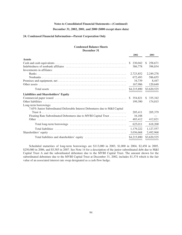# **December 31, 2002, 2001, and 2000 (\$000 except share data)**

# **24. Condensed Financial Information—Parent Corporation Only**

# **Condensed Balance Sheets December 31**

|                                                                             | 2002                    | 2001                     |
|-----------------------------------------------------------------------------|-------------------------|--------------------------|
| <b>Assets</b>                                                               |                         |                          |
|                                                                             | 230,042<br><sup>S</sup> | 258,671<br><sup>\$</sup> |
|                                                                             | 386,778                 | 396,834                  |
| Investments in affiliates:                                                  |                         |                          |
|                                                                             | 2,723,852               | 2,249,278                |
|                                                                             | 672,493                 | 586,655                  |
|                                                                             | 34,739                  | 8,447                    |
|                                                                             | 167,986                 | 120,640                  |
|                                                                             | \$4,215,890             | \$3,620,525              |
| <b>Liabilities and Shareholders' Equity</b>                                 |                         |                          |
|                                                                             | 354,821<br><sup>S</sup> | 335,342<br><sup>\$</sup> |
|                                                                             | 199.390                 | 174,015                  |
| Long-term borrowings:                                                       |                         |                          |
| 7.65% Junior Subordinated Deferrable Interest Debentures due to M&I Capital |                         |                          |
|                                                                             | 205,411                 | 205,379                  |
| Floating Rate Subordinated Debentures due to MVBI Capital Trust             | 16,188                  |                          |
|                                                                             | 403,412                 | 412,821                  |
|                                                                             | 625,011                 | 618,200                  |
|                                                                             | 1,179,222               | 1,127,557                |
|                                                                             | 3,036,668               | 2,492,968                |
|                                                                             | \$4,215,890             | \$3,620,525              |

Scheduled maturities of long-term borrowings are \$113,000 in 2003, \$1,000 in 2004, \$2,458 in 2005, \$250,000 in 2006, and \$5,585 in 2007. See Note 14 for a description of the junior subordinated debt due to M&I Capital Trust A and the subordinated debenture due to the MVBI Capital Trust. The amount shown for the subordinated debenture due to the MVBI Capital Trust at December 31, 2002, includes \$1,374 which is the fair value of an associated interest rate swap designated as a cash flow hedge.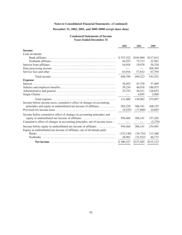# **December 31, 2002, 2001, and 2000 (\$000 except share data)**

# **Condensed Statements of Income Years Ended December 31**

|                                                                            | 2002       | 2001      | 2000      |
|----------------------------------------------------------------------------|------------|-----------|-----------|
| Income:                                                                    |            |           |           |
| Cash dividends:                                                            |            |           |           |
|                                                                            | \$573,322  | \$345,900 | \$117,812 |
|                                                                            | 44.553     | 75,713    | 22,961    |
|                                                                            | 16,918     | 19,978    | 30,320    |
|                                                                            |            |           | 304,365   |
|                                                                            | 63,916     | 57,632    | 67,794    |
|                                                                            | 698,709    | 499,223   | 543,252   |
| <b>Expense:</b>                                                            |            |           |           |
|                                                                            | 38,493     | 43.758    | 57,409    |
|                                                                            | 39,234     | 46,018    | 186,075   |
|                                                                            | 35,753     | 36,411    | 128,653   |
|                                                                            |            | 4,695     | 2,960     |
|                                                                            | 113,480    | 130,882   | 375,097   |
| Income before income taxes, cumulative effect of changes in accounting     |            |           |           |
| principles and equity in undistributed net income of affiliates            | 585,229    | 368,341   | 168,155   |
|                                                                            | (9,255)    | (17,800)  | 10,893    |
| Income before cumulative effect of changes in accounting principles and    |            |           |           |
| equity in undistributed net income of affiliates                           | 594,484    | 386,141   | 157,262   |
| Cumulative effect of changes in accounting principles, net of income taxes |            |           | (2,279)   |
| Income before equity in undistributed net income of affiliates             | 594,484    | 386,141   | 154,983   |
| Equity in undistributed net income of affiliates, net of dividends paid:   |            |           |           |
|                                                                            | (153, 140) | (16, 724) | 113,368   |
|                                                                            | 38,983     | (31,932)  | 46,772    |
|                                                                            | \$480,327  | \$337,485 | \$315,123 |
|                                                                            |            |           |           |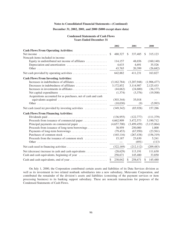# **December 31, 2002, 2001, and 2000 (\$000 except share data)**

# **Condensed Statements of Cash Flows Years Ended December 31**

|                                                               | 2002                     | 2001          | 2000                    |
|---------------------------------------------------------------|--------------------------|---------------|-------------------------|
| <b>Cash Flows From Operating Activities:</b>                  |                          |               |                         |
| Net income                                                    | 480,327<br><sup>\$</sup> | 337,485<br>\$ | 315,123<br>$\mathbb{S}$ |
| Noncash items included in income:                             |                          |               |                         |
| Equity in undistributed net income of affiliates              | 114,157                  | 48,656        | (160, 140)              |
|                                                               | 4,633                    | 4,691         | 35,526                  |
|                                                               | 43,765                   | 20,399        | (26, 682)               |
|                                                               | 642,882                  | 411,231       | 163,827                 |
| <b>Cash Flows From Investing Activities:</b>                  |                          |               |                         |
|                                                               | (3,162,784)              | (3,207,948)   | (1,906,477)             |
|                                                               | 3,172,852                | 3,114,987     | 2,125,433               |
|                                                               | (44, 662)                | (24,600)      | (36,177)                |
|                                                               | (1,374)                  | (3,376)       | (19,500)                |
| Acquisitions accounted for as purchases, net of cash and cash |                          |               |                         |
|                                                               | (303, 344)               | 35,018        |                         |
|                                                               | (10,030)                 | (9)           | (5,993)                 |
| Net cash (used in) provided by investing activities           | (349, 342)               | (85,928)      | 157,286                 |
| <b>Cash Flows From Financing Activities:</b>                  |                          |               |                         |
|                                                               | (136,955)                | (122, 777)    | (111, 379)              |
| Proceeds from issuance of commercial paper                    | 4,662,909                | 3,472,573     | 3,190,712               |
| Principal payments on commercial paper                        | (4,657,700)              | (3,499,459)   | (3, 115, 064)           |
| Proceeds from issuance of long-term borrowings                | 38,959                   | 250,000       | 1,000                   |
|                                                               | (79, 453)                | (67,950)      | (23, 561)               |
|                                                               | (165, 116)               | (267, 438)    | (156,319)               |
| Proceeds from the issuance of common stock                    | 15,187                   | 23,630        | 5,241                   |
|                                                               |                          | (691)         | (113)                   |
|                                                               | (322, 169)               | (212, 112)    | (209, 483)              |
| Net (decrease) increase in cash and cash equivalents          | (28, 629)                | 113,191       | 111,630                 |
|                                                               | 258,671                  | 145,480       | 33,850                  |
|                                                               | 230,042<br>S             | \$<br>258,671 | 145,480<br>\$           |

On July 1, 2000, the Corporation contributed certain assets and liabilities of its Data Services division as well as its investment in two related nonbank subsidiaries into a new subsidiary, Metavante Corporation, and contributed the remainder of the division's assets and liabilities (consisting of the payment services or item processing business) to its banking support subsidiary. These are noncash transactions for purposes of the Condensed Statements of Cash Flows.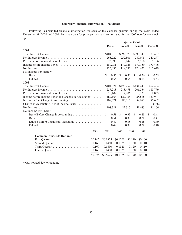# **Quarterly Financial Information (Unaudited)**

Following is unaudited financial information for each of the calendar quarters during the years ended December 31, 2002 and 2001. Per share data for prior periods has been restated for the 2002 two-for-one stock split.

|                                                                                                  |         | <b>Ouarter Ended</b> |           |               |                 |               |           |               |           |
|--------------------------------------------------------------------------------------------------|---------|----------------------|-----------|---------------|-----------------|---------------|-----------|---------------|-----------|
|                                                                                                  |         |                      | Dec. 31   |               | <b>Sept. 30</b> |               | June 30   |               | March 31  |
| 2002                                                                                             |         |                      |           |               |                 |               |           |               |           |
|                                                                                                  |         |                      | \$404,013 |               | \$392,773       |               | \$390,143 |               | \$380,407 |
|                                                                                                  |         |                      | 263,222   |               | 252,801         |               | 249,998   |               | 240,277   |
| Provision for Loan and Lease Losses                                                              |         |                      | 23,398    |               | 18,842          |               | 16,980    |               | 15,196    |
| Income before Income Taxes                                                                       |         |                      | 189,031   |               | 179,926         |               | 179,159   |               | 170,476   |
|                                                                                                  |         |                      | 125,035   |               | 119,236         |               | 120,427   |               | 115,629   |
| Net Income Per Share:*                                                                           |         |                      |           |               |                 |               |           |               |           |
|                                                                                                  |         | <sup>\$</sup>        | 0.56      | <sup>\$</sup> | 0.56            | <sup>\$</sup> | 0.56      | <sup>\$</sup> | 0.55      |
| $Diluted \dots \dots \dots \dots \dots \dots \dots \dots \dots \dots \dots \dots \dots \dots$    |         |                      | 0.55      |               | 0.54            |               | 0.54      |               | 0.53      |
| 2001                                                                                             |         |                      |           |               |                 |               |           |               |           |
|                                                                                                  |         |                      | \$401,974 |               | \$423,252       |               | \$431,447 |               | \$452,434 |
|                                                                                                  |         |                      | 237,288   |               | 218,478         |               | 201.234   |               | 185,779   |
| Provision for Loan and Lease Losses                                                              |         |                      | 20,109    |               | 12,206          |               | 10,737    |               | 11,063    |
| Income before Income Taxes and Change in Accounting                                              |         |                      | 162,168   |               | 122,158         |               | 85,818    |               | 130,901   |
|                                                                                                  |         |                      | 108,321   |               | 83,315          |               | 59,683    |               | 86,602    |
| Change in Accounting, Net of Income Taxes                                                        |         |                      |           |               |                 |               |           |               | (436)     |
| Net Income $\dots \dots \dots \dots \dots \dots \dots \dots \dots \dots \dots \dots \dots \dots$ |         |                      | 108,321   |               | 83.315          |               | 59,683    |               | 86,166    |
| Net Income Per Share:*                                                                           |         |                      |           |               |                 |               |           |               |           |
| Basic Before Change in Accounting                                                                |         | $\mathbb{S}$         | 0.51      | $\mathbb{S}$  | 0.39            | $\mathbb{S}$  | 0.28      | <sup>\$</sup> | 0.41      |
|                                                                                                  |         |                      | 0.51      |               | 0.39            |               | 0.28      |               | 0.41      |
| Diluted Before Change in Accounting                                                              |         |                      | 0.49      |               | 0.38            |               | 0.28      |               | 0.40      |
|                                                                                                  |         |                      | 0.49      |               | 0.38            |               | 0.28      |               | 0.40      |
|                                                                                                  | 2002    | 2001                 |           | 2000          |                 | 1999          | 1998      |               |           |
| <b>Common Dividends Declared</b>                                                                 |         |                      |           |               |                 |               |           |               |           |
| First Quarter                                                                                    | \$0.145 | \$0.1325             |           | \$0.1200      | \$0.110         |               | \$0.100   |               |           |
|                                                                                                  | 0.160   | 0.1450               |           | 0.1325        |                 | 0.120         | 0.110     |               |           |
| Third Quarter                                                                                    | 0.160   | 0.1450               |           | 0.1325        |                 | 0.120         | 0.110     |               |           |

Fourth Quarter . . . . . . . . . . . . . . . . . . . . . . . 0.160 0.1450 0.1325 0.120 0.110

\$0.625 \$0.5675 \$0.5175 \$0.470 \$0.430

\*May not add due to rounding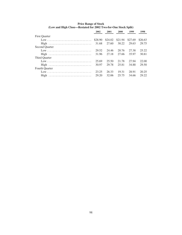|                                                                         | 2002    | 2001    | 2000    | 1999    | 1998    |
|-------------------------------------------------------------------------|---------|---------|---------|---------|---------|
| <b>First Quarter</b>                                                    |         |         |         |         |         |
| $Low \dots \dots \dots \dots \dots \dots \dots \dots \dots \dots \dots$ | \$28.90 | \$24.02 | \$21.94 | \$27.69 | \$26.63 |
|                                                                         | 31.68   | 27.60   | 30.22   | 29.63   | 29.75   |
| <b>Second Ouarter</b>                                                   |         |         |         |         |         |
| $Low \dots \dots \dots \dots \dots \dots \dots \dots \dots \dots \dots$ | 29.52   | 24.46   | 20.76   | 27.38   | 25.22   |
| High                                                                    | 31.96   | 27.18   | 27.66   | 35.97   | 30.81   |
| Third Quarter                                                           |         |         |         |         |         |
| $Low \dots \dots \dots \dots \dots \dots \dots \dots \dots \dots \dots$ | 25.69   | 25.50   | 21.78   | 27.94   | 22.00   |
| High                                                                    | 30.97   | 29.78   | 25.81   | 34.88   | 29.50   |
| Fourth Quarter                                                          |         |         |         |         |         |
| $Low \dots \dots \dots \dots \dots \dots \dots \dots \dots \dots \dots$ | 23.25   | 26.33   | 19.31   | 28.91   | 20.25   |
| $High \dots \dots \dots \dots \dots \dots \dots \dots \dots \dots$      | 29.20   | 32.06   | 25.75   | 34.66   | 29.22   |

**Price Range of Stock (Low and High Close—Restated for 2002 Two-for-One Stock Split)**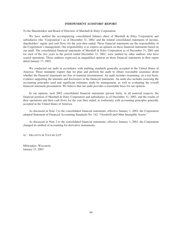## **INDEPENDENT AUDITORS' REPORT**

To the Shareholders and Board of Directors of Marshall & Ilsley Corporation:

We have audited the accompanying consolidated balance sheet of Marshall & Ilsley Corporation and subsidiaries (the "Corporation") as of December 31, 2002, and the related consolidated statements of income, shareholders' equity and cash flows for the year then ended. These financial statements are the responsibility of the Corporation's management. Our responsibility is to express an opinion on these financial statements based on our audit. The consolidated financial statements of Marshall & Ilsley Corporation as of December 31, 2001 and for each of the two years in the period ended December 31, 2001, were audited by other auditors who have ceased operations. Those auditors expressed an unqualified opinion on those financial statements in their report dated January 17, 2002.

We conducted our audit in accordance with auditing standards generally accepted in the United States of America. Those standards require that we plan and perform the audit to obtain reasonable assurance about whether the financial statements are free of material misstatement. An audit includes examining, on a test basis, evidence supporting the amounts and disclosures in the financial statements. An audit also includes assessing the accounting principles used and significant estimates made by management, as well as evaluating the overall financial statement presentation. We believe that our audit provides a reasonable basis for our opinion.

In our opinion, such 2002 consolidated financial statements present fairly, in all material respects, the financial position of Marshall & Ilsley Corporation and subsidiaries as of December 31, 2002, and the results of their operations and their cash flows for the year then ended, in conformity with accounting principles generally accepted in the United States of America.

As discussed in Note 2 to the consolidated financial statements, effective January 1, 2002, the Corporation adopted Statement of Financial Accounting Standards No. 142, "Goodwill and Other Intangible Assets."

As discussed in Note 2 to the consolidated financial statements, effective January 1, 2001, the Corporation changed its method of accounting for derivative instruments.

/S/ DELOITTE & TOUCHE LLP

Milwaukee, Wisconsin January 15, 2003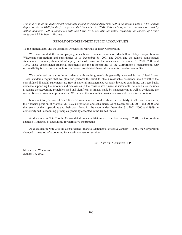*This is a copy of the audit report previously issued by Arthur Andersen LLP in connection with M&I's Annual Report on Form 10-K for the fiscal year ended December 31, 2001. This audit report has not been reissued by Arthur Andersen LLP in connection with this Form 10-K. See also the notice regarding the consent of Arthur Andersen LLP in Item 1, Business.*

## **REPORT OF INDEPENDENT PUBLIC ACCOUNTANTS**

To the Shareholders and the Board of Directors of Marshall & Ilsley Corporation:

We have audited the accompanying consolidated balance sheets of Marshall & Ilsley Corporation (a Wisconsin corporation) and subsidiaries as of December 31, 2001 and 2000, and the related consolidated statements of income, shareholders' equity and cash flows for the years ended December 31, 2001, 2000 and 1999. These consolidated financial statements are the responsibility of the Corporation's management. Our responsibility is to express an opinion on these consolidated financial statements based on our audits.

We conducted our audits in accordance with auditing standards generally accepted in the United States. Those standards require that we plan and perform the audit to obtain reasonable assurance about whether the consolidated financial statements are free of material misstatement. An audit includes examining, on a test basis, evidence supporting the amounts and disclosures in the consolidated financial statements. An audit also includes assessing the accounting principles used and significant estimates made by management, as well as evaluating the overall financial statement presentation. We believe that our audits provide a reasonable basis for our opinion.

In our opinion, the consolidated financial statements referred to above present fairly, in all material respects, the financial position of Marshall & Ilsley Corporation and subsidiaries as of December 31, 2001 and 2000, and the results of their operations and their cash flows for the years ended December 31, 2001, 2000 and 1999, in conformity with accounting principles generally accepted in the United States.

As discussed in Note 2 to the Consolidated Financial Statements, effective January 1, 2001, the Corporation changed its method of accounting for derivative instruments.

As discussed in Note 2 to the Consolidated Financial Statements, effective January 1, 2000, the Corporation changed its method of accounting for certain conversion services.

/S/ ARTHUR ANDERSEN LLP

Milwaukee, Wisconsin January 17, 2002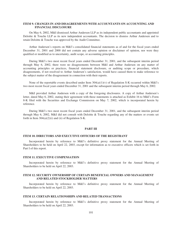# **ITEM 9. CHANGES IN AND DISAGREEMENTS WITH ACCOUNTANTS ON ACCOUNTING AND FINANCIAL DISCLOSURE**

On May 6, 2002, M&I dismissed Arthur Andersen LLP as its independent public accountants and appointed Deloitte & Touche LLP as its new independent accountants. The decision to dismiss Arthur Andersen and to retain Deloitte & Touche was approved by the Audit Committee.

Arthur Andersen's reports on M&I's consolidated financial statements as of and for the fiscal years ended December 31, 2001 and 2000 did not contain any adverse opinion or disclaimer of opinion, nor were they qualified or modified as to uncertainty, audit scope, or accounting principles.

During M&I's two most recent fiscal years ended December 31, 2001, and the subsequent interim period through May 6, 2002, there were no disagreements between M&I and Arthur Andersen on any matter of accounting principles or practices, financial statement disclosure, or auditing scope or procedure, which disagreements, if not resolved to Arthur Andersen's satisfaction, would have caused them to make reference to the subject matter of the disagreement in connection with their reports.

None of the reportable events described under Item  $304(a)(1)(v)$  of Regulation S-K occurred within M&I's two most recent fiscal years ended December 31, 2001 and the subsequent interim period through May 6, 2002.

M&I provided Arthur Andersen with a copy of the foregoing disclosures. A copy of Arthur Andersen's letter, dated May 6, 2002, stating their agreement with these statements is attached as Exhibit 16 to M&I's Form 8-K filed with the Securities and Exchange Commission on May 7, 2002, which is incorporated herein by reference.

During M&I's two most recent fiscal years ended December 31, 2001, and the subsequent interim period through May 6, 2002, M&I did not consult with Deloitte & Touche regarding any of the matters or events set forth in Item  $304(a)(2)(i)$  and (ii) of Regulation S-K.

# **PART III**

## **ITEM 10. DIRECTORS AND EXECUTIVE OFFICERS OF THE REGISTRANT**

Incorporated herein by reference to M&I's definitive proxy statement for the Annual Meeting of Shareholders to be held on April 22, 2003, except for information as to executive officers which is set forth in Part I of this report.

#### **ITEM 11. EXECUTIVE COMPENSATION**

Incorporated herein by reference to M&I's definitive proxy statement for the Annual Meeting of Shareholders to be held on April 22, 2003.

# **ITEM 12. SECURITY OWNERSHIP OF CERTAIN BENEFICIAL OWNERS AND MANAGEMENT AND RELATED STOCKHOLDER MATTERS**

Incorporated herein by reference to M&I's definitive proxy statement for the Annual Meeting of Shareholders to be held on April 22, 2003.

## **ITEM 13. CERTAIN RELATIONSHIPS AND RELATED TRANSACTIONS**

Incorporated herein by reference to M&I's definitive proxy statement for the Annual Meeting of Shareholders to be held on April 22, 2003.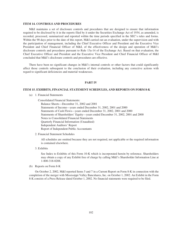## **ITEM 14. CONTROLS AND PROCEDURES**

M&I maintains a set of disclosure controls and procedures that are designed to ensure that information required to be disclosed by it in the reports filed by it under the Securities Exchange Act of 1934, as amended, is recorded, processed, summarized and reported within the time periods specified in the SEC's rules and forms. Within the 90 days prior to the date of this report, M&I carried out an evaluation, under the supervision and with the participation of management, including the Chief Executive Officer and President and the Executive Vice President and Chief Financial Officer of M&I, of the effectiveness of the design and operation of M&I's disclosure controls and procedures pursuant to Rule 13a-14 of the Exchange Act. Based on that evaluation, the Chief Executive Officer and President and the Executive Vice President and Chief Financial Officer of M&I concluded that M&I's disclosure controls and procedures are effective.

There have been no significant changes in M&I's internal controls or other factors that could significantly affect those controls subsequent to the conclusion of their evaluation, including any corrective actions with regard to significant deficiencies and material weaknesses.

## **PART IV**

## **ITEM 15. EXHIBITS, FINANCIAL STATEMENT SCHEDULES, AND REPORTS ON FORM 8-K**

(a) 1. Financial Statements

Consolidated Financial Statements: Balance Sheets—December 31, 2002 and 2001 Statements of Income—years ended December 31, 2002, 2001 and 2000 Statements of Cash Flows—years ended December 31, 2002, 2001 and 2000 Statements of Shareholders' Equity—years ended December 31, 2002, 2001 and 2000 Notes to Consolidated Financial Statements Quarterly Financial Information (Unaudited) Independent Auditors' Report Report of Independent Public Accountants

2. Financial Statement Schedules

All schedules are omitted because they are not required, not applicable or the required information is contained elsewhere.

3. Exhibits

See Index to Exhibits of this Form 10-K which is incorporated herein by reference. Shareholders may obtain a copy of any Exhibit free of charge by calling M&I's Shareholder Information Line at 1-800-318-0208.

(b) Reports on Form 8-K

On October 2, 2002, M&I reported Items 5 and 7 in a Current Report on Form 8-K in connection with the completion of the merger with Mississippi Valley Bancshares, Inc. on October 1, 2002. An Exhibit in the Form 8-K consists of a Press Release dated October 1, 2002. No financial statements were required to be filed.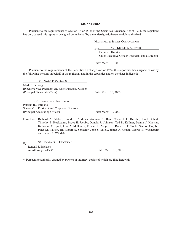## **SIGNATURES**

Pursuant to the requirements of Section 13 or 15(d) of the Securities Exchange Act of 1934, the registrant has duly caused this report to be signed on its behalf by the undersigned, thereunto duly authorized.

MARSHALL & ILSLEY CORPORATION

By: /S/ DENNIS J. KUESTER

Dennis J. Kuester Chief Executive Officer, President and a Director

Date: March 10, 2003

Pursuant to the requirements of the Securities Exchange Act of 1934, this report has been signed below by the following persons on behalf of the registrant and in the capacities and on the dates indicated:

/S/ MARK F. FURLONG

Mark F. Furlong Executive Vice President and Chief Financial Officer (Principal Financial Officer) Date: March 10, 2003

/S/ PATRICIA R. JUSTILIANO Patricia R. Justiliano Senior Vice President and Corporate Controller (Principal Accounting Officer) Date: March 10, 2003

Directors: Richard A. Abdoo, David L. Andreas, Andrew N. Baur, Wendell F. Bueche, Jon F. Chait, Timothy E. Hoeksema, Bruce E. Jacobs, Donald R. Johnson, Ted D. Kellner, Dennis J. Kuester, Katharine C. Lyall, John A. Mellowes, Edward L. Meyer, Jr., Robert J. O'Toole, San W. Orr, Jr., Peter M. Platten, III, Robert A. Schaefer, John S. Shiely, James A. Urdan, George E. Wardeberg and James B. Wigdale.

By: /s/ RANDALL J. ERICKSON

Randall J. Erickson As Attorney-In-Fact\* Date: March 10, 2003

<sup>\*</sup> Pursuant to authority granted by powers of attorney, copies of which are filed herewith.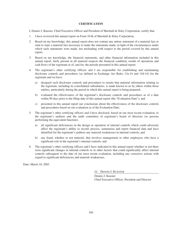# **CERTIFICATION**

I, Dennis J. Kuester, Chief Executive Officer and President of Marshall & Ilsley Corporation, certify that:

- 1. I have reviewed this annual report on Form 10-K of Marshall & Ilsley Corporation;
- 2. Based on my knowledge, this annual report does not contain any untrue statement of a material fact or omit to state a material fact necessary to make the statements made, in light of the circumstances under which such statements were made, not misleading with respect to the period covered by this annual report;
- 3. Based on my knowledge, the financial statements, and other financial information included in this annual report, fairly present in all material respects the financial condition, results of operations and cash flows of the registrant as of, and for, the periods presented in this annual report;
- 4. The registrant's other certifying officers and I are responsible for establishing and maintaining disclosure controls and procedures (as defined in Exchange Act Rules 13a-14 and 15d-14) for the registrant and we have:
	- a) designed such disclosure controls and procedures to ensure that material information relating to the registrant, including its consolidated subsidiaries, is made known to us by others within those entities, particularly during the period in which this annual report is being prepared;
	- b) evaluated the effectiveness of the registrant's disclosure controls and procedures as of a date within 90 days prior to the filing date of this annual report (the "Evaluation Date"); and
	- c) presented in this annual report our conclusions about the effectiveness of the disclosure controls and procedures based on our evaluation as of the Evaluation Date;
- 5. The registrant's other certifying officers and I have disclosed, based on our most recent evaluation, to the registrant's auditors and the audit committee of registrant's board of directors (or persons performing the equivalent function):
	- a) all significant deficiencies in the design or operation of internal controls which could adversely affect the registrant's ability to record, process, summarize and report financial data and have identified for the registrant's auditors any material weaknesses in internal controls; and
	- b) any fraud, whether or not material, that involves management or other employees who have a significant role in the registrant's internal controls; and
- 6. The registrant's other certifying officers and I have indicated in this annual report whether or not there were significant changes in internal controls or in other factors that could significantly affect internal controls subsequent to the date of our most recent evaluation, including any corrective actions with regard to significant deficiencies and material weaknesses.

Date: March 10, 2003

/S/ DENNIS J. KUESTER

Dennis J. Kuester Chief Executive Officer, President and Director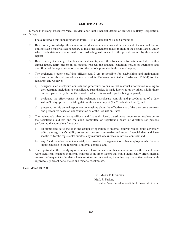#### **CERTIFICATION**

I, Mark F. Furlong, Executive Vice President and Chief Financial Officer of Marshall & Ilsley Corporation, certify that:

- 1. I have reviewed this annual report on Form 10-K of Marshall & Ilsley Corporation;
- 2. Based on my knowledge, this annual report does not contain any untrue statement of a material fact or omit to state a material fact necessary to make the statements made, in light of the circumstances under which such statements were made, not misleading with respect to the period covered by this annual report;
- 3. Based on my knowledge, the financial statements, and other financial information included in this annual report, fairly present in all material respects the financial condition, results of operations and cash flows of the registrant as of, and for, the periods presented in this annual report;
- 4. The registrant's other certifying officers and I are responsible for establishing and maintaining disclosure controls and procedures (as defined in Exchange Act Rules 13a-14 and 15d-14) for the registrant and we have:
	- a) designed such disclosure controls and procedures to ensure that material information relating to the registrant, including its consolidated subsidiaries, is made known to us by others within those entities, particularly during the period in which this annual report is being prepared;
	- b) evaluated the effectiveness of the registrant's disclosure controls and procedures as of a date within 90 days prior to the filing date of this annual report (the "Evaluation Date"); and
	- c) presented in this annual report our conclusions about the effectiveness of the disclosure controls and procedures based on our evaluation as of the Evaluation Date;
- 5. The registrant's other certifying officers and I have disclosed, based on our most recent evaluation, to the registrant's auditors and the audit committee of registrant's board of directors (or persons performing the equivalent function):
	- a) all significant deficiencies in the design or operation of internal controls which could adversely affect the registrant's ability to record, process, summarize and report financial data and have identified for the registrant's auditors any material weaknesses in internal controls; and
	- b) any fraud, whether or not material, that involves management or other employees who have a significant role in the registrant's internal controls; and
- 6. The registrant's other certifying officers and I have indicated in this annual report whether or not there were significant changes in internal controls or in other factors that could significantly affect internal controls subsequent to the date of our most recent evaluation, including any corrective actions with regard to significant deficiencies and material weaknesses.

Date: March 10, 2003

/S/ MARK F. FURLONG

Mark F. Furlong Executive Vice President and Chief Financial Officer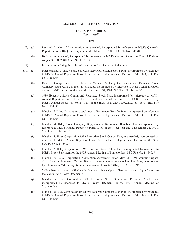#### **MARSHALL & ILSLEY CORPORATION**

### **INDEX TO EXHIBITS (Item 14(a)3)**

#### **ITEM**

- (3) (a) Restated Articles of Incorporation, as amended, incorporated by reference to M&I's Quarterly Report on Form 10-Q for the quarter ended March 31, 2000, SEC File No. 1-15403
	- (b) By-laws, as amended, incorporated by reference to M&I's Current Report on Form 8-K dated August 30, 2002, SEC File No. 1-15403
- (4) Instruments defining the rights of security holders, including indentures†
- (10) (a) M&I Marshall & Ilsley Bank Supplementary Retirement Benefits Plan, incorporated by reference to M&I's Annual Report on Form 10-K for the fiscal year ended December 31, 1983, SEC File No. 1-15403\*
	- (b) Deferred Compensation Trust between Marshall & Ilsley Corporation and Bessemer Trust Company dated April 28, 1987, as amended, incorporated by reference to M&I's Annual Report on Form 10-K for the fiscal year ended December 31, 1988, SEC File No. 1-15403\*
	- (c) 1989 Executive Stock Option and Restricted Stock Plan, incorporated by reference to M&I's Annual Report on Form 10-K for the fiscal year ended December 31, 1988, as amended by M&I's Annual Report on Form 10-K for the fiscal year ended December 31, 1990, SEC File No. 1-15403\*
	- (d) Marshall & Ilsley Corporation Supplemental Retirement Benefits Plan, incorporated by reference to M&I's Annual Report on Form 10-K for the fiscal year ended December 31, 1991, SEC File No. 1-15403\*
	- (e) Marshall & Ilsley Trust Company Supplemental Retirement Benefits Plan, incorporated by reference to M&I's Annual Report on Form 10-K for the fiscal year ended December 31, 1991, SEC File No. 1-15403\*
	- (f) Marshall & Ilsley Corporation 1993 Executive Stock Option Plan, as amended, incorporated by reference to M&I's Annual Report on Form 10-K for the fiscal year ended December 31, 1995, SEC File No. 1-15403\*
	- (g) Marshall & Ilsley Corporation 1995 Directors Stock Option Plan, incorporated by reference to M&I's Proxy Statement for the 1995 Annual Meeting of Shareholders, SEC File No. 1-15403\*
	- (h) Marshall & Ilsley Corporation Assumption Agreement dated May 31, 1994 assuming rights, obligations and interests of Valley Bancorporation under various stock option plans, incorporated by reference to M&I's Registration Statement on Form S-8 (Reg. No. 33-53897)\*
	- (i) Valley Bancorporation 1992 Outside Directors' Stock Option Plan, incorporated by reference to the Valley 1992 Proxy Statement\*
	- (j) Marshall & Ilsley Corporation 1997 Executive Stock Option and Restricted Stock Plan, incorporated by reference to M&I's Proxy Statement for the 1997 Annual Meeting of Shareholders\*
	- (k) Marshall & Ilsley Corporation Executive Deferred Compensation Plan, incorporated by reference to M&I's Annual Report on Form 10-K for the fiscal year ended December 31, 1996, SEC File No. 1-15403\*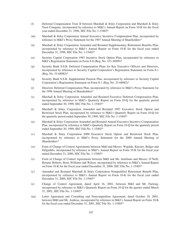- (l) Deferred Compensation Trust II between Marshall & Ilsley Corporation and Marshall & Ilsley Trust Company, incorporated by reference to M&I's Annual Report on Form 10-K for the fiscal year ended December 31, 1996, SEC File No. 1-15403\*
- (m) Marshall & Ilsley Corporation Annual Executive Incentive Compensation Plan, incorporated by reference to M&I's Proxy Statement for the 1997 Annual Meeting of Shareholders\*
- (n) Marshall & Ilsley Corporation Amended and Restated Supplementary Retirement Benefits Plan, incorporated by reference to M&I's Annual Report on Form 10-K for the fiscal year ended December 31, 1996, SEC File No. 1-15403\*
- (o) Security Capital Corporation 1993 Incentive Stock Option Plan, incorporated by reference to M&I's Registration Statement on Form S-8 (Reg. No. 333-36909)\*
- (p) Security Bank S.S.B. Deferred Compensation Plans for Key Executive Officers and Directors, incorporated by reference to Security Capital Corporation's Registration Statement on Form S-1 (Reg. No. 33-68982)\*
- (q) Security Bank S.S.B. Supplemental Pension Plan, incorporated by reference to Security Capital Corporation's Registration Statement on Form S-1 (Reg. No. 33-68982)\*
- (r) Directors Deferred Compensation Plan, incorporated by reference to M&I's Proxy Statement for the 1998 Annual Meeting of Shareholders\*
- (s) Marshall & Ilsley Corporation Amended and Restated Executive Deferred Compensation Plan, incorporated by reference to M&I's Quarterly Report on Form 10-Q for the quarterly period ended September 30, 1999, SEC File No. 1-15403\*
- (t) Marshall & Ilsley Corporation Amended and Restated 1997 Executive Stock Option and Restricted Stock Plan, incorporated by reference to M&I's Quarterly Report on Form 10-Q for the quarterly period ended September 30, 1999, SEC File No. 1-15403\*
- (u) Marshall & Ilsley Corporation Amended and Restated Annual Executive Incentive Compensation Plan, incorporated by reference to M&I's Quarterly Report on Form 10-Q for the quarterly period ended September 30, 1999, SEC File No. 1-15403\*
- (v) Marshall & Ilsley Corporation 2000 Executive Stock Option and Restricted Stock Plan, incorporated by reference to M&I's Proxy Statement for the 2000 Annual Meeting of Shareholders\*
- (w) Form of Change of Control Agreements between M&I and Messrs. Wigdale, Kuester, Bolger and Delgadillo, incorporated by reference to M&I's Annual Report on Form 10-K for the fiscal year ended December 31, 2000, SEC File No. 1-15403\*
- (x) Form of Change of Control Agreements between M&I and Ms. Justiliano and Messrs. O'Neill, Renard, Roberts, Root, Williams and Wilson, incorporated by reference to M&I's Annual Report on Form 10-K for the fiscal year ended December 31, 2000, SEC File No. 1-15403\*
- (y) Amended and Restated Marshall & Ilsley Corporation Nonqualified Retirement Benefit Plan, incorporated by reference to M&I's Annual Report on Form 10-K for the fiscal year ended December 31, 2000, SEC File No. 1-15403\*
- (z) Change of Control Agreement, dated April 16, 2001, between M&I and Mr. Furlong, incorporated by reference to M&I's Quarterly Report on Form 10-Q for the quarter ended March 31, 2001, SEC File No. 1-15403\*
- (aa) Letter Agreement and Consulting and Noncompetition Agreement, dated October 18, 2001, between M&I and Mr. Andreas, incorporated by reference to M&I's Annual Report on Form 10-K for the fiscal year ended December 31, 2001, SEC File No. 1-15403\*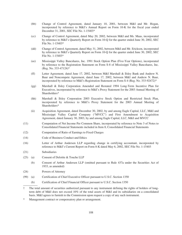- (bb) Change of Control Agreement, dated January 10, 2001, between M&I and Mr. Hogan, incorporated by reference to M&I's Annual Report on Form 10-K for the fiscal year ended December 31, 2001, SEC File No. 1-15403\*
- (cc) Change of Control Agreement, dated May 20, 2002, between M&I and Ms. Maas, incorporated by reference to M&I's Quarterly Report on Form 10-Q for the quarter ended June 30, 2002, SEC File No. 1-15403\*
- (dd) Change of Control Agreement, dated May 31, 2002, between M&I and Mr. Erickson, incorporated by reference to M&I's Quarterly Report on Form 10-Q for the quarter ended June 30, 2002, SEC File No. 1-15403\*
- (ee) Mississippi Valley Bancshares, Inc. 1991 Stock Option Plan (Five-Year Options), incorporated by reference to the Registration Statement on Form S-8 of Mississippi Valley Bancshares, Inc. (Reg. No. 333-47124)\*
- (ff) Letter Agreement, dated June 17, 2002, between M&I Marshall & Ilsley Bank and Andrew N. Baur and Noncompete Agreement, dated June 17, 2002, between M&I and Andrew N. Baur, incorporated by reference to M&I's Registration Statement on Form S-4 (Reg. No. 333-92472)\*
- (gg) Marshall & Ilsley Corporation Amended and Restated 1994 Long-Term Incentive Plan for Executives, incorporated by reference to M&I's Proxy Statement for the 2003 Annual Meeting of Shareholders\*
- (hh) Marshall & Ilsley Corporation 2003 Executive Stock Option and Restricted Stock Plan, incorporated by reference to M&I's Proxy Statement for the 2003 Annual Meeting of Shareholders\*
- (ii) Acquisition Agreement, dated December 30, 2002, by and among Eagle Capital, LLC, M&I and Mississippi Valley Capital Company ("MVCC") and First Amendment to Acquisition Agreement, dated January 30, 2003, by and among Eagle Capital, LLC, M&I and MVCC
- (11) Computation of Net Income Per Common Share, incorporated by reference to Note 3 of Notes to Consolidated Financial Statements included in Item 8, Consolidated Financial Statements
- (12) Computation of Ratio of Earnings to Fixed Charges
- (14) Code of Business Conduct and Ethics
- (16) Letter of Arthur Andersen LLP regarding change in certifying accountant, incorporated by reference to M&I's Current Report on Form 8-K dated May 6, 2002, SEC File No. 1-15403
- (21) Subsidiaries
- (23) (a) Consent of Deloitte & Touche LLP
	- (b) Consent of Arthur Andersen LLP (omitted pursuant to Rule 437a under the Securities Act of 1933, as amended)
- (24) Powers of Attorney
- (99) (a) Certification of Chief Executive Officer pursuant to U.S.C. Section 1350
	- (b) Certification of Chief Financial Officer pursuant to U.S.C. Section 1350

Management contract or compensatory plan or arrangement.

<sup>†</sup> The total amount of securities authorized pursuant to any instrument defining the rights of holders of longterm debt of M&I does not exceed 10% of the total assets of M&I and its subsidiaries on a consolidated basis. M&I agrees to furnish to the Commission upon request a copy of any such instrument.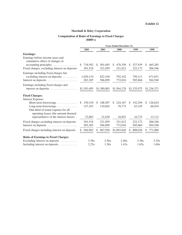## **Marshall & Ilsley Corporation**

## **Computation of Ratio of Earnings to Fixed Charges (\$000's)**

|                                                                                                                                   | <b>Years Ended December 31,</b>     |                           |                          |                         |                        |
|-----------------------------------------------------------------------------------------------------------------------------------|-------------------------------------|---------------------------|--------------------------|-------------------------|------------------------|
|                                                                                                                                   | 2002                                | 2001                      | 2000                     | 1999                    | 1998                   |
| <b>Earnings:</b>                                                                                                                  |                                     |                           |                          |                         |                        |
| Earnings before income taxes and<br>cumulative effect of changes in<br>$accounting principles \ldots \ldots \ldots \ldots \ldots$ | 718,592<br>S                        | 501,045<br>S              | 470,350<br>S             | 527,939<br>S.           | 465,285<br>S           |
| Fixed charges, excluding interest on deposits                                                                                     | 301,518                             | 321,059                   | 321,812                  | 222,172                 | 206,546                |
| Earnings including fixed charges but<br>excluding interest on deposits                                                            | 1,020,110                           | 822,104                   | 792,162                  | 750,111                 | 671,831                |
| Interest on deposits                                                                                                              | 283,385                             | 566,899                   | 772,016                  | 585,864                 | 564,540                |
| Earnings including fixed charges and<br>interest on deposits                                                                      |                                     |                           |                          |                         |                        |
|                                                                                                                                   | \$1,303,495                         | \$1,389,003               | \$1,564,178              | \$1,335,975             | \$1,236,371            |
| <b>Fixed Charges:</b><br><b>Interest Expense:</b>                                                                                 |                                     |                           |                          |                         |                        |
| Short-term borrowings<br>Long-term borrowings<br>One-third of rental expense for all<br>operating leases (the amount deemed       | 150,310<br><sup>\$</sup><br>127,343 | 188,587<br>\$.<br>110,842 | 224,187<br>\$.<br>78,773 | 142,294<br>S.<br>63,145 | 126,624<br>S<br>66,810 |
| representative of the interest factor).                                                                                           | 23,865                              | 21,630                    | 18,852                   | 16,733                  | 13,112                 |
| Fixed charges excluding interest on deposits<br>Interest on deposits                                                              | 301,518<br>283,385                  | 321,059<br>566,899        | 321,812<br>772,016       | 222,172<br>585,864      | 206,546<br>564,540     |
| Fixed charges including interest on deposits                                                                                      | 584,903                             | 887,958                   | \$1,093,828              | 808,036                 | 771,086<br>S           |
| <b>Ratio of Earnings to Fixed Charges:</b><br>Excluding interest on deposits                                                      | 3.38x                               | 2.56x                     | 2.46x                    | 3.38x                   | 3.25x                  |
| Including interest on deposits                                                                                                    | 2.23x                               | 1.56x                     | 1.43x                    | 1.65x                   | 1.60x                  |